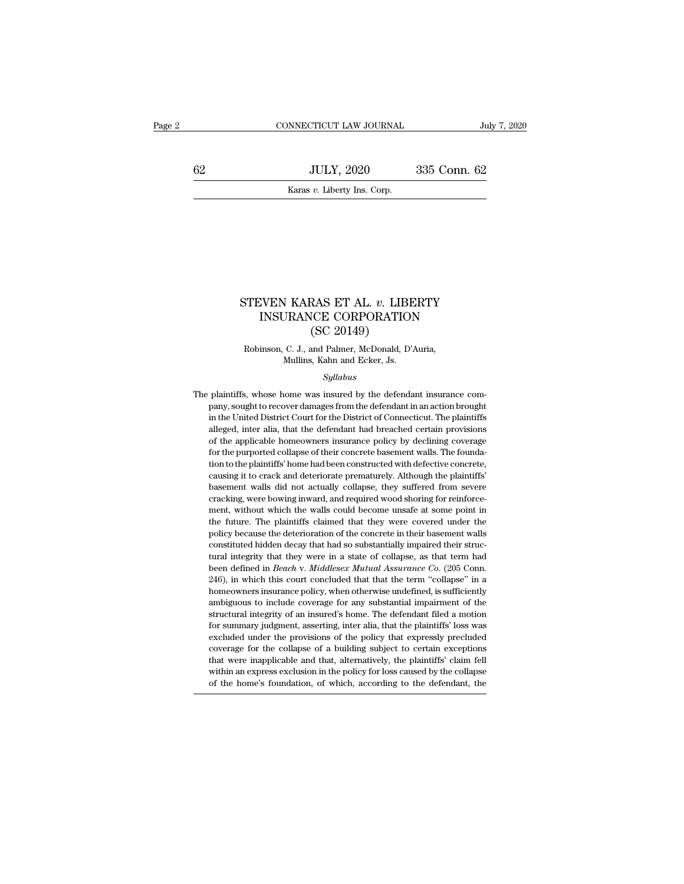EXECUTE CONNECTICUT LAW JOURNAL July 7, 2020<br>
62 JULY, 2020 335 Conn. 62<br>
Karas v. Liberty Ins. Corp. NNECTICUT LAW JOURNAL<br>JULY, 2020<br>Karas *v*. Liberty Ins. Corp.

# STEVEN KARAS ET AL. *v*. LIBERTY<br>INSURANCE CORPORATION<br>(SC 20140) INSURANCE CORPORATION RAS ET AL. *v*. LIBI<br>
ICE CORPORATIO<br>
(SC 20149)<br>
and Palmer, McDonald, D'<br>
Mah and Ecker Is STEVEN KARAS ET AL. *v*. LIBERTY<br>INSURANCE CORPORATION<br>(SC 20149)<br>Robinson, C. J., and Palmer, McDonald, D'Auria,<br>Mullins, Kahn and Ecker, Js. INSURANCE CORPORATION

### *Syllabus*

 $(SC\ 20149)$ <br>Robinson, C. J., and Palmer, McDonald, D'Auria,<br>Mullins, Kahn and Ecker, Js.<br>Syllabus<br>The plaintiffs, whose home was insured by the defendant insurance com-<br>pany, sought to recover damages from the defendant Robinson, C. J., and Palmer, McDonald, D'Auria,<br>Mullins, Kahn and Ecker, Js.<br>Syllabus<br>plaintiffs, whose home was insured by the defendant insurance com-<br>pany, sought to recover damages from the defendant in an action broug in the United District Court for the District of Connecticut. The plaintiffs, whose home was insured by the defendant insurance company, sought to recover damages from the defendant in an action brought in the United Distr Syllabus<br>
Syllabus<br>
plaintiffs, whose home was insured by the defendant insurance com-<br>
pany, sought to recover damages from the defendant in an action brought<br>
in the United District Court for the District of Connecticut. Syllabus<br>plaintiffs, whose home was insured by the defendant insurance com-<br>pany, sought to recover damages from the defendant in an action brought<br>in the United District Court for the District of Connecticut. The plaintif plaintiffs, whose home was insured by the defendant insurance company, sought to recover damages from the defendant in an action brought in the United District Court for the District of Connecticut. The plaintiffs alleged, plantins, whose none was model by the defendant in an action brought<br>plantins, whose none correlations in an action brought<br>in the United District Court for the District of Connecticut. The plaintiffs<br>alleged, inter alia, in the United District Court for the District of Connecticut. The plaintiffs alleged, inter alia, that the defendant had breached certain provisions of the applicable homeowners insurance policy by declining coverage for t alleged, inter alia, that the defendant had breached certain provisions of the applicable homeowners insurance policy by declining coverage for the purported collapse of their concrete basement walls. The foundation to the and the applicable homeowners insurance policy by declining coverage<br>of the applicable homeowners insurance policy by declining coverage<br>for the purported collapse of their concrete basement walls. The founda-<br>tion to the or are upproach noncomics instance point, by declining coverage<br>for the purported collapse of their concrete basement walls. The founda-<br>tion to the plaintiffs' home had been constructed with defective concrete,<br>causing it to the plaintiffs claimed been constructed via the below the plaintiffs classing it to crack and deteriorate prematurely. Although the plaintiffs' basement walls did not actually collapse, they suffered from severe crackin relation of the planning holie had occircled and accretional determination of the plaintiffs' basement walls did not actually collapse, they suffered from severe cracking, were bowing inward, and required wood shoring for basement walls did not actually collapse, they suffered from severe cracking, were bowing inward, and required wood shoring for reinforcement, without which the walls could become unsafe at some point in the future. The pl exacting, were bowing inward, and required wood shoring for reinforce-<br>cracking, were bowing inward, and required wood shoring for reinforce-<br>ment, without which the walls could become unsafe at some point in<br>the future. T enacing, were bowing inward, and required wood shoring for reinforcement, without which the walls could become unsafe at some point in the future. The plaintiffs claimed that they were covered under the policy because the ment, which the future and second detection and the future. The plaintiffs claimed that they were covered under the policy because the deterioration of the concrete in their basement walls constituted hidden decay that had homeowners insurance policy, when otherwise undefined, is sufficiently ambiguous to include otherwise undefined, is sufficiently ambiguous to include overage for any substantial impairment of the above defined in *Beach* v boncy because are deteriorially of an exorted in their basefulnit walls<br>constituted hidden decay that had so substantially impaired their struc-<br>tural integrity that they were in a state of collapse, as that term had<br>been structural integrity that they were in a state of collapse, as that term had been defined in *Beach v. Middlesex Mutual Assurance Co.* (205 Conn. 246), in which this court concluded that that the term "collapse" in a homeo for summary judgment, asserting, inter alia, that the term "collapse, as an eliminate been defined in *Beach v. Middlesex Mutual Assurance Co.* (205 Conn. 246), in which this court concluded that that the term "collapse" i excluded under the provisions of the policy that expressive provisions of the provision of the structural integrity ambiguous to include coverage for any substantial impairment of the structural integrity of an insured's h EFO), in which also controlled and that the compose in a bomeowners insurance policy, when otherwise undefined, is sufficiently ambiguous to include coverage for any substantial impairment of the structural integrity of an that were insulated policy, which date wise undefined, is sufficiently ambiguous to include coverage for any substantial impairment of the structural integrity of an insured's home. The defendant filed a motion for summary antinguous to include coverage for any substantian impairment of the<br>structural integrity of an insured's home. The defendant filed a motion<br>for summary judgment, asserting, inter alia, that the plaintiffs' loss was<br>exclud of the home's foundation, of which according to the defendant ince a motion<br>for summary judgment, asserting, inter alia, that the plaintiffs' loss was<br>excluded under the provisions of the policy that expressly precluded<br>co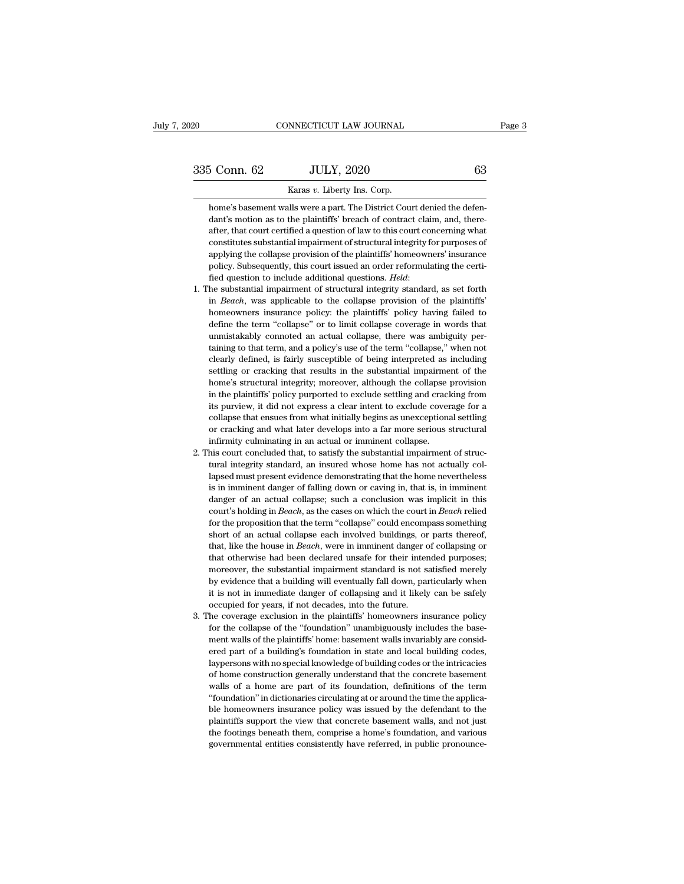NNECTICUT LAW JOURNAL<br>JULY, 2020<br>Karas *v*. Liberty Ins. Corp.<br>Ills were a part. The District Cou For Conn. 62 JULY, 2020 63<br>Karas v. Liberty Ins. Corp.<br>home's basement walls were a part. The District Court denied the defen-<br>dant's motion as to the plaintiffs' breach of contract claim, and, theredance of the plaintiffs' breach of contract claim, and, therefore the plaintiffs' breach of contract claim, and, there-<br>dant's motion as to the plaintiffs' breach of contract claim, and, there-<br>after, that court certified  $\frac{5 \text{ Conn. } 62}{5 \text{ Trans } v. }$  Liberty Ins. Corp.<br>
home's basement walls were a part. The District Court denied the defendant's motion as to the plaintiffs' breach of contract claim, and, thereafter, that court certified a que Karas v. Liberty Ins. Corp.<br>
home's basement walls were a part. The District Court denied the defen-<br>
dant's motion as to the plaintiffs' breach of contract claim, and, there-<br>
after, that court certified a question of law karas v. Liberty Ins. Corp.<br>
home's basement walls were a part. The District Court denied the defen-<br>
dant's motion as to the plaintiffs' breach of contract claim, and, there-<br>
after, that court certified a question of law home's basement walls were a part. The District Court denied the defendant's motion as to the plaintiffs' breach of contract claim, and, thereafter, that court certified a question of law to this court concerning what cons field question as to the plaintiffs' breach of contract claim, and, thereafter, that court certified a question of law to this court concerning what constitutes substantial impairment of structural integrity for purposes o constitutes substantial impairment of structural integrity for purposes of applying the collapse provision of the plaintiffs' homeowners' insurance policy. Subsequently, this court issued an order reformulating the certifi

- applying the collapse provision of the plaintiffs' homeowners' insurance<br>policy. Subsequently, this court issued an order reformulating the certi-<br>fied question to include additional questions. *Held*:<br>he substantial impai policy. Subsequently, this court issued an order reformulating the certified question to include additional questions. *Held*:<br>he substantial impairment of structural integrity standard, as set forth<br>in *Beach*, was applic policy. Subsequently, this court issued an order reformulating the certi-<br>fied question to include additional questions. *Held*:<br>1. The substantial impairment of structural integrity standard, as set forth<br>in *Beach*, was the substantial impairment of structural integrity standard, as set forth in *Beach*, was applicable to the collapse provision of the plaintiffs' homeowners insurance policy: the plaintiffs' policy having failed to define in *Beach*, was applicable to the collapse provision of the plaintiffs' homeowners insurance policy: the plaintiffs' policy having failed to define the term "collapse" or to limit collapse coverage in words that unmistakab in Domeowners insurance policy: the plaintiffs' policy having failed to define the term "collapse" or to limit collapse coverage in words that unmistakably connoted an actual collapse, there was ambiguity pertaining to tha define the term "collapse" or to limit collapse coverage in words that unmistakably connoted an actual collapse, there was ambiguity pertaining to that term, and a policy's use of the term "collapse," when not clearly defi unmistakably connoted an actual collapse, there was ambiguity per-<br>taining to that term, and a policy's use of the term "collapse," when not<br>clearly defined, is fairly susceptible of being interpreted as including<br>settling taining to that term, and a policy's use of the term "collapse," when not clearly defined, is fairly susceptible of being interpreted as including settling or cracking that results in the substantial impairment of the home clearly defined, is fairly susceptible of being interpreted as including<br>elearly defined, is fairly susceptible of being interpreted as including<br>settling or cracking that results in the substantial impairment of the<br>home' settling or cracking that results in the substantial impairment of the home's structural integrity; moreover, although the collapse provision in the plaintiffs' policy purported to exclude settling and cracking from its pu because is structural integrity; moreover, although the collapse in the plaintiffs' policy purported to exclude settling and cracitis purview, it did not express a clear intent to exclude cover collapse that ensues from wh in the plaintiffs' policy purported to exclude settling and cracking from<br>its purview, it did not express a clear intent to exclude coverage for a<br>collapse that ensues from what initially begins as unexceptional settling<br>o its purview, it did not express a clear intent to exclude coverage for a collapse that ensues from what initially begins as unexceptional settling or cracking and what later develops into a far more serious structural infi
- collapse that ensues from what initially begins as unexceptional settling or cracking and what later develops into a far more serious structural infirmity culminating in an actual or imminent collapse.<br>In this court conclu or cracking and what later develops into a far more serious structural infirmity culminating in an actual or imminent collapse.<br>In imminity culminating in an actual or imminent collapse.<br>In is court concluded that, to sati in firmity culminating in an actual or imminent collapse.<br>
his court concluded that, to satisfy the substantial impairment of structural integrity standard, an insured whose home has not actually collapsed must present evi mise court concluded that, to satisfy the substantial impairment of structural integrity standard, an insured whose home has not actually collapsed must present evidence demonstrating that the home nevertheless is in immin for the proposition that, we cannot all the home has not actually collapsed must present evidence demonstrating that the home nevertheless is in imminent danger of falling down or caving in, that is, in imminent danger of shows all and must present evidence demonstrating that the home nevertheless<br>is in imminent danger of falling down or caving in, that is, in imminent<br>danger of an actual collapse; such a conclusion was implicit in this<br>cou is in imminent danger of falling down or caving in, that is, in imminent danger of an actual collapse; such a conclusion was implicit in this court's holding in *Beach*, as the cases on which the court in *Beach* relied fo that dianger of an actual collapse; such a conclusion was implicit in this court's holding in *Beach*, as the cases on which the court in *Beach* relied for the proposition that the term "collapse" could encompass somethin court's holding in *Beach*, as the cases on which the court in *Beach* relied for the proposition that the term "collapse" could encompass something short of an actual collapse each involved buildings, or parts thereof, th for the proposition that the term "collapse" could encompass something short of an actual collapse each involved buildings, or parts thereof, that, like the house in *Beach*, were in imminent danger of collapsing or that o short of an actual collapse each involved buildings, or parts thereof, that, like the house in *Beach*, were in imminent danger of collapsing or that otherwise had been declared unsafe for their intended purposes; moreove short of an actual collapse each involved buildings, or parts thereof, that, like the house in *Beach*, were in imminent danger of collapsing or that otherwise had been declared unsafe for their intended purposes; moreover that otherwise had been declared unsafe for their intended purposes;<br>that otherwise had been declared unsafe for their intended purposes;<br>moreover, the substantial impairment standard is not satisfied merely<br>by evidence th moreover, the substantial impairment standard is not satisfied merely<br>by evidence that a building will eventually fall down, particularly when<br>it is not in immediate danger of collapsing and it likely can be safely<br>occupie
- by evidence that a building will eventually fall down, particularly when<br>it is not in immediate danger of collapsing and it likely can be safely<br>occupied for years, if not decades, into the future.<br>The coverage exclusion i by is not in immediate danger of collapsing and it likely can be safely occupied for years, if not decades, into the future.<br>he coverage exclusion in the plaintiffs' homeowners insurance policy for the collapse of the "fou Laypersons with no special knowledge of building codes or the interesting of the coverage exclusion in the plaintiffs' homeowners insurance policy for the collapse of the "foundation" unambiguously includes the basement wa be coverage exclusion in the plaintiffs' homeowners insurance policy<br>for the collapse of the "foundation" unambiguously includes the base-<br>ment walls of the plaintiffs' home: basement walls invariably are consid-<br>ered part for the collapse of the "foundation" unambiguously includes the base-<br>ment walls of the plaintiffs' home: basement walls invariably are consid-<br>ered part of a building's foundation in state and local building codes,<br>layper For the valls of the plaintiffs' home: basement walls invariably are considered part of a building's foundation in state and local building codes, laypersons with no special knowledge of building codes or the intricacies o ered part of a building's foundation in state and local building codes, laypersons with no special knowledge of building codes or the intricacies of home construction generally understand that the concrete basement walls o experience parameter of building codes or the intricacies of home construction generally understand that the concrete basement walls of a home are part of its foundation, definitions of the term "foundation" in dictionarie the footings beneath them, comprise a home on the them construction generally understand that the concrete basement walls of a home are part of its foundation, definitions of the term "foundation" in dictionaries circulati be not considered, generally distortion, definitions of the term "foundation" in dictionaries circulating at or around the time the applica-<br>ble homeowners insurance policy was issued by the defendant to the<br>plaintiffs sup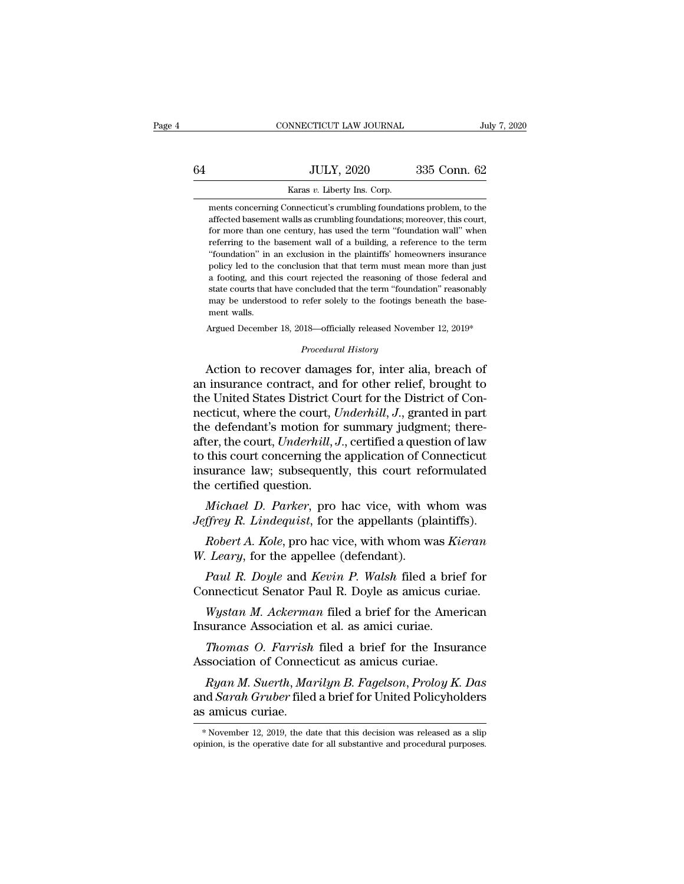|    | CONNECTICUT LAW JOURNAL                                                                                                                         | July 7, 2020 |
|----|-------------------------------------------------------------------------------------------------------------------------------------------------|--------------|
| 64 | <b>JULY, 2020</b>                                                                                                                               | 335 Conn. 62 |
|    | Karas v. Liberty Ins. Corp.                                                                                                                     |              |
|    | ments concerning Connecticut's crumbling foundations problem, to the<br>affected basement walls as crumbling foundations; moreover, this court, |              |

JULY, 2020 335 Conn. 62<br>Karas v. Liberty Ins. Corp.<br>ments concerning Connecticut's crumbling foundations problem, to the<br>affected basement walls as crumbling foundations; moreover, this court,<br>for more than one century, ha For more than one century, has used the term ''foundations, to the affected basement walls as crumbling foundations; moreover, this court, for more than one century, has used the term ''foundation wall'' when referring to Karas v. Liberty Ins. Corp.<br>
ments concerning Connecticut's crumbling foundations problem, to the<br>
affected basement walls as crumbling foundations; moreover, this court,<br>
for more than one century, has used the term "foun Karas v. Liberty Ins. Corp.<br>
ments concerning Connecticut's crumbling foundations problem, to the<br>
affected basement walls as crumbling foundations; moreover, this court,<br>
for more than one century, has used the term "foun ments concerning Connecticut's crumbling foundations problem, to the affected basement walls as crumbling foundations; moreover, this court, for more than one century, has used the term "foundation wall" when referring to affected basement walls as crumbling foundations; moreover, this court, for more than one century, has used the term "foundation wall" when referring to the basement wall of a building, a reference to the term "foundation" for more than one century, has used the term "foundation wall" when<br>referring to the basement wall of a building, a reference to the term<br>"foundation" in an exclusion in the plaintiffs' homeowners insurance<br>policy led to t Feferring to the basement wall of a building, a reference to the term<br>"foundation" in an exclusion in the plaintiffs' homeowners insurance<br>policy led to the conclusion that that term must mean more than just<br>a footing, and "foundation" in an exclusion in the plaintiffs' homeowners insurance<br>policy led to the conclusion that that term must mean more than just<br>a footing, and this court rejected the reasoning of those federal and<br>state courts policy led to the conclusion that that term must mean more than just a footing, and this court rejected the reasoning of those federal and state courts that have concluded that the term "foundation" reasonably may be unde % state courts that have concluded that the term "foundation" reasonably<br>may be understood to refer solely to the footings beneath the base-<br>ment walls.<br>Argued December 18, 2018—officially released November 12, 2019\*<br> $Proceedural History$ a rooting, and this court rejected the reasoning of those rederal and<br>state courts that have concluded that the term "foundation" reasonably<br>may be understood to refer solely to the footings beneath the base-<br>ment walls.<br>A

and collect that the contract data the contract of the footings beneath the basement walls.<br>
Argued December 18, 2018—officially released November 12, 2019\*<br> *Procedural History*<br> **Action to recover damages for, inter alia** ment walls.<br>
Argued December 18, 2018—officially released November 12, 2019\*<br>
Procedural History<br>
Action to recover damages for, inter alia, breach of<br>
an insurance contract, and for other relief, brought to<br>
the United St Argued December 18, 2018—officially released November 12, 2019\*<br> *Procedural History*<br>
Action to recover damages for, inter alia, breach of<br>
an insurance contract, and for other relief, brought to<br>
the United States Distri *Procedural History*<br>Action to recover damages for, inter alia, breach of<br>an insurance contract, and for other relief, brought to<br>the United States District Court for the District of Con-<br>necticut, where the court, Underhi Froceaural History<br>Action to recover damages for, inter alia, breach of<br>an insurance contract, and for other relief, brought to<br>the United States District Court for the District of Con-<br>necticut, where the court, *Underhil* Action to recover damages for, inter alia, breach of<br>an insurance contract, and for other relief, brought to<br>the United States District Court for the District of Con-<br>necticut, where the court, Underhill, J., granted in pa an insurance contract, and for other relief, brought to<br>the United States District Court for the District of Con-<br>necticut, where the court, Underhill, J., granted in part<br>the defendant's motion for summary judgment; there the United States District C<br>necticut, where the court, *U*<br>the defendant's motion for<br>after, the court, *Underhill*, J<br>to this court concerning the<br>insurance law; subsequent<br>the certified question.<br>*Michael D. Parker*, pr *Ethel, where the court, Underhill, J., granted in part* e defendant's motion for summary judgment; there-<br>ter, the court, Underhill, J., certified a question of law<br>this court concerning the application of Connecticut<br>sur Intermediate, the court, Underhill, J., certified a question of law<br>to this court concerning the application of Connecticut<br>insurance law; subsequently, this court reformulated<br>the certified question.<br>*Michael D. Parker*, *Robert A. Kole*, pro hacking the application of Connecticut surance law; subsequently, this court reformulated a certified question.<br>*Michael D. Parker*, pro hac vice, with whom was *ffrey R. Lindequist*, for the appellan *Michael D. Parker*, pro hac vice, with w<br>*Michael D. Parker*, pro hac vice, with w<br>*Jeffrey R. Lindequist*, for the appellants (plant).<br>*Robert A. Kole*, pro hac vice, with whom w<br>*W. Leary*, for the appellee (defendant).

Michael D. Parker, pro hac vice, with whom was<br>
Jeffrey R. Lindequist, for the appellants (plaintiffs).<br>
Robert A. Kole, pro hac vice, with whom was Kieran<br>
W. Leary, for the appellee (defendant).<br>
Paul R. Doyle and Kevin

*Parker*, pro hac vice, with whom was *ffrey R. Lindequist*, for the appellants (plaintiffs).<br>*Robert A. Kole*, pro hac vice, with whom was *Kieran Leary*, for the appellee (defendant).<br>*Paul R. Doyle* and *Kevin P. Wals Hyrey R. Lindequist*, for the appellants (plaintiffs).<br> *Robert A. Kole*, pro hac vice, with whom was *Kieran*<br> *Leary*, for the appellee (defendant).<br> *Paul R. Doyle* and *Kevin P. Walsh* filed a brief for<br>
pomecticut Se Robert A. Kole, pro hac vice, with whom was Ki<br>W. Leary, for the appellee (defendant).<br>Paul R. Doyle and Kevin P. Walsh filed a brie<br>Connecticut Senator Paul R. Doyle as amicus cur<br>Wystan M. Ackerman filed a brief for the

*Leary*, for the appellee (defendant).<br> *Paul R. Doyle* and *Kevin P. Walsh* filed a brief for<br> *Mystan M. Ackerman* filed a brief for the American<br>
surance Association et al. as amici curiae.<br> *Thomas O. Farrish* filed a Paul R. Doyle and Kevin P. Walsh filed a brief<br>Connecticut Senator Paul R. Doyle as amicus curi<br>Wystan M. Ackerman filed a brief for the Ameri<br>Insurance Association et al. as amici curiae.<br>Thomas O. Farrish filed a brief f

*Rystan M. Ackerman filed a brief for the American*<br>*Rystan M. Ackerman filed a brief for the American*<br>*Ryanas O. Farrish filed a brief for the Insurance*<br>*Ryan M. Suerth, Marilyn B. Fagelson, Proloy K. Das*<br>*d Sarah Grub* Wystan M. Ackerman filed a brief for the American<br>Insurance Association et al. as amici curiae.<br>Thomas O. Farrish filed a brief for the Insurance<br>Association of Connecticut as amicus curiae.<br>Ryan M. Suerth, Marilyn B. Fage Insurance Association et al. as amici curiae.<br> *Thomas O. Farrish* filed a brief for the Insurance<br>
Association of Connecticut as amicus curiae.<br> *Ryan M. Suerth, Marilyn B. Fagelson, Proloy K. Das*<br>
and *Sarah Gruber* fil *Ryan M. Suerth, Marilyn B. Fagelson, Proloy K. Das* and *Sarah Gruber* filed a brief for United Policyholders as amicus curiae.<br>\* November 12, 2019, the date that this decision was released as a slip opinion, is the opera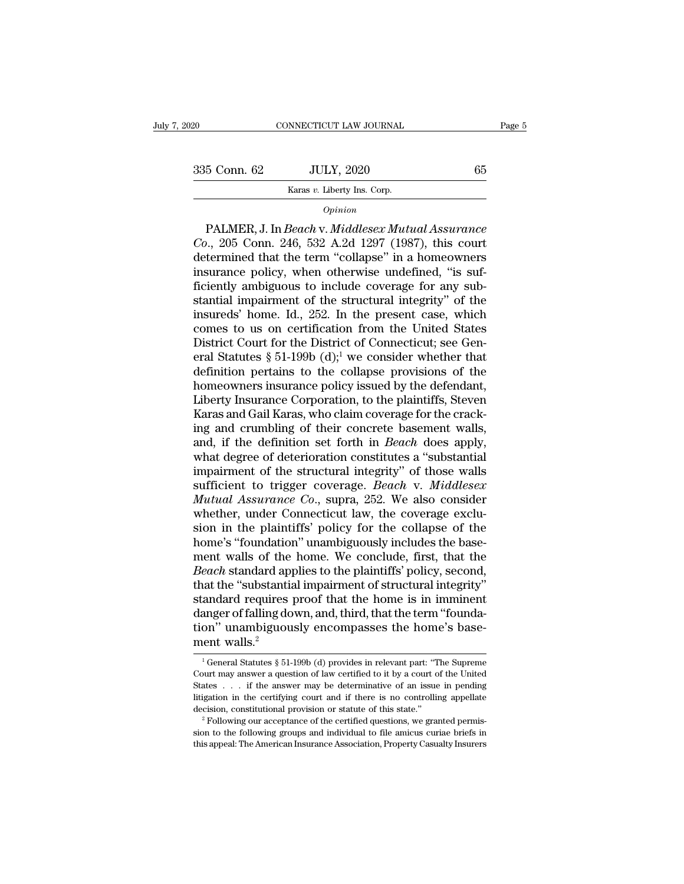# EXERCISE CONNECTICUT LAW JOURNAL Page 5<br>335 Conn. 62 JULY, 2020 65<br>Karas v. Liberty Ins. Corp. NNECTICUT LAW JOURNAL<br>JULY, 2020<br>Karas *v*. Liberty Ins. Corp.<br>Oninion

### *Opinion*

EXEC 5 Conn. 62 JULY, 2020 65<br>
Example 2020 65<br>
Example 2021<br>
PALMER, J. In *Beach* v. *Middlesex Mutual Assurance*<br>
1., 205 Conn. 246, 532 A.2d 1297 (1987), this court<br>
termined that the term "collanse" in a homeowners <sup>Com, 62</sup> JULY, 2020<br> *Co.*, 205 Conn. 246, 532 A.2d 1297 (1987), this court<br>
determined that the term "collapse" in a homeowners<br>
insurance policy when otherwise undefined "is suf-335 Conn. 62 JULY, 2020 65<br>
Karas v. Liberty Ins. Corp.<br> *Opinion*<br>
PALMER, J. In *Beach v. Middlesex Mutual Assurance*<br> *Co.*, 205 Conn. 246, 532 A.2d 1297 (1987), this court<br>
determined that the term "collapse" in a hom Karas v. Liberty Ins. Corp.<br>
Opinion<br>
PALMER, J. In Beach v. Middlesex Mutual Assurance<br>
Co., 205 Conn. 246, 532 A.2d 1297 (1987), this court<br>
determined that the term "collapse" in a homeowners<br>
insurance policy, when oth Figure 1991)<br> *Opinion*<br>
PALMER, J. In *Beach v. Middlesex Mutual Assurance*<br>
Co., 205 Conn. 246, 532 A.2d 1297 (1987), this court<br>
determined that the term "collapse" in a homeowners<br>
insurance policy, when otherwise und opinion<br>
PALMER, J. In Beach v. Middlesex Mutual Assurance<br>
Co., 205 Conn. 246, 532 A.2d 1297 (1987), this court<br>
determined that the term "collapse" in a homeowners<br>
insurance policy, when otherwise undefined, "is suf-<br> PALMER, J. In *Beach v. Middlesex Mutual Assurance*<br>Co., 205 Conn. 246, 532 A.2d 1297 (1987), this court<br>determined that the term "collapse" in a homeowners<br>insurance policy, when otherwise undefined, "is suf-<br>ficiently am Co., 205 Conn. 246, 532 A.2d 1297 (1987), this court<br>determined that the term "collapse" in a homeowners<br>insurance policy, when otherwise undefined, "is suf-<br>ficiently ambiguous to include coverage for any sub-<br>stantial i determined that the term "collapse" in a homeowners<br>insurance policy, when otherwise undefined, "is suf-<br>ficiently ambiguous to include coverage for any sub-<br>stantial impairment of the structural integrity" of the<br>insureds insurance policy, when otherwise undefined, "is suf-<br>ficiently ambiguous to include coverage for any sub-<br>stantial impairment of the structural integrity" of the<br>insureds' home. Id., 252. In the present case, which<br>comes ficiently ambiguous to include coverage for any substantial impairment of the structural integrity" of the insureds' home. Id., 252. In the present case, which comes to us on certification from the United States District stantial impairment of the structural integrity" of the<br>insureds' home. Id., 252. In the present case, which<br>comes to us on certification from the United States<br>District Court for the District of Connecticut; see Gen-<br>era insureds' home. Id., 252. In the present case, which<br>comes to us on certification from the United States<br>District Court for the District of Connecticut; see Gen-<br>eral Statutes § 51-199b (d);<sup>1</sup> we consider whether that<br>def comes to us on certification from the United States<br>District Court for the District of Connecticut; see General Statutes  $\S 51-199b$  (d);<sup>1</sup> we consider whether that<br>definition pertains to the collapse provisions of the<br>h District Court for the District of Connecticut; see General Statutes  $\S 51-199b$  (d);<sup>1</sup> we consider whether that definition pertains to the collapse provisions of the homeowners insurance policy issued by the defendant, eral Statutes § 51-199b (d);<sup>1</sup> we consider whether that<br>definition pertains to the collapse provisions of the<br>homeowners insurance policy issued by the defendant,<br>Liberty Insurance Corporation, to the plaintiffs, Steven<br>K definition pertains to the collapse provisions of the<br>homeowners insurance policy issued by the defendant,<br>Liberty Insurance Corporation, to the plaintiffs, Steven<br>Karas and Gail Karas, who claim coverage for the crack-<br>in homeowners insurance policy issued by the defendant,<br>Liberty Insurance Corporation, to the plaintiffs, Steven<br>Karas and Gail Karas, who claim coverage for the crack-<br>ing and crumbling of their concrete basement walls,<br>and, Liberty Insurance Corporation, to the plaintiffs, Steven<br>Karas and Gail Karas, who claim coverage for the crack-<br>ing and crumbling of their concrete basement walls,<br>and, if the definition set forth in *Beach* does apply,<br>w Karas and Gail Karas, who claim coverage for the cracking and crumbling of their concrete basement walls, and, if the definition set forth in *Beach* does apply, what degree of deterioration constitutes a "substantial impa ing and crumbling of their concrete basement walls,<br>and, if the definition set forth in *Beach* does apply,<br>what degree of deterioration constitutes a "substantial<br>impairment of the structural integrity" of those walls<br>suf and, if the definition set forth in *Beach* does apply,<br>what degree of deterioration constitutes a "substantial<br>impairment of the structural integrity" of those walls<br>sufficient to trigger coverage. *Beach* v. *Middlesex*<br> what degree of deterioration constitutes a "substantial<br>impairment of the structural integrity" of those walls<br>sufficient to trigger coverage. *Beach* v. *Middlesex*<br>*Mutual Assurance Co.*, supra, 252. We also consider<br>whe impairment of the structural integrity" of those walls<br>sufficient to trigger coverage. *Beach* v. *Middlesex*<br>*Mutual Assurance Co.*, supra, 252. We also consider<br>whether, under Connecticut law, the coverage exclu-<br>sion in sufficient to trigger coverage. *Beach* v. *Middlesex Mutual Assurance Co.*, supra, 252. We also consider whether, under Connecticut law, the coverage exclusion in the plaintiffs' policy for the collapse of the home's "fou Mutual Assurance Co., supra, 252. We also consider<br>whether, under Connecticut law, the coverage exclu-<br>sion in the plaintiffs' policy for the collapse of the<br>home's "foundation" unambiguously includes the base-<br>ment walls whether, under Connecticut law, the coverage exclusion in the plaintiffs' policy for the collapse of the home's "foundation" unambiguously includes the basement walls of the home. We conclude, first, that the *Beach* stand sion in the plaintiffs' policy for the collapse of the<br>home's "foundation" unambiguously includes the base-<br>ment walls of the home. We conclude, first, that the<br>*Beach* standard applies to the plaintiffs' policy, second,<br> home's "foundation" unambiguously includes the base-<br>ment walls of the home. We conclude, first, that the<br>*Beach* standard applies to the plaintiffs' policy, second,<br>that the "substantial impairment of structural integrity ment walls of the<br>*Beach* standard appthat the "substantiand requires<br>standard requires<br>danger of falling do<br>tion" unambiguou<br>ment walls.<sup>2</sup> andard requires proof that the home is in imminent<br>anger of falling down, and, third, that the term "founda-<br>on" unambiguously encompasses the home's base-<br>ent walls.<sup>2</sup><br><sup>1</sup> General Statutes § 51-199b (d) provides in rele danger of falling down, and, third, that the term "foundation" unambiguously encompasses the home's base-<br>ment walls.<sup>2</sup><br> $\frac{1}{1}$  General Statutes § 51-199b (d) provides in relevant part: "The Supreme<br>Court may answer a

tion" unambiguously encompasses the home's base-<br>ment walls.<sup>2</sup><br> $\frac{1}{1}$  General Statutes § 51-199b (d) provides in relevant part: "The Supreme<br>Court may answer a question of law certified to it by a court of the United<br> ment walls.<sup>2</sup><br>
<sup>1</sup> General Statutes § 51-199b (d) provides in relevant part: "The Supreme<br>
Court may answer a question of law certified to it by a court of the United<br>
States . . . if the answer may be determinative of a decision, constitutional provides in relevant part: "The Supreme Court may answer a question of law certified to it by a court of the United States  $\ldots$  if the answer may be determinative of an issue in pending litigatio Court may answer a question of law certified to it by a court of the United States . . . if the answer may be determinative of an issue in pending litigation in the certifying court and if there is no controlling appellat States . . . . if the answer may be determinative of an issue in pending litigation in the certifying court and if there is no controlling appellate decision, constitutional provision or statute of this state."<br>
<sup>2</sup> Follo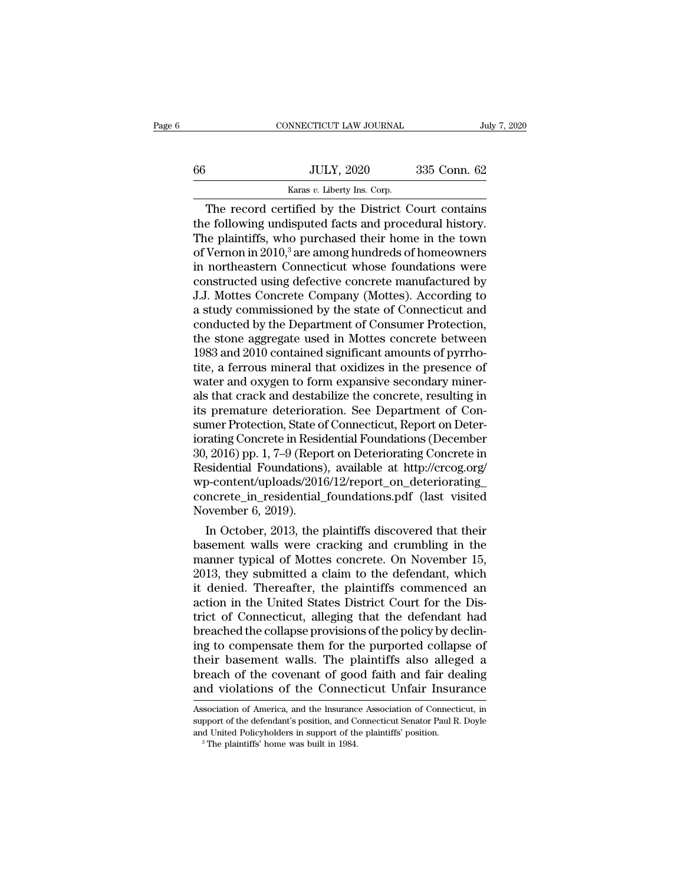|    | CONNECTICUT LAW JOURNAL                             | July 7, 2020 |
|----|-----------------------------------------------------|--------------|
| 66 | <b>JULY, 2020</b>                                   | 335 Conn. 62 |
|    | Karas v. Liberty Ins. Corp.                         |              |
|    | The record certified by the District Court contains |              |

CONNECTICUT LAW JOURNAL July 7, 2020<br>JULY, 2020 335 Conn. 62<br>Karas v. Liberty Ins. Corp.<br>The record certified by the District Court contains<br>e following undisputed facts and procedural history. the following undisputed facts and procedural history.<br>The record certified by the District Court contains<br>the following undisputed facts and procedural history.<br>The plaintiffs, who purchased their home in the town<br>of Ver  $\frac{\text{JULY, 2020}}{\text{Karas } v. \text{ Library Ins. Corp.}}$ <br>The record certified by the District Court contains<br>the following undisputed facts and procedural history.<br>The plaintiffs, who purchased their home in the town<br>of Vernon in 2010,<sup>3</sup> are  $\frac{JULY, 2020}{Karas v. Liberty Ins. Corp.}$ <br>The record certified by the District Court contains<br>the following undisputed facts and procedural history.<br>The plaintiffs, who purchased their home in the town<br>of Vernon in 2010,<sup>3</sup> are among hu For the contribution of the District Court contains<br>
The record certified by the District Court contains<br>
the following undisputed facts and procedural history.<br>
The plaintiffs, who purchased their home in the town<br>
of Ve Example 18 and the District Court contains<br>the following undisputed facts and procedural history.<br>The plaintiffs, who purchased their home in the town<br>of Vernon in 2010,<sup>3</sup> are among hundreds of homeowners<br>in northeastern The record certified by the District Court contains<br>the following undisputed facts and procedural history.<br>The plaintiffs, who purchased their home in the town<br>of Vernon in 2010,<sup>3</sup> are among hundreds of homeowners<br>in nort the following undisputed facts and procedural history.<br>The plaintiffs, who purchased their home in the town<br>of Vernon in 2010,<sup>3</sup> are among hundreds of homeowners<br>in northeastern Connecticut whose foundations were<br>construc The plaintiffs, who purchased their home in the town<br>of Vernon in 2010,<sup>3</sup> are among hundreds of homeowners<br>in northeastern Connecticut whose foundations were<br>constructed using defective concrete manufactured by<br>J.J. Motte of Vernon in 2010,<sup>3</sup> are among hundreds of homeowners<br>in northeastern Connecticut whose foundations were<br>constructed using defective concrete manufactured by<br>J.J. Mottes Concrete Company (Mottes). According to<br>a study com in northeastern Connecticut whose foundations were<br>constructed using defective concrete manufactured by<br>J.J. Mottes Concrete Company (Mottes). According to<br>a study commissioned by the state of Connecticut and<br>conducted by constructed using defective concrete manufactured by<br>J.J. Mottes Concrete Company (Mottes). According to<br>a study commissioned by the state of Connecticut and<br>conducted by the Department of Consumer Protection,<br>the stone ag J.J. Mottes Concrete Company (Mottes). According to<br>a study commissioned by the state of Connecticut and<br>conducted by the Department of Consumer Protection,<br>the stone aggregate used in Mottes concrete between<br>1983 and 2010 a study commissioned by the state of Connecticut and<br>conducted by the Department of Consumer Protection,<br>the stone aggregate used in Mottes concrete between<br>1983 and 2010 contained significant amounts of pyrrho-<br>tite, a fe conducted by the Department of Consumer Protection,<br>the stone aggregate used in Mottes concrete between<br>1983 and 2010 contained significant amounts of pyrrho-<br>tite, a ferrous mineral that oxidizes in the presence of<br>water the stone aggregate used in Mottes concrete between<br>1983 and 2010 contained significant amounts of pyrrho-<br>tite, a ferrous mineral that oxidizes in the presence of<br>water and oxygen to form expansive secondary miner-<br>als th 1983 and 2010 contained significant amounts of pyrrho-<br>tite, a ferrous mineral that oxidizes in the presence of<br>water and oxygen to form expansive secondary miner-<br>als that crack and destabilize the concrete, resulting in<br> tite, a ferrous mineral that oxidizes in the presence of<br>water and oxygen to form expansive secondary miner-<br>als that crack and destabilize the concrete, resulting in<br>its premature deterioration. See Department of Con-<br>sum water and oxygen to form expansive secondary minerals that crack and destabilize the concrete, resulting in<br>its premature deterioration. See Department of Con-<br>sumer Protection, State of Connecticut, Report on Deter-<br>iorat wp-content/uploads/2016/12/report\_on\_deteriorating\_ its premature deterioration. See Department of Consumer Protection, State of Connecticut, Report on Deteriorating Concrete in Residential Foundations (December 30, 2016) pp. 1, 7–9 (Report on Deteriorating Concrete in Resi sumer Protection, State of<br>iorating Concrete in Resident<br>30, 2016) pp. 1, 7–9 (Repc<br>Residential Foundations<br>wp-content/uploads/201<br>concrete\_in\_residential\_November 6, 2019).<br>In October, 2013, the rating Concrete in Residential Foundations (December<br>
, 2016) pp. 1, 7–9 (Report on Deteriorating Concrete in<br>
sidential Foundations), available at http://crcog.org/<br>
5-content/uploads/2016/12/report\_on\_deteriorating\_<br>
ncr  $b$ aso, 2016) pp. 1,  $t\rightarrow9$  (keport on Deteriorating Concrete in<br>Residential Foundations), available at http://crcog.org/<br>wp-content/uploads/2016/12/report\_on\_deteriorating\_<br>concrete\_in\_residential\_foundations.pdf (last v

residential Foundations), available at http://crcog.org/<br>wp-content/uploads/2016/12/report\_on\_deteriorating\_<br>concrete\_in\_residential\_foundations.pdf (last visited<br>November 6, 2019).<br>In October, 2013, the plaintiffs discove wp-content/uploads/2016/12/report\_on\_deteriorating\_<br>concrete\_in\_residential\_foundations.pdf (last visited<br>November 6, 2019).<br>In October, 2013, the plaintiffs discovered that their<br>basement walls were cracking and crumbling concrete\_in\_residential\_foundations.pdf (last visited<br>November 6, 2019).<br>In October, 2013, the plaintiffs discovered that their<br>basement walls were cracking and crumbling in the<br>manner typical of Mottes concrete. On Novemb November 6, 2019).<br>
In October, 2013, the plaintiffs discovered that their<br>
basement walls were cracking and crumbling in the<br>
manner typical of Mottes concrete. On November 15,<br>
2013, they submitted a claim to the defenda In October, 2013, the plaintiffs discovered that their<br>basement walls were cracking and crumbling in the<br>manner typical of Mottes concrete. On November 15,<br>2013, they submitted a claim to the defendant, which<br>it denied. Th basement walls were cracking and crumbling in the<br>manner typical of Mottes concrete. On November 15,<br>2013, they submitted a claim to the defendant, which<br>it denied. Thereafter, the plaintiffs commenced an<br>action in the Uni manner typical of Mottes concrete. On November 15,<br>2013, they submitted a claim to the defendant, which<br>it denied. Thereafter, the plaintiffs commenced an<br>action in the United States District Court for the Dis-<br>trict of Co 2013, they submitted a claim to the defendant, which<br>it denied. Thereafter, the plaintiffs commenced an<br>action in the United States District Court for the Dis-<br>trict of Connecticut, alleging that the defendant had<br>breached it denied. Thereafter, the plaintiffs commenced an<br>action in the United States District Court for the Dis-<br>trict of Connecticut, alleging that the defendant had<br>breached the collapse provisions of the policy by declin-<br>ing action in the United States District Court for the District of Connecticut, alleging that the defendant had breached the collapse provisions of the policy by declining to compensate them for the purported collapse of their ing to compensate them for the purported collapse of<br>their basement walls. The plaintiffs also alleged a<br>breach of the covenant of good faith and fair dealing<br>and violations of the Connecticut Unfair Insurance<br>Association their basement walls. The plaintiffs also alleged a<br>breach of the covenant of good faith and fair dealing<br>and violations of the Connecticut Unfair Insurance<br>Association of America, and the Insurance Association of Connecti

breach of the covenant of good faith and fair de<br>and violations of the Connecticut Unfair Insur<br>Association of America, and the Insurance Association of Connect<br>support of the defendant's position, and Connecticut Senator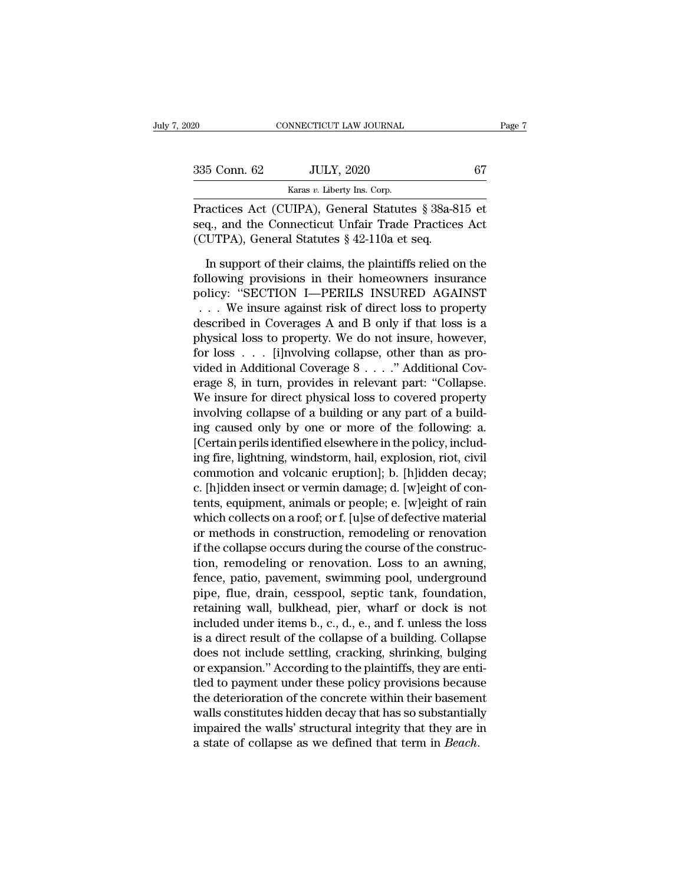| 020          | CONNECTICUT LAW JOURNAL                                                                                                                                         | Page 7 |
|--------------|-----------------------------------------------------------------------------------------------------------------------------------------------------------------|--------|
| 335 Conn. 62 | <b>JULY, 2020</b>                                                                                                                                               | 67     |
|              | Karas v. Liberty Ins. Corp.                                                                                                                                     |        |
|              | Practices Act (CUIPA), General Statutes § 38a-815 et<br>seq., and the Connecticut Unfair Trade Practices Act<br>$(CIITDA)$ Conoral Statutos $8.49.110$ s et see |        |

335 Conn. 62 JULY, 2020 67<br>
Karas v. Liberty Ins. Corp.<br>
Practices Act (CUIPA), General Statutes § 38a-815 et<br>
seq., and the Connecticut Unfair Trade Practices Act<br>
(CUTPA), General Statutes § 42-110a et seq. (CUTPA), General Statutes § 38a-8<br>
Tractices Act (CUIPA), General Statutes § 38a-8<br>
Seq., and the Connecticut Unfair Trade Practices<br>
(CUTPA), General Statutes § 42-110a et seq.<br>
In support of their claims, the plaintiffs EXECUTE SCOTT SUPPORT OF THE USE OF THE SUPPORT OF THE USE OF THE USE OF THE SUPPORT OF SUPPORT OF THE PROTOCOLLAR SUPPORT OF THE USE OF THE PLACE OF THE PLACE OF THE USE OF THE USE OF THE USE OF THE USE OF THE SUPPORT OF

Karas v. Liberty Ins. Corp.<br>
Practices Act (CUIPA), General Statutes § 38a-815 et<br>
seq., and the Connecticut Unfair Trade Practices Act<br>
(CUTPA), General Statutes § 42-110a et seq.<br>
In support of their claims, the plainti Practices Act (CUIPA), General Statutes § 38a-815 et<br>seq., and the Connecticut Unfair Trade Practices Act<br>(CUTPA), General Statutes § 42-110a et seq.<br>In support of their claims, the plaintiffs relied on the<br>following provi eq., and the Connecticut Unfair Trade Practices Act<br>CUTPA), General Statutes § 42-110a et seq.<br>In support of their claims, the plaintiffs relied on the<br>pllowing provisions in their homeowners insurance<br>olicy: "SECTION I—PE (CUTPA), General Statutes  $\S$  42-110a et seq.<br>
In support of their claims, the plaintiffs relied on the<br>
following provisions in their homeowners insurance<br>
policy: "SECTION I—PERILS INSURED AGAINST<br>
... We insure against In support of their claims, the plaintiffs relied on the<br>following provisions in their homeowners insurance<br>policy: "SECTION I—PERILS INSURED AGAINST<br> $\ldots$  We insure against risk of direct loss to property<br>described in Co In support of their claims, the plaintiffs relied on the<br>following provisions in their homeowners insurance<br>policy: "SECTION I—PERILS INSURED AGAINST<br> $\ldots$  We insure against risk of direct loss to property<br>described in Co following provisions in their homeowners insurance<br>policy: "SECTION I—PERILS INSURED AGAINST<br>... We insure against risk of direct loss to property<br>described in Coverages A and B only if that loss is a<br>physical loss to prop policy: "SECTION I—PERILS INSURED AGAINST<br>
... We insure against risk of direct loss to property<br>
described in Coverages A and B only if that loss is a<br>
physical loss to property. We do not insure, however,<br>
for loss ... [ We insure against risk of direct loss to property<br>described in Coverages A and B only if that loss is a<br>physical loss to property. We do not insure, however,<br>for loss . . . [i]nvolving collapse, other than as pro-<br>vided i described in Coverages A and B only if that loss is a<br>physical loss to property. We do not insure, however,<br>for loss . . . [i]nvolving collapse, other than as pro-<br>vided in Additional Coverage 8 . . . ." Additional Cov-<br>er physical loss to property. We do not insure, however,<br>for loss . . . [i]nvolving collapse, other than as pro-<br>vided in Additional Coverage 8 . . . ." Additional Cov-<br>erage 8, in turn, provides in relevant part: "Collapse.<br> for loss  $\ldots$  [i]nvolving collapse, other than as provided in Additional Coverage 8  $\ldots$ ." Additional Coverage 8, in turn, provides in relevant part: "Collapse. We insure for direct physical loss to covered property inv vided in Additional Coverage 8 . . . ." Additional Coverage 8, in turn, provides in relevant part: "Collapse.<br>We insure for direct physical loss to covered property involving collapse of a building or any part of a buildin erage 8, in turn, provides in relevant part: "Collapse.<br>We insure for direct physical loss to covered property<br>involving collapse of a building or any part of a build-<br>ing caused only by one or more of the following: a.<br>[C We insure for direct physical loss to covered property<br>involving collapse of a building or any part of a build-<br>ing caused only by one or more of the following: a.<br>[Certain perils identified elsewhere in the policy, includ involving collapse of a building or any part of a building caused only by one or more of the following: a.<br>[Certain perils identified elsewhere in the policy, including fire, lightning, windstorm, hail, explosion, riot, ci ing caused only by one or more of the following: a.<br>[Certain perils identified elsewhere in the policy, includ-<br>ing fire, lightning, windstorm, hail, explosion, riot, civil<br>commotion and volcanic eruption]; b. [h]idden dec [Certain perils identified elsewhere in the policy, includ-<br>ing fire, lightning, windstorm, hail, explosion, riot, civil<br>commotion and volcanic eruption]; b. [h]idden decay;<br>c. [h]idden insect or vermin damage; d. [w]eight ing fire, lightning, windstorm, hail, explosion, riot, civil commotion and volcanic eruption]; b. [h]idden decay; c. [h]idden insect or vermin damage; d. [w]eight of contents, equipment, animals or people; e. [w]eight of r c. [h]idden insect or vermin damage; d. [w]eight of contents, equipment, animals or people; e. [w]eight of rain which collects on a roof; or f. [u]se of defective material or methods in construction, remodeling or renovati c. [h]idden insect or vermin damage; d. [w]eight of contents, equipment, animals or people; e. [w]eight of rain<br>which collects on a roof; or f. [u]se of defective material<br>or methods in construction, remodeling or renovati tents, equipment, animals or people; e. [w]eight of rain<br>which collects on a roof; or f. [u]se of defective material<br>or methods in construction, remodeling or renovation<br>if the collapse occurs during the course of the cons which collects on a roof; or f. [u]se of defective material<br>or methods in construction, remodeling or renovation<br>if the collapse occurs during the course of the construc-<br>tion, remodeling or renovation. Loss to an awning,<br> or methods in construction, remodeling or renovation<br>if the collapse occurs during the course of the construc-<br>tion, remodeling or renovation. Loss to an awning,<br>fence, patio, pavement, swimming pool, underground<br>pipe, flu if the collapse occurs during the course of the construction, remodeling or renovation. Loss to an awning, fence, patio, pavement, swimming pool, underground pipe, flue, drain, cesspool, septic tank, foundation, retaining tion, remodeling or renovation. Loss to an awning,<br>fence, patio, pavement, swimming pool, underground<br>pipe, flue, drain, cesspool, septic tank, foundation,<br>retaining wall, bulkhead, pier, wharf or dock is not<br>included unde fence, patio, pavement, swimming pool, underground<br>pipe, flue, drain, cesspool, septic tank, foundation,<br>retaining wall, bulkhead, pier, wharf or dock is not<br>included under items b., c., d., e., and f. unless the loss<br>is a pipe, flue, drain, cesspool, septic tank, foundation,<br>retaining wall, bulkhead, pier, wharf or dock is not<br>included under items b., c., d., e., and f. unless the loss<br>is a direct result of the collapse of a building. Colla retaining wall, bulkhead, pier, wharf or dock is not<br>included under items b., c., d., e., and f. unless the loss<br>is a direct result of the collapse of a building. Collapse<br>does not include settling, cracking, shrinking, bu included under items b., c., d., e., and f. unless the loss<br>is a direct result of the collapse of a building. Collapse<br>does not include settling, cracking, shrinking, bulging<br>or expansion." According to the plaintiffs, the is a direct result of the collapse of a building. Collapse<br>does not include settling, cracking, shrinking, bulging<br>or expansion." According to the plaintiffs, they are enti-<br>tled to payment under these policy provisions be does not include settling, cracking, shrinking, bulging<br>or expansion." According to the plaintiffs, they are enti-<br>tled to payment under these policy provisions because<br>the deterioration of the concrete within their baseme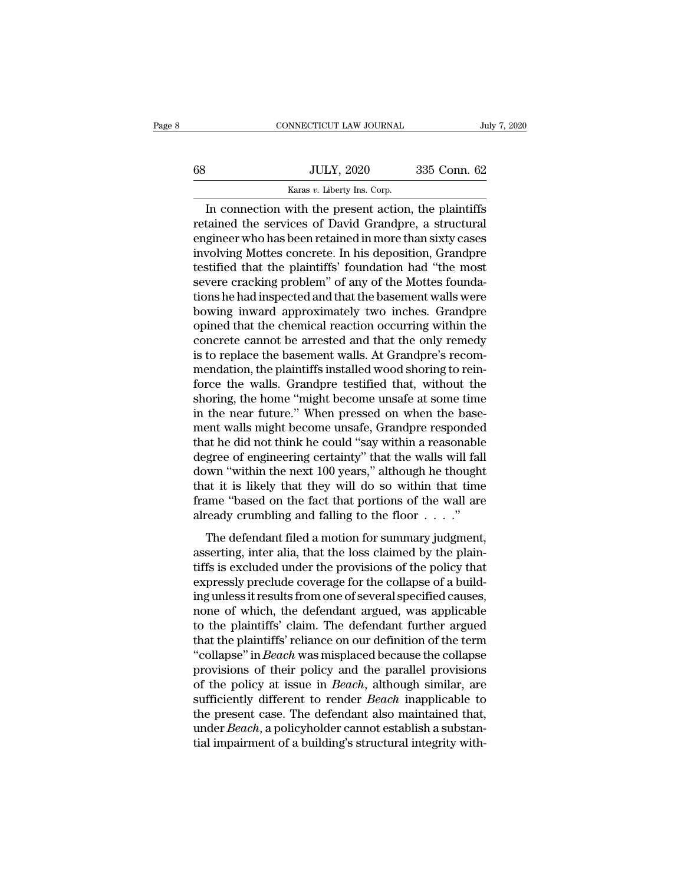|    | CONNECTICUT LAW JOURNAL                              |              | July 7, 2020 |
|----|------------------------------------------------------|--------------|--------------|
|    |                                                      |              |              |
| 68 | <b>JULY, 2020</b>                                    | 335 Conn. 62 |              |
|    | Karas v. Liberty Ins. Corp.                          |              |              |
|    | In connection with the present action the plaintiffs |              |              |

CONNECTICUT LAW JOURNAL July 7, 2020<br>JULY, 2020 335 Conn. 62<br>Karas v. Liberty Ins. Corp.<br>In connection with the present action, the plaintiffs<br>tained the services of David Grandpre, a structural<br>ginear who has been rataine  $\begin{tabular}{ll} \hline & \multicolumn{1}{l}{\textbf{JULY, 2020}} & \multicolumn{1}{l}{\textbf{335 Conn. 62}} \\ & \multicolumn{1}{l}{\textbf{Karas }v.}\text{ Liberty Ins. Corp.} \\ \hline \hline \textbf{In connection with the present action, the plaintiffs} \\ \hline \textbf{retained the services of David Grande, a structural engineer who has been retained in more than sixty cases} \\ \hline \textbf{involving Mottes generate. In his domestic, Grandpre} \end{tabular}$ For the series who has been retained in more than sixty cases<br>involving Mottes concrete. In his deposition, the plaintiffs<br>involving Mottes concrete. In his deposition, Grandpre<br>testified that the plaintiffs' foundation h  $\noindent\hfill\text{JULY, 2020} \quad\noindent\hfill\text{335 Conn. 62}\n\hfill\text{Karas } v. \text{ Library Ins. Corp.}$ In connection with the present action, the plaintiffs retained the services of David Grandpre, a structural engineer who has been retained in more than sixty Karas v. Liberty Ins. Corp.<br>
In connection with the present action, the plaintiffs<br>
retained the services of David Grandpre, a structural<br>
engineer who has been retained in more than sixty cases<br>
involving Mottes concrete In connection with the present action, the plaintiffs<br>retained the services of David Grandpre, a structural<br>engineer who has been retained in more than sixty cases<br>involving Mottes concrete. In his deposition, Grandpre<br>tes In connection with the present action, the plaintiffs<br>retained the services of David Grandpre, a structural<br>engineer who has been retained in more than sixty cases<br>involving Mottes concrete. In his deposition, Grandpre<br>tes retained the services of David Grandpre, a structural<br>engineer who has been retained in more than sixty cases<br>involving Mottes concrete. In his deposition, Grandpre<br>testified that the plaintiffs' foundation had "the most<br>s engineer who has been retained in more than sixty cases<br>involving Mottes concrete. In his deposition, Grandpre<br>testified that the plaintiffs' foundation had "the most<br>severe cracking problem" of any of the Mottes founda-<br>t involving Mottes concrete. In his deposition, Grandpre<br>testified that the plaintiffs' foundation had "the most<br>severe cracking problem" of any of the Mottes founda-<br>tions he had inspected and that the basement walls were<br>b testified that the plaintiffs' foundation had "the most<br>severe cracking problem" of any of the Mottes founda-<br>tions he had inspected and that the basement walls were<br>bowing inward approximately two inches. Grandpre<br>opined severe cracking problem" of any of the Mottes foundations he had inspected and that the basement walls were bowing inward approximately two inches. Grandpre opined that the chemical reaction occurring within the concrete c tions he had inspected and that the basement walls were<br>bowing inward approximately two inches. Grandpre<br>opined that the chemical reaction occurring within the<br>concrete cannot be arrested and that the only remedy<br>is to rep bowing inward approximately two inches. Grandpre<br>opined that the chemical reaction occurring within the<br>concrete cannot be arrested and that the only remedy<br>is to replace the basement walls. At Grandpre's recom-<br>mendation, opined that the chemical reaction occurring within the concrete cannot be arrested and that the only remedy is to replace the basement walls. At Grandpre's recommendation, the plaintiffs installed wood shoring to reinforce concrete cannot be arrested and that the only remedy<br>is to replace the basement walls. At Grandpre's recom-<br>mendation, the plaintiffs installed wood shoring to rein-<br>force the walls. Grandpre testified that, without the<br>sh is to replace the basement walls. At Grandpre's recommendation, the plaintiffs installed wood shoring to reinforce the walls. Grandpre testified that, without the shoring, the home "might become unsafe at some time in the mendation, the plaintiffs installed wood shoring to reinforce the walls. Grandpre testified that, without the shoring, the home "might become unsafe at some time in the near future." When pressed on when the basement walls force the walls. Grandpre testified that, without the shoring, the home "might become unsafe at some time<br>in the near future." When pressed on when the basement walls might become unsafe, Grandpre responded<br>that he did not shoring, the home "might become unsafe at some time<br>in the near future." When pressed on when the base-<br>ment walls might become unsafe, Grandpre responded<br>that he did not think he could "say within a reasonable<br>degree of e in the near future." When pressed on when the base-<br>ment walls might become unsafe, Grandpre responded<br>that he did not think he could "say within a reasonable<br>degree of engineering certainty" that the walls will fall<br>down ment walls might become unsafe, Grandpre responded<br>that he did not think he could "say within a reasonable<br>degree of engineering certainty" that the walls will fall<br>down "within the next 100 years," although he thought<br>th gree of engineering certainty" that the walls will fall<br>gree of engineering certainty" that the walls will fall<br>at it is likely that they will do so within that time<br>me "based on the fact that portions of the wall are<br>rea down "within the next 100 years," although he thought<br>that it is likely that they will do so within that time<br>frame "based on the fact that portions of the wall are<br>already crumbling and falling to the floor  $\dots$ ."<br>The de

that it is likely that they will do so within that time<br>frame "based on the fact that portions of the wall are<br>already crumbling and falling to the floor  $\ldots$ ."<br>The defendant filed a motion for summary judgment,<br>assertin Frame "based on the fact that portions of the wall are<br>frame "based on the fact that portions of the wall are<br>already crumbling and falling to the floor  $\dots$ ."<br>The defendant filed a motion for summary judgment,<br>asserting, Frame based of the fact that portions of the wantate<br>already crumbling and falling to the floor  $\dots$ ."<br>The defendant filed a motion for summary judgment,<br>asserting, inter alia, that the loss claimed by the plain-<br>tiffs is The defendant filed a motion for summary judgment,<br>asserting, inter alia, that the loss claimed by the plain-<br>tiffs is excluded under the provisions of the policy that<br>expressly preclude coverage for the collapse of a bui The defendant filed a motion for summary judgment,<br>asserting, inter alia, that the loss claimed by the plain-<br>tiffs is excluded under the provisions of the policy that<br>expressly preclude coverage for the collapse of a buil asserting, inter alia, that the loss claimed by the plain-<br>tiffs is excluded under the provisions of the policy that<br>expressly preclude coverage for the collapse of a build-<br>ing unless it results from one of several specif tiffs is excluded under the provisions of the policy that<br>expressly preclude coverage for the collapse of a build-<br>ing unless it results from one of several specified causes,<br>none of which, the defendant argued, was applic expressly preclude coverage for the collapse of a building unless it results from one of several specified causes, none of which, the defendant argued, was applicable to the plaintiffs' claim. The defendant further argued ing unless it results from one of several specified causes,<br>none of which, the defendant argued, was applicable<br>to the plaintiffs' claim. The defendant further argued<br>that the plaintiffs' reliance on our definition of the none of which, the defendant argued, was applicable<br>to the plaintiffs' claim. The defendant further argued<br>that the plaintiffs' reliance on our definition of the term<br>"collapse" in *Beach* was misplaced because the collaps to the plaintiffs' claim. The defendant further argued<br>that the plaintiffs' reliance on our definition of the term<br>"collapse" in *Beach* was misplaced because the collapse<br>provisions of their policy and the parallel provis that the plaintiffs' reliance on our definition of the term<br>"collapse" in *Beach* was misplaced because the collapse<br>provisions of their policy and the parallel provisions<br>of the policy at issue in *Beach*, although simila "collapse" in *Beach* was misplaced because the collapse<br>provisions of their policy and the parallel provisions<br>of the policy at issue in *Beach*, although similar, are<br>sufficiently different to render *Beach* inapplicabl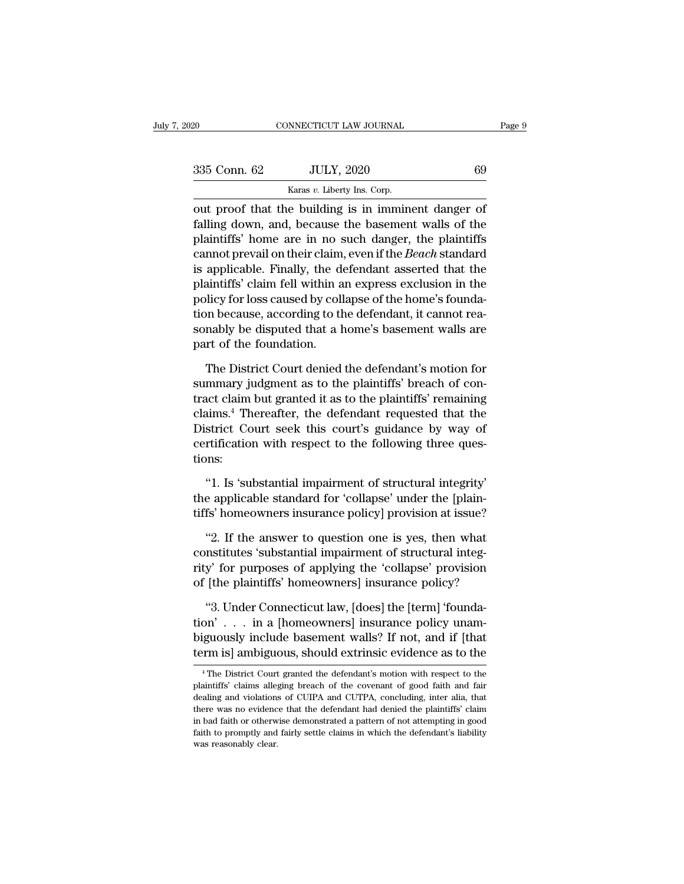| 020          | CONNECTICUT LAW JOURNAL                                                                                                                                               | Page 9 |
|--------------|-----------------------------------------------------------------------------------------------------------------------------------------------------------------------|--------|
|              |                                                                                                                                                                       |        |
| 335 Conn. 62 | <b>JULY, 2020</b>                                                                                                                                                     | 69     |
|              | Karas v. Liberty Ins. Corp.                                                                                                                                           |        |
|              | out proof that the building is in imminent danger of<br>falling down, and, because the basement walls of the<br>plaintiffa' hama ara in na guab dangan tha plaintiffa |        |

 $f_{\text{A}}$ <br>  $f_{\text{A}}$  (100  $\mu$  )  $f_{\text{A}}$  (100  $\mu$  )  $f_{\text{A}}$  (100  $\mu$  )  $f_{\text{A}}$  (100  $\mu$  )  $f_{\text{A}}$  (100  $\mu$ )  $f_{\text{A}}$  (100  $\mu$ )  $f_{\text{A}}$  (100  $\mu$ )  $f_{\text{A}}$  (100  $\mu$ )  $f_{\text{A}}$  (100  $\mu$ )  $f_{\text{A}}$  (100  $\$  $\frac{335 \text{ Conn. } 62}{\text{Karas } v. \text{ Library Ins. Corp.}}$ <br>
out proof that the building is in imminent danger of falling down, and, because the basement walls of the plaintiffs' home are in no such danger, the plaintiffs cannot prevail on their Salar Conn. 62 JULY, 2020 69<br>
Karas *v*. Liberty Ins. Corp.<br>
out proof that the building is in imminent danger of<br>
falling down, and, because the basement walls of the<br>
plaintiffs' home are in no such danger, the plaintiff Example 18 Karas v. Liberty Ins. Corp.<br>
Sout proof that the building is in imminent danger of<br>
falling down, and, because the basement walls of the<br>
plaintiffs' home are in no such danger, the plaintiffs<br>
cannot prevail o had the building is in imminent danger of<br>falling down, and, because the basement walls of the<br>plaintiffs' home are in no such danger, the plaintiffs<br>cannot prevail on their claim, even if the *Beach* standard<br>is applicabl out proof that the building is in imminent danger of falling down, and, because the basement walls of the plaintiffs' home are in no such danger, the plaintiffs cannot prevail on their claim, even if the *Beach* standard i falling down, and, because the basement walls of the<br>plaintiffs' home are in no such danger, the plaintiffs<br>cannot prevail on their claim, even if the *Beach* standard<br>is applicable. Finally, the defendant asserted that th plaintiffs' home are in no such danger, the plaintiffs<br>cannot prevail on their claim, even if the *Beach* standard<br>is applicable. Finally, the defendant asserted that the<br>plaintiffs' claim fell within an express exclusion cannot prevail on their claim,<br>is applicable. Finally, the deplaintiffs' claim fell within a<br>policy for loss caused by coll<br>tion because, according to th<br>sonably be disputed that a l<br>part of the foundation.<br>The District Co valiant tiffs' claim fell within an express exclusion in the policy for loss caused by collapse of the home's founda-<br>on because, according to the defendant, it cannot rea-<br>nably be disputed that a home's basement walls ar policy for loss caused by collapse of the home's foundation because, according to the defendant, it cannot reasonably be disputed that a home's basement walls are part of the foundation.<br>The District Court denied the defen

tion because, according to the defendant, it cannot reasonably be disputed that a home's basement walls are<br>part of the foundation.<br>The District Court denied the defendant's motion for<br>summary judgment as to the plaintiffs sonably be disputed that a home's basement walls are<br>part of the foundation.<br>The District Court denied the defendant's motion for<br>summary judgment as to the plaintiffs' breach of con-<br>tract claim but granted it as to the p part of the foundation.<br>The District Court denied the defendant's motion for<br>summary judgment as to the plaintiffs' breach of con-<br>tract claim but granted it as to the plaintiffs' remaining<br>claims.<sup>4</sup> Thereafter, the defen The District Court denied the defendant's motion for<br>summary judgment as to the plaintiffs' breach of con-<br>tract claim but granted it as to the plaintiffs' remaining<br>claims.<sup>4</sup> Thereafter, the defendant requested that the<br> tions: next claim but granted it as to the plaintiffs' remaining<br>
ims.<sup>4</sup> Thereafter, the defendant requested that the<br>
strict Court seek this court's guidance by way of<br>
rtification with respect to the following three ques-<br>
ins claims.<sup>4</sup> Thereafter, the defendant requested that the District Court seek this court's guidance by way of certification with respect to the following three questions:<br>"1. Is 'substantial impairment of structural integrit District Court seek this court's guidance by way of certification with respect to the following three questions:<br>"1. Is 'substantial impairment of structural integrity'<br>the applicable standard for 'collapse' under the [pla

Funcation with respect to the following three ques-<br>
"1. Is 'substantial impairment of structural integrity'<br>
e applicable standard for 'collapse' under the [plain-<br>
fs' homeowners insurance policy] provision at issue?<br>
"2

"1. Is 'substantial impairment of structural integrity'<br>the applicable standard for 'collapse' under the [plain-<br>tiffs' homeowners insurance policy] provision at issue?<br>"2. If the answer to question one is yes, then what<br>c "1. Is 'substantial impairment of structural integrity'<br>the applicable standard for 'collapse' under the [plain-<br>tiffs' homeowners insurance policy] provision at issue?<br>"2. If the answer to question one is yes, then what<br>c the applicable standard for 'collapse' under the [plaintiffs' homeowners insurance policy] provision at issue?<br>"2. If the answer to question one is yes, then what<br>constitutes 'substantial impairment of structural integ-<br>ri <sup>21</sup> If the answer to question one is yes, then what<br>
<sup>21</sup> If the answer to question one is yes, then what<br>
12. If the answer to question one is yes, then what<br>
2<sup>1</sup> if the plaintiffs' homeowners] insurance policy?<br>
<sup>21</sup> "2. If the answer to question one is yes, then what constitutes 'substantial impairment of structural integrity' for purposes of applying the 'collapse' provision of [the plaintiffs' homeowners] insurance policy?<br>"3. Unde

constitutes 'substantial impairment of structural integrity' for purposes of applying the 'collapse' provision<br>of [the plaintiffs' homeowners] insurance policy?<br>"3. Under Connecticut law, [does] the [term] 'founda-<br>tion' . rity' for purposes of applying the 'collapse' provision<br>of [the plaintiffs' homeowners] insurance policy?<br>"3. Under Connecticut law, [does] the [term] 'founda-<br>tion' . . . in a [homeowners] insurance policy unam-<br>biguously "3. Under Connecticut law, [does] the [term] 'foundation' . . . in a [homeowners] insurance policy unam-<br>biguously include basement walls? If not, and if [that<br>term is] ambiguous, should extrinsic evidence as to the<br> $\frac{1$ tion' . . . in a [homeowners] insurance policy unam-<br>biguously include basement walls? If not, and if [that<br>term is] ambiguous, should extrinsic evidence as to the<br> $\frac{4}{1}$  The District Court granted the defendant's moti

biguously include basement walls? If not, and if [that term is] ambiguous, should extrinsic evidence as to the  $^{4}$ The District Court granted the defendant's motion with respect to the plaintiffs' claims alleging breach o term is] ambiguous, should extrinsic evidence as to the<br>
<sup>4</sup>The District Court granted the defendant's motion with respect to the<br>
plaintiffs' claims alleging breach of the covenant of good faith and fair<br>
dealing and viol <sup>4</sup> The District Court granted the defendant's motion with respect to the plaintiffs' claims alleging breach of the covenant of good faith and fair dealing and violations of CUIPA and CUTPA, concluding, inter alia, that th <sup>4</sup> The District Court granted the defendant's motion with respect to the plaintiffs' claims alleging breach of the covenant of good faith and fair dealing and violations of CUIPA and CUTPA, concluding, inter alia, that t plaintiffs' claims alleging breach of the covenant of good faith and fair dealing and violations of CUIPA and CUTPA, concluding, inter alia, that there was no evidence that the defendant had denied the plaintiffs' claim in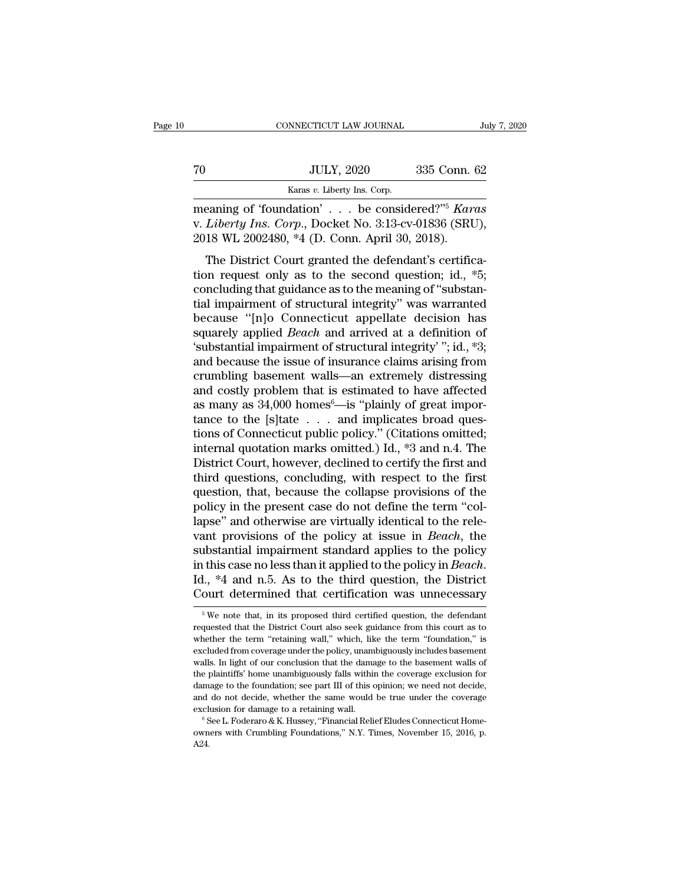|    | CONNECTICUT LAW JOURNAL                       | July 7, 2020 |
|----|-----------------------------------------------|--------------|
| 70 | <b>JULY, 2020</b>                             | 335 Conn. 62 |
|    | Karas v. Liberty Ins. Corp.                   |              |
|    | meaning of 'foundation' be considered?" Karas |              |

CONNECTICUT LAW JOURNAL<br>
TO JULY, 2020 335 Conn. 62<br>
Karas v. Liberty Ins. Corp.<br>
meaning of 'foundation' . . . be considered?'<sup>'5</sup> *Karas*<br>
v. *Liberty Ins. Corp.*, Docket No. 3:13-cv-01836 (SRU),<br>
2018 WI 2002480 \*4 (D. V. *Liberty Ins.* Corp.<br>
Example 2020 335 Conn. 62<br>
Example 335 Conn. 62<br>
Reading of 'foundation' . . . be considered?"<sup>5</sup> *Karas*<br>
V. *Liberty Ins. Corp.*, Docket No. 3:13-cv-01836 (SRU),<br>
2018 WL 2002480, \*4 (D. Conn. Ap 2018 WL 2002480, \*4 (D. Conn. April 30, 2018). JULY, 2020 335 Conn. 62<br>  $\frac{1}{2}$  Karas v. Liberty Ins. Corp.<br>
Eaning of 'foundation' . . . be considered?"<sup>5</sup> Karas<br>
Liberty Ins. Corp., Docket No. 3:13-cv-01836 (SRU),<br>
18 WL 2002480, \*4 (D. Conn. April 30, 2018).<br>
The

Example 19 Karas v. Liberty Ins. Corp.<br>
Realistive Consider Considered?"<sup>5</sup> Karas<br>
v. Liberty Ins. Corp., Docket No. 3:13-cv-01836 (SRU),<br>
2018 WL 2002480, \*4 (D. Conn. April 30, 2018).<br>
The District Court granted the def meaning of 'foundation' . . . be considered?"<sup>5</sup> Karas<br>v. Liberty Ins. Corp., Docket No. 3:13-cv-01836 (SRU),<br>2018 WL 2002480, \*4 (D. Conn. April 30, 2018).<br>The District Court granted the defendant's certifica-<br>tion reque the structural integrity. The considered: That is<br>v. Liberty Ins. Corp., Docket No. 3:13-cv-01836 (SRU),<br>2018 WL 2002480, \*4 (D. Conn. April 30, 2018).<br>The District Court granted the defendant's certifica-<br>tion request on because 'the District Court granted the defendant's certification request only as to the second question; id.,  $*5$ ; concluding that guidance as to the meaning of "substantial impairment of structural integrity" was warra The District Court granted the defendant's certifica-<br>tion request only as to the second question; id.,  $*5$ ;<br>concluding that guidance as to the meaning of "substan-<br>tial impairment of structural integrity" was warranted<br> The District Court granted the defendant's certification request only as to the second question; id.,  $*5$ ; concluding that guidance as to the meaning of "substantial impairment of structural integrity" was warranted beca tion request only as to the second question; id.,  $*5$ ;<br>concluding that guidance as to the meaning of "substan-<br>tial impairment of structural integrity" was warranted<br>because "[n]o Connecticut appellate decision has<br>squar concluding that guidance as to the meaning of "substantial impairment of structural integrity" was warranted<br>because "[n]o Connecticut appellate decision has<br>squarely applied *Beach* and arrived at a definition of<br>'substan tial impairment of structural integrity" was warranted<br>because "[n]o Connecticut appellate decision has<br>squarely applied *Beach* and arrived at a definition of<br>'substantial impairment of structural integrity' "; id., \*3;<br>a because "[n]o Connecticut appellate decision has<br>squarely applied *Beach* and arrived at a definition of<br>'substantial impairment of structural integrity'"; id., \*3;<br>and because the issue of insurance claims arising from<br>c squarely applied *Beach* and arrived at a definition of 'substantial impairment of structural integrity' "; id., \*3; and because the issue of insurance claims arising from crumbling basement walls—an extremely distressing 'substantial impairment of structural integrity' ''; id., \*3;<br>and because the issue of insurance claims arising from<br>crumbling basement walls—an extremely distressing<br>and costly problem that is estimated to have affected<br> and because the issue of insurance claims arising from<br>crumbling basement walls—an extremely distressing<br>and costly problem that is estimated to have affected<br>as many as 34,000 homes<sup>6</sup>—is "plainly of great impor-<br>tance to crumbling basement walls—an extremely distressing<br>and costly problem that is estimated to have affected<br>as many as  $34,000$  homes<sup>6</sup>—is "plainly of great impor-<br>tance to the [s]tate  $\ldots$  and implicates broad ques-<br>tions and costly problem that is estimated to have affected<br>as many as 34,000 homes<sup>6</sup>—is "plainly of great impor-<br>tance to the [s]tate  $\ldots$  and implicates broad ques-<br>tions of Connecticut public policy." (Citations omitted;<br>i as many as 34,000 homes<sup>6</sup>—is "plainly of great importance to the [s]tate . . . and implicates broad questions of Connecticut public policy." (Citations omitted; internal quotation marks omitted.) Id., \*3 and n.4. The Dis tance to the [s]tate  $\ldots$  and implicates broad questions of Connecticut public policy." (Citations omitted; internal quotation marks omitted.) Id.,  $*3$  and n.4. The District Court, however, declined to certify the first tions of Connecticut public policy." (Citations omitted;<br>internal quotation marks omitted.) Id., \*3 and n.4. The<br>District Court, however, declined to certify the first and<br>third questions, concluding, with respect to the f internal quotation marks omitted.) Id., \*3 and n.4. The<br>District Court, however, declined to certify the first and<br>third questions, concluding, with respect to the first<br>question, that, because the collapse provisions of t District Court, however, declined to certify the first and<br>third questions, concluding, with respect to the first<br>question, that, because the collapse provisions of the<br>policy in the present case do not define the term "co third questions, concluding, with respect to the first<br>question, that, because the collapse provisions of the<br>policy in the present case do not define the term "col-<br>lapse" and otherwise are virtually identical to the rele policy in the present case do not define the term "collapse" and otherwise are virtually identical to the relevant provisions of the policy at issue in *Beach*, the substantial impairment standard applies to the policy in substantial impairment standard applies to the policy<br>in this case no less than it applied to the policy in *Beach*.<br>Id., \*4 and n.5. As to the third question, the District<br>Court determined that certification was unnecess in this case no less than it applied to the policy in *Beach*.<br>Id., \*4 and n.5. As to the third question, the District Court determined that certification was unnecessary<br><sup>5</sup> We note that, in its proposed third certified

Id.,  $*4$  and n.5. As to the third question, the District Court determined that certification was unnecessary<br> $*W$  we note that, in its proposed third certified question, the defendant requested that the District Court al Court determined that certification was unnecessary<br>  $\frac{1}{100}$  we note that, in its proposed third certified question, the defendant<br>
requested that the District Court also seek guidance from this court as to<br>
whether t We note that, in its proposed third certified question, the defendant<br>requested that the District Court also seek guidance from this court as to<br>whether the term "retaining wall," which, like the term "foundation," is<br>exc  $^\circ$  We note that, in its proposed third certified question, the defendant requested that the District Court also seek guidance from this court as to whether the term "retaining wall," which, like the term "foundation," i requested that the District Court also seek guidance from this court as to whether the term "retaining wall," which, like the term "foundation," is excluded from coverage under the policy, unambiguously includes basement w requested the term "retaining wall," which, like the term "foundation," is excluded from coverage under the policy, unambiguously includes basement walls. In light of our conclusion that the damage to the basement walls of excluded from coverage under the policy, unambiguously includes basement walls. In light of our conclusion that the damage to the basement walls of the plaintiffs' home unambiguously falls within the coverage exclusion fo walls. In light of our conclusion that the damage to the basement walls of the plaintiffs' home unambiguously falls within the coverage exclusion for damage to the foundation; see part III of this opinion; we need not dec

A24.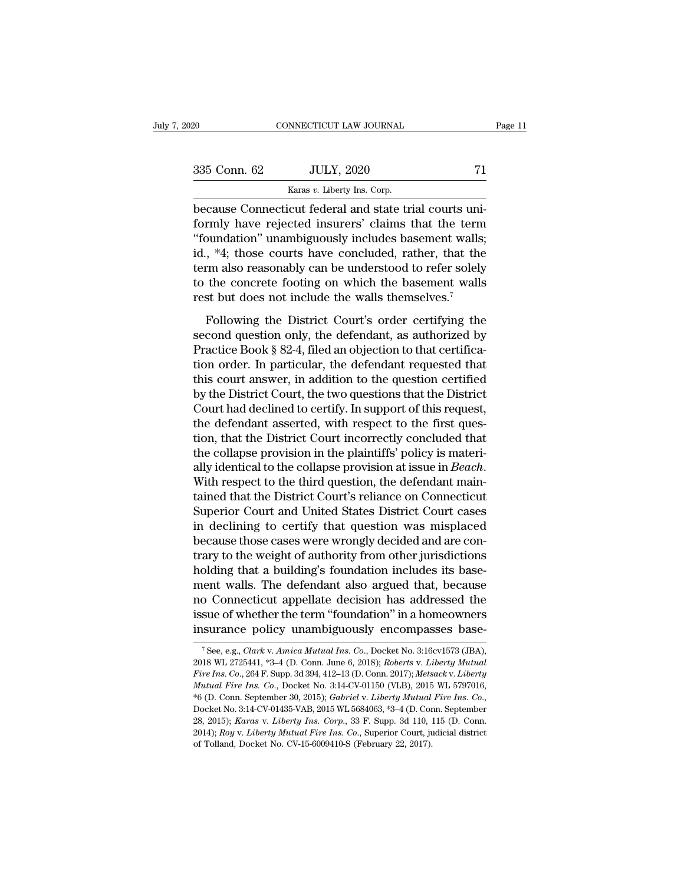| 2020         | CONNECTICUT LAW JOURNAL                                                                                        | Page 11 |
|--------------|----------------------------------------------------------------------------------------------------------------|---------|
|              |                                                                                                                |         |
| 335 Conn. 62 | <b>JULY, 2020</b>                                                                                              | 71      |
|              | Karas v. Liberty Ins. Corp.                                                                                    |         |
|              | because Connecticut federal and state trial courts uni-<br>formly have rejected insurers' claims that the term |         |

Formler (1993)<br>
Formula 1993 S. Corp.<br>
Formly have rejected insurers' claims that the term<br>
"foundation" unambiguously includes basement walls;<br>
Sid  $*4$ : these courts have concluded rather, that the  $\frac{335 \text{ Conn. } 62}{\text{Karas } v. \text{ Library Ins. Corp.}}$ <br>
because Connecticut federal and state trial courts uniformly have rejected insurers' claims that the term<br>
"foundation" unambiguously includes basement walls;<br>
id., \*4; those courts ha 335 Conn. 62 JULY, 2020 71<br>  $\frac{1}{\frac{1}{1-\frac{1}{1-\frac{1}{1-\frac{1}{1-\frac{1}{1-\frac{1}{1-\frac{1}{1-\frac{1}{1-\frac{1}{1-\frac{1}{1-\frac{1}{1-\frac{1}{1-\frac{1}{1-\frac{1}{1-\frac{1}{1-\frac{1}{1-\frac{1}{1-\frac{1}{1-\frac{1}{1-\frac{1}{1-\frac{1}{1-\frac{1}{1-\frac{1}{1-\frac{1}{1-\frac{1}{1-\frac{1}{1-\frac{1}{1-\frac{1}{1-\frac{1}{1-\frac{1}{1-\frac{1}{1-\$ Karas *v*. Liberty Ins. Corp.<br>
because Connecticut federal and state trial courts uni-<br>
formly have rejected insurers' claims that the term<br>
"foundation" unambiguously includes basement walls;<br>
id., \*4; those courts have  $\frac{\text{karas } v \cdot \text{Libery ins. Corp.}}{\text{because Connecticut federal and state trial courts uniformly have rejected insurers' claims that the term "founded" unambiguously includes basement walls; id., *4; those courts have concluded, rather, that the term also reasonably can be understood to refer solely to the concrete footing on which the basement walls rest but does not include the walls themselves.<sup>7</sup>$ because Connecticut federal and state trial courts uniformly have rejected insurers' claims that the term "foundation" unambiguously includes basement walls; id., \*4; those courts have concluded, rather, that the term also Following the District Court's order certifying the<br>
state of the concrete footing on which the basement walls,<br>
st but does not include the walls themselves.<sup>7</sup><br>
Following the District Court's order certifying the<br>
cond id., \*4; those courts have concluded, rather, that the<br>term also reasonably can be understood to refer solely<br>to the concrete footing on which the basement walls<br>rest but does not include the walls themselves.<sup>7</sup><br>Followin

Fraction also reasonably can be understood to refer solely<br>to the concrete footing on which the basement walls<br>rest but does not include the walls themselves.<sup>7</sup><br>Following the District Court's order certifying the<br>second q to the concrete footing on which the basement walls<br>rest but does not include the walls themselves.<sup>7</sup><br>Following the District Court's order certifying the<br>second question only, the defendant, as authorized by<br>Practice Book the state of the court and the statements wants<br>rest but does not include the walls themselves.<sup>7</sup><br>Following the District Court's order certifying the<br>second question only, the defendant, as authorized by<br>Practice Book § 8 Following the District Court's order certifying the<br>second question only, the defendant, as authorized by<br>Practice Book § 82-4, filed an objection to that certifica-<br>tion order. In particular, the defendant requested that<br> Following the District Court's order certifying the second question only, the defendant, as authorized by Practice Book  $\S 82-4$ , filed an objection to that certification order. In particular, the defendant requested that second question only, the defendant, as authorized by<br>Practice Book § 82-4, filed an objection to that certifica-<br>tion order. In particular, the defendant requested that<br>this court answer, in addition to the question certi Practice Book § 82-4, filed an objection to that certification order. In particular, the defendant requested that<br>this court answer, in addition to the question certified<br>by the District Court, the two questions that the D tion order. In particular, the defendant requested that<br>this court answer, in addition to the question certified<br>by the District Court, the two questions that the District<br>Court had declined to certify. In support of this this court answer, in addition to the question certified<br>by the District Court, the two questions that the District<br>Court had declined to certify. In support of this request,<br>the defendant asserted, with respect to the fir Court had declined to certify. In support of this request,<br>the defendant asserted, with respect to the first ques-<br>tion, that the District Court incorrectly concluded that<br>the collapse provision in the plaintiffs' policy i the defendant asserted, with respect to the first question, that the District Court incorrectly concluded that<br>the collapse provision in the plaintiffs' policy is materially identical to the collapse provision at issue in tion, that the District Court incorrectly concluded that<br>the collapse provision in the plaintiffs' policy is materi-<br>ally identical to the collapse provision at issue in *Beach*.<br>With respect to the third question, the def the collapse provision in the plaintiffs' policy is materially identical to the collapse provision at issue in *Beach*.<br>With respect to the third question, the defendant maintained that the District Court's reliance on Con ally identical to the collapse provision at issue in *Beach*.<br>With respect to the third question, the defendant maintained that the District Court's reliance on Connecticut<br>Superior Court and United States District Court c With respect to the third question, the defendant main-<br>tained that the District Court's reliance on Connecticut<br>Superior Court and United States District Court cases<br>in declining to certify that question was misplaced<br>bec tained that the District Court's reliance on Connecticut<br>Superior Court and United States District Court cases<br>in declining to certify that question was misplaced<br>because those cases were wrongly decided and are con-<br>trary Superior Court and United States District Court cases<br>in declining to certify that question was misplaced<br>because those cases were wrongly decided and are con-<br>trary to the weight of authority from other jurisdictions<br>hold in declining to certify that question was misplaced<br>because those cases were wrongly decided and are con-<br>trary to the weight of authority from other jurisdictions<br>holding that a building's foundation includes its base-<br>me because those cases were wrongly decided and are con-<br>trary to the weight of authority from other jurisdictions<br>holding that a building's foundation includes its base-<br>ment walls. The defendant also argued that, because<br>n of Connecticut appellate decision has addressed the<br>sue of whether the term "foundation" in a homeowners<br>surance policy unambiguously encompasses base-<br><sup>7</sup>See, e.g., *Clark* v. *Amica Mutual Ins. Co.*, Docket No. 3:16cv157 no Connecticut appellate decision has addressed the<br>issue of whether the term "foundation" in a homeowners<br>insurance policy unambiguously encompasses base-<br><sup>7</sup>See, e.g., *Clark v. Amica Mutual Ins. Co.*, Docket No. 3:16cv1

issue of whether the term "foundation" in a homeowners<br>
insurance policy unambiguously encompasses base-<br>
<sup>7</sup>See, e.g., *Clark v. Amica Mutual Ins. Co.*, Docket No. 3:16cv1573 (JBA),<br>
2018 WL 2725441, \*3-4 (D. Conn. June 6 **INSURANCE POlicy Unambiguously encompasses base-**<br>
<sup>7</sup> See, e.g., *Clark v. Amica Mutual Ins. Co.*, Docket No. 3:16cv1573 (JBA),<br>
2018 WL 2725441, \*3-4 (D. Conn. June 6, 2018); *Roberts v. Liberty Mutual Fire Ins. Co.*, 2 11 Surance poncy unaninguously encompasses base-<br>
<sup>7</sup> See, e.g., *Clark v. Amica Mutual Ins. Co.*, Docket No. 3:16cv1573 (JBA),<br>
2018 WL 2725441, \*3–4 (D. Conn. June 6, 2018); *Roberts v. Liberty Mutual Fire Ins. Co.*, 264 2018 WL 2725441, \*3-4 (D. Conn. June 6, 2018); *Roberts v. Liberty Mutual Fire Ins. Co.*, 264 F. Supp. 3d 394, 412-13 (D. Conn. 2017); *Metsack v. Liberty Mutual Fire Ins. Co.*, Docket No. 3:14-CV-01150 (VLB), 2015 WL 5797 Fire Ins. Co., 264 F. Supp. 3d 394, 412-13 (D. Conn. 2017); Metsack v. Liberty Mutual Fire Ins. Co., Docket No. 3:14-CV-01150 (VLB), 2015 WL 5797016,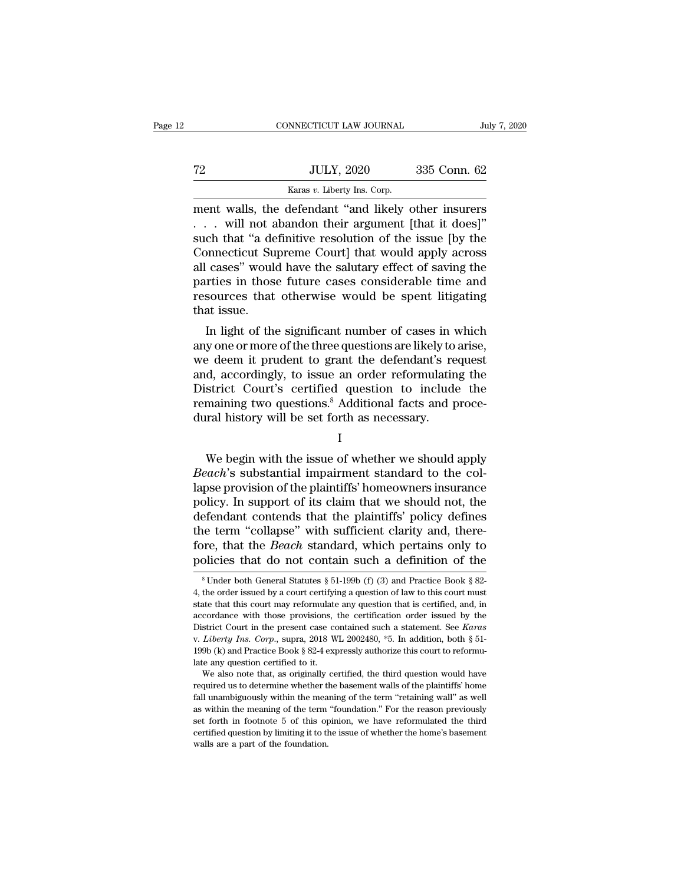|    | CONNECTICUT LAW JOURNAL                                                                                                                                             | July 7, 2020 |
|----|---------------------------------------------------------------------------------------------------------------------------------------------------------------------|--------------|
| 72 | <b>JULY, 2020</b>                                                                                                                                                   | 335 Conn. 62 |
|    | Karas v. Liberty Ins. Corp.                                                                                                                                         |              |
|    | ment walls, the defendant "and likely other insurers"<br>will not abandon their argument [that it does]"<br>guch that "a definitive resolution of the issue Iby the |              |

. . . will not abandon their argument [that it does]'' The such that "  $\frac{1}{\text{Varas } v}$  Liberty Ins. Corp.<br>
Such that ''and likely other insurers<br>  $\ldots$  will not abandon their argument [that it does]"<br>
Such that "a definitive resolution of the issue [by the<br>
Connecticut Suprem The Supreme Court Superiors of the set of the set of the set of the set of the superiors of the superiors of the superiors of the superiors of the superiors of the size (by the Connecticut Supreme Court) that would apply Example 1982. The same of the same of the same of the same walls, the defendant "and likely other insurers<br>  $\ldots$  will not abandon their argument [that it does]"<br>
such that "a definitive resolution of the issue [by the<br>
C Example 12 Karas v. Liberty Ins. Corp.<br>
ment walls, the defendant "and likely other insurers<br>
. . . . will not abandon their argument [that it does]"<br>
such that "a definitive resolution of the issue [by the<br>
Connecticut S ment walls, the defendant "and likely other insurers  $\ldots$  will not abandon their argument [that it does]" such that "a definitive resolution of the issue [by the Connecticut Supreme Court] that would apply across all cas . . . will not a<br>such that "a de<br>Connecticut Su<br>all cases" woul<br>parties in thos<br>resources that<br>that issue.<br>In light of the En that a definitive resolution of the issue [by the<br>onnecticut Supreme Court] that would apply across<br>cases" would have the salutary effect of saving the<br>rties in those future cases considerable time and<br>sources that othe Connecticut supreme Court] that would apply across<br>all cases" would have the salutary effect of saving the<br>parties in those future cases considerable time and<br>resources that otherwise would be spent litigating<br>that issue.<br>

an cases would have the saturary effect of saving the<br>parties in those future cases considerable time and<br>resources that otherwise would be spent litigating<br>that issue.<br>In light of the significant number of cases in which<br> parties in those future cases considerable time and<br>resources that otherwise would be spent litigating<br>that issue.<br>In light of the significant number of cases in which<br>any one or more of the three questions are likely to a resources that otherwise would be spent intigating<br>that issue.<br>In light of the significant number of cases in which<br>any one or more of the three questions are likely to arise,<br>we deem it prudent to grant the defendant's re In light of the significant number of cases in which<br>any one or more of the three questions are likely to arise,<br>we deem it prudent to grant the defendant's request<br>and, accordingly, to issue an order reformulating the<br>Dis In light of the significant number of cases in vary one or more of the three questions are likely to we deem it prudent to grant the defendant's reand, accordingly, to issue an order reformulatin District Court's certified d, accordingly, to issue an order reformulating the<br>strict Court's certified question to include the<br>maining two questions.<sup>8</sup> Additional facts and proce-<br>ral history will be set forth as necessary.<br>I<br>We begin with the iss

I and the set of  $\mathbf I$ 

District Court's certified question to include the<br>
remaining two questions.<sup>8</sup> Additional facts and proce-<br>
dural history will be set forth as necessary.<br>
I<br>
We begin with the issue of whether we should apply<br> *Beach*'s s remaining two questions.<sup>8</sup> Additional facts and procedural history will be set forth as necessary.<br>  $I$ <br>
We begin with the issue of whether we should apply<br> *Beach's* substantial impairment standard to the collapse provi dural history will be set forth as necessary.<br>
I<br>
We begin with the issue of whether we should apply<br> *Beach's* substantial impairment standard to the col-<br>
lapse provision of the plaintiffs' homeowners insurance<br>
policy. I<br>
We begin with the issue of whether we should apply<br> *Beach's* substantial impairment standard to the col-<br>
lapse provision of the plaintiffs' homeowners insurance<br>
policy. In support of its claim that we should not, the We begin with the issue of whether we should apply<br>Beach's substantial impairment standard to the col-<br>lapse provision of the plaintiffs' homeowners insurance<br>policy. In support of its claim that we should not, the<br>defenda We begin with the issue of whether we should apply<br>Beach's substantial impairment standard to the col-<br>lapse provision of the plaintiffs' homeowners insurance<br>policy. In support of its claim that we should not, the<br>defenda *Beach's* substantial impairment standard to the collapse provision of the plaintiffs' homeowners insurance policy. In support of its claim that we should not, the defendant contends that the plaintiffs' policy defines th efendant contends that the plaintiffs' policy defines<br>he term "collapse" with sufficient clarity and, there-<br>ore, that the *Beach* standard, which pertains only to<br>bilicies that do not contain such a definition of the<br> ${}^$ the term "collapse" with sufficient clarity and, therefore, that the *Beach* standard, which pertains only to policies that do not contain such a definition of the  ${}^8$ Under both General Statutes  $\S 51-199b$  (f) (3) and

fore, that the *Beach* standard, which pertains only to policies that do not contain such a definition of the  $*$ Under both General Statutes  $*$  51-199b (f) (3) and Practice Book  $*$  82-4, the order issued by a court cert policies that do not contain such a definition of the  $\frac{1}{8}$  Under both General Statutes  $\frac{1}{8}$  51-199b (f) (3) and Practice Book  $\frac{1}{8}$  82-4, the order issued by a court certifying a question of law to this cour Boncies that do not contain such a definition of the<br>
<sup>8</sup> Under both General Statutes § 51-199b (f) (3) and Practice Book § 82-<br>
4, the order issued by a court certifying a question of law to this court must<br>
state that th 4, the order issued by a court certifying a question of law to this court must<br>state that this court may reformulate any question of law to this court must<br>state that this court may reformulate any question that is certif state that this court may reformulate<br>accordance with those provisions, District Court in the present case contexts.<br>District Court in the present case contexts of the state any question certified to it.<br>We also note that cordance with those provisions, the certification order issued by the strict Court in the present case contained such a statement. See *Karas Liberty Ins. Corp.*, supra, 2018 WL 2002480,  $*5$ . In addition, both  $\S 51-$ 9 District Court in the present case contained such a statement. See *Karas* v. *Liberty Ins. Corp.*, supra, 2018 WL 2002480,  $*5$ . In addition, both  $\S$  51-199b (k) and Practice Book  $\S$  82-4 expressly authorize this court

EV. *Liberty Ins. Corp.*, supra, 2018 WL 2002480,  $*5$ . In addition, both  $\S$  51-199b (k) and Practice Book  $\S$  82-4 expressly authorize this court to reformulate any question certified to it.<br>We also note that, as origin as with the meaning of the term ''foundation.' For the reason previously and Practice Book § 82-4 expressly authorize this court to reformulate any question certified to it.<br>We also note that, as originally certified, the set for the discussion of the third due to the third due to the this operation of the discussion of the third question would have required us to determine whether the basement walls of the plaintiffs' home fall unambiguous we also note that, as originally certified, the third question would have required us to determine whether the basement walls of the plaintiffs' home fall unambiguously within the meaning of the term "retaining wall" as we required us to determine whether the required us to determine whether the reasing of the term as within the meaning of the term set forth in footnote 5 of this opertified question by limiting it to the walls are a part of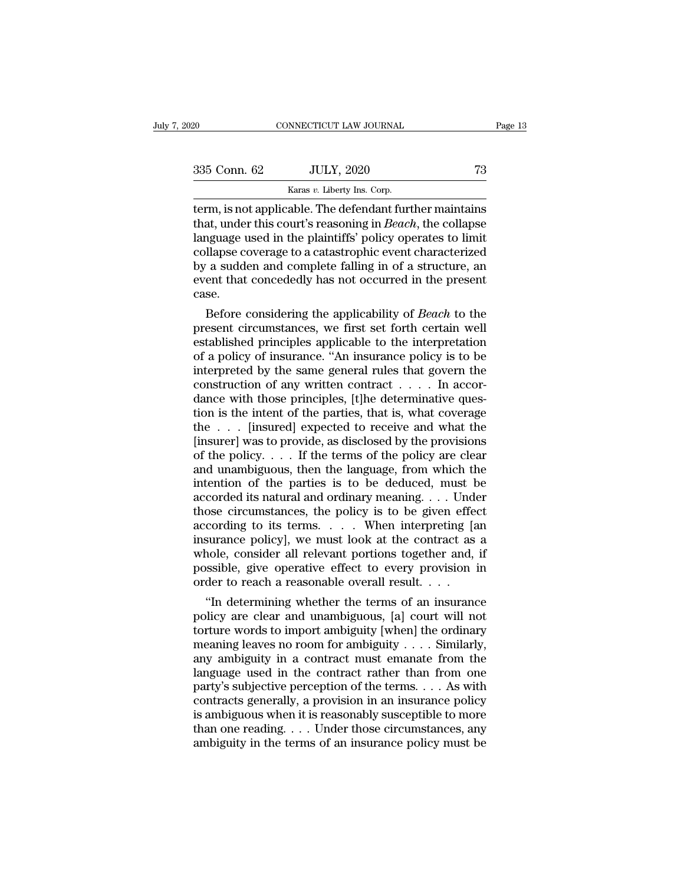| 2020         | CONNECTICUT LAW JOURNAL                                                                                                       | Page 13 |
|--------------|-------------------------------------------------------------------------------------------------------------------------------|---------|
|              |                                                                                                                               |         |
| 335 Conn. 62 | <b>JULY, 2020</b>                                                                                                             | 73      |
|              | Karas v. Liberty Ins. Corp.                                                                                                   |         |
|              | term, is not applicable. The defendant further maintains<br>that, under this court's reasoning in <i>Beach</i> , the collapse |         |

335 Conn. 62 JULY, 2020 73<br>
Karas v. Liberty Ins. Corp.<br>
term, is not applicable. The defendant further maintains<br>
that, under this court's reasoning in *Beach*, the collapse<br>
language used in the plaintiffs' policy operat 335 Conn. 62 JULY, 2020 73<br>
Karas v. Liberty Ins. Corp.<br>
term, is not applicable. The defendant further maintains<br>
that, under this court's reasoning in *Beach*, the collapse<br>
language used in the plaintiffs' policy opera 335 Conn. 62 JULY, 2020 73<br>
Karas v. Liberty Ins. Corp.<br>
term, is not applicable. The defendant further maintains<br>
that, under this court's reasoning in *Beach*, the collapse<br>
language used in the plaintiffs' policy opera **EXECUTE:**  $\frac{1}{2020}$ <br> **EXECUTE:**  $\frac{1}{2020}$ <br> **EXECUTE:**  $\frac{1}{2020}$ <br> **EXECUTE:**  $\frac{1}{2020}$ <br> **EXECUTE:**  $\frac{1}{2020}$ <br> **EXECUTE:**  $\frac{1}{2020}$ <br> **EXECUTE:**  $\frac{1}{2020}$ <br> **EXECUTE:**  $\frac{1}{2020}$ <br> **EXECUTE:**  $\frac{1}{2020$ Example 12 Example: The defendant further maintains that, under this court's reasoning in *Beach*, the collapse language used in the plaintiffs' policy operates to limit collapse coverage to a catastrophic event character case. at, under this court's reasoning in *Beach*, the collapse<br>nguage used in the plaintiffs' policy operates to limit<br>llapse coverage to a catastrophic event characterized<br>a sudden and complete falling in of a structure, an<br>en relationships a sudden and complete falling in of a structure, and event that concededly has not occurred in the present case.<br>Before considering the applicability of *Beach* to the present circumstances, we first set for

collapse coverage to a catastrophic event characterized<br>by a sudden and complete falling in of a structure, an<br>event that concededly has not occurred in the present<br>case.<br>Before considering the applicability of *Beach* to by a sudden and complete falling in of a structure, an<br>event that concededly has not occurred in the present<br>case.<br>Before considering the applicability of *Beach* to the<br>present circumstances, we first set forth certain we event that concededly has not occurred in the present<br>case.<br>Before considering the applicability of *Beach* to the<br>present circumstances, we first set forth certain well<br>established principles applicable to the interpretat case.<br>Before considering the applicability of *Beach* to the present circumstances, we first set forth certain well established principles applicable to the interpretation of a policy of insurance. "An insurance policy is Before considering the applicability of *Beach* to the present circumstances, we first set forth certain well established principles applicable to the interpretation of a policy of insurance. "An insurance policy is to be present circumstances, we first set forth certain well<br>established principles applicable to the interpretation<br>of a policy of insurance. "An insurance policy is to be<br>interpreted by the same general rules that govern the<br> established principles applicable to the interpretation<br>of a policy of insurance. "An insurance policy is to be<br>interpreted by the same general rules that govern the<br>construction of any written contract  $\dots$ . In accor-<br>da of a policy of insurance. "An insurance policy is to be<br>interpreted by the same general rules that govern the<br>construction of any written contract . . . . In accor-<br>dance with those principles, [t]he determinative ques-<br>t interpreted by the same general rules that govern the construction of any written contract . . . . In accordance with those principles, [t]he determinative question is the intent of the parties, that is, what coverage the construction of any written contract . . . . . In accordance with those principles, [t]he determinative question is the intent of the parties, that is, what coverage the . . . [insured] expected to receive and what the [i dance with those principles, [t]he determinative question is the intent of the parties, that is, what coverage<br>the . . . [insured] expected to receive and what the<br>[insurer] was to provide, as disclosed by the provisions<br> tion is the intent of the parties, that is, what coverage<br>the . . . [insured] expected to receive and what the<br>[insurer] was to provide, as disclosed by the provisions<br>of the policy. . . . If the terms of the policy are c the . . . [insured] expected to receive and what the [insurer] was to provide, as disclosed by the provisions of the policy . . . . If the terms of the policy are clear and unambiguous, then the language, from which the i [insurer] was to provide, as disclosed by the provisions<br>of the policy. . . . If the terms of the policy are clear<br>and unambiguous, then the language, from which the<br>intention of the parties is to be deduced, must be<br>acco of the policy,  $\dots$  If the terms of the policy are clear and unambiguous, then the language, from which the intention of the parties is to be deduced, must be accorded its natural and ordinary meaning.  $\dots$  Under those ci and unambiguous, then the language, from which the<br>intention of the parties is to be deduced, must be<br>accorded its natural and ordinary meaning.... Under<br>those circumstances, the policy is to be given effect<br>according to intention of the parties is to be deduced, must be accorded its natural and ordinary meaning. . . . Under those circumstances, the policy is to be given effect according to its terms. . . . . When interpreting [an insuran accorded its natural and ordinary meaning. . . . Under<br>those circumstances, the policy is to be given effect<br>according to its terms. . . . . When interpreting [a<br>insurance policy], we must look at the contract as<br>whole, c ose circumstances, the policy is to be given effect<br>
cording to its terms.... When interpreting [an<br>
surance policy], we must look at the contract as a<br>
nole, consider all relevant portions together and, if<br>
ssible, give o according to its terms. . . . . When interpreting [an<br>insurance policy], we must look at the contract as a<br>whole, consider all relevant portions together and, if<br>possible, give operative effect to every provision in<br>order

Insurance policy], we must look at the contract as a<br>whole, consider all relevant portions together and, if<br>possible, give operative effect to every provision in<br>order to reach a reasonable overall result. . . .<br>"In deter whole, consider all relevant portions together and, if<br>possible, give operative effect to every provision in<br>order to reach a reasonable overall result. . . .<br>"In determining whether the terms of an insurance<br>policy are c possible, give operative effect to every provision in<br>order to reach a reasonable overall result. . . .<br>"In determining whether the terms of an insurance<br>policy are clear and unambiguous, [a] court will not<br>torture words order to reach a reasonable overall result. . . .<br>
"In determining whether the terms of an insurance<br>
policy are clear and unambiguous, [a] court will not<br>
torture words to import ambiguity [when] the ordinary<br>
meaning le "In determining whether the terms of an insurance<br>policy are clear and unambiguous, [a] court will not<br>torture words to import ambiguity [when] the ordinary<br>meaning leaves no room for ambiguity . . . . Similarly,<br>any ambi policy are clear and unambiguous, [a] court will not<br>torture words to import ambiguity [when] the ordinary<br>meaning leaves no room for ambiguity . . . . Similarly,<br>any ambiguity in a contract must emanate from the<br>language for turns words to import ambiguity [when] the ordinary<br>meaning leaves no room for ambiguity . . . . Similarly,<br>any ambiguity in a contract must emanate from the<br>language used in the contract rather than from one<br>party's meaning leaves no room for ambiguity . . . . Similarly,<br>any ambiguity in a contract must emanate from the<br>language used in the contract rather than from one<br>party's subjective perception of the terms. . . . As with<br>contra any ambiguity in a contract must emanate from the language used in the contract rather than from one party's subjective perception of the terms.... As with contracts generally, a provision in an insurance policy is ambigu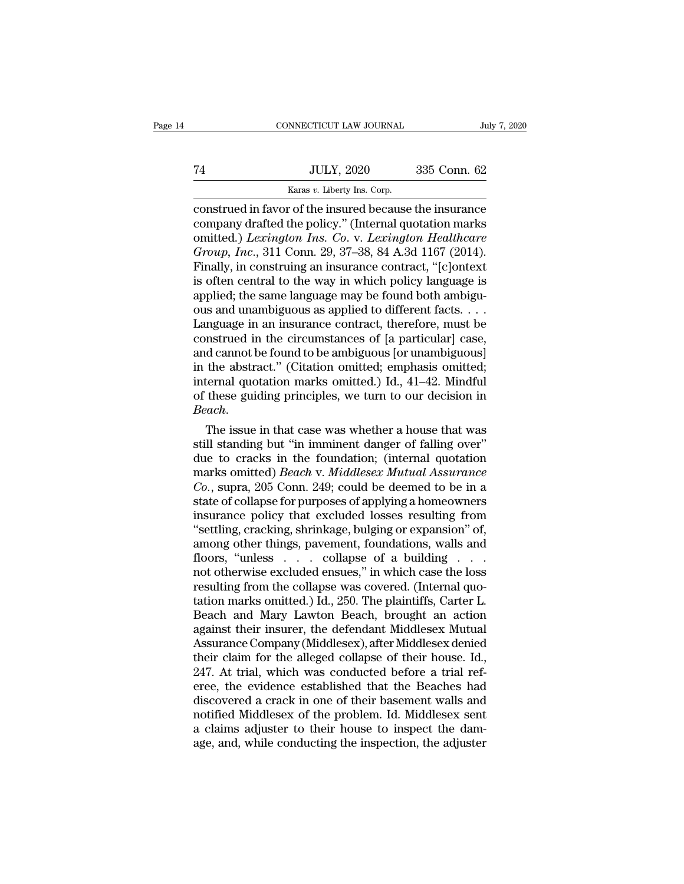|    | CONNECTICUT LAW JOURNAL                                 | July 7, 2020 |  |
|----|---------------------------------------------------------|--------------|--|
|    |                                                         |              |  |
| 74 | <b>JULY, 2020</b>                                       | 335 Conn. 62 |  |
|    | Karas v. Liberty Ins. Corp.                             |              |  |
|    | construed in favor of the insured because the insurance |              |  |

CONNECTICUT LAW JOURNAL July 7, 2020<br>
THE SULLY, 2020 335 Conn. 62<br>
THE SULLY, 2020 335 Conn. 62<br>
CONSTRUED in favor of the insured because the insurance<br>
CONSTRUED CONSTRUCT CONSTRUCT DRAMAGED On the SULLER CONSTRUCT DRAM TA JULY, 2020 335 Conn. 62<br>
Karas v. Liberty Ins. Corp.<br>
Construed in favor of the insured because the insurance<br>
company drafted the policy.'' (Internal quotation marks<br>
omitted.) Lexington Ins. Co. v. Lexington Healthcar omitted.) *Lexington Ins. Co*. v. *Lexington Healthcare Group, Bully, 2020* 335 Conn. 62<br> *Karas v. Liberty Ins. Corp.*<br> **Construed in favor of the insured because the insurance**<br> **Company drafted the policy.**" (Internal quotation marks<br>
omitted.) *Lexington Ins. Co. v. Lexing* Finally, in construing an insurance company drafted the policy." (Internal quotation marks omitted.) Lexington Ins. Co. v. Lexington Healthcare Group, Inc., 311 Conn. 29, 37–38, 84 A.3d 1167 (2014). Finally, in construing Example 18 and Source Company drafted the policy." (Internal quotation marks omitted.) Lexington Ins. Co. v. Lexington Healthcare Group, Inc., 311 Conn. 29, 37–38, 84 A.3d 1167 (2014). Finally, in construing an insurance construed in favor of the insured because the insurance<br>company drafted the policy." (Internal quotation marks<br>omitted.) Lexington Ins. Co. v. Lexington Healthcare<br>Group, Inc., 311 Conn. 29, 37–38, 84 A.3d 1167 (2014).<br>Fi company drafted the policy." (Internal quotation marks<br>
omitted.) Lexington Ins. Co. v. Lexington Healthcare<br>
Group, Inc., 311 Conn. 29, 37–38, 84 A.3d 1167 (2014).<br>
Finally, in construing an insurance contract, "[c]ontext omitted.) Lexington Ins. Co. v. Lexington Healthcare<br>Group, Inc., 311 Conn. 29, 37–38, 84 A.3d 1167 (2014).<br>Finally, in construing an insurance contract, "[c]ontext<br>is often central to the way in which policy language is<br>a Group, Inc., 311 Conn. 29, 37–38, 84 A.3d 1167 (2014).<br>Finally, in construing an insurance contract, "[c]ontext<br>is often central to the way in which policy language is<br>applied; the same language may be found both ambigu-<br> Finally, in construing an insurance contract, "[c]ontext<br>is often central to the way in which policy language is<br>applied; the same language may be found both ambiguous<br>and unambiguous as applied to different facts....<br>Lan is often central to the way in which policy language is<br>applied; the same language may be found both ambiguous<br>and unambiguous as applied to different facts. . . .<br>Language in an insurance contract, therefore, must be<br>con applied; the same language may be found both ambiguous and unambiguous as applied to different facts. . . .<br>Language in an insurance contract, therefore, must be construed in the circumstances of [a particular] case, and ous and unambiguous as applied to different facts....<br>Language in an insurance contract, therefore, must be<br>construed in the circumstances of [a particular] case,<br>and cannot be found to be ambiguous [or unambiguous]<br>in the *Beach* construed in the circumstances of [a particular] case, and cannot be found to be ambiguous [or unambiguous]<br>in the abstract." (Citation omitted; emphasis omitted; internal quotation marks omitted.) Id., 41–42. Mind and cannot be round to be ambiguous [or unambiguous]<br>in the abstract." (Citation omitted; emphasis omitted;<br>internal quotation marks omitted.) Id., 41–42. Mindful<br>of these guiding principles, we turn to our decision in<br>*B* 

in the abstract." (Citation omitted; emphasis omitted;<br>internal quotation marks omitted.) Id., 41–42. Mindful<br>of these guiding principles, we turn to our decision in<br>*Beach*.<br>The issue in that case was whether a house tha marks omitted.) Id., 41–42. Mindful<br>of these guiding principles, we turn to our decision in<br>*Beach*.<br>The issue in that case was whether a house that was<br>still standing but "in imminent danger of falling over"<br>due to cracks of these guiding principles, we turn to our decision in<br>*Beach*.<br>**Co.** The issue in that case was whether a house that was<br>still standing but "in imminent danger of falling over"<br>due to cracks in the foundation; (internal Beach.<br>
The issue in that case was whether a house that was<br>
still standing but "in imminent danger of falling over"<br>
due to cracks in the foundation; (internal quotation<br>
marks omitted) Beach v. Middlesex Mutual Assurance The issue in that case was whether a house that was<br>still standing but "in imminent danger of falling over"<br>due to cracks in the foundation; (internal quotation<br>marks omitted) *Beach* v. *Middlesex Mutual Assurance*<br> $Co$ , s still standing but "in imminent danger of falling over"<br>
due to cracks in the foundation; (internal quotation<br>
marks omitted) *Beach* v. *Middlesex Mutual Assurance*<br>
Co., supra, 205 Conn. 249; could be deemed to be in a<br> due to cracks in the foundation; (internal quotation<br>marks omitted) *Beach* v. *Middlesex Mutual Assurance*<br>*Co.*, supra, 205 Conn. 249; could be deemed to be in a<br>state of collapse for purposes of applying a homeowners<br>in marks omitted) *Beach* v. *Middlesex Mutual Assurance*<br>Co., supra, 205 Conn. 249; could be deemed to be in a<br>state of collapse for purposes of applying a homeowners<br>insurance policy that excluded losses resulting from<br>"set Co., supra, 205 Conn. 249; could be deemed to be in a<br>state of collapse for purposes of applying a homeowners<br>insurance policy that excluded losses resulting from<br>"settling, cracking, shrinkage, bulging or expansion" of,<br> state of collapse for purposes of applying a homeowners<br>insurance policy that excluded losses resulting from<br>"settling, cracking, shrinkage, bulging or expansion" of,<br>among other things, pavement, foundations, walls and<br>fl insurance policy that excluded losses resulting from<br>"settling, cracking, shrinkage, bulging or expansion" of,<br>among other things, pavement, foundations, walls and<br>floors, "unless . . . . collapse of a building . . .<br>not o "settling, cracking, shrinkage, bulging or expansion" of,<br>among other things, pavement, foundations, walls and<br>floors, "unless  $\ldots$  collapse of a building  $\ldots$ <br>not otherwise excluded ensues," in which case the loss<br>resu among other things, pavement, foundations, walls and<br>floors, "unless . . . . collapse of a building . . .<br>not otherwise excluded ensues," in which case the loss<br>resulting from the collapse was covered. (Internal quo-<br>tatio floors, "unless . . . . collapse of a building . . . .<br>not otherwise excluded ensues," in which case the loss<br>resulting from the collapse was covered. (Internal quo-<br>tation marks omitted.) Id., 250. The plaintiffs, Carter not otherwise excluded ensues," in which case the loss<br>resulting from the collapse was covered. (Internal quo-<br>tation marks omitted.) Id., 250. The plaintiffs, Carter L.<br>Beach and Mary Lawton Beach, brought an action<br>again resulting from the collapse was covered. (Internal quotation marks omitted.) Id., 250. The plaintiffs, Carter L.<br>Beach and Mary Lawton Beach, brought an action<br>against their insurer, the defendant Middlesex Mutual<br>Assuranc tation marks omitted.) Id., 250. The plaintiffs, Carter L.<br>Beach and Mary Lawton Beach, brought an action<br>against their insurer, the defendant Middlesex Mutual<br>Assurance Company (Middlesex), after Middlesex denied<br>their cl Beach and Mary Lawton Beach, brought an action<br>against their insurer, the defendant Middlesex Mutual<br>Assurance Company (Middlesex), after Middlesex denied<br>their claim for the alleged collapse of their house. Id.,<br>247. At t against their insurer, the defendant Middlesex Mutual<br>Assurance Company (Middlesex), after Middlesex denied<br>their claim for the alleged collapse of their house. Id.,<br>247. At trial, which was conducted before a trial ref-<br>e Assurance Company (Middlesex), after Middlesex denied<br>their claim for the alleged collapse of their house. Id.,<br>247. At trial, which was conducted before a trial ref-<br>eree, the evidence established that the Beaches had<br>dis their claim for the alleged collapse of their house. Id., 247. At trial, which was conducted before a trial referee, the evidence established that the Beaches had discovered a crack in one of their basement walls and notif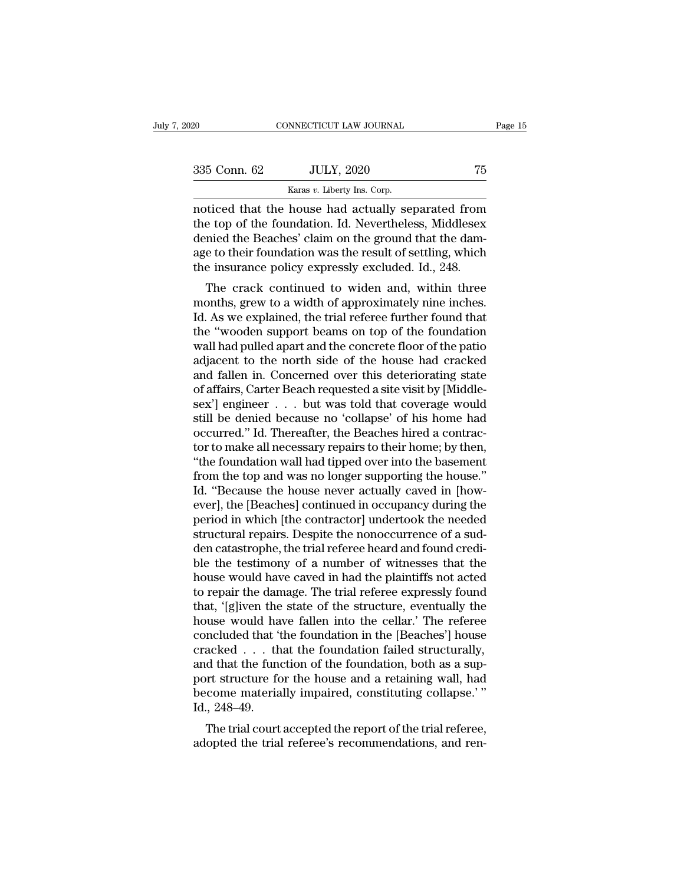| 2020         | CONNECTICUT LAW JOURNAL                                                                                                                                              | Page 15 |
|--------------|----------------------------------------------------------------------------------------------------------------------------------------------------------------------|---------|
| 335 Conn. 62 | <b>JULY, 2020</b>                                                                                                                                                    | 75      |
|              | Karas v. Liberty Ins. Corp.                                                                                                                                          |         |
|              | noticed that the house had actually separated from<br>the top of the foundation. Id. Nevertheless, Middlesex<br>donied the Bonghes' glaim on the ground that the dam |         |

335 Conn. 62 JULY, 2020 75<br>
Karas v. Liberty Ins. Corp.<br>
The foundation of the foundation. Id. Nevertheless, Middlesex<br>
denied the Beaches' claim on the ground that the dam-<br>
age to their foundation was the result of soft  $\frac{335 \text{ Conn. } 62}{335 \text{ Conn. } 62}$  JULY, 2020 75<br>  $\frac{535 \text{ Can. } 62}{333 \text{ No. } 621}$ <br>  $\frac{100 \text{ A}}{333 \text{ No. } 621}$ <br>  $\frac{100 \text{ A}}{333 \text{ No. } 621}$ <br>  $\frac{100 \text{ A}}{333 \text{ No. } 621}$ <br>  $\frac{100 \text{ A}}{333 \text{ No. } 621}$ <br>  $\frac{100 \text{ A}}{333 \text{ No$ 335 Conn. 62 JULY, 2020 75<br>
Karas v. Liberty Ins. Corp.<br>
noticed that the house had actually separated from<br>
the top of the foundation. Id. Nevertheless, Middlesex<br>
denied the Beaches' claim on the ground that the dam-<br>
a Karas v. Liberty Ins. Corp.<br>
The insurance policy of the foundation. Id. Nevertheless, Middlesex<br>
denied the Beaches' claim on the ground that the dam-<br>
age to their foundation was the result of settling, which<br>
the insura or the foundation. Id. Nevertheless, Middlesex<br>the cop of the foundation. Id. Nevertheless, Middlesex<br>mied the Beaches' claim on the ground that the dam-<br>e to their foundation was the result of settling, which<br>e insurance moticed that the house had actually separated from<br>the top of the foundation. Id. Nevertheless, Middlesex<br>denied the Beaches' claim on the ground that the dam-<br>age to their foundation was the result of settling, which<br>the

the top of the foundation. Id. Nevertheless, Middlesex<br>denied the Beaches' claim on the ground that the dam-<br>age to their foundation was the result of settling, which<br>the insurance policy expressly excluded. Id., 248.<br>The defined the beaches claim on the ground that the dam-<br>age to their foundation was the result of settling, which<br>the insurance policy expressly excluded. Id., 248.<br>The crack continued to widen and, within three<br>months, grew age to their foundation was the result of setting, which<br>the insurance policy expressly excluded. Id., 248.<br>The crack continued to widen and, within three<br>months, grew to a width of approximately nine inches.<br>Id. As we exp The crack continued to widen and, within three<br>months, grew to a width of approximately nine inches.<br>Id. As we explained, the trial referee further found that<br>the "wooden support beams on top of the foundation<br>wall had pul The crack continued to widen and, within three<br>months, grew to a width of approximately nine inches.<br>Id. As we explained, the trial referee further found that<br>the "wooden support beams on top of the foundation<br>wall had pul months, grew to a width of approximately nine inches.<br>Id. As we explained, the trial referee further found that<br>the "wooden support beams on top of the foundation<br>wall had pulled apart and the concrete floor of the patio<br>a Id. As we explained, the trial referee further found that<br>the "wooden support beams on top of the foundation<br>wall had pulled apart and the concrete floor of the patio<br>adjacent to the north side of the house had cracked<br>and the "wooden support beams on top of the foundation<br>wall had pulled apart and the concrete floor of the patio<br>adjacent to the north side of the house had cracked<br>and fallen in. Concerned over this deteriorating state<br>of aff wall had pulled apart and the concrete floor of the patio<br>adjacent to the north side of the house had cracked<br>and fallen in. Concerned over this deteriorating state<br>of affairs, Carter Beach requested a site visit by [Middl adjacent to the north side of the house had cracked<br>and fallen in. Concerned over this deteriorating state<br>of affairs, Carter Beach requested a site visit by [Middle-<br>sex'] engineer . . . but was told that coverage would<br>s and fallen in. Concerned over this deteriorating state<br>of affairs, Carter Beach requested a site visit by [Middle-<br>sex'] engineer . . . but was told that coverage would<br>still be denied because no 'collapse' of his home had of affairs, Carter Beach requested a site visit by [Middlesex'] engineer . . . but was told that coverage would<br>still be denied because no 'collapse' of his home had<br>occurred.'' Id. Thereafter, the Beaches hired a contracsex'] engineer . . . but was told that coverage would<br>still be denied because no 'collapse' of his home had<br>occurred." Id. Thereafter, the Beaches hired a contrac-<br>tor to make all necessary repairs to their home; by then,<br> still be denied because no 'collapse' of his home had<br>occurred." Id. Thereafter, the Beaches hired a contractor to make all necessary repairs to their home; by then,<br>"the foundation wall had tipped over into the basement<br>f occurred." Id. Thereafter, the Beaches hired a contractor to make all necessary repairs to their home; by then, "the foundation wall had tipped over into the basement from the top and was no longer supporting the house."<br>I tor to make all necessary repairs to their home; by then,<br>"the foundation wall had tipped over into the basement<br>from the top and was no longer supporting the house."<br>Id. "Because the house never actually caved in [how-<br>ev "the foundation wall had tipped over into the basement<br>from the top and was no longer supporting the house."<br>Id. "Because the house never actually caved in [how-<br>ever], the [Beaches] continued in occupancy during the<br>perio from the top and was no longer supporting the house."<br>Id. "Because the house never actually caved in [how-<br>ever], the [Beaches] continued in occupancy during the<br>period in which [the contractor] undertook the needed<br>struct Id. "Because the house never actually caved in [how-<br>ever], the [Beaches] continued in occupancy during the<br>period in which [the contractor] undertook the needed<br>structural repairs. Despite the nonoccurrence of a sud-<br>den ever], the [Beaches] continued in occupancy during the<br>period in which [the contractor] undertook the needed<br>structural repairs. Despite the nonoccurrence of a sud-<br>den catastrophe, the trial referee heard and found crediperiod in which [the contractor] undertook the needed<br>structural repairs. Despite the nonoccurrence of a sud-<br>den catastrophe, the trial referee heard and found credi-<br>ble the testimony of a number of witnesses that the<br>ho structural repairs. Despite the nonoccurrence of a sudden catastrophe, the trial referee heard and found credible the testimony of a number of witnesses that the house would have caved in had the plaintiffs not acted to re den catastrophe, the trial referee heard and found credible the testimony of a number of witnesses that the house would have caved in had the plaintiffs not acted to repair the damage. The trial referee expressly found tha ble the testimony of a number of witnesses that the<br>house would have caved in had the plaintiffs not acted<br>to repair the damage. The trial referee expressly found<br>that, '[g]iven the state of the structure, eventually the<br>h house would have caved in had the plaintiffs not acted<br>to repair the damage. The trial referee expressly found<br>that, '[g]iven the state of the structure, eventually the<br>house would have fallen into the cellar.' The referee to repair the damage. The trial referee expressly found<br>that, '[g]iven the state of the structure, eventually the<br>house would have fallen into the cellar.' The referee<br>concluded that 'the foundation in the [Beaches'] house that, '[g]iven the state of the structure, eventually the house would have fallen into the cellar.' The referee concluded that 'the foundation in the [Beaches'] house cracked . . . that the foundation failed structurally, house would ha<br>concluded that 'i<br>cracked . . . th<br>and that the fune<br>port structure fc<br>become materia<br>Id., 248–49.<br>The trial court ncluded that the foundation in the [beaches] house<br>acked . . . that the foundation failed structurally,<br>d that the function of the foundation, both as a sup-<br>rt structure for the house and a retaining wall, had<br>come materi adopted the function of the foundation ranea structurally,<br>and that the function of the foundation, both as a sup-<br>port structure for the house and a retaining wall, had<br>become materially impaired, constituting collapse."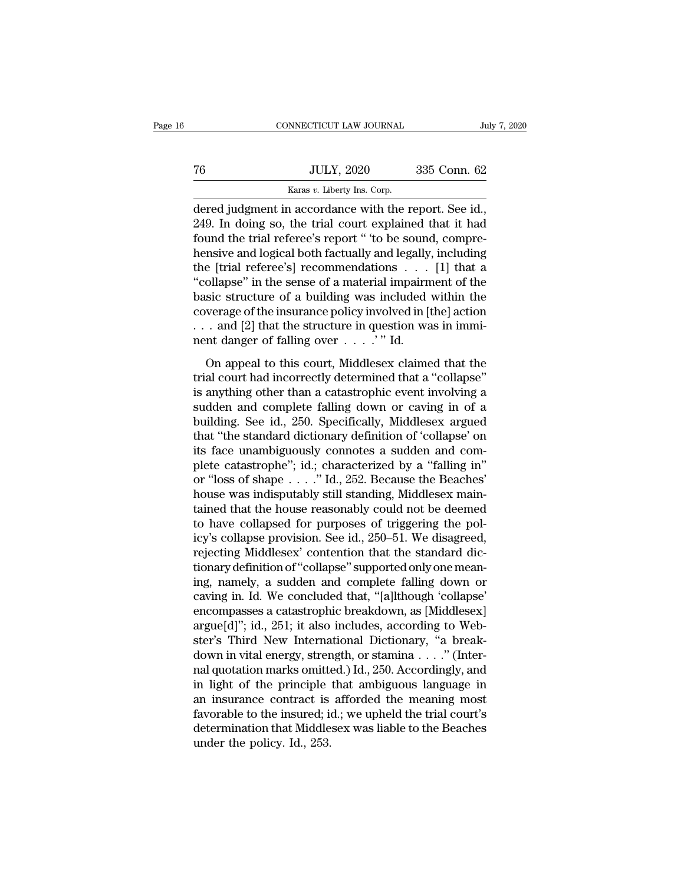|    | CONNECTICUT LAW JOURNAL                              |              | July 7, 2020 |
|----|------------------------------------------------------|--------------|--------------|
|    |                                                      |              |              |
| 76 | <b>JULY, 2020</b>                                    | 335 Conn. 62 |              |
|    | Karas v. Liberty Ins. Corp.                          |              |              |
|    | dered judgment in accordance with the report. See id |              |              |

CONNECTICUT LAW JOURNAL July 7, 2<br>
76 JULY, 2020 335 Conn. 62<br>
Karas v. Liberty Ins. Corp.<br>
dered judgment in accordance with the report. See id.,<br>
249. In doing so, the trial court explained that it had<br>
found the trial r VEN THE TREAT SET ON THE TREAT SET ON THE TRIAL SET ON THE RANGE OF SALE AND MONDIAL SET ON A SET OF SALE SUPER SUPER SUPER SUPER SUPER SUPER SUPER SUPER SUPER SUPER SUPER SUPER SUPER SUPER SUPER SUPER SUPER SUPER SUPER SU Found the trial referee's report of the trial refereeignment in accordance with the report. See id.,<br>
1949. In doing so, the trial court explained that it had found the trial referee's report " to be sound, compre-<br>
11 the  $\frac{JULY, 2020}{Karas v. Liberty Ins. Corp.}$ <br>
dered judgment in accordance with the report. See id.,<br>
249. In doing so, the trial court explained that it had<br>
found the trial referee's report " to be sound, compre-<br>
hensive and logical bot Example 1982. The control of the conditions of a hydrodynamic heat is the condition of the sound, comprehensive and logical both factually and legally, including the [trial referee's] recommendations . . . [1] that a "col **Example 18 All the sense of the sense of the sense of the sense of the sense of a material impairment of the basic structure of a building was including the last structure of a building was included within the coverse of** dered judgment in accordance with the report. See id.,<br>249. In doing so, the trial court explained that it had<br>found the trial referee's report " to be sound, compre-<br>hensive and logical both factually and legally, includi 249. In doing so, the trial court explained that it had<br>found the trial referee's report " to be sound, compre-<br>hensive and logical both factually and legally, including<br>the [trial referee's] recommendations  $\dots$  [1] that found the trial referee's report " to be sound, comprehensive and logical both factually and legally, including the [trial referee's] recommendations . . . [1] that a "collapse" in the sense of a material impairment of th hensive and logical both factually and legally<br>the [trial referee's] recommendations . . . .<br>"collapse" in the sense of a material impairm<br>basic structure of a building was included<br>coverage of the insurance policy involv ollapse" in the sense of a material impairment of the<br>sic structure of a building was included within the<br>verage of the insurance policy involved in [the] action<br>. and [2] that the structure in question was in immi-<br>nt da basic structure of a building was included within the<br>coverage of the insurance policy involved in [the] action<br>... and [2] that the structure in question was in immi-<br>nent danger of falling over ...." Id.<br>On appeal to th

state stractate of a standing was increased which incoverage of the insurance policy involved in [the] action<br>
... and [2] that the structure in question was in immi-<br>
nent danger of falling over ...." Id.<br>
On appeal to t subsetting of all institute points in our case in imminant danger of falling over  $\dots$ . " Id.<br>On appeal to this court, Middlesex claimed that the<br>trial court had incorrectly determined that a "collapse"<br>is anything other but the same of falling over  $\ldots$  ..." Id.<br>
On appeal to this court, Middlesex claimed that the<br>
trial court had incorrectly determined that a "collapse"<br>
is anything other than a catastrophic event involving a<br>
sudden a The standard to this court, Middlesex claimed that the trial court had incorrectly determined that a "collapse" is anything other than a catastrophic event involving a sudden and complete falling down or caving in of a bu On appeal to this court, Middlesex claimed that the<br>trial court had incorrectly determined that a "collapse"<br>is anything other than a catastrophic event involving a<br>sudden and complete falling down or caving in of a<br>buildi trial court had incorrectly determined that a "collapse"<br>is anything other than a catastrophic event involving a<br>sudden and complete falling down or caving in of a<br>building. See id., 250. Specifically, Middlesex argued<br>tha is anything other than a catastrophic event involving a<br>sudden and complete falling down or caving in of a<br>building. See id., 250. Specifically, Middlesex argued<br>that "the standard dictionary definition of 'collapse' on<br>it sudden and complete falling down or caving in of a<br>building. See id., 250. Specifically, Middlesex argued<br>that "the standard dictionary definition of 'collapse' on<br>its face unambiguously connotes a sudden and com-<br>plete ca building. See id., 250. Specifically, Middlesex argued<br>that "the standard dictionary definition of 'collapse' on<br>its face unambiguously connotes a sudden and com-<br>plete catastrophe"; id.; characterized by a "falling in"<br>or that "the standard dictionary definition of 'collapse' on<br>its face unambiguously connotes a sudden and com-<br>plete catastrophe"; id.; characterized by a "falling in"<br>or "loss of shape  $\ldots$ ." Id., 252. Because the Beaches' its face unambiguously connotes a sudden and complete catastrophe"; id.; characterized by a "falling in" or "loss of shape . . . ." Id., 252. Because the Beaches' house was indisputably still standing, Middlesex maintained plete catastrophe"; id.; characterized by a "falling in"<br>or "loss of shape  $\ldots$ ." Id., 252. Because the Beaches'<br>house was indisputably still standing, Middlesex main-<br>tained that the house reasonably could not be deemed or "loss of shape . . . . ." Id., 252. Because the Beaches'<br>house was indisputably still standing, Middlesex main-<br>tained that the house reasonably could not be deemed<br>to have collapsed for purposes of triggering the pol-<br> house was indisputably still standing, Middlesex maintained that the house reasonably could not be deemed<br>to have collapsed for purposes of triggering the pol-<br>icy's collapse provision. See id., 250–51. We disagreed,<br>rejec tained that the house reasonably could not be deemed<br>to have collapsed for purposes of triggering the pol-<br>icy's collapse provision. See id., 250–51. We disagreed,<br>rejecting Middlesex' contention that the standard dic-<br>tio to have collapsed for purposes of triggering the policy's collapse provision. See id., 250–51. We disagreed, rejecting Middlesex' contention that the standard dictionary definition of "collapse" supported only one meaning, icy's collapse provision. See id., 250–51. We disagreed,<br>rejecting Middlesex' contention that the standard dic-<br>tionary definition of "collapse" supported only one mean-<br>ing, namely, a sudden and complete falling down or<br>c rejecting Middlesex' contention that the standard dictionary definition of "collapse" supported only one meaning, namely, a sudden and complete falling down or caving in. Id. We concluded that, "[a]lthough 'collapse' encom tionary definition of "collapse" supported only one meaning, namely, a sudden and complete falling down or caving in. Id. We concluded that, "[a]lthough 'collapse' encompasses a catastrophic breakdown, as [Middlesex] argue ing, namely, a sudden and complete falling down or<br>caving in. Id. We concluded that, "[a]lthough 'collapse'<br>encompasses a catastrophic breakdown, as [Middlesex]<br>argue[d]"; id., 251; it also includes, according to Web-<br>ster caving in. Id. We concluded that, "[a]lthough 'collapse'<br>encompasses a catastrophic breakdown, as [Middlesex]<br>argue[d]"; id., 251; it also includes, according to Web-<br>ster's Third New International Dictionary, "a break-<br>do encompasses a catastrophic breakdown, as [Middlesex]<br>argue[d]"; id., 251; it also includes, according to Web-<br>ster's Third New International Dictionary, "a break-<br>down in vital energy, strength, or stamina . . . ." (Interargue[d]"; id., 251; it also includes, according to Webster's Third New International Dictionary, "a break-<br>down in vital energy, strength, or stamina . . . ." (Inter-<br>nal quotation marks omitted.) Id., 250. Accordingly, a ster's Third New International Dictionary, "a break-<br>down in vital energy, strength, or stamina . . . ." (Inter-<br>nal quotation marks omitted.) Id., 250. Accordingly, and<br>in light of the principle that ambiguous language in down in vital energy, strem<br>al quotation marks omitte<br>in light of the principle<br>an insurance contract is<br>favorable to the insured; it<br>determination that Middle<br>under the policy. Id., 253.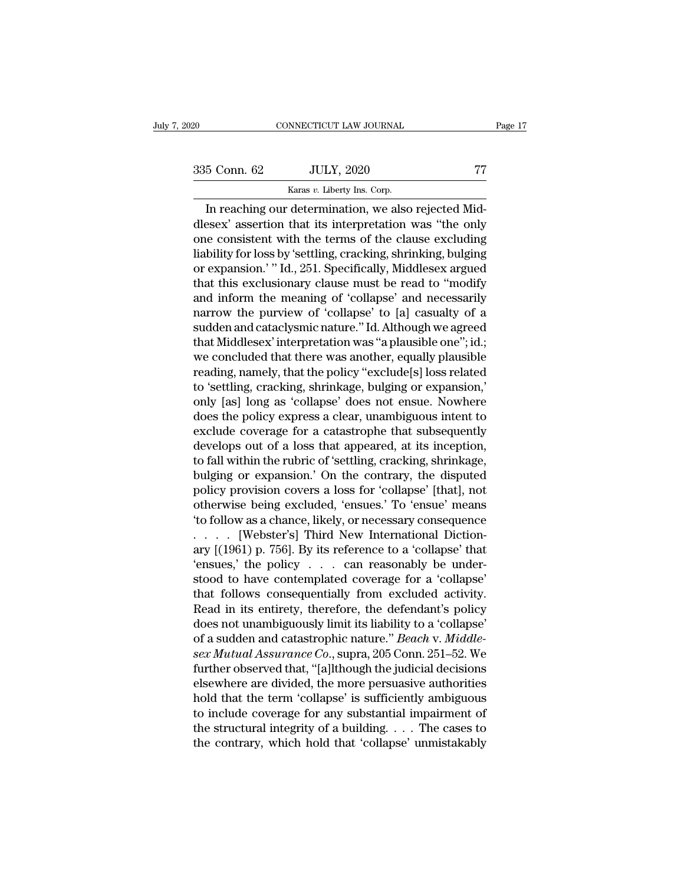CONNECTICUT LAW JOURNAL<br>
5 Conn. 62 JULY, 2020 77<br>
Karas *v*. Liberty Ins. Corp.<br>
In reaching our determination, we also rejected Mid-CONNECTICUT LAW JOURNAL<br>
5 Conn. 62 JULY, 2020 77<br>
Karas v. Liberty Ins. Corp.<br>
In reaching our determination, we also rejected Mid-<br>
ESEX' assertion that its interpretation was "the only<br>
the complete conduction was "the  $\begin{array}{c|c} \text{335 Conn. } 62 & \text{JULY, } 2020 & \text{77} \ \hline \text{Karas } v. \text{ Library Ins. Corp.} \ \hline \text{In reaching our determination, we also rejected Mid-dlesex' assertion that its interpretation was "the only one consistent with the terms of the clause excluding liability for loss by 'cattling, arseling, chinling, building.} \end{array}$ 335 Conn. 62 JULY, 2020 77<br>
Karas v. Liberty Ins. Corp.<br>
In reaching our determination, we also rejected Mid-<br>
dlesex' assertion that its interpretation was "the only<br>
one consistent with the terms of the clause excluding 335 Conn. 62 JULY, 2020 77<br>
Karas v. Liberty Ins. Corp.<br>
In reaching our determination, we also rejected Mid-<br>
dlesex' assertion that its interpretation was "the only<br>
one consistent with the terms of the clause excluding Karas v. Liberty Ins. Corp.<br>
In reaching our determination, we also rejected Mid-<br>
dlesex' assertion that its interpretation was "the only<br>
one consistent with the terms of the clause excluding<br>
liability for loss by 'sett Kaas *v*. Lueny ins. Corp.<br>In reaching our determination, we also rejected Mid-<br>dlesex' assertion that its interpretation was "the only<br>one consistent with the terms of the clause excluding<br>liability for loss by 'settling, In reaching our determination, we also rejected Mid-<br>dlesex' assertion that its interpretation was "the only<br>one consistent with the terms of the clause excluding<br>liability for loss by 'settling, cracking, shrinking, bulgi dlesex' assertion that its interpretation was "the only<br>one consistent with the terms of the clause excluding<br>liability for loss by 'settling, cracking, shrinking, bulging<br>or expansion.' " Id., 251. Specifically, Middlesex one consistent with the terms of the clause excluding<br>liability for loss by 'settling, cracking, shrinking, bulging<br>or expansion.' " Id., 251. Specifically, Middlesex argued<br>that this exclusionary clause must be read to '' liability for loss by 'settling, cracking, shrinking, bulging<br>or expansion.' " Id., 251. Specifically, Middlesex argued<br>that this exclusionary clause must be read to "modify<br>and inform the meaning of 'collapse' and necessa or expansion.'" Id., 251. Specifically, Middlesex argued<br>that this exclusionary clause must be read to "modify<br>and inform the meaning of 'collapse' and necessarily<br>narrow the purview of 'collapse' to [a] casualty of a<br>sudd that this exclusionary clause must be read to "modify<br>and inform the meaning of 'collapse' and necessarily<br>narrow the purview of 'collapse' to [a] casualty of a<br>sudden and cataclysmic nature." Id. Although we agreed<br>that M and inform the meaning of 'collapse' and necessarily<br>narrow the purview of 'collapse' to [a] casualty of a<br>sudden and cataclysmic nature." Id. Although we agreed<br>that Middlesex' interpretation was "a plausible one"; id.;<br>w narrow the purview of 'collapse' to [a] casualty of a<br>sudden and cataclysmic nature." Id. Although we agreed<br>that Middlesex' interpretation was "a plausible one"; id.;<br>we concluded that there was another, equally plausible sudden and cataclysmic nature." Id. Although we agreed<br>that Middlesex' interpretation was "a plausible one"; id.;<br>we concluded that there was another, equally plausible<br>reading, namely, that the policy "exclude[s] loss rel that Middlesex' interpretation was "a plausible one"; id.;<br>we concluded that there was another, equally plausible<br>reading, namely, that the policy "exclude[s] loss related<br>to 'settling, cracking, shrinkage, bulging or expa we concluded that there was another, equally plausible<br>reading, namely, that the policy "exclude[s] loss related<br>to 'settling, cracking, shrinkage, bulging or expansion,'<br>only [as] long as 'collapse' does not ensue. Nowher reading, namely, that the policy "exclude[s] loss related<br>to 'settling, cracking, shrinkage, bulging or expansion,'<br>only [as] long as 'collapse' does not ensue. Nowhere<br>does the policy express a clear, unambiguous intent t to 'settling, cracking, shrinkage, bulging or expansion,'<br>only [as] long as 'collapse' does not ensue. Nowhere<br>does the policy express a clear, unambiguous intent to<br>exclude coverage for a catastrophe that subsequently<br>dev only [as] long as 'collapse' does not ensue. Nowhere<br>does the policy express a clear, unambiguous intent to<br>exclude coverage for a catastrophe that subsequently<br>develops out of a loss that appeared, at its inception,<br>to fa does the policy express a clear, unambiguous intent to<br>exclude coverage for a catastrophe that subsequently<br>develops out of a loss that appeared, at its inception,<br>to fall within the rubric of 'settling, cracking, shrinkag exclude coverage for a catastrophe that subsequently<br>
develops out of a loss that appeared, at its inception,<br>
to fall within the rubric of 'settling, cracking, shrinkage,<br>
bulging or expansion.' On the contrary, the dispu develops out of a loss that appeared, at its inception,<br>to fall within the rubric of 'settling, cracking, shrinkage,<br>bulging or expansion.' On the contrary, the disputed<br>policy provision covers a loss for 'collapse' [that] to fall within the rubric of 'settling, cracking, shrinkage,<br>bulging or expansion.' On the contrary, the disputed<br>policy provision covers a loss for 'collapse' [that], not<br>otherwise being excluded, 'ensues.' To 'ensue' mea bulging or expansion.' On the contrary, the disputed<br>policy provision covers a loss for 'collapse' [that], not<br>otherwise being excluded, 'ensues.' To 'ensue' means<br>'to follow as a chance, likely, or necessary consequence<br>. policy provision covers a loss for 'collapse' [that], not<br>otherwise being excluded, 'ensues.' To 'ensue' means<br>'to follow as a chance, likely, or necessary consequence<br>...... [Webster's] Third New International Diction-<br>ar otherwise being excluded, 'ensues.' To 'ensue' means<br>
'to follow as a chance, likely, or necessary consequence<br>  $\ldots$  [Webster's] Third New International Diction-<br>
ary [(1961) p. 756]. By its reference to a 'collapse' tha "to follow as a chance, likely, or necessary consequence<br>  $\ldots$  [Webster's] Third New International Diction-<br>
ary [(1961) p. 756]. By its reference to a 'collapse' that<br>
"ensues," the policy  $\ldots$  can reasonably be under-..... [Webster's] Third New International Diction-<br>ary [(1961) p. 756]. By its reference to a 'collapse' that<br>'ensues,' the policy .... can reasonably be under-<br>stood to have contemplated coverage for a 'collapse'<br>that fo ary [(1961) p. 756]. By its reference to a 'collapse' that<br>
'ensues,' the policy . . . . can reasonably be under-<br>
stood to have contemplated coverage for a 'collapse'<br>
that follows consequentially from excluded activity.<br> <sup>2</sup> ensues, the policy . . . . can reasonably be understood to have contemplated coverage for a 'collapse'<br>that follows consequentially from excluded activity.<br>Read in its entirety, therefore, the defendant's policy<br>does n stood to have contemplated coverage for a 'collapse'<br>that follows consequentially from excluded activity.<br>Read in its entirety, therefore, the defendant's policy<br>does not unambiguously limit its liability to a 'collapse'<br>o that follows consequentially from excluded activity.<br>Read in its entirety, therefore, the defendant's policy<br>does not unambiguously limit its liability to a 'collapse'<br>of a sudden and catastrophic nature." *Beach* v. *Midd* Read in its entirety, therefore, the defendant's policy<br>does not unambiguously limit its liability to a 'collapse'<br>of a sudden and catastrophic nature." *Beach v. Middle-<br>sex Mutual Assurance Co.*, supra, 205 Conn. 251–52. does not unambiguously limit its liability to a 'collapse'<br>of a sudden and catastrophic nature." *Beach v. Middle-<br>sex Mutual Assurance Co.*, supra, 205 Conn. 251–52. We<br>further observed that, "[a]lthough the judicial dec of a sudden and catastrophic nature." *Beach* v. *Middle-*<br>sex *Mutual Assurance Co.*, supra, 205 Conn. 251–52. We<br>further observed that, "[a]lthough the judicial decisions<br>elsewhere are divided, the more persuasive author sex Mutual Assurance Co., supra, 205 Conn. 251–52. We<br>further observed that, "[a]lthough the judicial decisions<br>elsewhere are divided, the more persuasive authorities<br>hold that the term 'collapse' is sufficiently ambiguous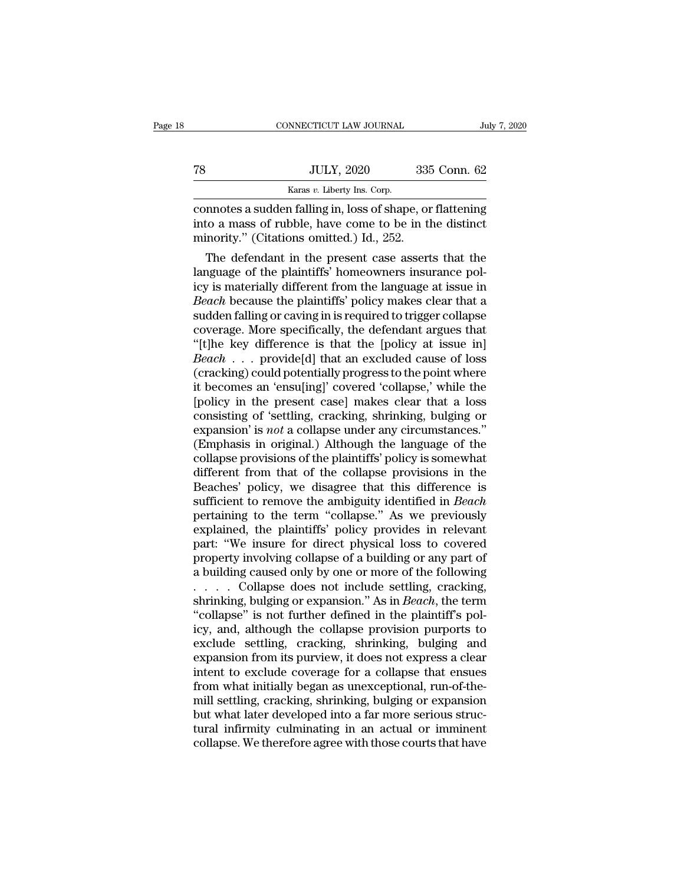| e 18 |    | CONNECTICUT LAW JOURNAL     | July 7, 2020 |
|------|----|-----------------------------|--------------|
|      |    |                             |              |
|      | 78 | <b>JULY, 2020</b>           | 335 Conn. 62 |
|      |    | Karas v. Liberty Ins. Corp. |              |

TR JULY, 2020 335 Conn. 62<br>
Karas v. Liberty Ins. Corp.<br>
Connotes a sudden falling in, loss of shape, or flattening<br>
into a mass of rubble, have come to be in the distinct<br>
minority." (Citations omitted.) Id., 252. TREET THE THE SERVICE THE SERVICE THE SERVICE OF THE SERVICE OF SAMPLED OF STATE OF STATE OF STATE OF STATE OF STATE OF STATE OF STATE OF STATE OF STATE OF STATE OF STATE OF STATE OF STATE OF STATE OF STATE OF STATE OF STA JULY, 2020 335 Conn. 62<br>
Karas *v*. Liberty Ins. Corp.<br>
mnotes a sudden falling in, loss of shape, or flattening<br>
to a mass of rubble, have come to be in the distinct<br>
inority." (Citations omitted.) Id., 252.<br>
The defenda

**Example 19** Karas *v*. Liberty Ins. Corp.<br>
connotes a sudden falling in, loss of shape, or flattening<br>
into a mass of rubble, have come to be in the distinct<br>
minority." (Citations omitted.) Id., 252.<br>
The defendant in t connotes a sudden falling in, loss of shape, or flattening<br>into a mass of rubble, have come to be in the distinct<br>minority." (Citations omitted.) Id., 252.<br>The defendant in the present case asserts that the<br>language of the connotes a sudden railing in, loss of snape, or flattening<br>into a mass of rubble, have come to be in the distinct<br>minority." (Citations omitted.) Id., 252.<br>The defendant in the present case asserts that the<br>language of the mio a mass of rubble, nave come to be in the distinct<br>minority." (Citations omitted.) Id., 252.<br>The defendant in the present case asserts that the<br>language of the plaintiffs' homeowners insurance pol-<br>icy is materially dif minority. (Citations omitted.) Id., 252.<br>
The defendant in the present case asserts that the<br>
language of the plaintiffs' homeowners insurance pol-<br>
icy is materially different from the language at issue in<br> *Beach* becaus The defendant in the present case asserts that the<br>language of the plaintiffs' homeowners insurance pol-<br>icy is materially different from the language at issue in<br>*Beach* because the plaintiffs' policy makes clear that a<br> language of the plaintiffs' homeowners insurance pol-<br>icy is materially different from the language at issue in<br>*Beach* because the plaintiffs' policy makes clear that a<br>sudden falling or caving in is required to trigger c icy is materially different from the language at issue in<br>Beach because the plaintiffs' policy makes clear that a<br>sudden falling or caving in is required to trigger collapse<br>coverage. More specifically, the defendant argue Beach because the plaintiffs' policy makes clear that a<br>sudden falling or caving in is required to trigger collapse<br>coverage. More specifically, the defendant argues that<br>"[t]he key difference is that the [policy at issue sudden falling or caving in is required to trigger collapse<br>coverage. More specifically, the defendant argues that<br>"[t]he key difference is that the [policy at issue in]<br>*Beach* . . . provide[d] that an excluded cause of l coverage. More specifically, the defendant argues that<br>"[t]he key difference is that the [policy at issue in]<br>Beach . . . provide[d] that an excluded cause of loss<br>(cracking) could potentially progress to the point where<br>i "[t]he key difference is that the [policy at issue in]<br>*Beach* . . . provide[d] that an excluded cause of loss<br>(cracking) could potentially progress to the point where<br>it becomes an 'ensu[ing]' covered 'collapse,' while th Beach . . . provide[d] that an excluded cause of loss (cracking) could potentially progress to the point where it becomes an 'ensu[ing]' covered 'collapse,' while the [policy in the present case] makes clear that a loss co (cracking) could potentially progress to the point where<br>it becomes an 'ensu[ing]' covered 'collapse,' while the<br>[policy in the present case] makes clear that a loss<br>consisting of 'settling, cracking, shrinking, bulging or it becomes an 'ensu[ing]' covered 'collapse,' while the<br>[policy in the present case] makes clear that a loss<br>consisting of 'settling, cracking, shrinking, bulging or<br>expansion' is *not* a collapse under any circumstances." [policy in the present case] makes clear that a loss<br>consisting of 'settling, cracking, shrinking, bulging or<br>expansion' is *not* a collapse under any circumstances."<br>(Emphasis in original.) Although the language of the<br>co consisting of 'settling, cracking, shrinking, bulging or<br>expansion' is *not* a collapse under any circumstances."<br>(Emphasis in original.) Although the language of the<br>collapse provisions of the plaintiffs' policy is somewh expansion' is *not* a collapse under any circumstances."<br>(Emphasis in original.) Although the language of the<br>collapse provisions of the plaintiffs' policy is somewhat<br>different from that of the collapse provisions in the<br> (Emphasis in original.) Although the language of the collapse provisions of the plaintiffs' policy is somewhat different from that of the collapse provisions in the Beaches' policy, we disagree that this difference is suff collapse provisions of the plaintiffs' policy is somewhat<br>different from that of the collapse provisions in the<br>Beaches' policy, we disagree that this difference is<br>sufficient to remove the ambiguity identified in *Beach*<br> different from that of the collapse provisions in the Beaches' policy, we disagree that this difference is sufficient to remove the ambiguity identified in *Beach* pertaining to the term "collapse." As we previously explai Beaches' policy, we disagree that this difference is<br>sufficient to remove the ambiguity identified in *Beach*<br>pertaining to the term "collapse." As we previously<br>explained, the plaintiffs' policy provides in relevant<br>part sufficient to remove the ambiguity identified in *Beach*<br>pertaining to the term "collapse." As we previously<br>explained, the plaintiffs' policy provides in relevant<br>part: "We insure for direct physical loss to covered<br>prope pertaining to the term "collapse." As we previously<br>explained, the plaintiffs' policy provides in relevant<br>part: "We insure for direct physical loss to covered<br>property involving collapse of a building or any part of<br>a bui explained, the plaintiffs' policy provides in relevant<br>part: "We insure for direct physical loss to covered<br>property involving collapse of a building or any part of<br>a building caused only by one or more of the following<br>.. part: "We insure for direct physical loss to covered<br>property involving collapse of a building or any part of<br>a building caused only by one or more of the following<br>......Collapse does not include settling, cracking,<br>shrin property involving collapse of a building or any part of<br>a building caused only by one or more of the following<br> $\ldots$  Collapse does not include settling, cracking,<br>shrinking, bulging or expansion." As in *Beach*, the term a building caused only by one or more of the following<br>  $\ldots$  . Collapse does not include settling, cracking,<br>
shrinking, bulging or expansion." As in *Beach*, the term<br>
"collapse" is not further defined in the plaintiff' ..... Collapse does not include settling, cracking,<br>shrinking, bulging or expansion." As in *Beach*, the term<br>"collapse" is not further defined in the plaintiff's pol-<br>icy, and, although the collapse provision purports to<br> shrinking, bulging or expansion." As in *Beach*, the term<br>"collapse" is not further defined in the plaintiff's pol-<br>icy, and, although the collapse provision purports to<br>exclude settling, cracking, shrinking, bulging and<br>e "collapse" is not further defined in the plaintiff's policy, and, although the collapse provision purports to exclude settling, cracking, shrinking, bulging and expansion from its purview, it does not express a clear inten icy, and, although the collapse provision purports to<br>exclude settling, cracking, shrinking, bulging and<br>expansion from its purview, it does not express a clear<br>intent to exclude coverage for a collapse that ensues<br>from wh exclude settling, cracking, shrinking, bulging and<br>expansion from its purview, it does not express a clear<br>intent to exclude coverage for a collapse that ensues<br>from what initially began as unexceptional, run-of-the-<br>mill expansion from its purview, it does not express a clear<br>intent to exclude coverage for a collapse that ensues<br>from what initially began as unexceptional, run-of-the-<br>mill settling, cracking, shrinking, bulging or expansion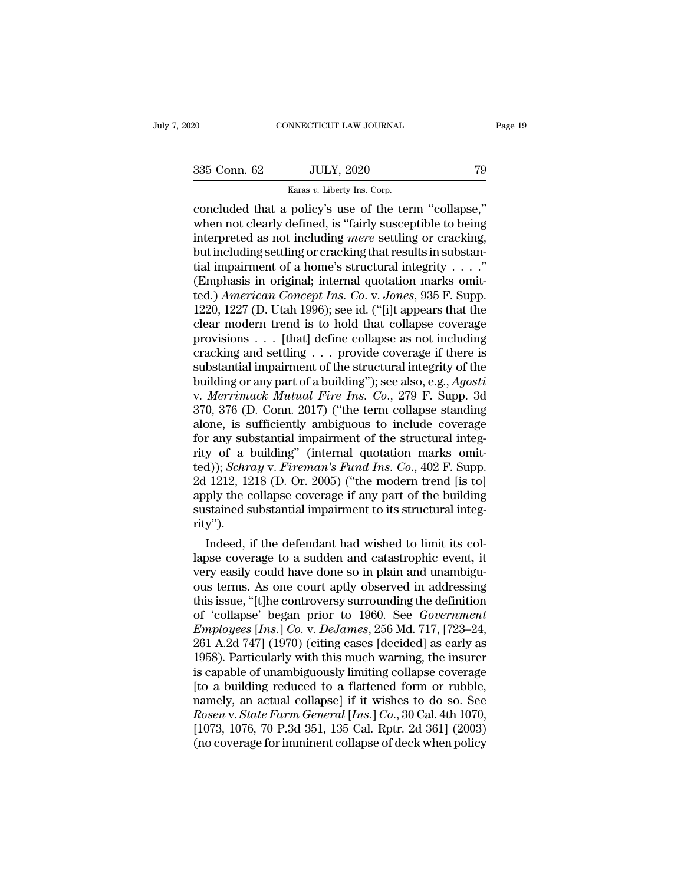EXERCT 2020 For the U.S. Corp.<br>
CONNECTICUT LAW JOURNAL Fags 235 Conn. 62 JULY, 2020 79<br>
Concluded that a policy's use of the term "collapse,"<br>
when not clearly defined, is "fairly susceptible to being<br>
interpreted as not 335 Conn. 62 JULY, 2020 79<br>
Karas v. Liberty Ins. Corp.<br>
Concluded that a policy's use of the term "collapse,"<br>
when not clearly defined, is "fairly susceptible to being<br>
interpreted as not including *mere* settling or cra 335 Conn. 62 JULY, 2020 79<br>
Karas v. Liberty Ins. Corp.<br>
concluded that a policy's use of the term "collapse,"<br>
when not clearly defined, is "fairly susceptible to being<br>
interpreted as not including *mere* settling or cra 335 Conn. 62 JULY, 2020 79<br>
Karas *v*. Liberty Ins. Corp.<br>
concluded that a policy's use of the term "collapse,"<br>
when not clearly defined, is "fairly susceptible to being<br>
interpreted as not including *mere* settling or Example 1982. The structural integrity of the structural integrity when not clearly defined, is "fairly susceptible to being<br>interpreted as not including *mere* settling or cracking,<br>but including settling or cracking tha Example 1980 Karas *v*. Liberty Ins. Corp.<br>
concluded that a policy's use of the term "collapse,"<br>
when not clearly defined, is "fairly susceptible to being<br>
interpreted as not including *mere* settling or cracking,<br>
but concluded that a policy's use of the term "collapse,"<br>when not clearly defined, is "fairly susceptible to being<br>interpreted as not including *mere* settling or cracking,<br>but including settling or cracking that results in s when not clearly defined, is "fairly susceptible to being<br>interpreted as not including *mere* settling or cracking,<br>but including settling or cracking that results in substan-<br>tial impairment of a home's structural integr interpreted as not including *mere* settling or cracking,<br>but including settling or cracking that results in substan-<br>tial impairment of a home's structural integrity . . . ."<br>(Emphasis in original; internal quotation mar but including settling or cracking that results in substantial impairment of a home's structural integrity . . . ."<br>(Emphasis in original; internal quotation marks omitted.) *American Concept Ins. Co.* v. *Jones*, 935 F. tial impairment of a home's structural integrity . . . ."<br>(Emphasis in original; internal quotation marks omit-<br>ted.) *American Concept Ins. Co.* v. Jones, 935 F. Supp.<br>1220, 1227 (D. Utah 1996); see id. ("[i]t appears th (Emphasis in original; internal quotation marks omit-<br>ted.) *American Concept Ins. Co. v. Jones*, 935 F. Supp.<br>1220, 1227 (D. Utah 1996); see id. ("[i]t appears that the<br>clear modern trend is to hold that collapse coverag ted.) *American Concept Ins. Co.* v. *Jones*, 935 F. Supp.<br>1220, 1227 (D. Utah 1996); see id. ("[i]t appears that the<br>clear modern trend is to hold that collapse coverage<br>provisions . . . [that] define collapse as not incl 1220, 1227 (D. Utah 1996); see id. ("[i]t appears that the clear modern trend is to hold that collapse coverage provisions . . . [that] define collapse as not including cracking and settling . . . provide coverage if there clear modern trend is to hold that collapse coverage<br>provisions . . . [that] define collapse as not including<br>cracking and settling . . . provide coverage if there is<br>substantial impairment of the structural integrity of t provisions . . . [that] define collapse as not including<br>cracking and settling . . . provide coverage if there is<br>substantial impairment of the structural integrity of the<br>building or any part of a building"); see also, e cracking and settling . . . provide coverage if there is<br>substantial impairment of the structural integrity of the<br>building or any part of a building"); see also, e.g., Agosti<br>v. Merrimack Mutual Fire Ins. Co., 279 F. Sup substantial impairment of the structural integrity of the<br>building or any part of a building"); see also, e.g., *Agosti*<br>v. *Merrimack Mutual Fire Ins. Co.*, 279 F. Supp. 3d<br>370, 376 (D. Conn. 2017) ("the term collapse st building or any part of a building"); see also, e.g., *Agosti* v. *Merrimack Mutual Fire Ins. Co.*, 279 F. Supp. 3d 370, 376 (D. Conn. 2017) ("the term collapse standing alone, is sufficiently ambiguous to include coverage v. *Merrimack Mutual Fire Ins. Co.*, 279 F. Supp. 3d<br>370, 376 (D. Conn. 2017) ("the term collapse standing<br>alone, is sufficiently ambiguous to include coverage<br>for any substantial impairment of the structural integ-<br>rity o 370, 376 (D. Conn. 2017) ("the term collapse standing<br>alone, is sufficiently ambiguous to include coverage<br>for any substantial impairment of the structural integ-<br>rity of a building" (internal quotation marks omit-<br>ted)); alone, is sufficiently ambiguous to include coverage<br>for any substantial impairment of the structural integ-<br>rity of a building" (internal quotation marks omit-<br>ted)); *Schray* v. *Fireman's Fund Ins. Co.*, 402 F. Supp.<br>2d rity''). y of a building" (internal quotation marks omit-<br>d)); *Schray* v. *Fireman's Fund Ins. Co.*, 402 F. Supp.<br>1212, 1218 (D. Or. 2005) ("the modern trend [is to]<br>ply the collapse coverage if any part of the building<br>stained su ted)); *Schray* v. *Fireman's Fund Ins.* Co., 402 F. Supp.<br>2d 1212, 1218 (D. Or. 2005) ("the modern trend [is to]<br>apply the collapse coverage if any part of the building<br>sustained substantial impairment to its structural i

2d 1212, 1218 (D. Or. 2005) ("the modern trend [is to]<br>apply the collapse coverage if any part of the building<br>sustained substantial impairment to its structural integ-<br>rity").<br>Indeed, if the defendant had wished to limit apply the collapse coverage if any part of the building<br>sustained substantial impairment to its structural integ-<br>rity").<br>Indeed, if the defendant had wished to limit its col-<br>lapse coverage to a sudden and catastrophic ev sustained substantial impairment to its structural integrity").<br>
Indeed, if the defendant had wished to limit its col-<br>
lapse coverage to a sudden and catastrophic event, it<br>
very easily could have done so in plain and una rity").<br>
Indeed, if the defendant had wished to limit its collapse coverage to a sudden and catastrophic event, it<br>
very easily could have done so in plain and unambigu-<br>
ous terms. As one court aptly observed in addressin Indeed, if the defendant had wished to limit its collapse coverage to a sudden and catastrophic event, it<br>very easily could have done so in plain and unambigu-<br>ous terms. As one court aptly observed in addressing<br>this issu lapse coverage to a sudden and catastrophic event, it<br>very easily could have done so in plain and unambigu-<br>ous terms. As one court aptly observed in addressing<br>this issue, "[t]he controversy surrounding the definition<br>of very easily could have done so in plain and unambiguous terms. As one court aptly observed in addressing<br>this issue, "[t]he controversy surrounding the definition<br>of 'collapse' began prior to 1960. See *Government*<br>*Employ* ous terms. As one court aptly observed in addressing<br>this issue, "[t]he controversy surrounding the definition<br>of 'collapse' began prior to 1960. See *Government*<br>*Employees* [*Ins.*] Co. v. DeJames, 256 Md. 717, [723–24,<br> this issue, "[t]he controversy surrounding the definition<br>of 'collapse' began prior to 1960. See *Government*<br>*Employees [Ins.] Co. v. DeJames*, 256 Md. 717, [723–24,<br>261 A.2d 747] (1970) (citing cases [decided] as early a of 'collapse' began prior to 1960. See *Government*<br>Employees [Ins.] Co. v. DeJames, 256 Md. 717, [723–24,<br>261 A.2d 747] (1970) (citing cases [decided] as early as<br>1958). Particularly with this much warning, the insurer<br>is *Employees* [*Ins.*] *Co.* v. *DeJames*, 256 Md. 717, [723–24, 261 A.2d 747] (1970) (citing cases [decided] as early as 1958). Particularly with this much warning, the insurer is capable of unambiguously limiting collapse 261 A.2d 747] (1970) (citing cases [decided] as early as 1958). Particularly with this much warning, the insurer is capable of unambiguously limiting collapse coverage [to a building reduced to a flattened form or rubble, 1958). Particularly with this much warning, the insurer is capable of unambiguously limiting collapse coverage [to a building reduced to a flattened form or rubble, namely, an actual collapse] if it wishes to do so. See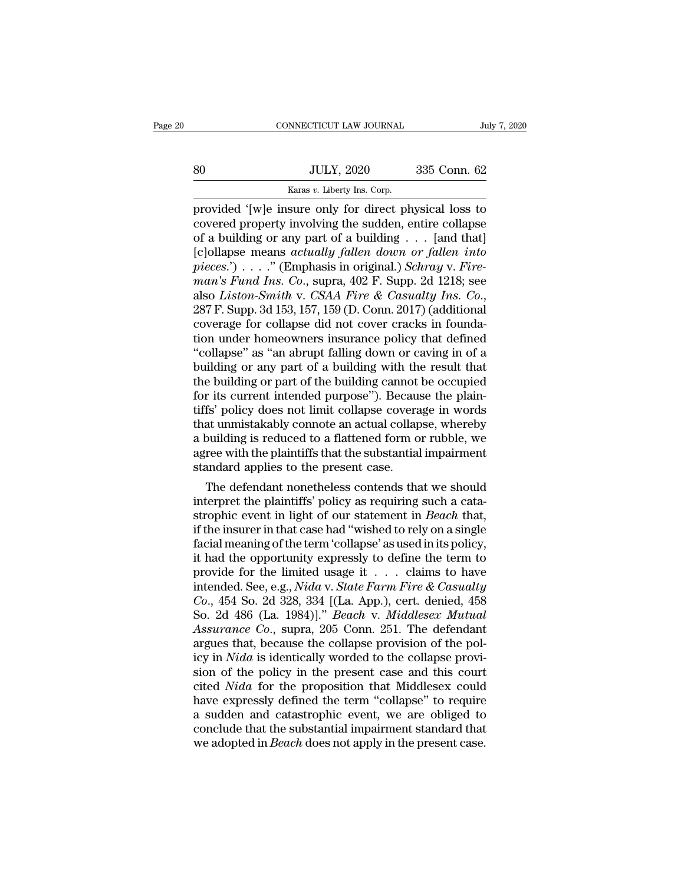CONNECTICUT LAW JOURNAL<br>
SO JULY, 2020 335 Conn. 62<br>
Karas *v*. Liberty Ins. Corp.<br>
Trovided '[w]e insure only for direct physical loss to FREE CONNECTICUT LAW JOURNAL July 7, 2020<br>
BO JULY, 2020 335 Conn. 62<br>
Karas v. Liberty Ins. Corp.<br>
provided '[w]e insure only for direct physical loss to covered property involving the sudden, entire collapse SO JULY, 2020 335 Conn. 62<br>
Karas v. Liberty Ins. Corp.<br>
provided '[w]e insure only for direct physical loss to<br>
covered property involving the sudden, entire collapse<br>
of a building or any part of a building . . . [and th  $\begin{array}{lll} \text{335 Conn. } 62 \ \hline \text{566} & \text{JULY, 2020} & \text{335 Conn. } 62 \ \hline \text{167} & \text{168} & \text{168} & \text{168} \ \hline \text{17} & \text{188} & \text{188} & \text{188} & \text{188} \ \hline \text{18} & \text{188} & \text{188} & \text{188} & \text{188} \ \hline \text{18} & \text{188} & \text{188} & \text{188} & \text{188} \$ SO JULY, 2020 335 Conn. 62<br>
Karas *v*. Liberty Ins. Corp.<br>
provided '[w]e insure only for direct physical loss to<br>
covered property involving the sudden, entire collapse<br>
of a building or any part of a building . . . [and *Faras v. Liberty Ins. Corp.*<br> *provided '[w]e insure only for direct physical loss to*<br> *covered property involving the sudden, entire collapse*<br> *pieces*.') . . . . *"* (Emphasis in original.) *Schray* v. *Fire-*<br> *piece Karas v. Liberty Ins. Corp.*<br> *provided '*[w]e insure only for direct physical loss to<br>
covered property involving the sudden, entire collapse<br>
of a building or any part of a building . . . [and that]<br>
[c]ollapse means *a* provided '[w]e insure only for direct physical loss to<br>covered property involving the sudden, entire collapse<br>of a building or any part of a building . . . [and that]<br>[c]ollapse means *actually fallen down or fallen into*<br> of a building or any part of a building . . . [and that] [c]ollapse means *actually fallen down or fallen into pieces.*') . . . ." (Emphasis in original.) Schray v. Fire-<br>man's Fund Ins. Co., supra, 402 F. Supp. 2d 1218 [c]ollapse means *actually fallen down or fallen into*<br>pieces.') . . . . " (Emphasis in original.) *Schray v. Fire-<br>man's Fund Ins. Co.*, supra,  $402$  F. Supp. 2d 1218; see<br>also *Liston-Smith v. CSAA Fire & Casualty Ins.* pieces.') . . . ." (Emphasis in original.) Schray v. Fire-<br>man's Fund Ins. Co., supra, 402 F. Supp. 2d 1218; see<br>also *Liston-Smith* v. CSAA Fire & Casualty Ins. Co.,<br>287 F. Supp. 3d 153, 157, 159 (D. Conn. 2017) (additio man's Fund Ins. Co., supra,  $402$  F. Supp. 2d 1218; see<br>also *Liston-Smith v. CSAA Fire & Casualty Ins. Co.*,<br>287 F. Supp. 3d 153, 157, 159 (D. Conn. 2017) (additional<br>coverage for collapse did not cover cracks in foundaalso *Liston-Smith* v. *CSAA Fire & Casualty Ins. Co.*,<br>287 F. Supp. 3d 153, 157, 159 (D. Conn. 2017) (additional<br>coverage for collapse did not cover cracks in founda-<br>tion under homeowners insurance policy that defined<br>"c 287 F. Supp. 3d 153, 157, 159 (D. Conn. 2017) (additional coverage for collapse did not cover cracks in foundation under homeowners insurance policy that defined "collapse" as "an abrupt falling down or caving in of a buil coverage for collapse did not cover cracks in foundation under homeowners insurance policy that defined "collapse" as "an abrupt falling down or caving in of a building or any part of a building with the result that the bu tion under homeowners insurance policy that defined<br>"collapse" as "an abrupt falling down or caving in of a<br>building or any part of a building with the result that<br>the building or part of the building cannot be occupied<br>fo "collapse" as "an abrupt falling down or caving in of a<br>building or any part of a building with the result that<br>the building or part of the building cannot be occupied<br>for its current intended purpose"). Because the plainbuilding or any part of a building with the result that<br>the building or part of the building cannot be occupied<br>for its current intended purpose"). Because the plain-<br>tiffs' policy does not limit collapse coverage in words the building or part of the building cannot<br>for its current intended purpose"). Becaus<br>tiffs' policy does not limit collapse covera<br>that unmistakably connote an actual collap<br>a building is reduced to a flattened form o<br>agr r its current intended purpose"). Because the plain-<br>fs' policy does not limit collapse coverage in words<br>at unmistakably connote an actual collapse, whereby<br>ouilding is reduced to a flattened form or rubble, we<br>ree with t tillis' policy does not limit collapse coverage in words<br>that unmistakably connote an actual collapse, whereby<br>a building is reduced to a flattened form or rubble, we<br>agree with the plaintiffs that the substantial impairme

that unmistakably connote an actual collapse, whereby<br>a building is reduced to a flattened form or rubble, we<br>agree with the plaintiffs that the substantial impairment<br>standard applies to the present case.<br>The defendant no a building is reduced to a flattened form or rubble, we<br>agree with the plaintiffs that the substantial impairment<br>standard applies to the present case.<br>The defendant nonetheless contends that we should<br>interpret the plaint agree with the plaintiffs that the substantial impairment<br>standard applies to the present case.<br>The defendant nonetheless contends that we should<br>interpret the plaintiffs' policy as requiring such a cata-<br>strophic event in standard applies to the present case.<br>
The defendant nonetheless contends that we should<br>
interpret the plaintiffs' policy as requiring such a cata-<br>
strophic event in light of our statement in *Beach* that,<br>
if the insur The defendant nonetheless contends that we should<br>interpret the plaintiffs' policy as requiring such a cata-<br>strophic event in light of our statement in *Beach* that,<br>if the insurer in that case had "wished to rely on a s interpret the plaintiffs' policy as requiring such a cata-<br>strophic event in light of our statement in *Beach* that,<br>if the insurer in that case had "wished to rely on a single<br>facial meaning of the term 'collapse' as used *Strophic event in light of our statement in <i>Beach that,*<br>*if the insurer in that case had "wished to rely on a single*<br>*facial meaning of the term 'collapse' as used in its policy,*<br>*it had the opportunity expressly to d* if the insurer in that case had "wished to rely on a single<br>facial meaning of the term 'collapse' as used in its policy,<br>it had the opportunity expressly to define the term to<br>provide for the limited usage it . . . claims *Assurance Co.*, superally expressly to define the term to<br>provide for the limited usage it . . . claims to have<br>intended. See, e.g., *Nida* v. *State Farm Fire & Casualty*<br>*Co.*, 454 So. 2d 328, 334 [(La. App.), cert. den it had the opportunity expressly to define the term to<br>provide for the limited usage it . . . claims to have<br>intended See, e.g., *Nida* v. *State Farm Fire & Casualty*<br>*Co.*, 454 So. 2d 328, 334 [(La. App.), cert. denied, provide for the limited usage it . . . . claims to have<br>intended. See, e.g., *Nida* v. *State Farm Fire & Casualty*<br>*Co.*, 454 So. 2d 328, 334 [(La. App.), cert. denied, 458<br>So. 2d 486 (La. 1984)]." *Beach* v. *Middlesex M* intended. See, e.g., *Nida v. State Farm Fire & Casualty*<br>Co., 454 So. 2d 328, 334 [(La. App.), cert. denied, 458<br>So. 2d 486 (La. 1984)]." *Beach v. Middlesex Mutual*<br>Assurance Co., supra, 205 Conn. 251. The defendant<br>argu Co., 454 So. 2d 328, 334 [(La. App.), cert. denied, 458<br>So. 2d 486 (La. 1984)]." *Beach v. Middlesex Mutual*<br>Assurance Co., supra, 205 Conn. 251. The defendant<br>argues that, because the collapse provision of the pol-<br>icy in So. 2d 486 (La. 1984)]." *Beach v. Middlesex Mutual*<br>Assurance Co., supra, 205 Conn. 251. The defendant<br>argues that, because the collapse provision of the pol-<br>icy in *Nida* is identically worded to the collapse provi-<br>sio Assurance Co., supra, 205 Conn. 251. The defendant<br>argues that, because the collapse provision of the pol-<br>icy in *Nida* is identically worded to the collapse provi-<br>sion of the policy in the present case and this court<br>ci argues that, because the collapse provision of the policy in *Nida* is identically worded to the collapse provision of the policy in the present case and this court cited *Nida* for the proposition that Middlesex could hav icy in *Nida* is identically worded to the collapse provision of the policy in the present case and this court<br>cited *Nida* for the proposition that Middlesex could<br>have expressly defined the term "collapse" to require<br>a s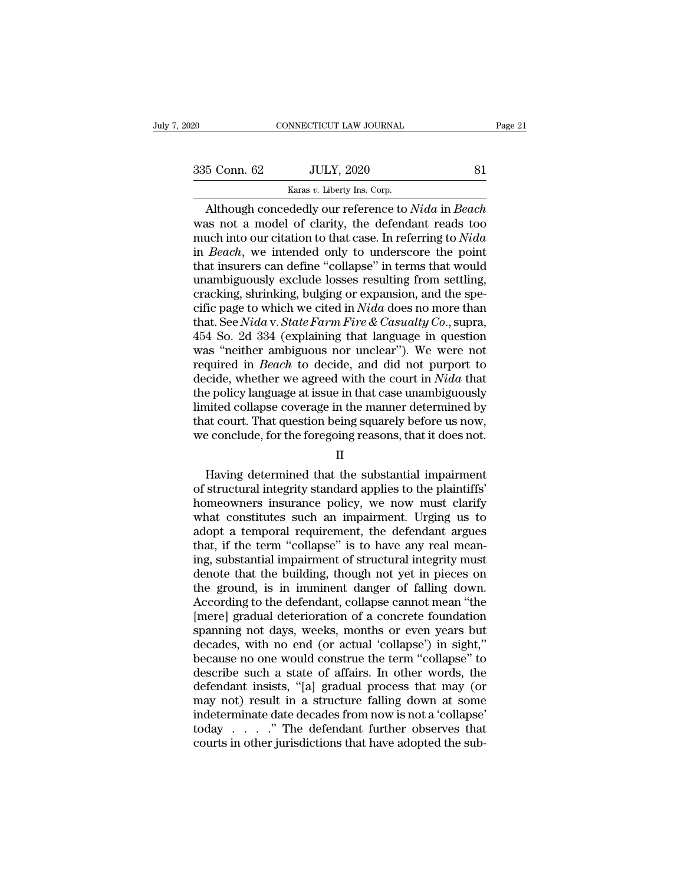NNECTICUT LAW JOURNAL<br>JULY, 2020<br>Karas *v*. Liberty Ins. Corp.<br>dedly our reference to a CONNECTICUT LAW JOURNAL Page 21<br>
5 Conn. 62 JULY, 2020 81<br>
Karas v. Liberty Ins. Corp.<br>
Although concededly our reference to *Nida* in *Beach*<br>
as not a model of clarity, the defendant reads too<br>
uch into our citation to t  $335$  Conn. 62 JULY, 2020 81<br>
Karas v. Liberty Ins. Corp.<br>
Although concededly our reference to *Nida* in *Beach*<br>
was not a model of clarity, the defendant reads too<br>
much into our citation to that case. In referring to 335 Conn. 62 JULY, 2020 81<br>
Xaras v. Liberty Ins. Corp.<br>
Although concededly our reference to *Nida* in *Beach*<br>
was not a model of clarity, the defendant reads too<br>
much into our citation to that case. In referring to *Ni* 335 Conn. 62 JULY, 2020<br>
<sup>Karas v. Liberty Ins. Corp.<br> **Although concededly our reference to** *Nida* **in** *Beach***<br>
was not a model of clarity, the defendant reads too<br>
much into our citation to that case. In referring to** *Nid</sup>* Example of the U.S. Corp.<br>
Karas v. Liberty Ins. Corp.<br>
Mithough concededly our reference to *Nida* in *Beach*<br>
was not a model of clarity, the defendant reads too<br>
much into our citation to that case. In referring to *Ni* Example 18 Example 18 Example 19 Example 2017<br>
Karas *v*. Liberty Ins. Corp.<br>
2017<br>
was not a model of clarity, the defendant reads too<br>
much into our citation to that case. In referring to *Nida*<br>
in *Beach*, we intended Although concededly our reference to *Nida* in *Beach* was not a model of clarity, the defendant reads too much into our citation to that case. In referring to *Nida* in *Beach*, we intended only to underscore the point t was not a model of clarity, the defendant reads too<br>much into our citation to that case. In referring to *Nida*<br>in *Beach*, we intended only to underscore the point<br>that insurers can define "collapse" in terms that would<br>u much into our citation to that case. In referring to *Nida*<br>in *Beach*, we intended only to underscore the point<br>that insurers can define "collapse" in terms that would<br>unambiguously exclude losses resulting from settling, in *Beach*, we intended only to underscore the point<br>that insurers can define "collapse" in terms that would<br>unambiguously exclude losses resulting from settling,<br>cracking, shrinking, bulging or expansion, and the spe-<br>ci that insurers can define "collapse" in terms that would<br>unambiguously exclude losses resulting from settling,<br>cracking, shrinking, bulging or expansion, and the spe-<br>cific page to which we cited in *Nida* does no more tha unambiguously exclude losses resulting from settling,<br>cracking, shrinking, bulging or expansion, and the spe-<br>cific page to which we cited in *Nida* does no more than<br>that. See *Nida* v. *State Farm Fire & Casualty Co.*, s cracking, shrinking, bulging or expansion, and the specific page to which we cited in *Nida* does no more than that. See *Nida* v. *State Farm Fire & Casualty Co.*, supra, 454 So. 2d 334 (explaining that language in questi cific page to which we cited in *Nida* does no more than<br>that. See *Nida* v. *State Farm Fire & Casualty Co.*, supra,<br>454 So. 2d 334 (explaining that language in question<br>was "neither ambiguous nor unclear"). We were not<br>r that. See *Nida* v. *State Farm Fire & Casualty Co.*, supra, 454 So. 2d 334 (explaining that language in question was "neither ambiguous nor unclear"). We were not required in *Beach* to decide, and did not purport to dec 454 So. 2d 334 (explaining that language in question was "neither ambiguous nor unclear"). We were not required in *Beach* to decide, and did not purport to decide, whether we agreed with the court in *Nida* that the polic was "neither ambiguous nor unclear"). We were not<br>required in *Beach* to decide, and did not purport to<br>decide, whether we agreed with the court in *Nida* that<br>the policy language at issue in that case unambiguously<br>limit Exact, whence we agreed what the court in twite that<br>e policy language at issue in that case unambiguously<br>nited collapse coverage in the manner determined by<br>at court. That question being squarely before us now,<br>e conclud

# II

Imited collapse coverage in the manner determined by<br>that court. That question being squarely before us now,<br>we conclude, for the foregoing reasons, that it does not.<br>II<br>Having determined that the substantial impairment<br>of that court. That question being squarely before us now,<br>we conclude, for the foregoing reasons, that it does not.<br> $II$ <br>Having determined that the substantial impairment<br>of structural integrity standard applies to the plain we conclude, for the foregoing reasons, that it does not.<br>
II<br>
Having determined that the substantial impairment<br>
of structural integrity standard applies to the plaintiffs'<br>
homeowners insurance policy, we now must clarif II<br>
Having determined that the substantial impairment<br>
of structural integrity standard applies to the plaintiffs'<br>
homeowners insurance policy, we now must clarify<br>
what constitutes such an impairment. Urging us to<br>
adopt II<br>
Having determined that the substantial impairment<br>
of structural integrity standard applies to the plaintiffs'<br>
homeowners insurance policy, we now must clarify<br>
what constitutes such an impairment. Urging us to<br>
adopt Having determined that the substantial impairment<br>of structural integrity standard applies to the plaintiffs'<br>homeowners insurance policy, we now must clarify<br>what constitutes such an impairment. Urging us to<br>adopt a tempo of structural integrity standard applies to the plaintiffs'<br>homeowners insurance policy, we now must clarify<br>what constitutes such an impairment. Urging us to<br>adopt a temporal requirement, the defendant argues<br>that, if the homeowners insurance policy, we now must clarify<br>what constitutes such an impairment. Urging us to<br>adopt a temporal requirement, the defendant argues<br>that, if the term "collapse" is to have any real mean-<br>ing, substantial what constitutes such an impairment. Urging us to<br>adopt a temporal requirement, the defendant argues<br>that, if the term "collapse" is to have any real mean-<br>ing, substantial impairment of structural integrity must<br>denote th adopt a temporal requirement, the defendant argues<br>that, if the term "collapse" is to have any real mean-<br>ing, substantial impairment of structural integrity must<br>denote that the building, though not yet in pieces on<br>the g that, if the term "collapse" is to have any real meaning, substantial impairment of structural integrity must<br>denote that the building, though not yet in pieces on<br>the ground, is in imminent danger of falling down.<br>Accordi ing, substantial impairment of structural integrity must<br>denote that the building, though not yet in pieces on<br>the ground, is in imminent danger of falling down.<br>According to the defendant, collapse cannot mean "the<br>[mere] denote that the building, though not yet in pieces on<br>the ground, is in imminent danger of falling down.<br>According to the defendant, collapse cannot mean "the<br>[mere] gradual deterioration of a concrete foundation<br>spanning the ground, is in imminent danger of falling down.<br>According to the defendant, collapse cannot mean "the<br>[mere] gradual deterioration of a concrete foundation<br>spanning not days, weeks, months or even years but<br>decades, wit According to the defendant, collapse cannot mean "the [mere] gradual deterioration of a concrete foundation<br>spanning not days, weeks, months or even years but<br>decades, with no end (or actual 'collapse') in sight,"<br>because [mere] gradual deterioration of a concrete foundation<br>spanning not days, weeks, months or even years but<br>decades, with no end (or actual 'collapse') in sight,"<br>because no one would construe the term "collapse" to<br>describe spanning not days, weeks, months or even years but<br>decades, with no end (or actual 'collapse') in sight,"<br>because no one would construe the term "collapse" to<br>describe such a state of affairs. In other words, the<br>defendant decades, with no end (or actual 'collapse') in sight,"<br>because no one would construe the term "collapse" to<br>describe such a state of affairs. In other words, the<br>defendant insists, "[a] gradual process that may (or<br>may not because no one would construe the term "collapse" to describe such a state of affairs. In other words, the defendant insists, "[a] gradual process that may (or may not) result in a structure falling down at some indetermi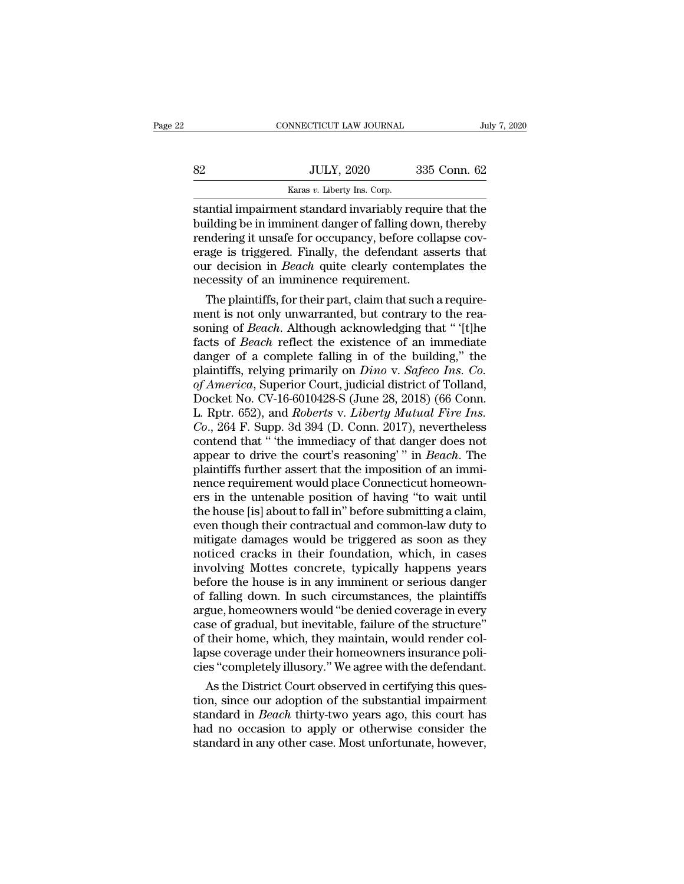|    | CONNECTICUT LAW JOURNAL                                                                                                                                                      | July 7, 2020 |
|----|------------------------------------------------------------------------------------------------------------------------------------------------------------------------------|--------------|
| 82 | <b>JULY, 2020</b>                                                                                                                                                            | 335 Conn. 62 |
|    | Karas v. Liberty Ins. Corp.                                                                                                                                                  |              |
|    | stantial impairment standard invariably require that the<br>building be in imminent danger of falling down, thereby<br>rendering it unsafe for occupancy before collanse coy |              |

Building be in imminent danger of falling down, thereby<br>
building be in imminent danger of falling down, thereby<br>
building be in imminent danger of falling down, thereby<br>
building it unsafe for occupancy, before collapse c  $\begin{tabular}{ll} \bf 82 & \tt JULY, 2020 & \tt 335 Conn. 62 \\ & \tt Karas $v$. \tt Liberty Ins. Corp. \\ \bf{standard} \; invariant standard \; invariant danger of falling down, thereby rendering it unsafe for occupancy, before collapse coverage is triggered. Finally, the defendant asserts that our decision in *Reach* quite clearly contents the\n$ Serage is triggered. Finally, the defendant asserts the material impairment standard invariably require that the building be in imminent danger of falling down, thereby rendering it unsafe for occupancy, before collapse c **Example 1980.** Example 1980. Example 1980. Example 1980. Example 1980. Example 1980. Example 1981. The building be in imminent danger of falling down, thereby rendering it unsafe for occupancy, before collapse coverage is  $\frac{Karas v.$  Liberty Ins. Corp.<br>
stantial impairment standard invariably require<br>
building be in imminent danger of falling down<br>
rendering it unsafe for occupancy, before coll.<br>
erage is triggered. Finally, the defendant as intial impairment standard invariably require that the<br>ilding be in imminent danger of falling down, thereby<br>indering it unsafe for occupancy, before collapse cov-<br>age is triggered. Finally, the defendant asserts that<br>ir d building be in imminent danger of falling down, thereby<br>rendering it unsafe for occupancy, before collapse cov-<br>erage is triggered. Finally, the defendant asserts that<br>our decision in *Beach* quite clearly contemplates the

rendering it unsate for occupancy, before collapse coverage is triggered. Finally, the defendant asserts that<br>our decision in *Beach* quite clearly contemplates the<br>necessity of an imminence requirement.<br>The plaintiffs, fo erage is triggered. Finally, the defendant asserts that<br>our decision in *Beach* quite clearly contemplates the<br>necessity of an imminence requirement.<br>The plaintiffs, for their part, claim that such a require-<br>ment is not o our decision in *Beach* quite clearly contemplates the<br>necessity of an imminence requirement.<br>The plaintiffs, for their part, claim that such a require-<br>ment is not only unwarranted, but contrary to the rea-<br>soning of *Bea* necessity of an imminence requirement.<br>The plaintiffs, for their part, claim that such a require-<br>ment is not only unwarranted, but contrary to the rea-<br>soning of *Beach*. Although acknowledging that " [t]he<br>facts of *Beac* The plaintiffs, for their part, claim that such a requirement is not only unwarranted, but contrary to the reasoning of *Beach*. Although acknowledging that " [t]he facts of *Beach* reflect the existence of an immediate da ment is not only unwarranted, but contrary to the reasoning of *Beach*. Although acknowledging that " '[t]he facts of *Beach* reflect the existence of an immediate danger of a complete falling in of the building," the plai soning of *Beach*. Although acknowledging that " '[t]he<br>facts of *Beach* reflect the existence of an immediate<br>danger of a complete falling in of the building," the<br>plaintiffs, relying primarily on *Dino* v. *Safeco Ins.* facts of *Beach* reflect the existence of an immediate danger of a complete falling in of the building," the plaintiffs, relying primarily on *Dino* v. *Safeco Ins. Co.* of *America*, Superior Court, judicial district of T danger of a complete falling in of the building," the plaintiffs, relying primarily on *Dino* v. *Safeco Ins. Co.* of *America*, Superior Court, judicial district of Tolland, Docket No. CV-16-6010428-S (June 28, 2018) (66 plaintiffs, relying primarily on *Dino* v. Safeco Ins. Co.<br>of America, Superior Court, judicial district of Tolland,<br>Docket No. CV-16-6010428-S (June 28, 2018) (66 Conn.<br>L. Rptr. 652), and *Roberts* v. *Liberty Mutual Fire* of America, Superior Court, judicial district of Tolland,<br>Docket No. CV-16-6010428-S (June 28, 2018) (66 Conn.<br>L. Rptr. 652), and *Roberts v. Liberty Mutual Fire Ins.*<br>Co., 264 F. Supp. 3d 394 (D. Conn. 2017), nevertheless Docket No. CV-16-6010428-S (June 28, 2018) (66 Conn.<br>L. Rptr. 652), and *Roberts v. Liberty Mutual Fire Ins.*<br>Co., 264 F. Supp. 3d 394 (D. Conn. 2017), nevertheless<br>contend that " 'the immediacy of that danger does not<br>app L. Rptr. 652), and *Roberts* v. *Liberty Mutual Fire Ins.*<br>Co., 264 F. Supp. 3d 394 (D. Conn. 2017), nevertheless<br>contend that " the immediacy of that danger does not<br>appear to drive the court's reasoning' " in *Beach*. Th  $Co.,$  264 F. Supp. 3d 394 (D. Conn. 2017), nevertheless<br>contend that " 'the immediacy of that danger does not<br>appear to drive the court's reasoning' " in *Beach*. The<br>plaintiffs further assert that the imposition of an imm contend that "the immediacy of that danger does not<br>appear to drive the court's reasoning'" in *Beach*. The<br>plaintiffs further assert that the imposition of an immi-<br>nence requirement would place Connecticut homeown-<br>ers i appear to drive the court's reasoning'" in *Beach*. The<br>plaintiffs further assert that the imposition of an immi-<br>nence requirement would place Connecticut homeown-<br>ers in the untenable position of having "to wait until<br>th plaintiffs further assert that the imposition of an imminence requirement would place Connecticut homeowners in the untenable position of having "to wait until the house [is] about to fall in" before submitting a claim, ev in the untenable position of having "to wait until<br>the house [is] about to fall in" before submitting a claim,<br>even though their contractual and common-law duty to<br>mitigate damages would be triggered as soon as they<br>notice ers in the untenable position of having "to wait until<br>the house [is] about to fall in" before submitting a claim,<br>even though their contractual and common-law duty to<br>mitigate damages would be triggered as soon as they<br>no the house [is] about to fall in" before submitting a claim,<br>even though their contractual and common-law duty to<br>mitigate damages would be triggered as soon as they<br>noticed cracks in their foundation, which, in cases<br>invol even though their contractual and common-law duty to<br>mitigate damages would be triggered as soon as they<br>noticed cracks in their foundation, which, in cases<br>involving Mottes concrete, typically happens years<br>before the hou mitigate damages would be triggered as soon as they<br>noticed cracks in their foundation, which, in cases<br>involving Mottes concrete, typically happens years<br>before the house is in any imminent or serious danger<br>of falling do noticed cracks in their foundation, which, in cases<br>involving Mottes concrete, typically happens years<br>before the house is in any imminent or serious danger<br>of falling down. In such circumstances, the plaintiffs<br>argue, hom involving Mottes concrete, typically happens years<br>before the house is in any imminent or serious danger<br>of falling down. In such circumstances, the plaintiffs<br>argue, homeowners would "be denied coverage in every<br>case of g before the house is in any imminent or serious danger<br>of falling down. In such circumstances, the plaintiffs<br>argue, homeowners would "be denied coverage in every<br>case of gradual, but inevitable, failure of the structure"<br>o falling down. In such circumstances, the plaintiffs<br>gue, homeowners would "be denied coverage in every<br>se of gradual, but inevitable, failure of the structure"<br>their home, which, they maintain, would render col-<br>pose cover argue, homeowners would "be denied coverage in every<br>case of gradual, but inevitable, failure of the structure"<br>of their home, which, they maintain, would render col-<br>lapse coverage under their homeowners insurance poli-<br>c

case of gradual, but inevitable, failure of the structure"<br>of their home, which, they maintain, would render col-<br>lapse coverage under their homeowners insurance poli-<br>cies "completely illusory." We agree with the defendan of their home, which, they maintain, would render collapse coverage under their homeowners insurance policies "completely illusory." We agree with the defendant.<br>As the District Court observed in certifying this question, lapse coverage under their homeowners insurance policies "completely illusory." We agree with the defendant.<br>As the District Court observed in certifying this question, since our adoption of the substantial impairment<br>stan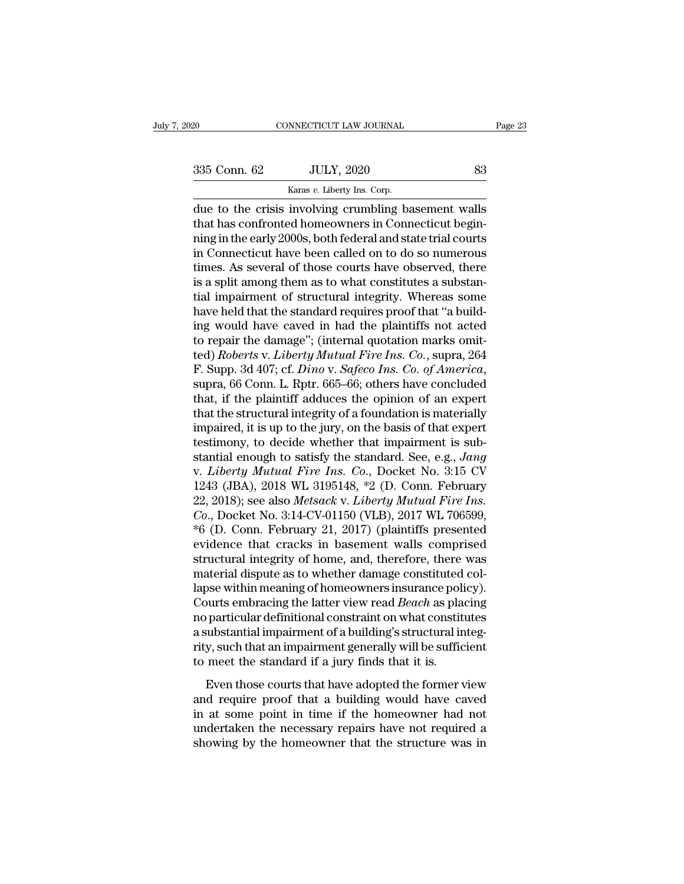CONNECTICUT LAW JOURNAL<br>
2020 633<br>
235 Conn. 62 JULY, 2020 633<br>
<sup>Karas *v*. Liberty Ins. Corp.<br>
due to the crisis involving crumbling basement walls</sup> connectricut LAW JOURNAL Page 23<br>
335 Conn. 62 JULY, 2020 83<br>
Karas v. Liberty Ins. Corp.<br>
due to the crisis involving crumbling basement walls<br>
that has confronted homeowners in Connecticut begin-335 Conn. 62 JULY, 2020 83<br>
Karas v. Liberty Ins. Corp.<br>
due to the crisis involving crumbling basement walls<br>
that has confronted homeowners in Connecticut begin-<br>
ning in the early 2000s, both federal and state trial cou 335 Conn. 62 JULY, 2020 83<br>
Karas v. Liberty Ins. Corp.<br>
due to the crisis involving crumbling basement walls<br>
that has confronted homeowners in Connecticut begin-<br>
ning in the early 2000s, both federal and state trial co  $\frac{335 \text{ Conn. } 62}{\text{Karas } v. } \frac{JULY, 2020}{\text{Ins. } \text{Corp.}}$ <br>
due to the crisis involving crumbling basement walls<br>
that has confronted homeowners in Connecticut begin-<br>
ning in the early 2000s, both federal and state trial cour Example 2011, 2011, 2011, 2011, 2011, 2011, 2011, 2011, 2011, 2011, 2011, 2011, 2011, 2011, 2010, 2010, 2011, 2011, 2011, 2011, 2011, 2011, 2011, 2011, 2011, 2011, 2011, 2011, 2011, 2011, 2011, 2011, 2011, 2011, 2011, 201 karas *v*. Liberty ins. Corp.<br>
due to the crisis involving crumbling basement walls<br>
that has confronted homeowners in Connecticut begin-<br>
ning in the early 2000s, both federal and state trial courts<br>
in Connecticut have b due to the crisis involving crumbling basement walls<br>that has confronted homeowners in Connecticut begin-<br>ning in the early 2000s, both federal and state trial courts<br>in Connecticut have been called on to do so numerous<br>ti that has confronted homeowners in Connecticut begin-<br>ning in the early 2000s, both federal and state trial courts<br>in Connecticut have been called on to do so numerous<br>times. As several of those courts have observed, there<br> ning in the early 2000s, both federal and state trial courts<br>in Connecticut have been called on to do so numerous<br>times. As several of those courts have observed, there<br>is a split among them as to what constitutes a substa in Connecticut have been called on to do so numerous<br>times. As several of those courts have observed, there<br>is a split among them as to what constitutes a substan-<br>tial impairment of structural integrity. Whereas some<br>hav times. As several of those courts have observed, there is a split among them as to what constitutes a substantial impairment of structural integrity. Whereas some have held that the standard requires proof that "a building is a split among them as to what constitutes a substantial impairment of structural integrity. Whereas some have held that the standard requires proof that "a building would have caved in had the plaintiffs not acted to re have held that the standard requires proof that "a building would have caved in had the plaintiffs not acted<br>to repair the damage"; (internal quotation marks omit-<br>ted) *Roberts* v. *Liberty Mutual Fire Ins. Co.*, supra, 2 ing would have caved in had the plaintiffs not acted<br>to repair the damage"; (internal quotation marks omit-<br>ted) *Roberts v. Liberty Mutual Fire Ins. Co.*, supra, 264<br>F. Supp. 3d 407; cf. *Dino v. Safeco Ins. Co. of Americ* to repair the damage"; (internal quotation marks omit-<br>ted) *Roberts v. Liberty Mutual Fire Ins. Co.*, supra, 264<br>F. Supp. 3d 407; cf. *Dino v. Safeco Ins. Co. of America*,<br>supra, 66 Conn. L. Rptr. 665–66; others have conc ted) Roberts v. Liberty Mutual Fire Ins. Co., supra, 264<br>F. Supp. 3d 407; cf. Dino v. Safeco Ins. Co. of America,<br>supra, 66 Conn. L. Rptr. 665–66; others have concluded<br>that, if the plaintiff adduces the opinion of an exp F. Supp. 3d 407; cf. *Dino* v. *Safeco Ins. Co. of America*,<br>supra, 66 Conn. L. Rptr. 665–66; others have concluded<br>that, if the plaintiff adduces the opinion of an expert<br>that the structural integrity of a foundation is m supra, 66 Conn. L. Rptr. 665–66; others have concluded<br>that, if the plaintiff adduces the opinion of an expert<br>that the structural integrity of a foundation is materially<br>impaired, it is up to the jury, on the basis of tha that, if the plaintiff adduces the opinion of an expert<br>that the structural integrity of a foundation is materially<br>impaired, it is up to the jury, on the basis of that expert<br>testimony, to decide whether that impairment that the structural integrity of a foundation is materially<br>impaired, it is up to the jury, on the basis of that expert<br>testimony, to decide whether that impairment is sub-<br>stantial enough to satisfy the standard. See, e.g impaired, it is up to the jury, on the basis of that expert<br>testimony, to decide whether that impairment is sub-<br>stantial enough to satisfy the standard. See, e.g., *Jang*<br>v. *Liberty Mutual Fire Ins. Co.*, Docket No. 3:15 testimony, to decide whether that impairment is substantial enough to satisfy the standard. See, e.g., *Jang* v. *Liberty Mutual Fire Ins. Co.*, Docket No. 3:15 CV 1243 (JBA), 2018 WL 3195148, \*2 (D. Conn. February 22, 201 stantial enough to satisfy the standard. See, e.g., *Jang*<br>v. *Liberty Mutual Fire Ins. Co.*, Docket No. 3:15 CV<br>1243 (JBA), 2018 WL 3195148, \*2 (D. Conn. February<br>22, 2018); see also *Metsack* v. *Liberty Mutual Fire Ins.* v. *Liberty Mutual Fire Ins. Co.*, Docket No. 3:15 CV<br>1243 (JBA), 2018 WL 3195148, \*2 (D. Conn. February<br>22, 2018); see also *Metsack v. Liberty Mutual Fire Ins.*<br>*Co.*, Docket No. 3:14-CV-01150 (VLB), 2017 WL 706599,<br>\*6 ( 1243 (JBA), 2018 WL 3195148,  $*2$  (D. Conn. February 22, 2018); see also *Metsack* v. *Liberty Mutual Fire Ins.* Co., Docket No. 3:14-CV-01150 (VLB), 2017 WL 706599,  $*6$  (D. Conn. February 21, 2017) (plaintiffs presented 22, 2018); see also *Metsack* v. *Liberty Mutual Fire Ins.*<br>Co., Docket No. 3:14-CV-01150 (VLB), 2017 WL 706599,<br>\*6 (D. Conn. February 21, 2017) (plaintiffs presented<br>evidence that cracks in basement walls comprised<br>struc Co., Docket No. 3:14-CV-01150 (VLB), 2017 WL 706599,<br>\*6 (D. Conn. February 21, 2017) (plaintiffs presented<br>evidence that cracks in basement walls comprised<br>structural integrity of home, and, therefore, there was<br>material d \*6 (D. Conn. February 21, 2017) (plaintiffs presented<br>evidence that cracks in basement walls comprised<br>structural integrity of home, and, therefore, there was<br>material dispute as to whether damage constituted col-<br>lapse w evidence that cracks in basement walls comprised<br>structural integrity of home, and, therefore, there was<br>material dispute as to whether damage constituted col-<br>lapse within meaning of homeowners insurance policy).<br>Courts e structural integrity of home, and, therefore, there was<br>material dispute as to whether damage constituted col-<br>lapse within meaning of homeowners insurance policy).<br>Courts embracing the latter view read *Beach* as placing<br> material dispute as to whether damage constituted<br>lapse within meaning of homeowners insurance poli<br>Courts embracing the latter view read *Beach* as pla<br>no particular definitional constraint on what constit<br>a substantial i but the matrimoning of noncommers instantive policy).<br>
Surfs embracing the latter view read *Beach* as placing<br>
substantial impairment of a building's structural integ-<br>
y, such that an impairment generally will be suffici From particular definitional constraint on what constitutes<br>a substantial impairment of a building's structural integrity, such that an impairment generally will be sufficient<br>to meet the standard if a jury finds that it i

in paradial impairment of a building's structural integrity, such that an impairment generally will be sufficient<br>to meet the standard if a jury finds that it is.<br>Even those courts that have adopted the former view<br>and req necessaring the necessaring of a stating served and model in the set of the standard if a jury finds that it is.<br>Even those courts that have adopted the former view<br>and require proof that a building would have caved<br>in at showing by the homeowner that the standard if a jury finds that it is.<br>Even those courts that have adopted the former view<br>and require proof that a building would have caved<br>in at some point in time if the homeowner had no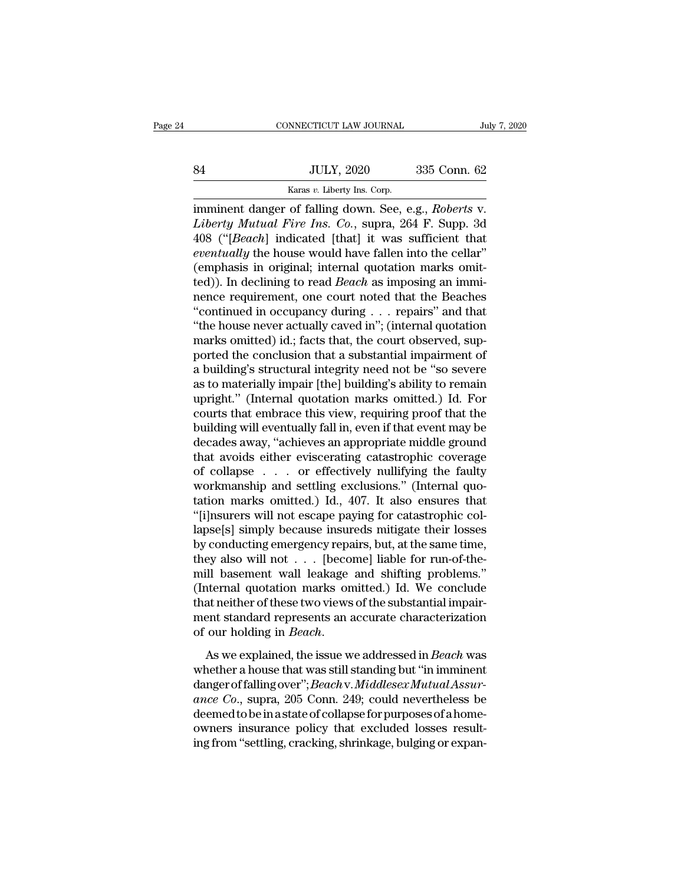# EXECUTE CONNECTICUT LAW JOURNAL July 7, 2020<br>
84 JULY, 2020 335 Conn. 62<br>
Karas v. Liberty Ins. Corp. CONNECTICUT LAW JOURNAL<br>
SA JULY, 2020 335 Conn. 62<br>
Karas *v*. Liberty Ins. Corp.<br>
imminent danger of falling down. See, e.g., *Roberts* v.

connecticut LAW JOURNAL July 7, 202<br>
335 Conn. 62<br>
<sup>Karas v.</sup> Liberty Ins. Corp.<br>
imminent danger of falling down. See, e.g., *Roberts* v.<br> *Liberty Mutual Fire Ins. Co.*, supra, 264 F. Supp. 3d<br>
408 ("Eegebl indicated [th *Liberty Mutual Fire Ins. Corp.*<br>*Liberty Mutual Fire Ins. Co.*, supra, 264 F. Supp. 3d 408 ("[*Beach*] indicated [that] it was sufficient that executed below would be seeded in the coller." 41 JULY, 2020 335 Conn. 62<br>
<sup>Karas v.</sup> Liberty Ins. Corp.<br>
imminent danger of falling down. See, e.g., *Roberts* v.<br> *Liberty Mutual Fire Ins. Co.*, supra, 264 F. Supp. 3d<br>
408 ("[*Beach*] indicated [that] it was sufficien *Eventually, 2020* 335 Conn. 62<br> *Exas v. Liberty Ins. Corp.*<br> *Exas v. Liberty Ins. Corp.*<br> *Eiberty Mutual Fire Ins. Co.*, supra, 264 F. Supp. 3d<br>
408 ("[*Beach*] indicated [that] it was sufficient that<br> *eventually* the Karas v. Liberty Ins. Corp.<br>
imminent danger of falling down. See, e.g., *Roberts v.*<br> *Liberty Mutual Fire Ins. Co.*, supra, 264 F. Supp. 3d<br>
408 ("[*Beach*] indicated [that] it was sufficient that<br> *eventually* the house Karas *v*. Liberty ins. Corp.<br>
imminent danger of falling down. See, e.g., *Roberts v.*<br> *Liberty Mutual Fire Ins. Co.*, supra, 264 F. Supp. 3d<br>
408 ("[*Beach*] indicated [that] it was sufficient that<br> *eventually* the hou imminent danger of falling down. See, e.g., *Roberts* v.<br> *Liberty Mutual Fire Ins. Co.*, supra, 264 F. Supp. 3d<br>
408 ("[*Beach*] indicated [that] it was sufficient that<br> *eventually* the house would have fallen into the Liberty Mutual Fire Ins. Co., supra, 264 F. Supp. 3d<br>408 ("[Beach] indicated [that] it was sufficient that<br>eventually the house would have fallen into the cellar"<br>(emphasis in original; internal quotation marks omit-<br>ted)) 408 ("[*Beach*] indicated [that] it was sufficient that *eventually* the house would have fallen into the cellar" (emphasis in original; internal quotation marks omitted)). In declining to read *Beach* as imposing an immi eventually the house would have fallen into the cellar"<br>(emphasis in original; internal quotation marks omit-<br>ted)). In declining to read *Beach* as imposing an immi-<br>nence requirement, one court noted that the Beaches<br>"co (emphasis in original; internal quotation marks omitted)). In declining to read *Beach* as imposing an imminence requirement, one court noted that the Beaches<br>"continued in occupancy during  $\ldots$  repairs" and that<br>"the ho ted)). In declining to read *Beach* as imposing an imminence requirement, one court noted that the Beaches<br>"continued in occupancy during . . . repairs" and that<br>"the house never actually caved in"; (internal quotation<br>mar nence requirement, one court noted that the Beaches<br>"continued in occupancy during . . . repairs" and that<br>"the house never actually caved in"; (internal quotation<br>marks omitted) id.; facts that, the court observed, sup-<br>p "continued in occupancy during . . . repairs" and that<br>"the house never actually caved in"; (internal quotation<br>marks omitted) id.; facts that, the court observed, sup-<br>ported the conclusion that a substantial impairment "the house never actually caved in"; (internal quotation<br>marks omitted) id.; facts that, the court observed, sup-<br>ported the conclusion that a substantial impairment of<br>a building's structural integrity need not be "so sev marks omitted) id.; facts that, the court observed, supported the conclusion that a substantial impairment of<br>a building's structural integrity need not be "so severe<br>as to materially impair [the] building's ability to rem ported the conclusion that a substantial impairment of<br>a building's structural integrity need not be "so severe<br>as to materially impair [the] building's ability to remain<br>upright." (Internal quotation marks omitted.) Id. F a building's structural integrity need not be "so severe<br>as to materially impair [the] building's ability to remain<br>upright." (Internal quotation marks omitted.) Id. For<br>courts that embrace this view, requiring proof that as to materially impair [the] building's ability to remain<br>upright." (Internal quotation marks omitted.) Id. For<br>courts that embrace this view, requiring proof that the<br>building will eventually fall in, even if that event upright." (Internal quotation marks omitted.) Id. For<br>courts that embrace this view, requiring proof that the<br>building will eventually fall in, even if that event may be<br>decades away, "achieves an appropriate middle ground courts that embrace this view, requiring proof that the<br>building will eventually fall in, even if that event may be<br>decades away, "achieves an appropriate middle ground<br>that avoids either eviscerating catastrophic coverage building will eventually fall in, even if that event may be decades away, "achieves an appropriate middle ground that avoids either eviscerating catastrophic coverage of collapse . . . . or effectively nullifying the fault decades away, "achieves an appropriate middle ground<br>that avoids either eviscerating catastrophic coverage<br>of collapse . . . or effectively nullifying the faulty<br>workmanship and settling exclusions." (Internal quo-<br>tation that avoids either eviscerating catastrophic coverage<br>of collapse . . . or effectively nullifying the faulty<br>workmanship and settling exclusions." (Internal quo-<br>tation marks omitted.) Id., 407. It also ensures that<br>"[i]ns of collapse . . . or effectively nullifying the faulty<br>workmanship and settling exclusions." (Internal quotation marks omitted.) Id., 407. It also ensures that<br>"[i]nsurers will not escape paying for catastrophic col-<br>laps workmanship and settling exclusions." (Internal quotation marks omitted.) Id., 407. It also ensures that "[i]nsurers will not escape paying for catastrophic collapse[s] simply because insureds mitigate their losses by cond tation marks omitted.) Id., 407. It also ensures that<br>"[i]nsurers will not escape paying for catastrophic col-<br>lapse[s] simply because insureds mitigate their losses<br>by conducting emergency repairs, but, at the same time,<br> "[i]nsurers will not escape paying for catastrophic collapse[s] simply because insureds mitigate their losses<br>by conducting emergency repairs, but, at the same time,<br>they also will not  $\ldots$  [become] liable for run-of-the lapse[s] simply because insureds mitigate their losses<br>by conducting emergency repairs, but, at the same time,<br>they also will not  $\ldots$  [become] liable for run-of-the-<br>mill basement wall leakage and shifting problems."<br>(I by conducting emergency repairs, but, at the same time,<br>they also will not . . . [become] liable for run-of-the-<br>mill basement wall leakage and shifting problems."<br>(Internal quotation marks omitted.) Id. We conclude<br>that n (Internal quotation marks omitted.) Id. We conclude<br>that neither of these two views of the substantial impair-<br>ment standard represents an accurate characterization<br>of our holding in *Beach*.<br>As we explained, the issue we

dangerof these two views of the substantial impairment standard represents an accurate characterization<br>of our holding in *Beach*.<br>As we explained, the issue we addressed in *Beach* was<br>whether a house that was still stand ment standard represents an accurate characterization<br>of our holding in *Beach*.<br>As we explained, the issue we addressed in *Beach* was<br>whether a house that was still standing but "in imminent<br>danger of falling over"; *Bea* deemed to be in Beach.<br>
As we explained, the issue we addressed in Beach was<br>
whether a house that was still standing but "in imminent<br>
danger of falling over"; Beach v. Middlesex Mutual Assur-<br>
ance Co., supra, 205 Conn. As we explained, the issue we addressed in *Beach* was whether a house that was still standing but "in imminent danger of falling over"; *Beach v. Middlesex Mutual Assurance Co.*, supra, 205 Conn. 249; could nevertheless b As we explained, the issue we addressed in *Beach* was<br>whether a house that was still standing but "in imminent<br>danger of falling over"; *Beach* v. *Middlesex Mutual Assur-<br>ance Co.*, supra, 205 Conn. 249; could neverthele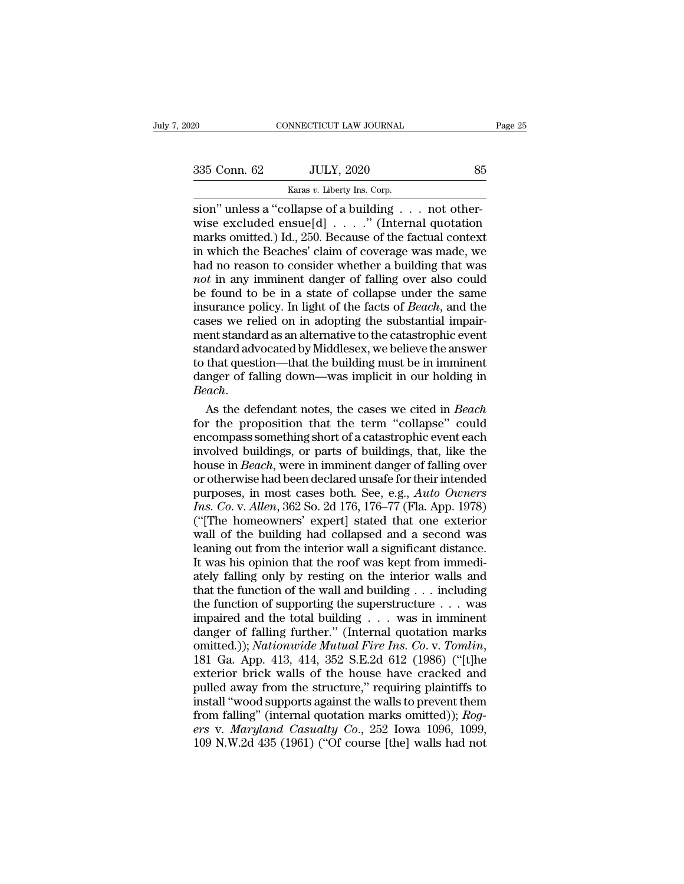CONNECTICUT LAW JOURNAL<br>
2020<br>
235 Conn. 62 JULY, 2020<br>
<sup>Karas *v*. Liberty Ins. Corp.<br>
500<sup>7</sup> unless a "collapse of a building . . . not other-</sup> Suly 7, 2020 CONNECTICUT LAW JOURNAL<br>
335 Conn. 62 JULY, 2020 85<br>
Karas v. Liberty Ins. Corp.<br>
sion'' unless a "collapse of a building . . . not otherwise excluded ensue[d] . . . . " (Internal quotation marks omitted.) Id. 335 Conn. 62 JULY, 2020 85<br>
Karas v. Liberty Ins. Corp.<br>
Sion'' unless a "collapse of a building . . . not otherwise excluded ensue[d] . . . ." (Internal quotation<br>
marks omitted.) Id., 250. Because of the factual context 335 Conn. 62 JULY, 2020 85<br>
Karas v. Liberty Ins. Corp.<br>
Sion" unless a "collapse of a building . . . not otherwise excluded ensue[d] . . . ." (Internal quotation<br>
marks omitted.) Id., 250. Because of the factual context<br> 335 Conn. 62 JULY, 2020 85<br>
Karas v. Liberty Ins. Corp.<br>
sion" unless a "collapse of a building . . . not otherwise excluded ensue[d] . . . ." (Internal quotation<br>
marks omitted.) Id., 250. Because of the factual context<br> **had no reason to consider whether a** building<br>wise excluded ensue[d] . . . . . not otherwise excluded ensue[d] . . . . . " (Internal quotation marks omitted.) Id., 250. Because of the factual context in which the Beaches *Karas v. Liberty Ins. Corp.*<br>
sion" unless a "collapse of a building  $\ldots$  not otherwise excluded ensue[d]  $\ldots$ ." (Internal quotation<br>
marks omitted.) Id., 250. Because of the factual context<br>
in which the Beaches' clai sion" unless a "collapse of a building  $\ldots$  not otherwise excluded ensue[d]  $\ldots$ ." (Internal quotation marks omitted.) Id., 250. Because of the factual context in which the Beaches' claim of coverage was made, we had no wise excluded ensue[d] . . . ." (Internal quotation<br>marks omitted.) Id., 250. Because of the factual context<br>in which the Beaches' claim of coverage was made, we<br>had no reason to consider whether a building that was<br>*not* marks omitted.) Id., 250. Because of the factual context<br>in which the Beaches' claim of coverage was made, we<br>had no reason to consider whether a building that was<br>*not* in any imminent danger of falling over also could<br>b in which the Beaches' claim of coverage was made, we had no reason to consider whether a building that was *not* in any imminent danger of falling over also could be found to be in a state of collapse under the same insur had no reason to consider whether a building that was<br>*not* in any imminent danger of falling over also could<br>be found to be in a state of collapse under the same<br>insurance policy. In light of the facts of *Beach*, and th not in any imminent danger of falling over also could<br>be found to be in a state of collapse under the same<br>insurance policy. In light of the facts of *Beach*, and the<br>cases we relied on in adopting the substantial impair-<br> be found to be in a state of collapse under the same<br>insurance policy. In light of the facts of *Beach*, and the<br>cases we relied on in adopting the substantial impair-<br>ment standard as an alternative to the catastrophic ev reases we relied on in adopting the substantial impair-<br>ment standard as an alternative to the catastrophic event<br>standard advocated by Middlesex, we believe the answer<br>to that question—that the building must be in imminen ment standard as an alternative to the catastrophic event<br>standard advocated by Middlesex, we believe the answer<br>to that question—that the building must be in imminent<br>danger of falling down—was implicit in our holding in<br>

standard advocated by Middlesex, we believe the answer<br>to that question—that the building must be in imminent<br>danger of falling down—was implicit in our holding in<br>Beach.<br>As the defendant notes, the cases we cited in Beach to that question—that the building must be in imminent<br>danger of falling down—was implicit in our holding in<br>Beach.<br>As the defendant notes, the cases we cited in Beach<br>for the proposition that the term "collapse" could<br>enc danger of falling down—was implicit in our holding in<br>*Beach*.<br>As the defendant notes, the cases we cited in *Beach*<br>for the proposition that the term "collapse" could<br>encompass something short of a catastrophic event each Beach.<br>
As the defendant notes, the cases we cited in Beach<br>
for the proposition that the term "collapse" could<br>
encompass something short of a catastrophic event each<br>
involved buildings, or parts of buildings, that, like As the defendant notes, the cases we cited in *Beach*<br>for the proposition that the term "collapse" could<br>encompass something short of a catastrophic event each<br>involved buildings, or parts of buildings, that, like the<br>hous for the proposition that the term "collapse" could<br>encompass something short of a catastrophic event each<br>involved buildings, or parts of buildings, that, like the<br>house in *Beach*, were in imminent danger of falling over<br> encompass something short of a catastrophic event each<br>involved buildings, or parts of buildings, that, like the<br>house in *Beach*, were in imminent danger of falling over<br>or otherwise had been declared unsafe for their int involved buildings, or parts of buildings, that, like the<br>house in *Beach*, were in imminent danger of falling over<br>or otherwise had been declared unsafe for their intended<br>purposes, in most cases both. See, e.g., *Auto Ow* house in *Beach*, were in imminent danger of falling over<br>or otherwise had been declared unsafe for their intended<br>purposes, in most cases both. See, e.g., *Auto Owners*<br>Ins. Co. v. *Allen*, 362 So. 2d 176, 176–77 (Fla. Ap or otherwise had been declared unsafe for their intended<br>purposes, in most cases both. See, e.g., *Auto Owners*<br>*Ins. Co.* v. *Allen*, 362 So. 2d 176, 176–77 (Fla. App. 1978)<br>("[The homeowners' expert] stated that one exte purposes, in most cases both. See, e.g., *Auto Owners Ins. Co.* v. *Allen*, 362 So. 2d 176, 176–77 (Fla. App. 1978) ("[The homeowners' expert] stated that one exterior wall of the building had collapsed and a second was *Ins. Co.* v. *Allen*, 362 So. 2d 176, 176–77 (Fla. App. 1978)<br>("[The homeowners' expert] stated that one exterior<br>wall of the building had collapsed and a second was<br>leaning out from the interior wall a significant dista ("[The homeowners' expert] stated that one exterior<br>wall of the building had collapsed and a second was<br>leaning out from the interior wall a significant distance.<br>It was his opinion that the roof was kept from immedi-<br>ate wall of the building had collapsed and a second was<br>leaning out from the interior wall a significant distance.<br>It was his opinion that the roof was kept from immedi-<br>ately falling only by resting on the interior walls and leaning out from the interior wall a significant distance.<br>It was his opinion that the roof was kept from immediately falling only by resting on the interior walls and<br>that the function of the wall and building  $\dots$  inclu It was his opinion that the roof was kept from immediately falling only by resting on the interior walls and that the function of the wall and building . . . including the function of supporting the superstructure . . . wa that the function of the wall and building . . . including<br>the function of supporting the superstructure . . . was<br>impaired and the total building . . . was in imminent<br>danger of falling further." (Internal quotation mark the function of supporting the superstructure . . . was<br>impaired and the total building . . . was in imminent<br>danger of falling further." (Internal quotation marks<br>omitted.)); *Nationwide Mutual Fire Ins. Co. v. Tomlin*,<br> impaired and the total building  $\ldots$  was in imminent<br>danger of falling further." (Internal quotation marks<br>omitted.)); *Nationwide Mutual Fire Ins. Co. v. Tomlin*,<br>181 Ga. App. 413, 414, 352 S.E.2d 612 (1986) ("[t]he<br>ext impaired and the total building . . . . was in imminent danger of falling further." (Internal quotation marks omitted.)); *Nationwide Mutual Fire Ins. Co. v. Tomlin*, 181 Ga. App. 413, 414, 352 S.E.2d 612 (1986) ("[t]he ex *ersa* (a); *Nationwide Mutual Fire Ins. Co. v. Tomlin,* 181 Ga. App. 413, 414, 352 S.E.2d 612 (1986) ("[t]he exterior brick walls of the house have cracked and pulled away from the structure," requiring plaintiffs to inst pulled away from the structure," requiring plaintiffs to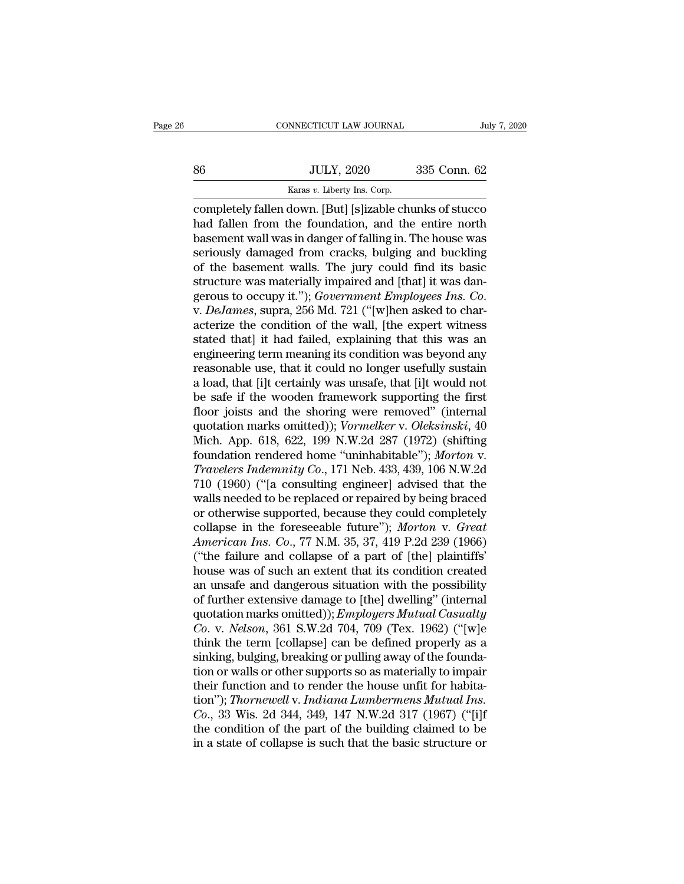|    | CONNECTICUT LAW JOURNAL                                  | July 7, 2020 |
|----|----------------------------------------------------------|--------------|
|    |                                                          |              |
| 86 | <b>JULY, 2020</b>                                        | 335 Conn. 62 |
|    | Karas v. Liberty Ins. Corp.                              |              |
|    | completely fallen down. [But] [slizable chunks of stucco |              |

CONNECTICUT LAW JOURNAL July 7, 2020<br>
S6 JULY, 2020 335 Conn. 62<br>
Karas v. Liberty Ins. Corp.<br>
Completely fallen down. [But] [s]izable chunks of stucco<br>
had fallen from the foundation, and the entire north<br>
hasoment well w MULY, 2020 335 Conn. 62<br>
Karas v. Liberty Ins. Corp.<br>
Completely fallen down. [But] [s]izable chunks of stucco<br>
had fallen from the foundation, and the entire north<br>
basement wall was in danger of falling in. The house was  $\begin{array}{r} \text{B6} & \text{JULY, } 2020 & 335 \text{ Conn. } 62 \\ \hline \text{Karas } v. \text{ Library Ins. Corp.} \end{array}$ <br>
completely fallen down. [But] [s]izable chunks of stucco<br>
had fallen from the foundation, and the entire north<br>
basement wall was in danger of falling  $\noindent \begin{tabular}{ll} \hline & \multicolumn{1}{l}{\text{5}} & \multicolumn{1}{l}{\text{5}} & \multicolumn{1}{l}{\text{5}} & \multicolumn{1}{l}{\text{5}} & \multicolumn{1}{l}{\text{5}} & \multicolumn{1}{l}{\text{6}} & \multicolumn{1}{l}{\text{6}} & \multicolumn{1}{l}{\text{6}} & \multicolumn{1}{l}{\text{6}} & \multicolumn{1}{l}{\text{6}} & \multicolumn{1}{l}{\text{6}} & \multicolumn{1}{l}{\text{6}} & \multicolumn{1}{l}{\text{6}} & \multicolumn{1}{l}{\$ Example the basement walls. The jury could find its basic<br>series the basement wall was in danger of falling in. The house was<br>seriously damaged from cracks, bulging and buckling<br>of the basement walls. The jury could find stars v. Liberty ins. Corp.<br>
completely fallen down. [But] [s]izable chunks of stucco<br>
had fallen from the foundation, and the entire north<br>
basement wall was in danger of falling in. The house was<br>
seriously damaged from completely fallen down. [But] [s]izable chunks of stucco<br>had fallen from the foundation, and the entire north<br>basement wall was in danger of falling in. The house was<br>seriously damaged from cracks, bulging and buckling<br>of basement wall was in danger of falling in. The house was<br>seriously damaged from cracks, bulging and buckling<br>of the basement walls. The jury could find its basic<br>structure was materially impaired and [that] it was dan-<br>ger seriously damaged from cracks, bulging and buckling<br>of the basement walls. The jury could find its basic<br>structure was materially impaired and [that] it was dan-<br>gerous to occupy it."); *Government Employees Ins. Co.*<br>v. of the basement walls. The jury could find its basic<br>structure was materially impaired and [that] it was dan-<br>gerous to occupy it."); *Government Employees Ins. Co.*<br>v. *DeJames*, supra, 256 Md. 721 ("[w]hen asked to charstructure was materially impaired and [that] it was dangerous to occupy it."); *Government Employees Ins. Co.*<br>v. *DeJames*, supra, 256 Md. 721 ("[w]hen asked to characterize the condition of the wall, [the expert witness<br> gerous to occupy it."); *Government Employees Ins. Co.*<br>v. *DeJames*, supra, 256 Md. 721 ("[w]hen asked to char-<br>acterize the condition of the wall, [the expert witness<br>stated that] it had failed, explaining that this was v. *DeJames*, supra, 256 Md. 721 ("[w]hen asked to characterize the condition of the wall, [the expert witness stated that] it had failed, explaining that this was an engineering term meaning its condition was beyond any r acterize the condition of the wall, [the expert witness<br>stated that] it had failed, explaining that this was an<br>engineering term meaning its condition was beyond any<br>reasonable use, that it could no longer usefully sustai stated that] it had failed, explaining that this was an engineering term meaning its condition was beyond any reasonable use, that it could no longer usefully sustain a load, that [i]t certainly was unsafe, that [i]t would engineering term meaning its condition was beyond any<br>reasonable use, that it could no longer usefully sustain<br>a load, that [i]t certainly was unsafe, that [i]t would not<br>be safe if the wooden framework supporting the firs reasonable use, that it could no longer usefully sustain<br>a load, that [i]t certainly was unsafe, that [i]t would not<br>be safe if the wooden framework supporting the first<br>floor joists and the shoring were removed" (internal a load, that [i]t certainly was unsafe, that [i]t would not<br>be safe if the wooden framework supporting the first<br>floor joists and the shoring were removed" (internal<br>quotation marks omitted)); *Vormelker* v. *Oleksinski*, be safe if the wooden framework supporting the first<br>floor joists and the shoring were removed" (internal<br>quotation marks omitted)); *Vormelker* v. *Oleksinski*, 40<br>Mich. App. 618, 622, 199 N.W.2d 287 (1972) (shifting<br>foun floor joists and the shoring were removed" (internal<br>quotation marks omitted)); *Vormelker* v. *Oleksinski*, 40<br>Mich. App. 618, 622, 199 N.W.2d 287 (1972) (shifting<br>foundation rendered home "uninhabitable"); *Morton* v.<br>*T* quotation marks omitted)); *Vormelker v. Oleksinski*, 40<br>Mich. App. 618, 622, 199 N.W.2d 287 (1972) (shifting<br>foundation rendered home "uninhabitable"); *Morton v.*<br>Travelers Indemnity Co., 171 Neb. 433, 439, 106 N.W.2d<br>7 Mich. App. 618, 622, 199 N.W.2d 287 (1972) (shifting<br>foundation rendered home "uninhabitable"); *Morton* v.<br>*Travelers Indemnity Co.*, 171 Neb. 433, 439, 106 N.W.2d<br>710 (1960) ("[a consulting engineer] advised that the<br>wal *Foundation rendered home "uninhabitable"); Morton v.*<br> *Travelers Indemnity Co.*, 171 Neb. 433, 439, 106 N.W.2d<br>
710 (1960) ("[a consulting engineer] advised that the<br>
walls needed to be replaced or repaired by being brac Travelers Indemnity Co., 171 Neb. 433, 439, 106 N.W.2d<br>710 (1960) ("[a consulting engineer] advised that the<br>walls needed to be replaced or repaired by being braced<br>or otherwise supported, because they could completely<br>col 710 (1960) ("[a consulting engineer] advised that the<br>walls needed to be replaced or repaired by being braced<br>or otherwise supported, because they could completely<br>collapse in the foreseeable future"); *Morton v. Great<br>Am* walls needed to be replaced or repaired by being braced<br>or otherwise supported, because they could completely<br>collapse in the foreseeable future"); *Morton v. Great*<br>*American Ins. Co.*, 77 N.M. 35, 37, 419 P.2d 239 (1966) or otherwise supported, because they could completely<br>collapse in the foreseeable future"); Morton v. Great<br>American Ins. Co., 77 N.M. 35, 37, 419 P.2d 239 (1966)<br>("the failure and collapse of a part of [the] plaintiffs"<br> collapse in the foreseeable future"); *Morton v. Great*<br>American Ins. Co., 77 N.M. 35, 37, 419 P.2d 239 (1966)<br>("the failure and collapse of a part of [the] plaintiffs"<br>house was of such an extent that its condition create *American Ins. Co.*, 77 N.M. 35, 37, 419 P.2d 239 (1966)<br>("the failure and collapse of a part of [the] plaintiffs"<br>house was of such an extent that its condition created<br>an unsafe and dangerous situation with the possibili ("the failure and collapse of a part of [the] plaintiffs"<br>house was of such an extent that its condition created<br>an unsafe and dangerous situation with the possibility<br>of further extensive damage to [the] dwelling" (inter house was of such an extent that its condition created<br>an unsafe and dangerous situation with the possibility<br>of further extensive damage to [the] dwelling" (internal<br>quotation marks omitted)); *Employers Mutual Casualty*<br> an unsafe and dangerous situation with the possibility<br>of further extensive damage to [the] dwelling" (internal<br>quotation marks omitted)); *Employers Mutual Casualty*<br> $Co. v. Nelson, 361 S.W.2d 704, 709 (Tex. 1962) ("[w]e  
think the term [collapse] can be defined properly as a$ of further extensive damage to [the] dwelling" (internal quotation marks omitted)); *Employers Mutual Casualty* Co. v. *Nelson*, 361 S.W.2d 704, 709 (Tex. 1962) ("[w]e think the term [collapse] can be defined properly as quotation marks omitted)); *Employers Mutual Casualty*<br>Co. v. *Nelson*, 361 S.W.2d 704, 709 (Tex. 1962) ("[w]e<br>think the term [collapse] can be defined properly as a<br>sinking, bulging, breaking or pulling away of the founda *Co.*, v. *Nelson*, 361 S.W.2d 704, 709 (Tex. 1962) ("[w]e<br>think the term [collapse] can be defined properly as a<br>sinking, bulging, breaking or pulling away of the founda-<br>tion or walls or other supports so as materially t think the term [collapse] can be defined properly as a<br>sinking, bulging, breaking or pulling away of the founda-<br>tion or walls or other supports so as materially to impair<br>their function and to render the house unfit for h sinking, bulging, breaking or pulling away of the foundation or walls or other supports so as materially to impair<br>their function and to render the house unfit for habita-<br>tion"); *Thornewell* v. *Indiana Lumbermens Mutual*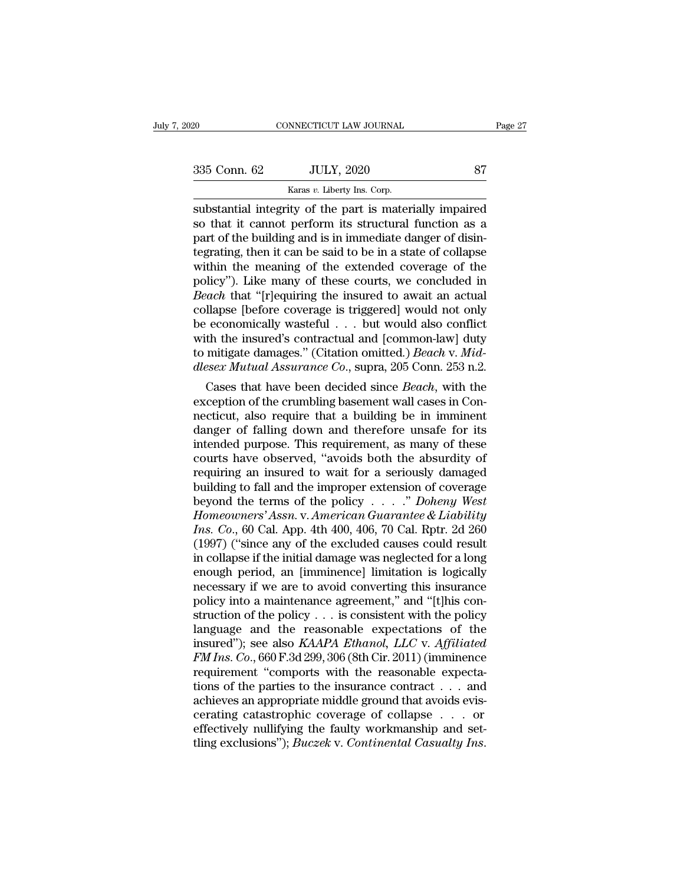| 335 Conn. 62 |  |
|--------------|--|
|              |  |

NNECTICUT LAW JOURNAL<br>JULY, 2020<br>Karas *v*. Liberty Ins. Corp.<br>itty of the nart is mater Fage 27<br>
substantial integrity of the part is materially impaired<br>
substantial integrity of the part is materially impaired<br>
so that it cannot perform its structural function as a<br>
nart of the building and is in immodiate  $\begin{array}{ccc}\n 335 \text{ Conn. } 62 & \text{JULY, } 2020 & \text{87} \\
 \hline\n & \text{Karas } v. \text{ Library Ins. Corp.} \\
 \text{substantial integrity of the part is materially impaired so that it cannot perform its structural function as a part of the building and is in immediate danger of disintegrating, then it can be said to be in a state of collapse.\n\end{array}$  $\frac{335}{100}$  Conn. 62 JULY, 2020 87<br>  $\frac{87}{100}$  Exars v. Liberty Ins. Corp.<br>
substantial integrity of the part is materially impaired<br>
so that it cannot perform its structural function as a<br>
part of the building and is 335 Conn. 62 JULY, 2020 87<br>
Karas v. Liberty Ins. Corp.<br>
Substantial integrity of the part is materially impaired<br>
so that it cannot perform its structural function as a<br>
part of the building and is in immediate danger of External Marias v. Liberty Ins. Corp.<br>
Substantial integrity of the part is materially impaired<br>
so that it cannot perform its structural function as a<br>
part of the building and is in immediate danger of disin-<br>
tegrating Example 18 Karas v. Liberty Ins. Corp.<br>
Substantial integrity of the part is materially impaired<br>
so that it cannot perform its structural function as a<br>
part of the building and is in immediate danger of disin-<br>
tegratin substantial integrity of the part is materially impaired<br>so that it cannot perform its structural function as a<br>part of the building and is in immediate danger of disin-<br>tegrating, then it can be said to be in a state of c so that it cannot perform its structural function as a<br>part of the building and is in immediate danger of disin-<br>tegrating, then it can be said to be in a state of collapse<br>within the meaning of the extended coverage of th part of the building and is in immediate danger of disin-<br>tegrating, then it can be said to be in a state of collapse<br>within the meaning of the extended coverage of the<br>policy"). Like many of these courts, we concluded in tegrating, then it can be said to be in a state of collapse<br>within the meaning of the extended coverage of the<br>policy"). Like many of these courts, we concluded in<br>*Beach* that "[r]equiring the insured to await an actual<br> within the meaning of the extended coverage of the<br>policy"). Like many of these courts, we concluded in<br>*Beach* that "[r]equiring the insured to await an actual<br>collapse [before coverage is triggered] would not only<br>be eco policy"). Like many of these courts, we concluded in *Beach* that "[r]equiring the insured to await an actual collapse [before coverage is triggered] would not only be economically wasteful . . . but would also conflict wi dech that [r]equiring the insured to await an actual<br>llapse [before coverage is triggered] would not only<br>economically wasteful . . . but would also conflict<br>th the insured's contractual and [common-law] duty<br>mitigate dama collapse [before coverage is triggered] would not only<br>be economically wasteful  $\ldots$  but would also conflict<br>with the insured's contractual and [common-law] duty<br>to mitigate damages." (Citation omitted.) *Beach* v. Mid-<br>

be economically wasterul  $\ldots$  but would also conflict<br>with the insured's contractual and [common-law] duty<br>to mitigate damages." (Citation omitted.) *Beach* v. Mid-<br>dlesex Mutual Assurance Co., supra, 205 Conn. 253 n.2.<br> with the insured's contractual and [common-law] duty<br>to mitigate damages." (Citation omitted.) *Beach* v. Mid-<br>dlesex Mutual Assurance Co., supra, 205 Conn. 253 n.2.<br>Cases that have been decided since *Beach*, with the<br>ex to mitigate damages." (Citation omitted.) *Beach* v. *Mid-*<br>dlesex Mutual Assurance Co., supra, 205 Conn. 253 n.2.<br>Cases that have been decided since *Beach*, with the<br>exception of the crumbling basement wall cases in Con diesex Mutual Assurance Co., supra, 205 Conn. 253 n.2.<br>Cases that have been decided since *Beach*, with the<br>exception of the crumbling basement wall cases in Con-<br>necticut, also require that a building be in imminent<br>dange Cases that have been decided since *Beach*, with the exception of the crumbling basement wall cases in Connecticut, also require that a building be in imminent danger of falling down and therefore unsafe for its intended exception of the crumbling basement wall cases in Connecticut, also require that a building be in imminent<br>danger of falling down and therefore unsafe for its<br>intended purpose. This requirement, as many of these<br>courts ha necticut, also require that a building be in imminent<br>danger of falling down and therefore unsafe for its<br>intended purpose. This requirement, as many of these<br>courts have observed, "avoids both the absurdity of<br>requiring a danger of falling down and therefore unsafe for its<br>intended purpose. This requirement, as many of these<br>courts have observed, "avoids both the absurdity of<br>requiring an insured to wait for a seriously damaged<br>building to intended purpose. This requirement, as many of these<br>courts have observed, "avoids both the absurdity of<br>requiring an insured to wait for a seriously damaged<br>building to fall and the improper extension of coverage<br>beyond t courts have observed, "avoids both the absurdity of<br>requiring an insured to wait for a seriously damaged<br>building to fall and the improper extension of coverage<br>beyond the terms of the policy  $\ldots$ ." Doheny West<br>Homeowner requiring an insured to wait for a seriously damaged<br>building to fall and the improper extension of coverage<br>beyond the terms of the policy  $\ldots$ ." Doheny West<br>Homeowners' Assn. v. American Guarantee & Liability<br>Ins. Co., building to fall and the improper extension of coverage<br>beyond the terms of the policy . . . ." Doheny West<br>Homeowners' Assn. v. American Guarantee & Liability<br>Ins. Co., 60 Cal. App. 4th 400, 406, 70 Cal. Rptr. 2d 260<br>(19 beyond the terms of the policy  $\ldots$  " Doheny West<br>Homeowners' Assn. v. American Guarantee & Liability<br>Ins. Co., 60 Cal. App. 4th 400, 406, 70 Cal. Rptr. 2d 260<br>(1997) ("since any of the excluded causes could result<br>in co Homeowners' Assn. v. American Guarantee & Liability<br>Ins. Co., 60 Cal. App. 4th 400, 406, 70 Cal. Rptr. 2d 260<br>(1997) ("since any of the excluded causes could result<br>in collapse if the initial damage was neglected for a lon *Ins. Co.*, 60 Cal. App. 4th 400, 406, 70 Cal. Rptr. 2d 260 (1997) ("since any of the excluded causes could result in collapse if the initial damage was neglected for a long enough period, an [imminence] limitation is log (1997) ("since any of the excluded causes could result<br>in collapse if the initial damage was neglected for a long<br>enough period, an [imminence] limitation is logically<br>necessary if we are to avoid converting this insuranc in collapse if the initial damage was neglected for a long<br>enough period, an [imminence] limitation is logically<br>necessary if we are to avoid converting this insurance<br>policy into a maintenance agreement," and "[t]his conenough period, an [imminence] limitation is logically<br>necessary if we are to avoid converting this insurance<br>policy into a maintenance agreement," and "[t]his con-<br>struction of the policy . . . is consistent with the polic recessary if we are to avoid converting this insurance<br>policy into a maintenance agreement," and "[t]his construction of the policy . . . is consistent with the policy<br>language and the reasonable expectations of the<br>insur policy into a maintenance agreement," and "[t]his construction of the policy . . . is consistent with the policy<br>language and the reasonable expectations of the<br>insured"); see also  $KAAPA$  Ethanol,  $LLC$  v. Affiliated<br> $FM$  In struction of the policy  $\dots$  is consistent with the policy language and the reasonable expectations of the insured"); see also *KAAPA Ethanol*, *LLC* v. *Affiliated FM Ins. Co.*, 660 F.3d 299, 306 (8th Cir. 2011) (imminen language and the reasonable expectations of the<br>insured"); see also *KAAPA Ethanol*, *LLC* v. *Affiliated*<br>*FM Ins. Co.*, 660 F.3d 299, 306 (8th Cir. 2011) (imminence<br>requirement "comports with the reasonable expecta-<br>tio insured"); see also *KAAPA Ethanol*, *LLC* v. *Affiliated FM Ins. Co.*, 660 F.3d 299, 306 (8th Cir. 2011) (imminence requirement "comports with the reasonable expectations of the parties to the insurance contract . . . FM Ins. Co., 660 F.3d 299, 306 (8th Cir. 2011) (imminence requirement "comports with the reasonable expectations of the parties to the insurance contract . . . and achieves an appropriate middle ground that avoids eviscera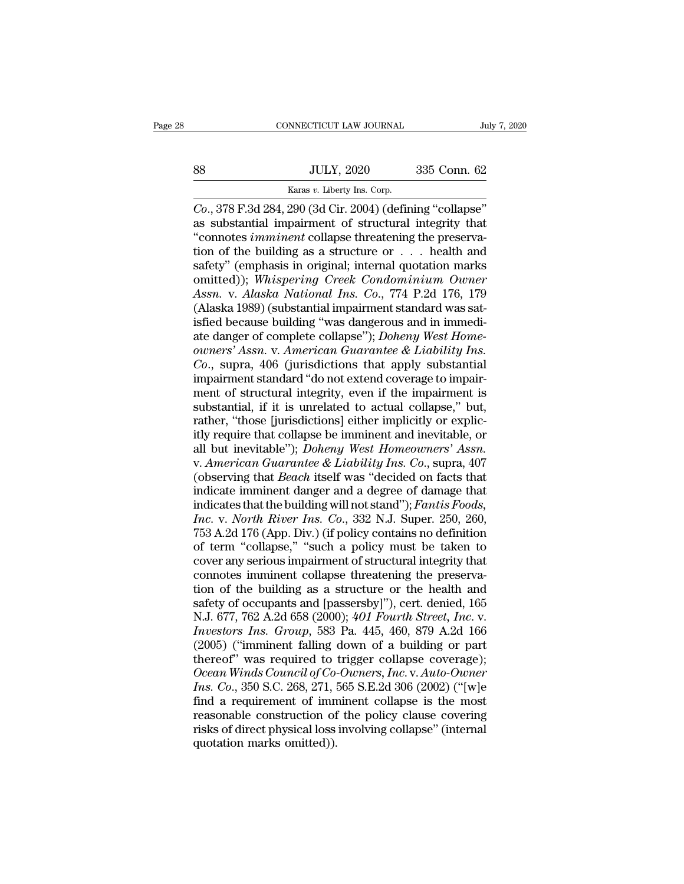|    | CONNECTICUT LAW JOURNAL                                       | July 7, 2020 |  |
|----|---------------------------------------------------------------|--------------|--|
|    |                                                               |              |  |
| 88 | <b>JULY, 2020</b>                                             | 335 Conn. 62 |  |
|    | Karas v. Liberty Ins. Corp.                                   |              |  |
|    | $Co$ -378 F 3d 284 - 290 (3d Cir - 2004) (defining "collanse" |              |  |

CONNECTICUT LAW JOURNAL<br> *Co.*, 378 F.3d 284, 290 (3d Cir. 2004) (defining "collapse"<br>
as substantial impairment of structural integrity that<br>
"connotes *imminent* collapse threatening the preservaas substantial impairment of structural integrity that<br>
as substantial impairment of structural integrity that<br>
as substantial impairment of structural integrity that<br>
as substantial impairment of structural integrity that VULY, 2020 335 Conn. 62<br>
Karas *v*. Liberty Ins. Corp.<br>
Co., 378 F.3d 284, 290 (3d Cir. 2004) (defining "collapse"<br>
as substantial impairment of structural integrity that<br>
"connotes *imminent* collapse threatening the pres SO SULY, 2020 335 Conn. 62<br>
Karas v. Liberty Ins. Corp.<br>
Co., 378 F.3d 284, 290 (3d Cir. 2004) (defining "collapse"<br>
as substantial impairment of structural integrity that<br>
"connotes *imminent* collapse threatening the pre samples of the same of the same of the same of the same of the samples of the substantial impairment of structural integrity that<br>
"connotes *imminent* collapse threatening the preservation of the building as a structure karas v. Liberty Ins. Corp.<br>
Co., 378 F.3d 284, 290 (3d Cir. 2004) (defining "collapse"<br>
as substantial impairment of structural integrity that<br>
"connotes *imminent* collapse threatening the preserva-<br>
tion of the building *Co.*, 378 F.3d 284, 290 (3d Cir. 2004) (defining "collapse"<br>as substantial impairment of structural integrity that<br>"connotes *imminent* collapse threatening the preserva-<br>tion of the building as a structure or . . . healt as substantial impairment of structural integrity that<br>
"connotes *imminent* collapse threatening the preserva-<br>
tion of the building as a structure or  $\ldots$  health and<br>
safety" (emphasis in original; internal quotation m "connotes *imminent* collapse threatening the preservation of the building as a structure or  $\ldots$  health and safety" (emphasis in original; internal quotation marks omitted)); *Whispering Creek Condominium Owner Assn.* v tion of the building as a structure or . . . health and<br>safety" (emphasis in original; internal quotation marks<br>omitted)); *Whispering Creek Condominium Owner*<br>Assn. v. Alaska National Ins. Co., 774 P.2d 176, 179<br>(Alaska 1 safety" (emphasis in original; internal quotation marks<br>omitted)); *Whispering Creek Condominium Owner*<br>*Assn.* v. *Alaska National Ins. Co.*, 774 P.2d 176, 179<br>(Alaska 1989) (substantial impairment standard was sat-<br>isfie omitted)); *Whispering Creek Condominium Owner*<br>*Assn.* v. *Alaska National Ins. Co.*, 774 P.2d 176, 179<br>(Alaska 1989) (substantial impairment standard was sat-<br>isfied because building "was dangerous and in immedi-<br>ate dan Assn. v. Alaska National Ins. Co., 774 P.2d 176, 179 (Alaska 1989) (substantial impairment standard was satisfied because building "was dangerous and in immediate danger of complete collapse"); *Doheny West Home-owners' As* (Alaska 1989) (substantial impairment standard was satisfied because building "was dangerous and in immediate danger of complete collapse"); *Doheny West Home-owners' Assn.* v. *American Guarantee & Liability Ins.*  $Co$ , s isfied because building "was dangerous and in immediate danger of complete collapse"); *Doheny West Home-owners' Assn. v. American Guarantee & Liability Ins.*<br>Co., supra, 406 (jurisdictions that apply substantial impairmen ate danger of complete collapse"); *Doheny West Home-*<br>owners' Assn. v. American Guarantee & Liability Ins.<br>Co., supra, 406 (jurisdictions that apply substantial<br>impairment standard "do not extend coverage to impair-<br>ment owners' Assn. v. American Guarantee & Liability Ins.<br>Co., supra, 406 (jurisdictions that apply substantial<br>impairment standard "do not extend coverage to impair-<br>ment of structural integrity, even if the impairment is<br>sub Co., supra, 406 (jurisdictions that apply substantial<br>impairment standard "do not extend coverage to impair-<br>ment of structural integrity, even if the impairment is<br>substantial, if it is unrelated to actual collapse," but, impairment standard "do not extend coverage to impairment of structural integrity, even if the impairment is<br>substantial, if it is unrelated to actual collapse," but,<br>rather, "those [jurisdictions] either implicitly or exp ment of structural integrity, even if the impairment is<br>substantial, if it is unrelated to actual collapse," but,<br>rather, "those [jurisdictions] either implicitly or explic-<br>itly require that collapse be imminent and inevi substantial, if it is unrelated to actual collapse," but,<br>rather, "those [jurisdictions] either implicitly or explic-<br>itly require that collapse be imminent and inevitable, or<br>all but inevitable"); *Doheny West Homeowners* rather, "those [jurisdictions] either implicitly or explicitly require that collapse be imminent and inevitable, or all but inevitable"); *Doheny West Homeowners' Assn.*<br>v. *American Guarantee & Liability Ins. Co.*, supra, *III* is require that collapse be imminent and inevitable, or all but inevitable"); *Doheny West Homeowners' Assn.* v. *American Guarantee & Liability Ins. Co.*, supra, 407 (observing that *Beach* itself was "decided on fa all but inevitable"); *Doheny West Homeowners' Assn.*<br>v. *American Guarantee & Liability Ins. Co.*, supra, 407<br>(observing that *Beach* itself was "decided on facts that<br>indicate imminent danger and a degree of damage that<br> v. American Guarantee & Liability Ins. Co., supra, 407<br>(observing that Beach itself was "decided on facts that<br>indicate imminent danger and a degree of damage that<br>indicates that the building will not stand"); Fantis Foods (observing that *Beach* itself was "decided on facts that indicate imminent danger and a degree of damage that indicates that the building will not stand"); *Fantis Foods*, *Inc.* v. *North River Ins.* Co., 332 N.J. Super indicates imminent danger and a degree of damage that<br>indicates that the building will not stand"); Fantis Foods,<br>Inc. v. North River Ins. Co., 332 N.J. Super. 250, 260,<br>753 A.2d 176 (App. Div.) (if policy contains no def indicates that the building will not stand"); *Fantis Foods*,<br> *Inc.* v. *North River Ins. Co.*, 332 N.J. Super. 250, 260,<br>
753 A.2d 176 (App. Div.) (if policy contains no definition<br>
of term "collapse," "such a policy mus Inc. v. North River Ins. Co., 332 N.J. Super. 250, 260, 753 A.2d 176 (App. Div.) (if policy contains no definition<br>of term "collapse," "such a policy must be taken to<br>cover any serious impairment of structural integrity t 753 A.2d 176 (App. Div.) (if policy contains no definition<br>of term "collapse," "such a policy must be taken to<br>cover any serious impairment of structural integrity that<br>connotes imminent collapse threatening the preserva-<br> of term "collapse," "such a policy must be taken to<br>cover any serious impairment of structural integrity that<br>connotes imminent collapse threatening the preserva-<br>tion of the building as a structure or the health and<br>safet cover any serious impairment of structural integrity that<br>connotes imminent collapse threatening the preserva-<br>tion of the building as a structure or the health and<br>safety of occupants and [passersby]"), cert. denied, 165 connotes imminent collapse threatening the preservation of the building as a structure or the health and safety of occupants and [passersby]"), cert. denied, 165 N.J. 677, 762 A.2d 658 (2000);  $401$  Fourth Street, Inc. v. tion of the building as a structure or the health and<br>safety of occupants and [passersby]"), cert. denied, 165<br>N.J. 677, 762 A.2d 658 (2000); 401 Fourth Street, Inc. v.<br>Investors Ins. Group, 583 Pa. 445, 460, 879 A.2d 166<br> safety of occupants and [passersby]"), cert. denied, 165<br>*N.J.* 677, 762 A.2d 658 (2000); 401 Fourth Street, Inc. v.<br>Investors Ins. Group, 583 Pa. 445, 460, 879 A.2d 166<br>(2005) ("imminent falling down of a building or part N.J. 677, 762 A.2d 658 (2000); 401 Fourth Street, Inc. v.<br>Investors Ins. Group, 583 Pa. 445, 460, 879 A.2d 166<br>(2005) ("imminent falling down of a building or part<br>thereof" was required to trigger collapse coverage);<br>Ocean Investors Ins. Group, 583 Pa. 445, 460, 879 A.2d 166 (2005) ("imminent falling down of a building or part<br>thereof" was required to trigger collapse coverage);<br>Ocean Winds Council of Co-Owners, Inc. v. Auto-Owner<br>Ins. Co., (2005) ("imminent falling down of a building or part<br>thereof" was required to trigger collapse coverage);<br>Ocean Winds Council of Co-Owners, Inc. v. Auto-Owner<br>Ins. Co., 350 S.C. 268, 271, 565 S.E.2d 306 (2002) ("[w]e<br>find (2005) ("imminent falling down of a building or part<br>thereof" was required to trigger collapse coverage);<br>Ocean Winds Council of Co-Owners, Inc. v. Auto-Owner<br>Ins. Co., 350 S.C. 268, 271, 565 S.E.2d 306 (2002) ("[w]e<br>find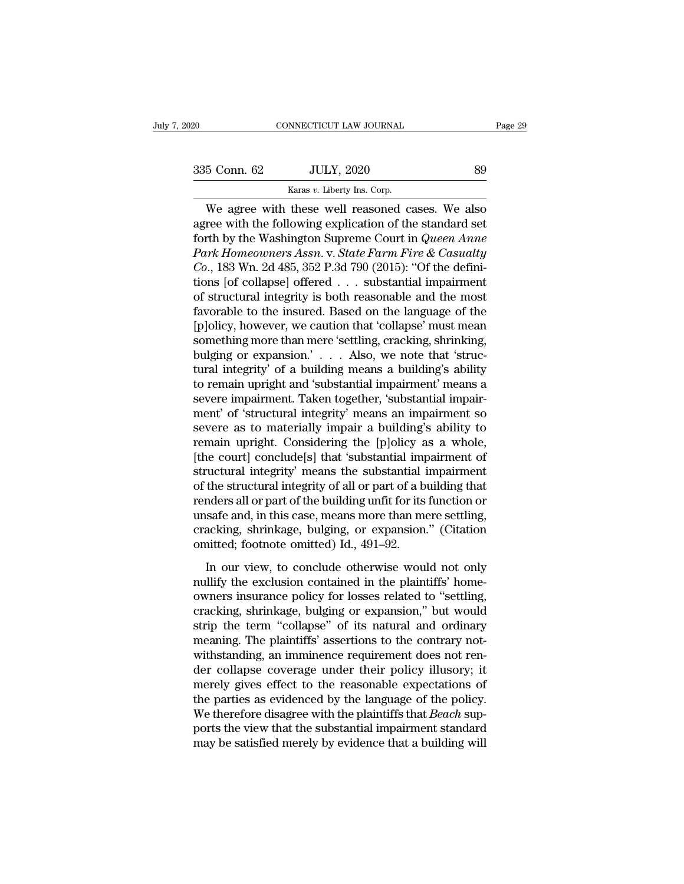CONNECTICUT LAW JOURNAL<br>
5 Conn. 62 JULY, 2020 89<br>
Karas *v*. Liberty Ins. Corp.<br>
We agree with these well reasoned cases. We also CONNECTICUT LAW JOURNAL Page 29<br>
5 Conn. 62 JULY, 2020 89<br>
Karas v. Liberty Ins. Corp.<br>
We agree with these well reasoned cases. We also<br>
ree with the following explication of the standard set<br>
rth by the Weshington Suprom 335 Conn. 62 JULY, 2020 89<br>
Karas v. Liberty Ins. Corp.<br>
We agree with these well reasoned cases. We also<br>
agree with the following explication of the standard set<br>
forth by the Washington Supreme Court in *Queen Anne*<br>
P Forth by the Washington Supreme Court in *Queen 1931*<br>The We agree with these well reasoned cases. We also<br>agree with the following explication of the standard set<br>forth by the Washington Supreme Court in *Queen Anne*<br>Park <sup>235</sup> Conn. 62 *JULY*, 2020 <sup>89</sup><br>
<sup>Karas *v*. Liberty Ins. Corp.<br> *We* agree with these well reasoned cases. We also<br>
agree with the following explication of the standard set<br>
forth by the Washington Supreme Court in *Quee</sup> Collar Collar Collars v. Liberty Ins. Corp.*<br> *Corp.*<br> *Corp.*<br> *Corp.*<br> *Corp.*<br> *Corp.*<br> *Corp.*<br> *Corp.*<br> *Corp.*<br> *Corp.*<br> *Corp.*<br> *Corp.*<br> *Corp.*<br> *Corp.*<br> *Corp.*<br> *Corp.*<br> *Corp.*<br> *Corp.*<br> *Corp.*<br> *Corp.*<br> *Cor* Karas v. Liberty ins. Corp.<br>
We agree with these well reasoned cases. We also<br>
agree with the following explication of the standard set<br>
forth by the Washington Supreme Court in *Queen Anne*<br> *Park Homeowners Assn.* v. *S* We agree with these well reasoned cases. We also<br>agree with the following explication of the standard set<br>forth by the Washington Supreme Court in *Queen Anne*<br> $Park\ Homewners Assn. v. State \ Farm\ Fire\ & Casuality  
Co., 183 Wh. 2d 485, 352 P.3d 790 (2015): "$ agree with the following explication of the standard set<br>forth by the Washington Supreme Court in *Queen Anne<br>Park Homeowners Assn.* v. *State Farm Fire & Casualty*<br> $Co$ , 183 Wn. 2d 485, 352 P.3d 790 (2015): "Of the defini forth by the Washington Supreme Court in *Queen Anne*<br> *Park Homeowners Assn.* v. *State Farm Fire & Casualty*<br> *Co.*, 183 Wn. 2d 485, 352 P.3d 790 (2015): "Of the defini-<br>
tions [of collapse] offered . . . substantial im Park Homeowners Assn. v. State Farm Fire & Casualty<br>Co., 183 Wn. 2d 485, 352 P.3d 790 (2015): "Of the defini-<br>tions [of collapse] offered . . . substantial impairment<br>of structural integrity is both reasonable and the mos Co., 183 Wn. 2d 485, 352 P.3d 790 (2015): "Of the definitions [of collapse] offered . . . substantial impairment of structural integrity is both reasonable and the most favorable to the insured. Based on the language of t tions [of collapse] offered  $\ldots$  substantial impairment<br>of structural integrity is both reasonable and the most<br>favorable to the insured. Based on the language of the<br>[p]olicy, however, we caution that 'collapse' must me of structural integrity is both reasonable and the most<br>favorable to the insured. Based on the language of the<br>[p]olicy, however, we caution that 'collapse' must mean<br>something more than mere 'settling, cracking, shrinking favorable to the insured. Based on the language of the [p]olicy, however, we caution that 'collapse' must mean something more than mere 'settling, cracking, shrinking, bulging or expansion.' . . . Also, we note that 'struc [p]olicy, however, we caution that 'collapse' must mean<br>something more than mere 'settling, cracking, shrinking,<br>bulging or expansion.' . . . . Also, we note that 'struc-<br>tural integrity' of a building means a building's a something more than mere 'settling, cracking, shrinking,<br>bulging or expansion.' . . . Also, we note that 'struc-<br>tural integrity' of a building means a building's ability<br>to remain upright and 'substantial impairment' mea bulging or expansion.' . . . Also, we note that 'structural integrity' of a building means a building's ability<br>to remain upright and 'substantial impairment' means a<br>severe impairment. Taken together, 'substantial impairtural integrity' of a building means a building's ability<br>to remain upright and 'substantial impairment' means a<br>severe impairment. Taken together, 'substantial impair-<br>ment' of 'structural integrity' means an impairment s to remain upright and 'substantial impairment' means a<br>severe impairment. Taken together, 'substantial impair-<br>ment' of 'structural integrity' means an impairment so<br>severe as to materially impair a building's ability to<br>r severe impairment. Taken together, 'substantial impairment' of 'structural integrity' means an impairment so<br>severe as to materially impair a building's ability to<br>remain upright. Considering the [p]olicy as a whole,<br>[the ment' of 'structural integrity' means an impairment so<br>severe as to materially impair a building's ability to<br>remain upright. Considering the [p]olicy as a whole,<br>[the court] conclude[s] that 'substantial impairment of<br>str severe as to materially impair a building's ability to<br>remain upright. Considering the [p]olicy as a whole,<br>[the court] conclude[s] that 'substantial impairment of<br>structural integrity' means the substantial impairment<br>of remain upright. Considering the [p]olicy as a whole,<br>[the court] conclude[s] that 'substantial impairment of<br>structural integrity' means the substantial impairment<br>of the structural integrity of all or part of a building t [the court] conclude[s] that 'substantial imp<br>structural integrity' means the substantial i<br>of the structural integrity of all or part of a b<br>renders all or part of the building unfit for its<br>unsafe and, in this case, mean In the structural integrity means are substantian implaintent<br>the structural integrity of all or part of a building that<br>mders all or part of the building unfit for its function or<br>safe and, in this case, means more than m of all branching methods and or part of the building unfit for its function or<br>unsafe and, in this case, means more than mere settling,<br>cracking, shrinkage, bulging, or expansion." (Citation<br>omitted; footnote omitted) Id.,

renates an or part of are bunding diffit for all calculation of<br>unsafe and, in this case, means more than mere settling,<br>cracking, shrinkage, bulging, or expansion." (Citation<br>omitted; footnote omitted) Id., 491–92.<br>In our distance did, in this case, include intereducing, cracking, shrinkage, bulging, or expansion." (Citation omitted; footnote omitted) Id., 491–92.<br>In our view, to conclude otherwise would not only nullify the exclusion conta omitted; footnote omitted) Id., 491–92.<br>In our view, to conclude otherwise would not only<br>nullify the exclusion contained in the plaintiffs' home-<br>owners insurance policy for losses related to "settling,<br>cracking, shrinkag In our view, to conclude otherwise would not only<br>nullify the exclusion contained in the plaintiffs' home-<br>owners insurance policy for losses related to "settling,<br>cracking, shrinkage, bulging or expansion," but would<br>stri In our view, to conclude otherwise would not only<br>nullify the exclusion contained in the plaintiffs' home-<br>owners insurance policy for losses related to "settling,<br>cracking, shrinkage, bulging or expansion," but would<br>stri nullify the exclusion contained in the plaintiffs' homeowners insurance policy for losses related to "settling, cracking, shrinkage, bulging or expansion," but would strip the term "collapse" of its natural and ordinary me owners insurance policy for losses related to "settling,<br>cracking, shrinkage, bulging or expansion," but would<br>strip the term "collapse" of its natural and ordinary<br>meaning. The plaintiffs' assertions to the contrary not-<br> cracking, shrinkage, bulging or expansion," but would<br>strip the term "collapse" of its natural and ordinary<br>meaning. The plaintiffs' assertions to the contrary not-<br>withstanding, an imminence requirement does not ren-<br>der strip the term "collapse" of its natural and ordinary<br>meaning. The plaintiffs' assertions to the contrary not-<br>withstanding, an imminence requirement does not ren-<br>der collapse coverage under their policy illusory; it<br>mere meaning. The plaintiffs' assertions to the contrary not-<br>withstanding, an imminence requirement does not ren-<br>der collapse coverage under their policy illusory; it<br>merely gives effect to the reasonable expectations of<br>the with standing, an imminence requirement does not render collapse coverage under their policy illusory; it merely gives effect to the reasonable expectations of the parties as evidenced by the language of the policy. We the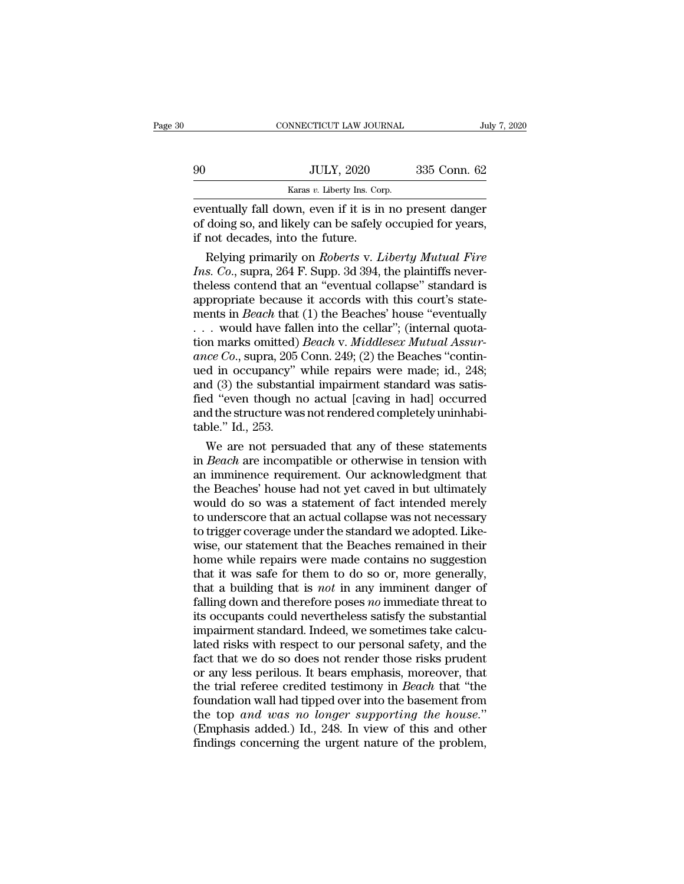|    | CONNECTICUT LAW JOURNAL                                 |              | July 7, 2020 |
|----|---------------------------------------------------------|--------------|--------------|
|    |                                                         |              |              |
| 90 | <b>JULY, 2020</b>                                       | 335 Conn. 62 |              |
|    | Karas v. Liberty Ins. Corp.                             |              |              |
|    | eventually fall down even if it is in no present danger |              |              |

EXERCITE CONNECTICUT LAW JOURNAL July 7, 2020<br>
EXERCISE TO BE JULY, 2020<br>
EXERCISE TO BE SAFETY INS. Corp.<br>
EVENTUALLY fall down, even if it is in no present danger<br>
of doing so, and likely can be safely occupied for years of doing so, and likely can be safely occupied for years,<br>and down, even if it is in no present danger of doing so, and likely can be safely occupied for years,<br>if not decades, into the future.  $\begin{array}{cc}\n 90 & \text{JULY, } 2020 \\
 \hline\n \text{Karas } v. \text{ Library Ins. Cor} \text{eventually fall down, even if it is in} \n of doing so, and likely can be safely \n if not decades, into the future. \n Relying primarily on *Roberts v. L*\n$ JULY, 2020 335 Conn. 62<br>
Karas *v*. Liberty Ins. Corp.<br>
entually fall down, even if it is in no present danger<br>
doing so, and likely can be safely occupied for years,<br>
not decades, into the future.<br>
Relying primarily on *R* 

*INSTERT WARES SUPPERFORD FORD FORD EVENTION IS A FATHER SUPPERFORD SO, and likely can be safely occupied for years,* if not decades, into the future.<br>*Ins. Co.*, supra, 264 F. Supp. 3d 394, the plaintiffs never-<br>theless c eventually fall down, even if it is in no present danger<br>of doing so, and likely can be safely occupied for years,<br>if not decades, into the future.<br>Relying primarily on *Roberts* v. *Liberty Mutual Fire*<br>Ins. Co., supra, 2 eventually fall down, even if it is in no present danger<br>of doing so, and likely can be safely occupied for years,<br>if not decades, into the future.<br>Relying primarily on *Roberts* v. *Liberty Mutual Fire*<br>Ins. Co., supra, 2 of doing so, and likely can be safely occupied for years,<br>if not decades, into the future.<br>Relying primarily on *Roberts* v. *Liberty Mutual Fire*<br>Ins. Co., supra, 264 F. Supp. 3d 394, the plaintiffs never-<br>theless contend if not decades, into the future.<br>
Relying primarily on *Roberts* v. *Liberty Mutual Fire*<br> *Ins. Co.*, supra, 264 F. Supp. 3d 394, the plaintiffs never-<br>
theless contend that an "eventual collapse" standard is<br>
appropriat Relying primarily on *Roberts* v. *Liberty Mutual Fire*<br>*Ins. Co.*, supra, 264 F. Supp. 3d 394, the plaintiffs never-<br>theless contend that an "eventual collapse" standard is<br>appropriate because it accords with this court's *Ins. Co.*, supra, 264 F. Supp. 3d 394, the plaintiffs never-<br>theless contend that an "eventual collapse" standard is<br>appropriate because it accords with this court's state-<br>ments in *Beach* that (1) the Beaches' house "ev theless contend that an "eventual collapse" standard is<br>appropriate because it accords with this court's state-<br>ments in *Beach* that (1) the Beaches' house "eventually<br>... would have fallen into the cellar"; (internal qu appropriate because it accords with this court's statements in *Beach* that (1) the Beaches' house "eventually ... would have fallen into the cellar"; (internal quotation marks omitted) *Beach* v. *Middlesex Mutual Assura* ments in *Beach* that (1) the Beaches' house "eventually<br>  $\ldots$  would have fallen into the cellar"; (internal quota-<br>
tion marks omitted) *Beach v. Middlesex Mutual Assur-*<br>
ance Co., supra, 205 Conn. 249; (2) the Beaches ... would have fallen into the cellar"; (internal quotation marks omitted) *Beach v. Middlesex Mutual Assurance Co.*, supra, 205 Conn. 249; (2) the Beaches "continued in occupancy" while repairs were made; id., 248; and ( tion marks omitted)<br>
ance Co., supra, 205<br>
ued in occupancy"<br>
and (3) the substant<br>
fied "even though n<br>
and the structure was<br>
table." Id., 253.<br>
We are not persu lace Co., supra, 205 Conn. 249; (2) the Beaches "contin-<br>d in occupancy" while repairs were made; id., 248;<br>d (3) the substantial impairment standard was satis-<br>d "even though no actual [caving in had] occurred<br>d the stru ued in occupancy" while repairs were made; id., 248;<br>and (3) the substantial impairment standard was satis-<br>fied "even though no actual [caving in had] occurred<br>and the structure was not rendered completely uninhabi-<br>table

and (3) the substantial impairment standard was satis-<br>fied "even though no actual [caving in had] occurred<br>and the structure was not rendered completely uninhabi-<br>table." Id., 253.<br>We are not persuaded that any of these fied "even though no actual [caving in had] occurred<br>and the structure was not rendered completely uninhabi-<br>table." Id., 253.<br>We are not persuaded that any of these statements<br>in *Beach* are incompatible or otherwise in t and the structure was not rendered completely uninhabitable." Id., 253.<br>We are not persuaded that any of these statements<br>in *Beach* are incompatible or otherwise in tension with<br>an imminence requirement. Our acknowledgmen table." Id., 253.<br>We are not persuaded that any of these statements<br>in *Beach* are incompatible or otherwise in tension with<br>an imminence requirement. Our acknowledgment that<br>the Beaches' house had not yet caved in but ult We are not persuaded that any of these statements<br>in *Beach* are incompatible or otherwise in tension with<br>an imminence requirement. Our acknowledgment that<br>the Beaches' house had not yet caved in but ultimately<br>would do s in *Beach* are incompatible or otherwise in tension with<br>an imminence requirement. Our acknowledgment that<br>the Beaches' house had not yet caved in but ultimately<br>would do so was a statement of fact intended merely<br>to under an imminence requirement. Our acknowledgment that<br>the Beaches' house had not yet caved in but ultimately<br>would do so was a statement of fact intended merely<br>to underscore that an actual collapse was not necessary<br>to trigge the Beaches' house had not yet caved in but ultimately<br>would do so was a statement of fact intended merely<br>to underscore that an actual collapse was not necessary<br>to trigger coverage under the standard we adopted. Like-<br>w would do so was a statement of fact intended merely<br>to underscore that an actual collapse was not necessary<br>to trigger coverage under the standard we adopted. Like-<br>wise, our statement that the Beaches remained in their<br>ho to underscore that an actual collapse was not necessary<br>to trigger coverage under the standard we adopted. Like-<br>wise, our statement that the Beaches remained in their<br>home while repairs were made contains no suggestion<br>th to trigger coverage under the standard we adopted. Likewise, our statement that the Beaches remained in their home while repairs were made contains no suggestion that it was safe for them to do so or, more generally, that wise, our statement that the Beaches remained in their<br>home while repairs were made contains no suggestion<br>that it was safe for them to do so or, more generally,<br>that a building that is *not* in any imminent danger of<br>fal home while repairs were made contains no suggestion<br>that it was safe for them to do so or, more generally,<br>that a building that is *not* in any imminent danger of<br>falling down and therefore poses *no* immediate threat to<br> that it was safe for them to do so or, more generally,<br>that a building that is *not* in any imminent danger of<br>falling down and therefore poses *no* immediate threat to<br>its occupants could nevertheless satisfy the substan that a building that is *not* in any imminent danger of falling down and therefore poses *no* immediate threat to its occupants could nevertheless satisfy the substantial impairment standard. Indeed, we sometimes take cal falling down and therefore poses *no* immediate threat to<br>its occupants could nevertheless satisfy the substantial<br>impairment standard. Indeed, we sometimes take calcu-<br>lated risks with respect to our personal safety, and its occupants could nevertheless satisfy the substantial<br>impairment standard. Indeed, we sometimes take calcu-<br>lated risks with respect to our personal safety, and the<br>fact that we do so does not render those risks prudent impairment standard. Indeed, we sometimes take calculated risks with respect to our personal safety, and the fact that we do so does not render those risks prudent or any less perilous. It bears emphasis, moreover, that th lated risks with respect to our personal safety, and the<br>fact that we do so does not render those risks prudent<br>or any less perilous. It bears emphasis, moreover, that<br>the trial referee credited testimony in *Beach* that " fact that we do so does not render those risks prudent<br>or any less perilous. It bears emphasis, moreover, that<br>the trial referee credited testimony in *Beach* that "the<br>foundation wall had tipped over into the basement fro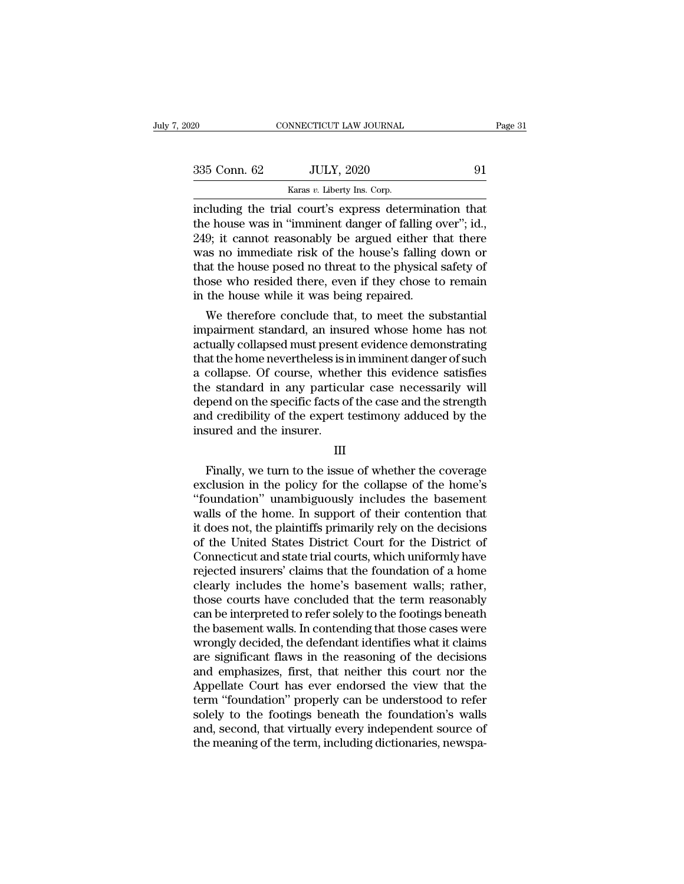| 2020         | CONNECTICUT LAW JOURNAL                                                                                                                                                           | Page 31 |
|--------------|-----------------------------------------------------------------------------------------------------------------------------------------------------------------------------------|---------|
|              |                                                                                                                                                                                   |         |
| 335 Conn. 62 | <b>JULY, 2020</b>                                                                                                                                                                 | 91      |
|              | Karas v. Liberty Ins. Corp.                                                                                                                                                       |         |
|              | including the trial court's express determination that<br>the house was in "imminent danger of falling over"; id.,<br>$940\cdot$ it connot reasonably be around either that there |         |

335 Conn. 62 JULY, 2020 91<br>
Karas v. Liberty Ins. Corp.<br>
including the trial court's express determination that<br>
the house was in "imminent danger of falling over"; id.,<br>
249; it cannot reasonably be argued either that th  $\frac{\text{235}}{\text{249}}$  Conn. 62 JULY, 2020 91<br>  $\frac{\text{Karas } v. \text{ Library Ins. Corp.}}{\text{including the trial court's express determination that}}$ <br>
the house was in "imminent danger of falling over"; id.,<br>
249; it cannot reasonably be argued either that there<br>
was no immediate risk of the h  $\frac{335 \text{ Conn. } 62}{\text{Karas } v. } \frac{JULY, 2020}{\text{Ins. } \text{Corp.}}$ <br>
including the trial court's express determination that<br>
the house was in "imminent danger of falling over"; id.,<br>
249; it cannot reasonably be argued either that ther Karas v. Liberty Ins. Corp.<br>
including the trial court's express determination that<br>
the house was in "imminent danger of falling over"; id.,<br>
249; it cannot reasonably be argued either that there<br>
was no immediate risk o Karas v. Liberty Ins. Corp.<br>
including the trial court's express determination that<br>
the house was in "imminent danger of falling over"; id.,<br>
249; it cannot reasonably be argued either that there<br>
was no immediate risk o including the trial court's express determinat<br>the house was in "imminent danger of falling o<br>249; it cannot reasonably be argued either th<br>was no immediate risk of the house's falling<br>that the house posed no threat to the 9; it cannot reasonably be argued either that there<br>9; it cannot reasonably be argued either that there<br>as no immediate risk of the house's falling down or<br>at the house posed no threat to the physical safety of<br>ose who res 249; it cannot reasonably be argued either that there<br>was no immediate risk of the house's falling down or<br>that the house posed no threat to the physical safety of<br>those who resided there, even if they chose to remain<br>in t

was no immediate risk of the nouse's railing down or<br>that the house posed no threat to the physical safety of<br>those who resided there, even if they chose to remain<br>in the house while it was being repaired.<br>We therefore con that the home posed no threat to the physical safety of<br>those who resided there, even if they chose to remain<br>in the home while it was being repaired.<br>We therefore conclude that, to meet the substantial<br>impairment standard those who resided there, even if they chose to remain<br>in the house while it was being repaired.<br>We therefore conclude that, to meet the substantial<br>impairment standard, an insured whose home has not<br>actually collapsed must In the nouse while it was being repaired.<br>We therefore conclude that, to meet the substantial<br>impairment standard, an insured whose home has not<br>actually collapsed must present evidence demonstrating<br>that the home neverthe We therefore conclude that, to meet the substantial<br>impairment standard, an insured whose home has not<br>actually collapsed must present evidence demonstrating<br>that the home nevertheless is in imminent danger of such<br>a colla impairment standard, an insured whose home has not<br>actually collapsed must present evidence demonstrating<br>that the home nevertheless is in imminent danger of such<br>a collapse. Of course, whether this evidence satisfies<br>the actually collapsed must preser<br>that the home nevertheless is i<br>a collapse. Of course, wheth<br>the standard in any particu<br>depend on the specific facts o<br>and credibility of the expert i<br>insured and the insurer. Franchine is any particular case necessarily will<br>pend on the specific facts of the case and the strength<br>d credibility of the expert testimony adduced by the<br>sured and the insurer.<br>III<br>Finally, we turn to the issue of whe

## III

depend on the specific facts of the case and the strength<br>and credibility of the expert testimony adduced by the<br>insured and the insurer.<br>III<br>Finally, we turn to the issue of whether the coverage<br>exclusion in the policy fo and credibility of the expert testimony adduced by the<br>
insured and the insurer.<br>
III<br>
Finally, we turn to the issue of whether the coverage<br>
exclusion in the policy for the collapse of the home's<br>
"foundation" unambiguous insured and the insurer.<br>
III<br>
Finally, we turn to the issue of whether the coverage<br>
exclusion in the policy for the collapse of the home's<br>
"foundation" unambiguously includes the basement<br>
walls of the home. In support III<br>
Finally, we turn to the issue of whether the coverage<br>
exclusion in the policy for the collapse of the home's<br>
"foundation" unambiguously includes the basement<br>
walls of the home. In support of their contention that<br> Finally, we turn to the issue of whether the coverage<br>exclusion in the policy for the collapse of the home's<br>"foundation" unambiguously includes the basement<br>walls of the home. In support of their contention that<br>it does n Finally, we turn to the issue of whether the coverage<br>exclusion in the policy for the collapse of the home's<br>"foundation" unambiguously includes the basement<br>walls of the home. In support of their contention that<br>it does n exclusion in the policy for the collapse of the home's<br>"foundation" unambiguously includes the basement<br>walls of the home. In support of their contention that<br>it does not, the plaintiffs primarily rely on the decisions<br>of "foundation" unambiguously includes the basement<br>walls of the home. In support of their contention that<br>it does not, the plaintiffs primarily rely on the decisions<br>of the United States District Court for the District of<br>Co walls of the home. In support of their contention that<br>it does not, the plaintiffs primarily rely on the decisions<br>of the United States District Court for the District of<br>Connecticut and state trial courts, which uniformly it does not, the plaintiffs primarily rely on the decisions<br>of the United States District Court for the District of<br>Connecticut and state trial courts, which uniformly have<br>rejected insurers' claims that the foundation of of the United States District Court for the District of<br>Connecticut and state trial courts, which uniformly have<br>rejected insurers' claims that the foundation of a home<br>clearly includes the home's basement walls; rather,<br>t Connecticut and state trial courts, which uniformly have<br>rejected insurers' claims that the foundation of a home<br>clearly includes the home's basement walls; rather,<br>those courts have concluded that the term reasonably<br>can rejected insurers' claims that the foundation of a home<br>clearly includes the home's basement walls; rather,<br>those courts have concluded that the term reasonably<br>can be interpreted to refer solely to the footings beneath<br>th clearly includes the home's basement walls; rather,<br>those courts have concluded that the term reasonably<br>can be interpreted to refer solely to the footings beneath<br>the basement walls. In contending that those cases were<br>wr those courts have concluded that the term reasonably<br>can be interpreted to refer solely to the footings beneath<br>the basement walls. In contending that those cases were<br>wrongly decided, the defendant identifies what it clai can be interpreted to refer solely to the footings beneath<br>the basement walls. In contending that those cases were<br>wrongly decided, the defendant identifies what it claims<br>are significant flaws in the reasoning of the deci the basement walls. In contending that those cases were<br>wrongly decided, the defendant identifies what it claims<br>are significant flaws in the reasoning of the decisions<br>and emphasizes, first, that neither this court nor th wrongly decided, the defendant identifies what it claims<br>are significant flaws in the reasoning of the decisions<br>and emphasizes, first, that neither this court nor the<br>Appellate Court has ever endorsed the view that the<br>te are significant flaws in the reasoning of the decisions<br>and emphasizes, first, that neither this court nor the<br>Appellate Court has ever endorsed the view that the<br>term "foundation" properly can be understood to refer<br>solel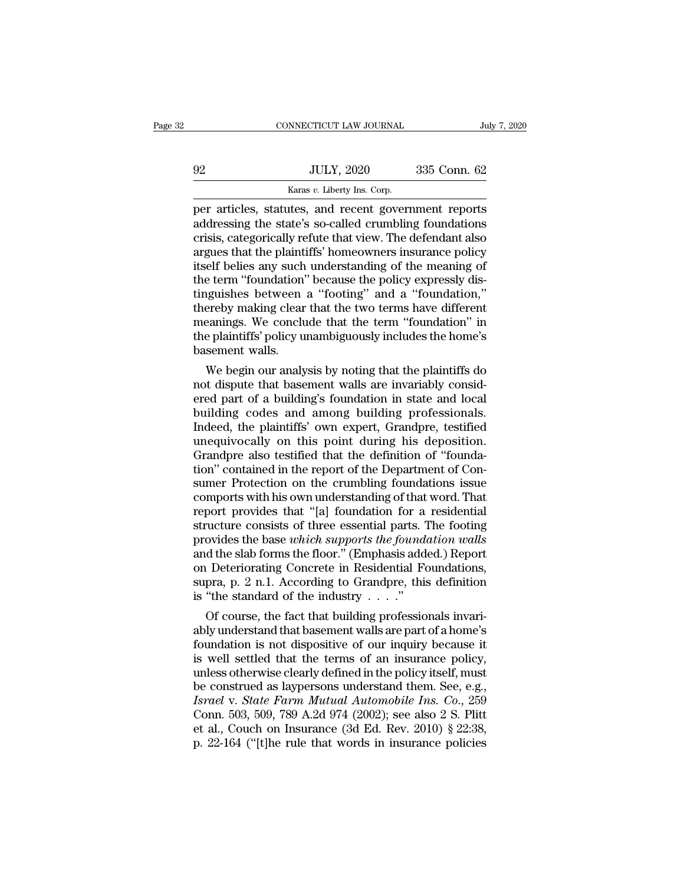|    | CONNECTICUT LAW JOURNAL                               | July 7, 2020 |  |
|----|-------------------------------------------------------|--------------|--|
|    |                                                       |              |  |
| 92 | <b>JULY, 2020</b>                                     | 335 Conn. 62 |  |
|    | Karas v. Liberty Ins. Corp.                           |              |  |
|    | per articles, statutes, and recent government reports |              |  |

CONNECTICUT LAW JOURNAL July 7, 2020<br>
92 JULY, 2020 335 Conn. 62<br>
Karas v. Liberty Ins. Corp.<br>
per articles, statutes, and recent government reports<br>
addressing the state's so-called crumbling foundations<br>
crisis categoric addressing the state's so-called crumbling foundations<br>and the state's so-called crumbling foundations<br>crisis, categorically refute that view. The defendant also<br>argues that the plaintiffs' homeowners insurance policy 92 JULY, 2020 335 Conn. 62<br>
Karas v. Liberty Ins. Corp.<br>
per articles, statutes, and recent government reports<br>
addressing the state's so-called crumbling foundations<br>
crisis, categorically refute that view. The defendant  $32$  JULY, 2020  $335$  Conn. 62<br>  $\frac{52}{100}$  Karas v. Liberty Ins. Corp.<br>
per articles, statutes, and recent government reports<br>
addressing the state's so-called crumbling foundations<br>
crisis, categorically refute that vi Examples and the meaning of the meaning of the term "foundations" and a "foundations" and the plaintiffs" homeowners insurance policy itself belies any such understanding of the meaning of the term "foundation" because th  $k$ aras  $v$ . Liberty Ins. Corp.<br>
per articles, statutes, and recent government reports<br>
addressing the state's so-called crumbling foundations<br>
crisis, categorically refute that view. The defendant also<br>
argues that the p per articles, statutes, and recent government reports<br>addressing the state's so-called crumbling foundations<br>crisis, categorically refute that view. The defendant also<br>argues that the plaintiffs' homeowners insurance polic addressing the state's so-called crumbling foundations<br>crisis, categorically refute that view. The defendant also<br>argues that the plaintiffs' homeowners insurance policy<br>itself belies any such understanding of the meaning crisis, categorically refute that view. The defendant also<br>argues that the plaintiffs' homeowners insurance policy<br>itself belies any such understanding of the meaning of<br>the term "foundation" because the policy expressly d argues that the plaintiffs' homeowners insurance policy<br>itself belies any such understanding of the meaning of<br>the term "foundation" because the policy expressly dis-<br>tinguishes between a "footing" and a "foundation,"<br>ther itself belies any such<br>the term "foundation"<br>tinguishes between<br>thereby making clear<br>meanings. We conclu<br>the plaintiffs" policy u<br>basement walls.<br>We begin our analy e term "foundation" because the policy expressly dis-<br>iguishes between a "footing" and a "foundation,"<br>ereby making clear that the two terms have different<br>eanings. We conclude that the term "foundation" in<br>eplaintiffs' po tinguishes between a "footing" and a "foundation,"<br>thereby making clear that the two terms have different<br>meanings. We conclude that the term "foundation" in<br>the plaintiffs' policy unambiguously includes the home's<br>basemen

thereby making clear that the two terms have different<br>meanings. We conclude that the term "foundation" in<br>the plaintiffs' policy unambiguously includes the home's<br>basement walls.<br>We begin our analysis by noting that the p meanings. We conclude that the term "foundation" in<br>the plaintiffs' policy unambiguously includes the home's<br>basement walls.<br>We begin our analysis by noting that the plaintiffs do<br>not dispute that basement walls are invari the plaintiffs' policy unambiguously includes the home's<br>basement walls.<br>We begin our analysis by noting that the plaintiffs do<br>not dispute that basement walls are invariably consid-<br>ered part of a building's foundation in basement walls.<br>We begin our analysis by noting that the plaintiffs do<br>not dispute that basement walls are invariably consid-<br>ered part of a building's foundation in state and local<br>building codes and among building profes We begin our analysis by noting that the plaintiffs do<br>not dispute that basement walls are invariably consid-<br>ered part of a building's foundation in state and local<br>building codes and among building professionals.<br>Indeed, not dispute that basement walls are invariably considered part of a building's foundation in state and local<br>building codes and among building professionals.<br>Indeed, the plaintiffs' own expert, Grandpre, testified<br>unequivo ered part of a building's foundation in state and local<br>building codes and among building professionals.<br>Indeed, the plaintiffs' own expert, Grandpre, testified<br>unequivocally on this point during his deposition.<br>Grandpre a building codes and among building professionals.<br>Indeed, the plaintiffs' own expert, Grandpre, testified<br>unequivocally on this point during his deposition.<br>Grandpre also testified that the definition of "founda-<br>tion" cont Indeed, the plaintiffs' own expert, Grandpre, testified<br>unequivocally on this point during his deposition.<br>Grandpre also testified that the definition of "founda-<br>tion" contained in the report of the Department of Con-<br>sum unequivocally on this point during his deposition.<br>Grandpre also testified that the definition of "founda-<br>tion" contained in the report of the Department of Con-<br>sumer Protection on the crumbling foundations issue<br>comport Grandpre also testified that the definition of "foundation" contained in the report of the Department of Consumer Protection on the crumbling foundations issue comports with his own understanding of that word. That report tion" contained in the report of the Department of Consumer Protection on the crumbling foundations issue<br>comports with his own understanding of that word. That<br>report provides that "[a] foundation for a residential<br>struc sumer Protection on the crumbling foundations issue<br>comports with his own understanding of that word. That<br>report provides that "[a] foundation for a residential<br>structure consists of three essential parts. The footing<br>pro comports with his own understanding of that word. That<br>report provides that "[a] foundation for a residential<br>structure consists of three essential parts. The footing<br>provides the base which supports the foundation walls<br> report provides that "[a] foundation for a structure consists of three essential parts. "<br>provides the base *which supports the founda* and the slab forms the floor." (Emphasis add<br>on Deteriorating Concrete in Residential Tucture consists of three essential parts. The footing<br>ovides the base which supports the foundation walls<br>d the slab forms the floor." (Emphasis added.) Report<br>Deteriorating Concrete in Residential Foundations,<br>pra, p. 2 provides the base which supports the foundation walls<br>and the slab forms the floor." (Emphasis added.) Report<br>on Deteriorating Concrete in Residential Foundations,<br>supra, p. 2 n.1. According to Grandpre, this definition<br>i

and the slab forms the floor." (Emphasis added.) Report<br>on Deteriorating Concrete in Residential Foundations,<br>supra, p. 2 n.1. According to Grandpre, this definition<br>is "the standard of the industry  $\ldots$ ."<br>Of course, the on Deteriorating Concrete in Residential Foundations,<br>supra, p. 2 n.1. According to Grandpre, this definition<br>is "the standard of the industry . . . ."<br>Of course, the fact that building professionals invari-<br>ably understa supra, p. 2 n.l. According to Grandpre, this definition<br>is "the standard of the industry  $\dots$ ."<br>Of course, the fact that building professionals invari-<br>ably understand that basement walls are part of a home's<br>foundation i is "the standard of the industry . . . ."<br>
Of course, the fact that building professionals invariably understand that basement walls are part of a home's<br>
foundation is not dispositive of our inquiry because it<br>
is well s Of course, the fact that building professionals invariably understand that basement walls are part of a home's<br>foundation is not dispositive of our inquiry because it<br>is well settled that the terms of an insurance policy,<br> ably understand that basement walls are part of a home's<br>foundation is not dispositive of our inquiry because it<br>is well settled that the terms of an insurance policy,<br>unless otherwise clearly defined in the policy itself, foundation is not dispositive of our inquiry because it<br>is well settled that the terms of an insurance policy,<br>unless otherwise clearly defined in the policy itself, must<br>be construed as laypersons understand them. See, e is well settled that the terms of an insurance policy, unless otherwise clearly defined in the policy itself, must<br>be construed as laypersons understand them. See, e.g., Israel v. State Farm Mutual Automobile Ins. Co., 25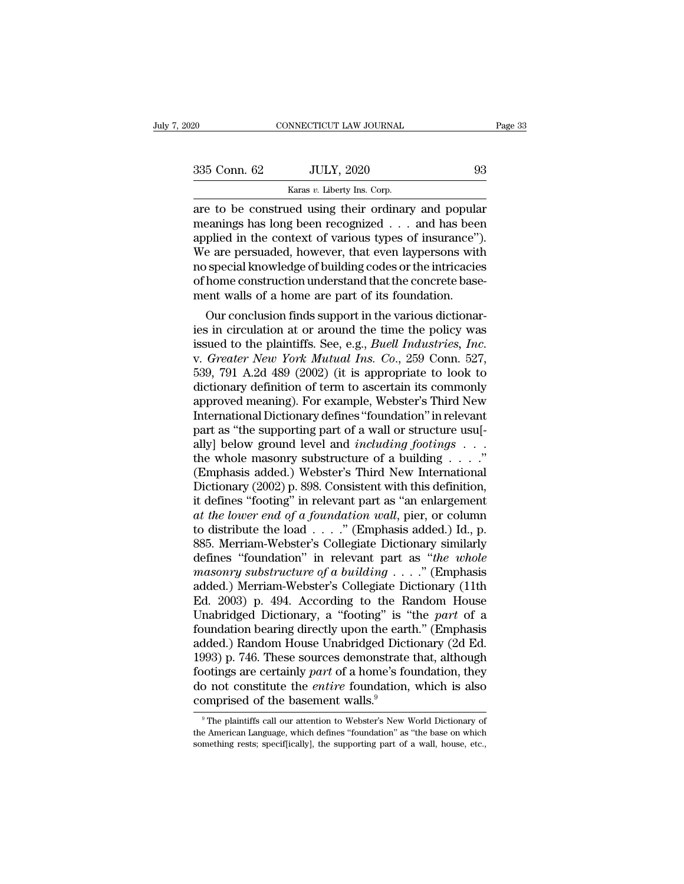| 2020         | CONNECTICUT LAW JOURNAL                                                                                                                                         | Page 33 |
|--------------|-----------------------------------------------------------------------------------------------------------------------------------------------------------------|---------|
|              |                                                                                                                                                                 |         |
| 335 Conn. 62 | <b>JULY, 2020</b>                                                                                                                                               | 93      |
|              | Karas v. Liberty Ins. Corp.                                                                                                                                     |         |
|              | are to be construed using their ordinary and popular<br>meanings has long been recognized and has been<br>applied in the context of various types of insurance" |         |

335 Conn. 62 JULY, 2020 93<br>
Karas v. Liberty Ins. Corp.<br>
THE ARE ARE ARE ALL THE ARE ALL THE ARE ARE ARE ARE ARE ARE ARE ARE APPOSED in the context of various types of insurance").<br>
We are persuaded however that even layo 335 Conn. 62 JULY, 2020 93<br>
Karas v. Liberty Ins. Corp.<br>
are to be construed using their ordinary and popular<br>
meanings has long been recognized . . . and has been<br>
applied in the context of various types of insurance'').  $335$  Conn. 62 JULY, 2020 93<br>
Karas v. Liberty Ins. Corp.<br>
are to be construed using their ordinary and popular<br>
meanings has long been recognized . . . and has been<br>
applied in the context of various types of insurance") Example of a bond in the context of the intricacies<br>
are to be construed using their ordinary and popular<br>
meanings has long been recognized  $\ldots$  and has been<br>
applied in the context of various types of insurance").<br>
We Example 1 and Searse v. Liberty Ins. Corp.<br>
Since are to be construed using their ordinary and popular<br>
meanings has long been recognized  $\ldots$  and has been<br>
applied in the context of various types of insurance").<br>
We are are to be construed using their ordinary and popula<br>meanings has long been recognized  $\ldots$  and has been<br>applied in the context of various types of insurance".<br>We are persuaded, however, that even laypersons wit<br>no specia beyonds as iong been recognized  $\ldots$  and has been plied in the context of various types of insurance").<br>
Le are persuaded, however, that even laypersons with special knowledge of building codes or the intricacies<br>
home c applied in the context of various types of insurance).<br>We are persuaded, however, that even laypersons with<br>no special knowledge of building codes or the intricacies<br>of home construction understand that the concrete base-<br>

we are persuaded, nowever, that even laypersons with<br>no special knowledge of building codes or the intricacies<br>of home construction understand that the concrete base-<br>ment walls of a home are part of its foundation.<br>Our co or nome construction understand that the concrete basement walls of a home are part of its foundation.<br>Our conclusion finds support in the various dictionaries in circulation at or around the time the policy was<br>issued to ment walls of a nome are part of its foundation.<br>
Our conclusion finds support in the various dictionar-<br>
ies in circulation at or around the time the policy was<br>
issued to the plaintiffs. See, e.g., *Buell Industries, Inc* Our conclusion finds support in the various dictionaries in circulation at or around the time the policy was<br>issued to the plaintiffs. See, e.g., *Buell Industries*, *Inc.*<br>v. *Greater New York Mutual Ins. Co.*, 259 Conn. ies in circulation at or around the time the policy was<br>issued to the plaintiffs. See, e.g., *Buell Industries, Inc.*<br>v. *Greater New York Mutual Ins. Co.*, 259 Conn. 527,<br>539, 791 A.2d 489 (2002) (it is appropriate to loo issued to the plaintiffs. See, e.g., *Buell Industries, Inc.*<br>v. *Greater New York Mutual Ins. Co.*, 259 Conn. 527,<br>539, 791 A.2d 489 (2002) (it is appropriate to look to<br>dictionary definition of term to ascertain its comm v. *Greater New York Mutual Ins. Co.*, 259 Conn. 527, 539, 791 A.2d 489 (2002) (it is appropriate to look to dictionary definition of term to ascertain its commonly approved meaning). For example, Webster's Third New Inter dictionary definition of term to ascertain its commonly<br>approved meaning). For example, Webster's Third New<br>International Dictionary defines "foundation" in relevant<br>part as "the supporting part of a wall or structure usu[ approved meaning). For example, Webster's Third New<br>International Dictionary defines "foundation" in relevant<br>part as "the supporting part of a wall or structure usu[-<br>ally] below ground level and *including footings* . . International Dictionary defines "foundation" in relevant<br>part as "the supporting part of a wall or structure usu[-<br>ally] below ground level and *including footings* . . . ."<br>the whole masonry substructure of a building . part as "the supporting part of a wall or structure usu[-<br>ally] below ground level and *including footings* . . . ."<br>the whole masonry substructure of a building . . . ."<br>(Emphasis added.) Webster's Third New International to distribute the load . . . .'' (Emphasis added.) Id., p. the whole masonry substructure of a building . . . ."<br>(Emphasis added.) Webster's Third New International<br>Dictionary (2002) p. 898. Consistent with this definition,<br>it defines "footing" in relevant part as "an enlargement (Emphasis added.) Webster's Third New International<br>Dictionary (2002) p. 898. Consistent with this definition,<br>it defines "footing" in relevant part as "an enlargement<br>*at the lower end of a foundation wall*, pier, or colu Dictionary (2002) p. 898. Consistent with this definition,<br>it defines "footing" in relevant part as "an enlargement<br>*at the lower end of a foundation wall*, pier, or column<br>to distribute the load . . . ." (Emphasis added.) it defines "footing" in relevant part as "an enlargement<br>
at the lower end of a foundation wall, pier, or column<br>
to distribute the load . . . ." (Emphasis added.) Id., p.<br>
885. Merriam-Webster's Collegiate Dictionary sim at the lower end of a foundation wall, pier, or column<br>to distribute the load . . . ." (Emphasis added.) Id., p.<br>885. Merriam-Webster's Collegiate Dictionary similarly<br>defines "foundation" in relevant part as "the whole<br>m to distribute the load . . . ." (Emphasis added.) Id., p.<br>885. Merriam-Webster's Collegiate Dictionary similarly<br>defines "foundation" in relevant part as "*the whole*<br>*masonry substructure of a building* . . . ." (Emphasis 885. Merriam-Webster's Collegiate Dictionary similarly<br>defines "foundation" in relevant part as "*the whole*<br>masonry substructure of a building . . . ." (Emphasis<br>added.) Merriam-Webster's Collegiate Dictionary (11th<br>Ed. defines "foundation" in relevant part as "*the whole*<br>masonry substructure of a building . . . ." (Emphasis<br>added.) Merriam-Webster's Collegiate Dictionary (11th<br>Ed. 2003) p. 494. According to the Random House<br>Unabridged masonry substructure of a building  $\ldots$ ." (Emphasis<br>added.) Merriam-Webster's Collegiate Dictionary (11th<br>Ed. 2003) p. 494. According to the Random House<br>Unabridged Dictionary, a "footing" is "the *part* of a<br>foundation added.) Merriam-Webster's Collegiate Dictionary (11th Ed. 2003) p. 494. According to the Random House Unabridged Dictionary, a "footing" is "the *part* of a foundation bearing directly upon the earth." (Emphasis added.) Ra Ed. 2003) p. 494. According to the Random House<br>Unabridged Dictionary, a "footing" is "the *part* of a<br>foundation bearing directly upon the earth." (Emphasis<br>added.) Random House Unabridged Dictionary (2d Ed.<br>1993) p. 746. Unabridged Dictionary, a "footing" is "<br>foundation bearing directly upon the eart<br>added.) Random House Unabridged Dict<br>1993) p. 746. These sources demonstrate<br>footings are certainly *part* of a home's fo<br>do not constitute 1993) p. 746. These sources demonstrate that, although footings are certainly *part* of a home's foundation, they do not constitute the *entire* foundation, which is also comprised of the basement walls.<sup>9</sup><br><sup>9</sup> The plaint footings are certainly *part* of a home's foundation, they<br>do not constitute the *entire* foundation, which is also<br>comprised of the basement walls.<sup>9</sup><br><sup>9</sup>The plaintiffs call our attention to Webster's New World Dictionar do not constitute the *entire* foundation, which is also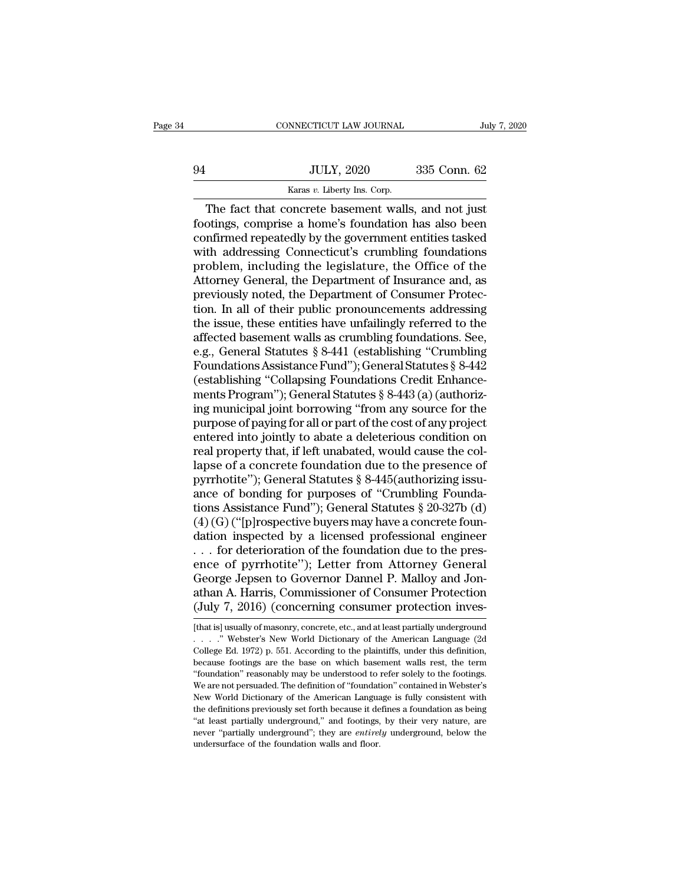|    | CONNECTICUT LAW JOURNAL                            | July 7, 2020 |
|----|----------------------------------------------------|--------------|
| 94 | <b>JULY, 2020</b>                                  | 335 Conn. 62 |
|    | Karas v. Liberty Ins. Corp.                        |              |
|    | The fact that concrete basement walls and not just |              |

CONNECTICUT LAW JOURNAL July 7, 2020<br>JULY, 2020 335 Conn. 62<br>Karas v. Liberty Ins. Corp.<br>The fact that concrete basement walls, and not just<br>otings, comprise a home's foundation has also been<br>nfirmed repeatedly by the cove For September 2020<br>
For Sale and San Strains and NULY, 2020<br>
For San Strains and Register and Strains and Register and Strains and Register and Strains and Strains and Strains and Strains and Strains and Strains and Strain confirmed repeatedly by the government entities tasked  $335$  Conn. 62<br>  $\frac{52}{100}$  Karas v. Liberty Ins. Corp.<br>
The fact that concrete basement walls, and not just<br>
footings, comprise a home's foundation has also been<br>
confirmed repeatedly by the government entities tasked<br> For the fact that concrete basement walls, and not just<br>footings, comprise a home's foundation has also been<br>confirmed repeatedly by the government entities tasked<br>with addressing Connecticut's crumbling foundations<br>probl Karas v. Liberty Ins. Corp.<br>
The fact that concrete basement walls, and not just<br>
footings, comprise a home's foundation has also been<br>
confirmed repeatedly by the government entities tasked<br>
with addressing Connecticut's The fact that concrete basement walls, and not just<br>footings, comprise a home's foundation has also been<br>confirmed repeatedly by the government entities tasked<br>with addressing Connecticut's crumbling foundations<br>problem, i footings, comprise a home's foundation has also been<br>confirmed repeatedly by the government entities tasked<br>with addressing Connecticut's crumbling foundations<br>problem, including the legislature, the Office of the<br>Attorney confirmed repeatedly by the government entities tasked<br>with addressing Connecticut's crumbling foundations<br>problem, including the legislature, the Office of the<br>Attorney General, the Department of Insurance and, as<br>previou with addressing Connecticut's crumbling foundations<br>problem, including the legislature, the Office of the<br>Attorney General, the Department of Insurance and, as<br>previously noted, the Department of Consumer Protec-<br>tion. In problem, including the legislature, the Office of the<br>Attorney General, the Department of Insurance and, as<br>previously noted, the Department of Consumer Protec-<br>tion. In all of their public pronouncements addressing<br>the is Attorney General, the Department of Insurance and, as<br>previously noted, the Department of Consumer Protec-<br>tion. In all of their public pronouncements addressing<br>the issue, these entities have unfailingly referred to the<br>a previously noted, the Department of Consumer Protection. In all of their public pronouncements addressing<br>the issue, these entities have unfailingly referred to the<br>affected basement walls as crumbling foundations. See,<br>e. tion. In all of their public pronouncements addressing<br>the issue, these entities have unfailingly referred to the<br>affected basement walls as crumbling foundations. See,<br>e.g., General Statutes § 8-441 (establishing "Crumbl the issue, these entities have unfailingly referred to the<br>affected basement walls as crumbling foundations. See,<br>e.g., General Statutes § 8-441 (establishing "Crumbling<br>Foundations Assistance Fund"); General Statutes § 8affected basement walls as crumbling foundations. See,<br>e.g., General Statutes § 8-441 (establishing "Crumbling<br>Foundations Assistance Fund"); General Statutes § 8-442<br>(establishing "Collapsing Foundations Credit Enhance-<br>m e.g., General Statutes § 8-441 (establishing "Crumbling<br>Foundations Assistance Fund"); General Statutes § 8-442<br>(establishing "Collapsing Foundations Credit Enhance-<br>ments Program"); General Statutes § 8-443 (a) (authoriz-Foundations Assistance Fund"); General Statutes § 8-442<br>(establishing "Collapsing Foundations Credit Enhance-<br>ments Program"); General Statutes § 8-443 (a) (authoriz-<br>ing municipal joint borrowing "from any source for the<br> (establishing "Collapsing Foundations Credit Enhance-<br>ments Program"); General Statutes § 8-443 (a) (authoriz-<br>ing municipal joint borrowing "from any source for the<br>purpose of paying for all or part of the cost of any pr ments Program"); General Statutes § 8-443 (a) (authorizing municipal joint borrowing "from any source for the purpose of paying for all or part of the cost of any project entered into jointly to abate a deleterious condit ing municipal joint borrowing "from any source for the<br>purpose of paying for all or part of the cost of any project<br>entered into jointly to abate a deleterious condition on<br>real property that, if left unabated, would cause purpose of paying for all or part of the cost of any project<br>entered into jointly to abate a deleterious condition on<br>real property that, if left unabated, would cause the col-<br>lapse of a concrete foundation due to the pre entered into jointly to abate a deleterious condition on<br>real property that, if left unabated, would cause the col-<br>lapse of a concrete foundation due to the presence of<br>pyrrhotite"); General Statutes § 8-445(authorizing real property that, if left unabated, would cause the col-<br>lapse of a concrete foundation due to the presence of<br>pyrrhotite"); General Statutes § 8-445(authorizing issu-<br>ance of bonding for purposes of "Crumbling Founda-<br>t lapse of a concrete foundation due to the presence of<br>pyrrhotite"); General Statutes § 8-445(authorizing issu-<br>ance of bonding for purposes of "Crumbling Founda-<br>tions Assistance Fund"); General Statutes § 20-327b (d)<br>(4) pyrrhotite''); General Statutes § 8-445(authorizing issuance of bonding for purposes of "Crumbling Foundations Assistance Fund"); General Statutes § 20-327b (d) (4) (G) ("[p]rospective buyers may have a concrete foundation ance of bonding for purposes of "Crumbling Foundations Assistance Fund"); General Statutes § 20-327b (d) (4) (G) ("[p]rospective buyers may have a concrete foundation inspected by a licensed professional engineer ... for tions Assistance Fund"); General Statutes § 20-327b (d) (4) (G) ("[p]rospective buyers may have a concrete foundation inspected by a licensed professional engineer . . . for deterioration of the foundation due to the pres (4) (G) ("[p]rospective buyers may have a concrete foundation inspected by a licensed professional engineer ... for deterioration of the foundation due to the presence of pyrrhotite"); Letter from Attorney General George ence of pyrrhotite"); Letter from Attorney General<br>George Jepsen to Governor Dannel P. Malloy and Jon-<br>athan A. Harris, Commissioner of Consumer Protection<br>(July 7, 2016) (concerning consumer protection inves-<br>[that is] us George Jepsen to Governor Dannel P. Malloy and Jon-<br>athan A. Harris, Commissioner of Consumer Protection<br>(July 7, 2016) (concerning consumer protection inves-<br>[that is] usually of masonry, concrete, etc., and at least part

athan A. Harris, Commissioner of Consumer Protection<br>
(July 7, 2016) (concerning consumer protection inves-<br>
[that is] usually of masonry, concrete, etc., and at least partially underground<br>  $\ldots$   $\ldots$  "Webster's New Wor (July 7, 2016) (concerning consumer protection inves-<br>
[that is] usually of masonry, concrete, etc., and at least partially underground<br>  $\ldots$  " Webster's New World Dictionary of the American Language (2d<br>
College Ed. 197 (July 1, 2010) (COICETILING COISUMPLE PROCECTON INVES-<br>
[that is] usually of masonry, concrete, etc., and at least partially underground<br>
....." Webster's New World Dictionary of the American Language (2d<br>
College Ed. 1972 [that is] usually of masonry, concrete, etc., and at least partially underground<br>  $\ldots$   $\ldots$  " Webster's New World Dictionary of the American Language (2d<br>
College Ed. 1972) p. 551. According to the plaintiffs, under thi The New World Dictionary of the American Language (2d College Ed. 1972) p. 551. According to the plaintiffs, under this definition, because footings are the base on which basement walls rest, the term "foundation" reasona College Ed. 1972) p. 551. According to the plaintiffs, under this definition, because footings are the base on which basement walls rest, the term "foundation" reasonably may be understood to refer solely to the footings. because footings are the base on which basement walls rest, the term<br>
"foundation" reasonably may be understood to refer solely to the footings.<br>
We are not persuaded. The definition of "foundation" contained in Webster's<br> "'coundation" reasonably may be understood to refer solely to the footings.<br>We are not persuaded. The definition of "foundation" contained in Webster's<br>New World Dictionary of the American Language is fully consistent with We are not persuaded. The definition of "foundation" contained in Webster's New World Dictionary of the American Language is fully consistent with the definitions previously set forth because it defines a foundation as be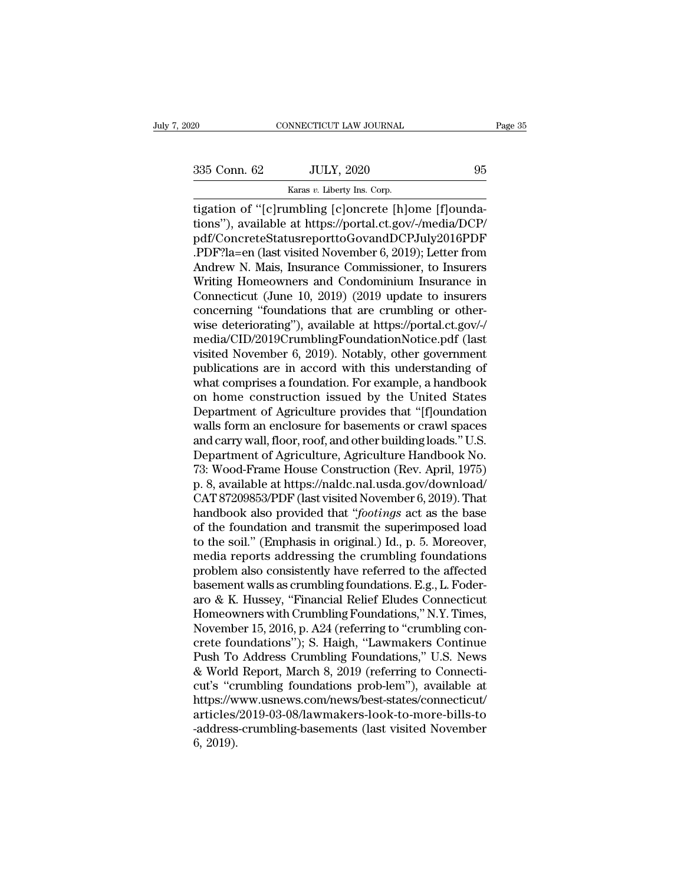CONNECTICUT LAW JOURNAL<br>
2020 95<br>
335 Conn. 62 JULY, 2020 95<br>
Karas *v.* Liberty Ins. Corp.<br>
Ligation of "[c]rumbling [c]oncrete [h]ome [f]ounda-CONNECTICUT LAW JOURNAL<br>
335 Conn. 62 JULY, 2020 95<br>
Karas v. Liberty Ins. Corp.<br>
195 Connection of "[c]rumbling [c]oncrete [h]ome [f]ounda-<br>
197 Concrete [c] Concrete [h]ome [f]ounda-<br>
197 Concrete Status: Connection of C 335 Conn. 62 JULY, 2020 95<br>
Karas v. Liberty Ins. Corp.<br>
Tigation of "[c]rumbling [c]oncrete [h]ome [f]ounda-<br>
tions"), available at https://portal.ct.gov/-/media/DCP/<br>
pdf/ConcreteStatusreporttoGovandDCPJuly2016PDF<br>
PDF2l pdf/ConcreteStatusreporttoGovandDCPJuly2016PDF 335 Conn. 62 JULY, 2020 95<br>
Karas v. Liberty Ins. Corp.<br>
itigation of "[c]rumbling [c]oncrete [h]ome [f]ounda-<br>
tions"), available at https://portal.ct.gov/-/media/DCP/<br>
pdf/ConcreteStatusreporttoGovandDCPJuly2016PDF<br>
.PD Example 2021, 2022, 2022, 2022, 2022, 2022, 2022, 2022, 2022, 2022, 2022, 2022, 2022, 2022, 2022, 2023, 2023, 2023, 2023, 2023, 2023, 2023, 2023, 2023, 2023, 2023, 2023, 2023, 2023, 2023, 2023, 2023, 2023, 2023, 2023, 202 karas v. Liberty ins. Corp.<br>
tigation of "[c]rumbling [c]oncrete [h]ome [f]ounda-<br>
tions"), available at https://portal.ct.gov/-/media/DCP/<br>
pdf/ConcreteStatusreporttoGovandDCPJuly2016PDF<br>
.PDF?la=en (last visited Novembe tigation of "[c]rumbling [c]oncrete [h]ome [f]oundations"), available at https://portal.ct.gov/-/media/DCP/<br>pdf/ConcreteStatusreporttoGovandDCPJuly2016PDF<br>.PDF?la=en (last visited November 6, 2019); Letter from<br>Andrew N. M tions"), available at https://portal.ct.gov/-/media/DCP/<br>pdf/ConcreteStatusreporttoGovandDCPJuly2016PDF<br>.PDF?la=en (last visited November 6, 2019); Letter from<br>Andrew N. Mais, Insurance Commissioner, to Insurers<br>Writing Ho pdf/ConcreteStatusreporttoGovandDCPJuly2016PDF<br>.PDF?la=en (last visited November 6, 2019); Letter from<br>Andrew N. Mais, Insurance Commissioner, to Insurers<br>Writing Homeowners and Condominium Insurance in<br>Connecticut (June 1 .PDF?la=en (last visited November 6, 2019); Letter from<br>Andrew N. Mais, Insurance Commissioner, to Insurers<br>Writing Homeowners and Condominium Insurance in<br>Connecticut (June 10, 2019) (2019 update to insurers<br>concerning "f Andrew N. Mais, Insurance Commissioner, to Insurers<br>Writing Homeowners and Condominium Insurance in<br>Connecticut (June 10, 2019) (2019 update to insurers<br>concerning "foundations that are crumbling or other-<br>wise deteriorati Writing Homeowners and Condominium Insurance in<br>Connecticut (June 10, 2019) (2019 update to insurers<br>concerning "foundations that are crumbling or other-<br>wise deteriorating"), available at https://portal.ct.gov/-/<br>media/CI Connecticut (June 10, 2019) (2019 update to insurers<br>concerning "foundations that are crumbling or other-<br>wise deteriorating"), available at https://portal.ct.gov/-/<br>media/CID/2019CrumblingFoundationNotice.pdf (last<br>visite concerning "foundations that are crumbling or otherwise deteriorating"), available at https://portal.ct.gov/-/<br>media/CID/2019CrumblingFoundationNotice.pdf (last<br>visited November 6, 2019). Notably, other government<br>publicat wise deteriorating"), available at https://portal.ct.gov/-/<br>media/CID/2019CrumblingFoundationNotice.pdf (last<br>visited November 6, 2019). Notably, other government<br>publications are in accord with this understanding of<br>what media/CID/2019CrumblingFoundationNotice.pdf (last<br>visited November 6, 2019). Notably, other government<br>publications are in accord with this understanding of<br>what comprises a foundation. For example, a handbook<br>on home cons visited November 6, 2019). Notably, other government<br>publications are in accord with this understanding of<br>what comprises a foundation. For example, a handbook<br>on home construction issued by the United States<br>Department of publications are in accord with this understanding of<br>what comprises a foundation. For example, a handbook<br>on home construction issued by the United States<br>Department of Agriculture provides that "[f]oundation<br>walls form a what comprises a foundation. For example, a handbook<br>on home construction issued by the United States<br>Department of Agriculture provides that "[f]oundation<br>walls form an enclosure for basements or crawl spaces<br>and carry wa on home construction issued by the United States<br>Department of Agriculture provides that "[f]oundation<br>walls form an enclosure for basements or crawl spaces<br>and carry wall, floor, roof, and other building loads." U.S.<br>Depa Department of Agriculture provides that "[f]oundation<br>walls form an enclosure for basements or crawl spaces<br>and carry wall, floor, roof, and other building loads." U.S.<br>Department of Agriculture, Agriculture Handbook No.<br>7 walls form an enclosure for basements or crawl spaces<br>and carry wall, floor, roof, and other building loads." U.S.<br>Department of Agriculture, Agriculture Handbook No.<br>73: Wood-Frame House Construction (Rev. April, 1975)<br>p. and carry wall, floor, roof, and other building loads." U.S.<br>Department of Agriculture, Agriculture Handbook No.<br>73: Wood-Frame House Construction (Rev. April, 1975)<br>p. 8, available at https://naldc.nal.usda.gov/download/<br> Department of Agriculture, Agriculture Handbook No.<br>73: Wood-Frame House Construction (Rev. April, 1975)<br>p. 8, available at https://naldc.nal.usda.gov/download/<br>CAT 87209853/PDF (last visited November 6, 2019). That<br>handbo 73: Wood-Frame House Construction (Rev. April, 1975)<br>p. 8, available at https://naldc.nal.usda.gov/download/<br>CAT 87209853/PDF (last visited November 6, 2019). That<br>handbook also provided that "*footings* act as the base<br>o p. 8, available at https://naldc.nal.usda.gov/download/<br>CAT 87209853/PDF (last visited November 6, 2019). That<br>handbook also provided that "*footings* act as the base<br>of the foundation and transmit the superimposed load<br>to CAT 87209853/PDF (last visited November 6, 2019). That<br>handbook also provided that "*footings* act as the base<br>of the foundation and transmit the superimposed load<br>to the soil." (Emphasis in original.) Id., p. 5. Moreover handbook also provided that "*footings* act as the base<br>of the foundation and transmit the superimposed load<br>to the soil." (Emphasis in original.) Id., p. 5. Moreover,<br>media reports addressing the crumbling foundations<br>pro of the foundation and transmit the superimposed load<br>to the soil." (Emphasis in original.) Id., p. 5. Moreover,<br>media reports addressing the crumbling foundations<br>problem also consistently have referred to the affected<br>bas to the soil." (Emphasis in original.) Id., p. 5. Moreover,<br>media reports addressing the crumbling foundations<br>problem also consistently have referred to the affected<br>basement walls as crumbling foundations. E.g., L. Fodermedia reports addressing the crumbling foundations<br>problem also consistently have referred to the affected<br>basement walls as crumbling foundations. E.g., L. Foder-<br>aro & K. Hussey, "Financial Relief Eludes Connecticut<br>Home problem also consistently have referred to the affected<br>basement walls as crumbling foundations. E.g., L. Foder-<br>aro & K. Hussey, "Financial Relief Eludes Connecticut<br>Homeowners with Crumbling Foundations," N.Y. Times,<br>Nov basement walls as crumbling foundations. E.g., L. Foderaro & K. Hussey, "Financial Relief Eludes Connecticut<br>Homeowners with Crumbling Foundations," N.Y. Times,<br>November 15, 2016, p. A24 (referring to "crumbling con-<br>crete aro & K. Hussey, "Financial Relief Eludes Connecticut<br>Homeowners with Crumbling Foundations," N.Y. Times,<br>November 15, 2016, p. A24 (referring to "crumbling con-<br>crete foundations"); S. Haigh, "Lawmakers Continue<br>Push To A https://www.usnews.com/news/best-states/connecticut/ articles/2019-03-08/lawmakers-look-to-more-bills-to crete foundations"); S. Haigh, "Lawmakers Continue<br>Push To Address Crumbling Foundations," U.S. News<br>& World Report, March 8, 2019 (referring to Connecti-<br>cut's "crumbling foundations prob-lem"), available at<br>https://www.u Push To<br>& World<br>cut's "cr<br>https://w<br>articles/<br>-address<br>6, 2019).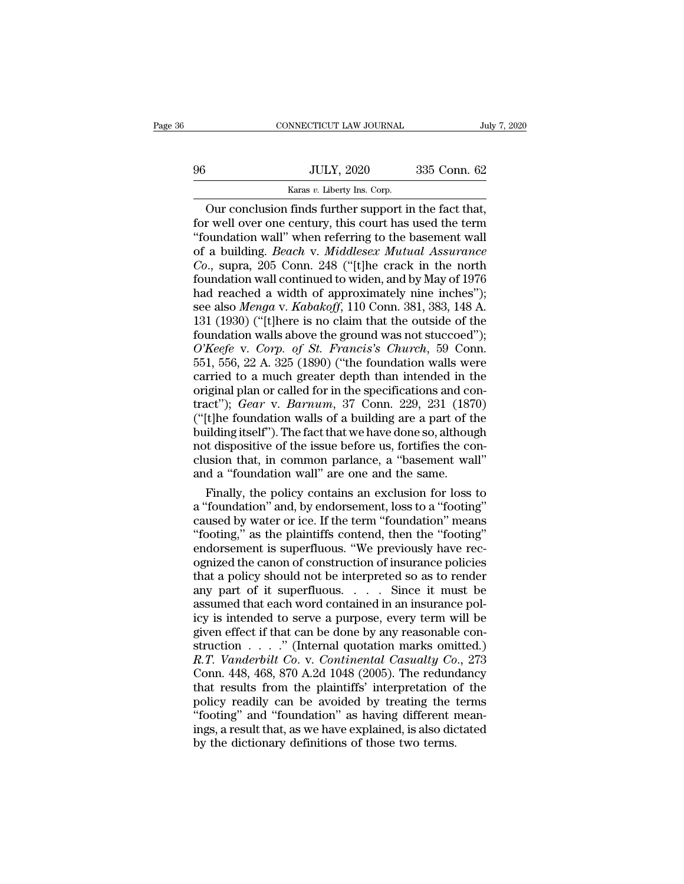|    | CONNECTICUT LAW JOURNAL                               | July 7, 2020 |  |
|----|-------------------------------------------------------|--------------|--|
|    |                                                       |              |  |
| 96 | <b>JULY, 2020</b>                                     | 335 Conn. 62 |  |
|    | Karas v. Liberty Ins. Corp.                           |              |  |
|    | Our conclusion finds further support in the fact that |              |  |

CONNECTICUT LAW JOURNAL July 7, 2<br>July 7, 2<br>JULY, 2020 335 Conn. 62<br>Karas v. Liberty Ins. Corp.<br>Our conclusion finds further support in the fact that,<br>r well over one century, this court has used the term<br>pundation wall" w For Well over one century, this corp.<br>
The fact that, our conclusion finds further support in the fact that,<br>
for well over one century, this court has used the term<br>
"foundation wall" when referring to the basement wall<br> ''foundation wall'' when referring to the basement wall of a building. *Beach* v. *Building. Beach* v. *Middlesex Mutual Assurance*<br>
Consistently and the fact that, for well over one century, this court has used the term<br>
"foundation wall" when referring to the basement wall<br>
o *Colimeters Colimeters Connet Connet Connet Connet Connet Connet Connet Connet Connet Connet Connet Connet Connet Connet Connet Connet Connet Connet Connection and Connection and Connection and the state connection and* Karas v. Liberty Ins. Corp.<br>
Our conclusion finds further support in the fact that,<br>
for well over one century, this court has used the term<br>
"foundation wall" when referring to the basement wall<br>
of a building. *Beach* v Our conclusion finds further support in the fact that,<br>for well over one century, this court has used the term<br>"foundation wall" when referring to the basement wall<br>of a building. *Beach* v. *Middlesex Mutual Assurance*<br>Co for well over one century, this court has used the term<br>"foundation wall" when referring to the basement wall<br>of a building. *Beach* v. *Middlesex Mutual Assurance*<br>Co., supra, 205 Conn. 248 ("[t]he crack in the north<br>foun "foundation wall" when referring to the basement wall<br>of a building. *Beach* v. *Middlesex Mutual Assurance*<br>Co., supra, 205 Conn. 248 ("[t]he crack in the north<br>foundation wall continued to widen, and by May of 1976<br>had "foundation wall" when referring to the basement wall<br>of a building. *Beach* v. *Middlesex Mutual Assurance*<br> $Co$ , supra, 205 Conn. 248 ("[t]he crack in the north<br>foundation wall continued to widen, and by May of 1976<br>had *Co.*, supra, 205 Conn. 248 ("[t]he crack in the north<br>foundation wall continued to widen, and by May of 1976<br>had reached a width of approximately nine inches");<br>see also *Menga* v. *Kabakoff*, 110 Conn. 381, 383, 148 A.<br>1 foundation wall continued to widen, and by May of 1976<br>had reached a width of approximately nine inches");<br>see also *Menga* v. *Kabakoff*, 110 Conn. 381, 383, 148 A.<br>131 (1930) ("[t]here is no claim that the outside of the had reached a width of approximately nine inches");<br>see also *Menga* v. *Kabakoff*, 110 Conn. 381, 383, 148 A.<br>131 (1930) ("[t]here is no claim that the outside of the<br>foundation walls above the ground was not stuccoed"); see also *Menga v. Kabakoff*, 110 Conn. 381, 383, 148 A.<br>131 (1930) ("[t]here is no claim that the outside of the<br>foundation walls above the ground was not stuccoed");<br> $O'Keefe$  v. Corp. of St. Francis's Church, 59 Conn.<br>551 131 (1930) ("[t]here is no claim that the outside of the<br>foundation walls above the ground was not stuccoed");<br> $O'Keefe$  v. *Corp.* of *St. Francis's Church*, 59 Conn.<br>551, 556, 22 A. 325 (1890) ("the foundation walls were<br>c foundation walls above the ground was not stuccoed");<br>  $O'Keefe$  v. Corp. of St. Francis's Church, 59 Conn.<br>
551, 556, 22 A. 325 (1890) ("the foundation walls were<br>
carried to a much greater depth than intended in the<br>
orig O'Keefe v. Corp. of St. Francis's Church, 59 Conn.<br>551, 556, 22 A. 325 (1890) ("the foundation walls were<br>carried to a much greater depth than intended in the<br>original plan or called for in the specifications and con-<br>tra 551, 556, 22 A. 325 (1890) ("the foundation walls were<br>carried to a much greater depth than intended in the<br>original plan or called for in the specifications and con-<br>tract"); *Gear* v. *Barnum*, 37 Conn. 229, 231 (1870)<br> carried to a much greater depth than intended in the original plan or called for in the specifications and contract"); *Gear v. Barnum*, 37 Conn. 229, 231 (1870) ("[t]he foundation walls of a building are a part of the bui original plan or called for in the specifications and co<br>tract"); *Gear* v. *Barnum*, 37 Conn. 229, 231 (187<br>("[t]he foundation walls of a building are a part of the<br>building itself"). The fact that we have done so, althou act"); *Gear* v. *Barnum*, 37 Conn. 229, 231 (1870)<br>
[t]he foundation walls of a building are a part of the<br>
ilding itself"). The fact that we have done so, although<br>
t dispositive of the issue before us, fortifies the con ("[t]he foundation walls of a building are a part of the<br>building itself"). The fact that we have done so, although<br>not dispositive of the issue before us, fortifies the con-<br>clusion that, in common parlance, a "basement w

building itself"). The fact that we have done so, although<br>not dispositive of the issue before us, fortifies the con-<br>clusion that, in common parlance, a "basement wall"<br>and a "foundation wall" are one and the same.<br>Finall not dispositive of the issue before us, fortifies the conclusion that, in common parlance, a "basement wall" and a "foundation wall" are one and the same.<br>Finally, the policy contains an exclusion for loss to a "footing" c clusion that, in common parlance, a "basement wall"<br>and a "foundation wall" are one and the same.<br>Finally, the policy contains an exclusion for loss to<br>a "foundation" and, by endorsement, loss to a "footing"<br>caused by wate and a "foundation wall" are one and the same.<br>Finally, the policy contains an exclusion for loss to<br>a "foundation" and, by endorsement, loss to a "footing"<br>caused by water or ice. If the term "foundation" means<br>"footing," Finally, the policy contains an exclusion for loss to<br>a "foundation" and, by endorsement, loss to a "footing"<br>caused by water or ice. If the term "foundation" means<br>"footing," as the plaintiffs contend, then the "footing" a "foundation" and, by endorsement, loss to a "footing"<br>caused by water or ice. If the term "foundation" means<br>"footing," as the plaintiffs contend, then the "footing"<br>endorsement is superfluous. "We previously have rec-<br>o a "foundation" and, by endorsement, loss to a "footing" caused by water or ice. If the term "foundation" means "footing," as the plaintiffs contend, then the "footing" endorsement is superfluous. "We previously have recog "footing," as the plaintiffs contend, then the "footing"<br>endorsement is superfluous. "We previously have rec-<br>ognized the canon of construction of insurance policies<br>that a policy should not be interpreted so as to render endorsement is superfluous. "We previously have recognized the canon of construction of insurance policies<br>that a policy should not be interpreted so as to render<br>any part of it superfluous.... Since it must be<br>assumed th ognized the canon of construction of insurance policies<br>that a policy should not be interpreted so as to render<br>any part of it superfluous. . . . . Since it must be<br>assumed that each word contained in an insurance pol-<br>ic *R.A.T. Vanderbilt Co. v. Continental Casualty Co.*, 273<br> *R.T. Vanderbilt Co. v. Continental Casualty Co.*, 273<br> *R.T. Vanderbilt Co. v. Continental Casualty Co.*, 273<br> *R.T. Vanderbilt Co. v. Continental Casualty Co.*, 2 any part of it superfluous. . . . . Since it must be assumed that each word contained in an insurance policy is intended to serve a purpose, every term will be given effect if that can be done by any reasonable constructi assumed that each word contained in an insurance policy is intended to serve a purpose, every term will be given effect if that can be done by any reasonable construction  $\ldots$  ." (Internal quotation marks omitted.)  $R.T. V$ icy is intended to serve a purpose, every term will be<br>given effect if that can be done by any reasonable con-<br>struction  $\ldots$ ." (Internal quotation marks omitted.)<br> $R.T. Vanderbit Co. v. Continental Casuality Co., 273$ <br>Conn. 448, 468, 870 A.2d 1048 (200 given effect if that can be done by any reasonable construction  $\ldots$ ." (Internal quotation marks omitted.)<br>R.T. *Vanderbilt Co.* v. *Continental Casualty Co.*, 273<br>Conn. 448, 468, 870 A.2d 1048 (2005). The redundancy<br>tha struction  $\ldots$  ." (Internal quotation marks omitted.)<br>*R.T. Vanderbilt Co. v. Continental Casualty Co.*, 273<br>Conn. 448, 468, 870 A.2d 1048 (2005). The redundancy<br>that results from the plaintiffs' interpretation of the<br>po R.T. Vanderbilt Co. v. Continental Casualty Co<br>Conn. 448, 468, 870 A.2d 1048 (2005). The redund<br>that results from the plaintiffs' interpretation c<br>policy readily can be avoided by treating the "<br>"footing" and "foundation"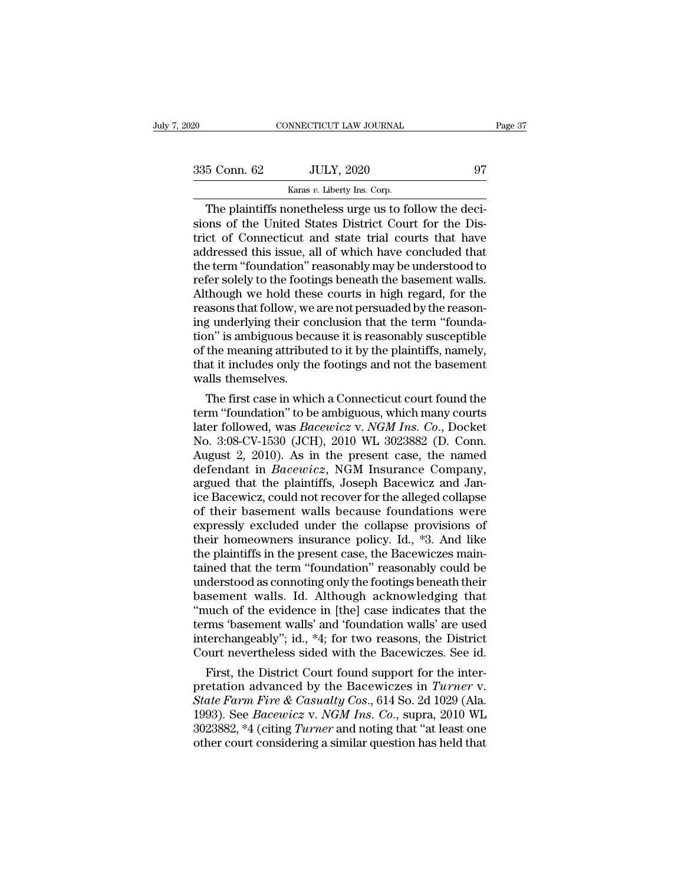| 2020         | CONNECTICUT LAW JOURNAL                                                                                                                                                   | Page 37 |
|--------------|---------------------------------------------------------------------------------------------------------------------------------------------------------------------------|---------|
|              |                                                                                                                                                                           |         |
| 335 Conn. 62 | <b>JULY, 2020</b>                                                                                                                                                         | 97      |
|              | Karas v. Liberty Ins. Corp.                                                                                                                                               |         |
|              | The plaintiffs nonetheless urge us to follow the deci-<br>sions of the United States District Court for the Dis-<br>trict of Connecticut and state trial courts that have |         |

335 Conn. 62 JULY, 2020 97<br>
Karas v. Liberty Ins. Corp.<br>
The plaintiffs nonetheless urge us to follow the decisions of the United States District Court for the District of Connecticut and state trial courts that have 335 Conn. 62 JULY, 2020 97<br>
Karas v. Liberty Ins. Corp.<br>
The plaintiffs nonetheless urge us to follow the decisions of the United States District Court for the District of Connecticut and state trial courts that have addr 335 Conn. 62 JULY, 2020 97<br>
Karas v. Liberty Ins. Corp.<br>
The plaintiffs nonetheless urge us to follow the decisions of the United States District Court for the District of Connecticut and state trial courts that have addr The plaintiffs nonetheless urge us to follow the decisions of the United States District Court for the District of Connecticut and state trial courts that have addressed this issue, all of which have concluded that the te Example 18 Karas v. Liberty Ins. Corp.<br>
The plaintiffs nonetheless urge us to follow the decisions of the United States District Court for the District of Connecticut and state trial courts that have addressed this issue, The plaintiffs nonetheless urge us to follow the decisions of the United States District Court for the District of Connecticut and state trial courts that have addressed this issue, all of which have concluded that the ter sions of the United States District Court for the District of Connecticut and state trial courts that have addressed this issue, all of which have concluded that the term "foundation" reasonably may be understood to refer trict of Connecticut and state trial courts that have addressed this issue, all of which have concluded that the term "foundation" reasonably may be understood to refer solely to the footings beneath the basement walls. Al addressed this issue, all of which have concluded that<br>the term "foundation" reasonably may be understood to<br>refer solely to the footings beneath the basement walls.<br>Although we hold these courts in high regard, for the<br>re the term "foundation" reasonably may be understood to<br>refer solely to the footings beneath the basement walls.<br>Although we hold these courts in high regard, for the<br>reasons that follow, we are not persuaded by the reason-<br> refer solely to the footings beneath the basement walls.<br>Although we hold these courts in high regard, for the<br>reasons that follow, we are not persuaded by the reason-<br>ing underlying their conclusion that the term "founda-Although we hold thes<br>reasons that follow, we<br>ing underlying their co<br>tion" is ambiguous bec<br>of the meaning attribut<br>that it includes only the<br>walls themselves.<br>The first case in whic asons that follow, we are not persuaded by the reason-<br>g underlying their conclusion that the term "founda-<br>m" is ambiguous because it is reasonably susceptible<br>the meaning attributed to it by the plaintiffs, namely,<br>at i ing underlying their conclusion that the term "foundation" is ambiguous because it is reasonably susceptible<br>of the meaning attributed to it by the plaintiffs, namely,<br>that it includes only the footings and not the baseme

tion" is ambiguous because it is reasonably susceptible<br>of the meaning attributed to it by the plaintiffs, namely,<br>that it includes only the footings and not the basement<br>walls themselves.<br>The first case in which a Connect of the meaning attributed to it by the plaintiffs, namely,<br>that it includes only the footings and not the basement<br>walls themselves.<br>The first case in which a Connecticut court found the<br>term "foundation" to be ambiguous, that it includes only the footings and not the basement<br>walls themselves.<br>The first case in which a Connecticut court found the<br>term "foundation" to be ambiguous, which many courts<br>later followed, was *Bacewicz* v. *NGM I* walls themselves.<br>
The first case in which a Connecticut court found the<br>
term "foundation" to be ambiguous, which many courts<br>
later followed, was *Bacewicz* v. *NGM Ins. Co.*, Docket<br>
No. 3:08-CV-1530 (JCH), 2010 WL 3023 The first case in which a Connecticut court found the<br>term "foundation" to be ambiguous, which many courts<br>later followed, was *Bacewicz* v. *NGM Ins. Co.*, Docket<br>No. 3:08-CV-1530 (JCH), 2010 WL 3023882 (D. Conn.<br>August 2 term "foundation" to be ambiguous, which many courts<br>later followed, was *Bacewicz* v. *NGM Ins. Co.*, Docket<br>No. 3:08-CV-1530 (JCH), 2010 WL 3023882 (D. Conn.<br>August 2, 2010). As in the present case, the named<br>defendant i later followed, was *Bacewicz* v. *NGM Ins. Co.*, Docket<br>No. 3:08-CV-1530 (JCH), 2010 WL 3023882 (D. Conn.<br>August 2, 2010). As in the present case, the named<br>defendant in *Bacewicz*, NGM Insurance Company,<br>argued that the No. 3:08-CV-1530 (JCH), 2010 WL 3023882 (D. Conn.<br>August 2, 2010). As in the present case, the named<br>defendant in *Bacewicz*, NGM Insurance Company,<br>argued that the plaintiffs, Joseph Bacewicz and Jan-<br>ice Bacewicz, could August 2, 2010). As in the present case, the named<br>defendant in *Bacewicz*, NGM Insurance Company,<br>argued that the plaintiffs, Joseph Bacewicz and Jan-<br>ice Bacewicz, could not recover for the alleged collapse<br>of their bas defendant in *Bacewicz*, NGM Insurance Company, argued that the plaintiffs, Joseph Bacewicz and Jan-<br>ice Bacewicz, could not recover for the alleged collapse<br>of their basement walls because foundations were<br>expressly exclu argued that the plaintiffs, Joseph Bacewicz and Jan-<br>ice Bacewicz, could not recover for the alleged collapse<br>of their basement walls because foundations were<br>expressly excluded under the collapse provisions of<br>their homeo ice Bacewicz, could not recover for the alleged collapse<br>of their basement walls because foundations were<br>expressly excluded under the collapse provisions of<br>their homeowners insurance policy. Id., \*3. And like<br>the plainti of their basement walls because foundations were<br>expressly excluded under the collapse provisions of<br>their homeowners insurance policy. Id., \*3. And like<br>the plaintiffs in the present case, the Bacewiczes main-<br>tained that expressly excluded under the collapse provisions of<br>their homeowners insurance policy. Id., \*3. And like<br>the plaintiffs in the present case, the Bacewiczes main-<br>tained that the term "foundation" reasonably could be<br>unders their homeowners insurance policy. Id., \*3. And like<br>the plaintiffs in the present case, the Bacewiczes main-<br>tained that the term "foundation" reasonably could be<br>understood as connoting only the footings beneath their<br>ba the plaintiffs in the present case, the Bacewiczes main-<br>tained that the term "foundation" reasonably could be<br>understood as connoting only the footings beneath their<br>basement walls. Id. Although acknowledging that<br>"much o tained that the term "foundation" reasonably could be understood as connoting only the footings beneath their basement walls. Id. Although acknowledging that "much of the evidence in [the] case indicates that the terms 'ba derstood as connoting only the footings beneath their<br>sement walls. Id. Although acknowledging that<br>nuch of the evidence in [the] case indicates that the<br>ms 'basement walls' and 'foundation walls' are used<br>terchangeably'' basement walls. Id. Although acknowledging that<br>
"much of the evidence in [the] case indicates that the<br>
terms 'basement walls' and 'foundation walls' are used<br>
interchangeably"; id., \*4; for two reasons, the District<br>
Cou

"much of the evidence in [the] case indicates that the<br>terms 'basement walls' and 'foundation walls' are used<br>interchangeably"; id., \*4; for two reasons, the District<br>Court nevertheless sided with the Bacewiczes. See id.<br>F terms 'basement walls' and 'foundation walls' are used<br>interchangeably"; id., \*4; for two reasons, the District<br>Court nevertheless sided with the Bacewiczes. See id.<br>First, the District Court found support for the inter-<br>p interchangeably"; id., \*4; for two reasons, the District<br>Court nevertheless sided with the Bacewiczes. See id.<br>First, the District Court found support for the inter-<br>pretation advanced by the Bacewiczes in *Turner* v.<br>Stat Court nevertheless sided with the Bacewiczes. See id.<br>First, the District Court found support for the inter-<br>pretation advanced by the Bacewiczes in *Turner* v.<br>State Farm Fire & Casualty Cos., 614 So. 2d 1029 (Ala.<br>1993).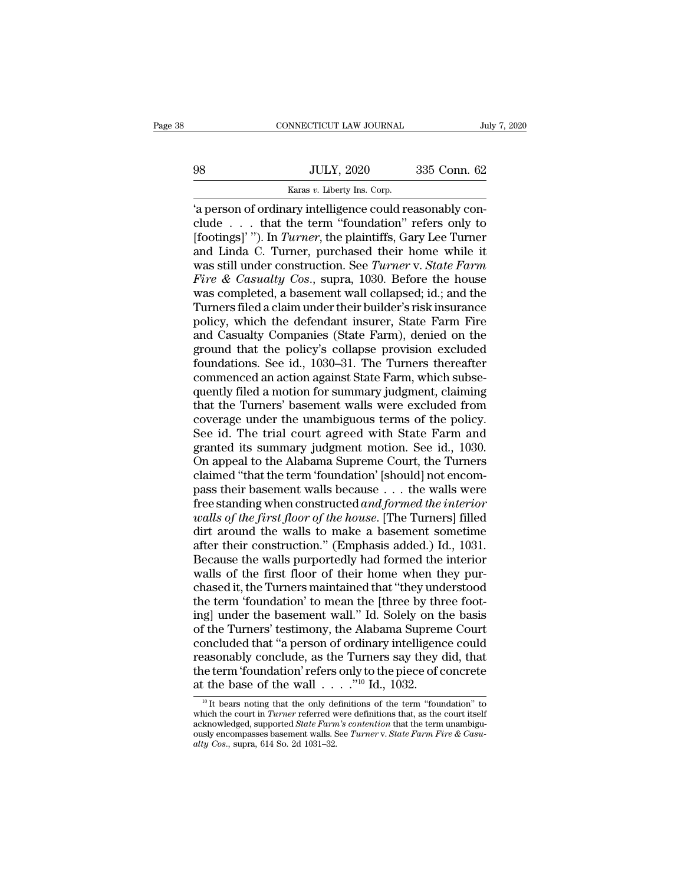# EXERCITE CONNECTICUT LAW JOURNAL July 7, 2020<br>
98 JULY, 2020 335 Conn. 62<br>
Karas v. Liberty Ins. Corp.

CONNECTICUT LAW JOURNAL<br>
JULY, 2020 335 Conn. 62<br>
Karas *v*. Liberty Ins. Corp.<br>
<sup>Karas *v*. Liberty Ins. Corp.</sup> CONNECTICUT LAW JOURNAL<br>
335 Conn. 62<br>
335 Conn. 62<br>
4 Person of ordinary intelligence could reasonably con-<br>
2 Consequence could reasonably con-<br>
3 Continues . . . . that the term "foundation" refers only to quare the set of the term ''foundation'' refers only to the term ''foundation'' refers only to [footings]' "). In *Turner*, the plaintiffs, Gary Lee Turner and Linda C. Turner, purchased their home while it ge game to the plaintiffs, Gary Liberty Ins. Corp.<br>The person of ordinary intelligence could reasonably conclude . . . that the term "foundation" refers only to footings]' "). In *Turner*, the plaintiffs, Gary Lee Turner a  $\begin{array}{lll} \text{JULY, 2020} & \text{335 Conn. } 62 \ \hline \text{Karas } v. \text{ Library Ins. Corp.} \ \end{array}$ <br>
'a person of ordinary intelligence could reasonably conclude . . . . that the term "foundation" refers only to [footings]' "). In *Turner*, the plaintiffs, Example 1900 V. The Construction. See *Soo Contr.* 02<br>
(a person of ordinary intelligence could reasonably conclude . . . that the term "foundation" refers only to<br>
[footings]' "). In *Turner*, the plaintiffs, Gary Lee Tur *Free Casualty Softer Cosen Cosen Capes on A person of ordinary intelligence could reasonably conclude* . . . that the term "foundation" refers only to [footings]'"). In *Turner*, the plaintiffs, Gary Lee Turner and Linda " a person of ordinary intelligence could reasonably conclude . . . . that the term "foundation" refers only to [footings]"). In *Turner*, the plaintiffs, Gary Lee Turner and Linda C. Turner, purchased their home while it clude . . . that the term "foundation" refers only to<br>[footings]' "). In *Turner*, the plaintiffs, Gary Lee Turner<br>and Linda C. Turner, purchased their home while it<br>was still under construction. See *Turner* v. *State Far* [footings]' "). In *Turner*, the plaintiffs, Gary Lee Turner<br>and Linda C. Turner, purchased their home while it<br>was still under construction. See *Turner* v. *State Farm*<br>*Fire & Casualty Cos.*, supra, 1030. Before the hou and Linda C. Turner, purchased their home while it<br>was still under construction. See *Turner* v. *State Farm*<br>*Fire & Casualty Cos.*, supra, 1030. Before the house<br>was completed, a basement wall collapsed; id.; and the<br>Tur was still under construction. See *Turner* v. *State Farm*<br>*Fire & Casualty Cos.*, supra, 1030. Before the house<br>was completed, a basement wall collapsed; id.; and the<br>Turners filed a claim under their builder's risk insur Fire & Casualty Cos., supra, 1030. Before the house<br>was completed, a basement wall collapsed; id.; and the<br>Turners filed a claim under their builder's risk insurance<br>policy, which the defendant insurer, State Farm Fire<br>and was completed, a basement wall collapsed; id.; and the Turners filed a claim under their builder's risk insurance policy, which the defendant insurer, State Farm Fire and Casualty Companies (State Farm), denied on the grou Turners filed a claim under their builder's risk insurance<br>policy, which the defendant insurer, State Farm Fire<br>and Casualty Companies (State Farm), denied on the<br>ground that the policy's collapse provision excluded<br>founda policy, which the defendant insurer, State Farm Fire<br>and Casualty Companies (State Farm), denied on the<br>ground that the policy's collapse provision excluded<br>foundations. See id., 1030–31. The Turners thereafter<br>commenced a and Casualty Companies (State Farm), denied on the<br>ground that the policy's collapse provision excluded<br>foundations. See id., 1030–31. The Turners thereafter<br>commenced an action against State Farm, which subse-<br>quently fil ground that the policy's collapse provision excluded<br>foundations. See id., 1030–31. The Turners thereafter<br>commenced an action against State Farm, which subse-<br>quently filed a motion for summary judgment, claiming<br>that the foundations. See id., 1030–31. The Turners thereafter<br>commenced an action against State Farm, which subse-<br>quently filed a motion for summary judgment, claiming<br>that the Turners' basement walls were excluded from<br>coverage commenced an action against State Farm, which subsequently filed a motion for summary judgment, claiming<br>that the Turners' basement walls were excluded from<br>coverage under the unambiguous terms of the policy.<br>See id. The t quently filed a motion for summary judgment, claiming<br>that the Turners' basement walls were excluded from<br>coverage under the unambiguous terms of the policy.<br>See id. The trial court agreed with State Farm and<br>granted its s that the Turners' basement walls were excluded from<br>coverage under the unambiguous terms of the policy.<br>See id. The trial court agreed with State Farm and<br>granted its summary judgment motion. See id., 1030.<br>On appeal to th coverage under the unambiguous terms of the policy.<br>See id. The trial court agreed with State Farm and<br>granted its summary judgment motion. See id., 1030.<br>On appeal to the Alabama Supreme Court, the Turners<br>claimed "that t See id. The trial court agreed with State Farm and<br>granted its summary judgment motion. See id., 1030.<br>On appeal to the Alabama Supreme Court, the Turners<br>claimed "that the term 'foundation' [should] not encom-<br>pass their granted its summary judgment motion. See id., 1030.<br>On appeal to the Alabama Supreme Court, the Turners<br>claimed "that the term 'foundation' [should] not encom-<br>pass their basement walls because . . . the walls were<br>free st On appeal to the Alabama Supreme Court, the Turners<br>claimed "that the term 'foundation' [should] not encom-<br>pass their basement walls because  $\ldots$  the walls were<br>free standing when constructed *and formed the interior*<br>w claimed "that the term 'foundation' [should] not encompass their basement walls because  $\ldots$  the walls were free standing when constructed *and formed the interior* walls of the first floor of the house. [The Turners] fi pass their basement walls because  $\ldots$  the walls were<br>free standing when constructed *and formed the interior*<br>walls of the first floor of the house. [The Turners] filled<br>dirt around the walls to make a basement sometime free standing when constructed *and formed the interior*<br>walls of the first floor of the house. [The Turners] filled<br>dirt around the walls to make a basement sometime<br>after their construction." (Emphasis added.) Id., 1031. walls of the first floor of the house. [The Turners] filled<br>dirt around the walls to make a basement sometime<br>after their construction." (Emphasis added.) Id., 1031.<br>Because the walls purportedly had formed the interior<br>wa dirt around the walls to make a basement sometime<br>after their construction." (Emphasis added.) Id., 1031.<br>Because the walls purportedly had formed the interior<br>walls of the first floor of their home when they pur-<br>chased i after their construction." (Emphasis added.) Id., 1031.<br>Because the walls purportedly had formed the interior<br>walls of the first floor of their home when they pur-<br>chased it, the Turners maintained that "they understood<br>th Because the walls purportedly had formed the interior<br>walls of the first floor of their home when they pur-<br>chased it, the Turners maintained that "they understood<br>the term 'foundation' to mean the [three by three foot-<br>in walls of the first floor of their home when they pur-<br>chased it, the Turners maintained that "they understood<br>the term 'foundation' to mean the [three by three foot-<br>ing] under the basement wall." Id. Solely on the basis<br>o chased it, the Turners maintained that "they understood<br>the term 'foundation' to mean the [three by three foot-<br>ing] under the basement wall." Id. Solely on the basis<br>of the Turners' testimony, the Alabama Supreme Court<br>c the term 'foundation' to mean the [three by thr<br>ing] under the basement wall." Id. Solely on the<br>of the Turners' testimony, the Alabama Suprem<br>concluded that "a person of ordinary intelligence<br>reasonably conclude, as the concluded that "a person of ordinary intelligence could<br>reasonably conclude, as the Turners say they did, that<br>the term 'foundation' refers only to the piece of concrete<br>at the base of the wall  $\ldots$ . "<sup>10</sup> Id., 1032.<br><sup>10</sup> reasonably conclude, as the Turners say they did, that<br>the term 'foundation' refers only to the piece of concrete<br>at the base of the wall  $\ldots$ ."<sup>10</sup> Id., 1032.<br><sup>10</sup> It bears noting that the only definitions of the term " at the base of the wall  $\ldots$  ."<sup>10</sup> Id., 1032.

the term 'foundation' refers only to the piece of concrete<br>at the base of the wall  $\ldots$ ."<sup>10</sup> Id., 1032.<br><sup>10</sup> It bears noting that the only definitions of the term "foundation" to<br>which the court in *Turner* referred wer <sup>10</sup> It bears noting that the only definitions of the term "foundation" to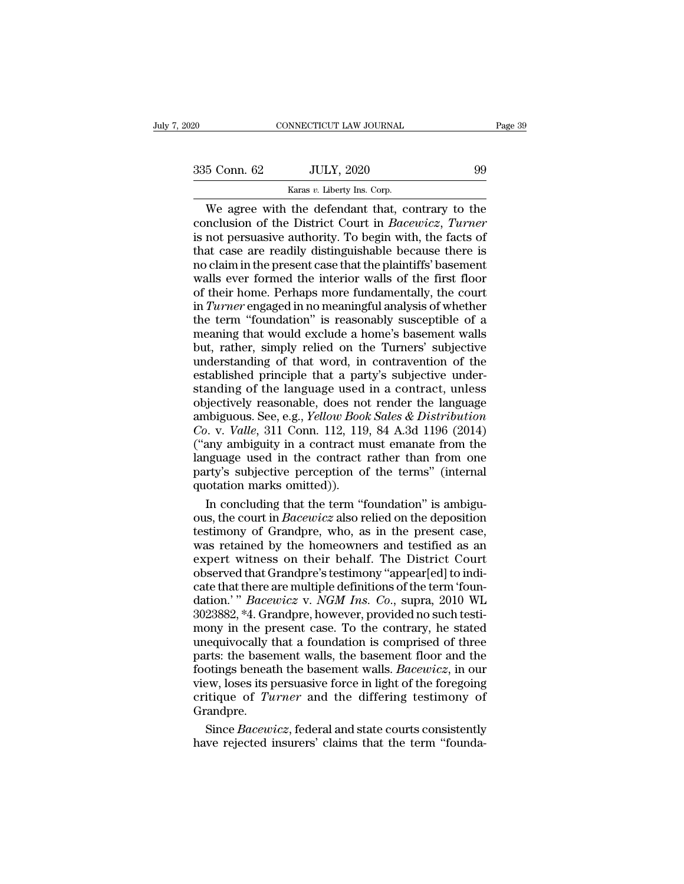# NNECTICUT LAW JOURNAL<br>JULY, 2020<br>Karas *v*. Liberty Ins. Corp.<br>the defendant that co

CONNECTICUT LAW JOURNAL Page 39<br>
5 Conn. 62 JULY, 2020 99<br>
Karas v. Liberty Ins. Corp.<br>
We agree with the defendant that, contrary to the<br>
nclusion of the District Court in *Bacewicz*, *Turner*<br>
not persuasive authority. T Conclusion of the District Court in *Bacewicz*, *Turner*<br>
is not persuasive authority. To begin with, the facts of<br>
that case are readily distinguishable because there is 335 Conn. 62 JULY, 2020 99<br>
Karas v. Liberty Ins. Corp.<br>
We agree with the defendant that, contrary to the conclusion of the District Court in *Bacewicz*, *Turner* is not persuasive authority. To begin with, the facts of 335 Conn. 62 JULY, 2020 99<br>
Karas v. Liberty Ins. Corp.<br>
We agree with the defendant that, contrary to the<br>
conclusion of the District Court in *Bacewicz*, *Turner*<br>
is not persuasive authority. To begin with, the facts o Example 1961, 2020<br>
No condit. 02<br>
We agree with the defendant that, contrary to the<br>
conclusion of the District Court in *Bacewicz*, *Turner*<br>
is not persuasive authority. To begin with, the facts of<br>
that case are readi Karas v. Liberty Ins. Corp.<br>
We agree with the defendant that, contrary to the<br>
conclusion of the District Court in *Bacewicz*, *Turner*<br>
is not persuasive authority. To begin with, the facts of<br>
that case are readily dis We agree with the defendant that, contrary to the conclusion of the District Court in *Bacewicz*, *Turner* is not persuasive authority. To begin with, the facts of that case are readily distinguishable because there is no conclusion of the District Court in *Bacewicz*, *Turner*<br>is not persuasive authority. To begin with, the facts of<br>that case are readily distinguishable because there is<br>no claim in the present case that the plaintiffs' bas is not persuasive authority. To begin with, the facts of<br>that case are readily distinguishable because there is<br>mo claim in the present case that the plaintiffs' basement<br>walls ever formed the interior walls of the first that case are readily distinguishable because there is<br>no claim in the present case that the plaintiffs' basement<br>walls ever formed the interior walls of the first floor<br>of their home. Perhaps more fundamentally, the court no claim in the present case that the plaintiffs' basement<br>walls ever formed the interior walls of the first floor<br>of their home. Perhaps more fundamentally, the court<br>in *Turner* engaged in no meaningful analysis of wheth walls ever formed the interior walls of the first floor<br>of their home. Perhaps more fundamentally, the court<br>in *Turner* engaged in no meaningful analysis of whether<br>the term "foundation" is reasonably susceptible of a<br>mea of their home. Perhaps more fundamentally, the court<br>in *Turner* engaged in no meaningful analysis of whether<br>the term "foundation" is reasonably susceptible of a<br>meaning that would exclude a home's basement walls<br>but, rat in Turner engaged in no meaningful analysis of whether<br>the term "foundation" is reasonably susceptible of a<br>meaning that would exclude a home's basement walls<br>but, rather, simply relied on the Turners' subjective<br>understa the term "foundation" is reasonably susceptible of a<br>meaning that would exclude a home's basement walls<br>but, rather, simply relied on the Turners' subjective<br>understanding of that word, in contravention of the<br>established are centre contractions is reasonably susceptuble or a<br>meaning that would exclude a home's basement walls<br>but, rather, simply relied on the Turners' subjective<br>understanding of that word, in contravention of the<br>establishe *Courtains and increase is a locality of the Turners'* subjective understanding of that word, in contravention of the established principle that a party's subjective understanding of the language used in a contract, unless any radicly simply referred in a contravention of the established principle that a party's subjective understanding of the language used in a contract, unless objectively reasonable, does not render the language ambiguous. established principle that a party's subjective under-<br>standing of the language used in a contract, unless<br>objectively reasonable, does not render the language<br>ambiguous. See, e.g., *Yellow Book Sales & Distribution*<br>*Co.* standing of the language used in a contract, unless<br>objectively reasonable, does not render the language<br>ambiguous. See, e.g., *Yellow Book Sales & Distribution*<br>*Co.* v. *Valle*, 311 Conn. 112, 119, 84 A.3d 1196 (2014)<br>( objectively reasonable, does no<br>objectively reasonable, does no<br>ambiguous. See, e.g., *Yellow Bool*<br>Co. v. *Valle*, 311 Conn. 112, 119<br>("any ambiguity in a contract m<br>language used in the contract<br>party's subjective percep noticy and *n* concluding that the term ''foundation<br>
In contract must emanate from the term ''foundation' is a contract must emanate from the reguage used in the contract rather than from one<br>
rty's subjective perception Co. v. *Valle*, 311 Conn. 112, 119, 84 A.3d 1196 (2014)<br>("any ambiguity in a contract must emanate from the<br>language used in the contract rather than from one<br>party's subjective perception of the terms" (internal<br>quotation

("any ambiguity in a contract must emanate from the language used in the contract rather than from one party's subjective perception of the terms" (internal quotation marks omitted)).<br>In concluding that the term "foundati language used in the contract rather than from one<br>party's subjective perception of the terms" (internal<br>quotation marks omitted)).<br>In concluding that the term "foundation" is ambigu-<br>ous, the court in *Bacewicz* also reli party's subjective perception of the terms" (internal<br>quotation marks omitted)).<br>In concluding that the term "foundation" is ambigu-<br>ous, the court in *Bacewicz* also relied on the deposition<br>testimony of Grandpre, who, as quotation marks omitted)).<br>In concluding that the term "foundation" is ambiguous, the court in *Bacewicz* also relied on the deposition<br>testimony of Grandpre, who, as in the present case,<br>was retained by the homeowners an In concluding that the term "foundation" is ambiguous, the court in *Bacewicz* also relied on the deposition testimony of Grandpre, who, as in the present case, was retained by the homeowners and testified as an expert wit dation. It is understanding that the contri-<br>
consistency of Grandpre, who, as in the present case,<br>
was retained by the homeowners and testified as an<br>
expert witness on their behalf. The District Court<br>
observed that Gra Example of Grandpre, who, as in the present case,<br>testimony of Grandpre, who, as in the present case,<br>was retained by the homeowners and testified as an<br>expert witness on their behalf. The District Court<br>observed that Gran was retained by the homeowners and testified as an expert witness on their behalf. The District Court observed that Grandpre's testimony "appear[ed] to indicate that there are multiple definitions of the term 'foun-<br>datio expert witness on their behalf. The District Court<br>observed that Grandpre's testimony "appear[ed] to indi-<br>cate that there are multiple definitions of the term "foun-<br>dation.' "Bacewicz v. NGM Ins. Co., supra, 2010 WL<br>302 best what is the basemin' in the basemic of the basemic of the basemic discrete that there are multiple definitions of the term 'foundation.' " *Bacewicz* v. *NGM Ins. Co.*, supra, 2010 WL 3023882, \*4. Grandpre, however, externative example benefitions of the term 'foundation.' "*Bacewicz* v. *NGM Ins. Co.*, supra, 2010 WL 3023882, \*4. Grandpre, however, provided no such testimony in the present case. To the contrary, he stated unequivocal dation.'" *Bacewicz* v. *NGM Ins. Co.*, supra, 2010 WL<br>3023882, \*4. Grandpre, however, provided no such testi-<br>mony in the present case. To the contrary, he stated<br>unequivocally that a foundation is comprised of three<br>part 3023882, \*4. Grandpre, however, provided no such testi-<br>mony in the present case. To the contrary, he stated<br>unequivocally that a foundation is comprised of three<br>parts: the basement walls, the basement floor and the<br>footi Grandpre. equivocally that a foundation is comprised of three<br>rts: the basement walls, the basement floor and the<br>otings beneath the basement walls. *Bacewicz*, in our<br>ew, loses its persuasive force in light of the foregoing<br>itique parts: the basement walls, the basement floor and the footings beneath the basement walls. *Bacewicz*, in our view, loses its persuasive force in light of the foregoing critique of *Turner* and the differing testimony of G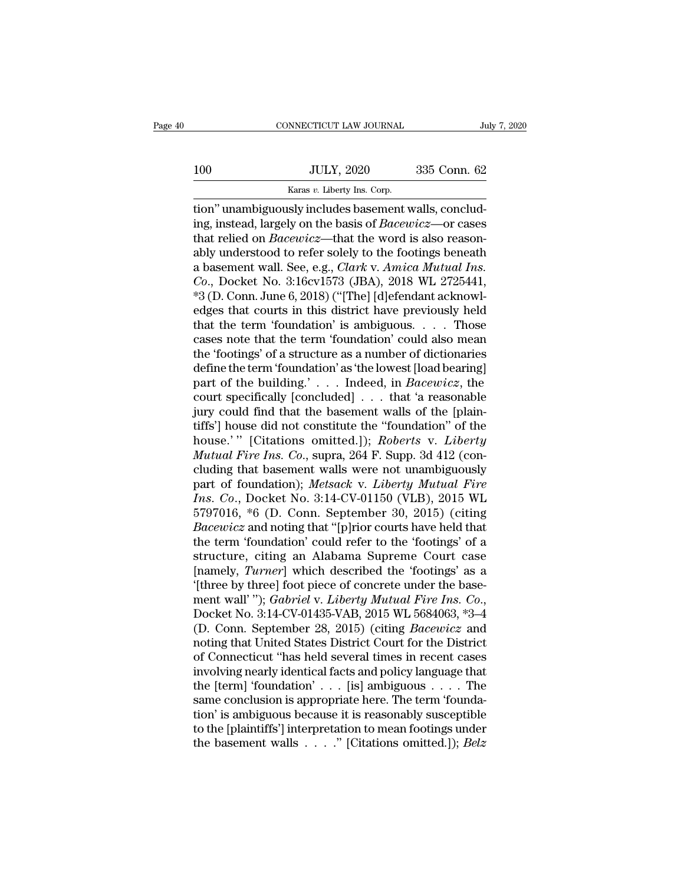# 100 CONNECTICUT LAW JOURNAL July 7, 2020<br>100 JULY, 2020 335 Conn. 62<br>Karas v. Liberty Ins. Corp. CONNECTICUT LAW JOURNAL<br>
JULY, 2020 335 Conn. 62<br>
Karas *v*. Liberty Ins. Corp.<br>
Tion'' unambiguously includes basement walls, conclud-

CONNECTICUT LAW JOURNAL<br>
100 JULY, 2020 335 Conn. 62<br>
Karas v. Liberty Ins. Corp.<br>
100 Karas v. Liberty Ins. Corp.<br>
100 Karas v. Liberty Ins. Corp.<br>
100 Karas v. Liberty Ins. Corp.<br>
100 Karas v. Liberty Ins. Corp.<br>
100 Kar IOO JULY, 2020 335 Conn. 62<br>
Karas v. Liberty Ins. Corp.<br>
Ition'' unambiguously includes basement walls, conclud-<br>
ing, instead, largely on the basis of *Bacewicz*—or cases<br>
that relied on *Bacewicz*—that the word is also 100 JULY, 2020 335 Conn. 62<br>
Karas *v*. Liberty Ins. Corp.<br>
tion" unambiguously includes basement walls, conclud-<br>
ing, instead, largely on the basis of *Bacewicz*—or cases<br>
that relied on *Bacewicz*—that the word is also 100 JULY, 2020 335 Conn. 62<br>
Karas v. Liberty Ins. Corp.<br>
tion" unambiguously includes basement walls, conclud-<br>
ing, instead, largely on the basis of *Bacewicz*—or cases<br>
that relied on *Bacewicz*—that the word is also re Example 1982. The Contributes of the Municipal Example 1993.<br>
Agric V. Liberty Ins. Corp.<br>
ing, instead, largely on the basis of *Bacewicz*—or cases<br>
that relied on *Bacewicz*—that the word is also reason-<br>
abasement wall. *Corp.* Karas *v.* Liberty ins. Corp.<br>
Corp.<br>
Corp. Concluding, instead, largely on the basis of *Bacewicz*—or cases<br>
that relied on *Bacewicz*—that the word is also reason-<br>
abused to refer solely to the footings beneath<br> tion" unambiguously includes basement walls, conclud-<br>ing, instead, largely on the basis of *Bacewicz*—or cases<br>that relied on *Bacewicz*—that the word is also reason-<br>ably understood to refer solely to the footings beneat ing, instead, largely on the basis of *Bacewicz*—or cases<br>that relied on *Bacewicz*—that the word is also reason-<br>ably understood to refer solely to the footings beneath<br>a basement wall. See, e.g., *Clark v. Amica Mutual I* that relied on *Bacewicz*—that the word is also reasonably understood to refer solely to the footings beneath<br>a basement wall. See, e.g., *Clark v. Amica Mutual Ins.*<br>*Co.*, Docket No. 3:16cv1573 (JBA), 2018 WL 2725441,<br>\* ably understood to refer solely to the footings beneath<br>a basement wall. See, e.g., *Clark v. Amica Mutual Ins.*<br>*Co.*, Docket No. 3:16cv1573 (JBA), 2018 WL 2725441,<br>\*3 (D. Conn. June 6, 2018) ("[The] [d]efendant acknowl-<br> a basement wall. See, e.g., *Clark v. Amica Mutual Ins.*<br> *Co.*, Docket No. 3:16cv1573 (JBA), 2018 WL 2725441,<br>
\*3 (D. Conn. June 6, 2018) ("[The] [d]efendant acknowl-<br>
edges that courts in this district have previously h Co., Docket No. 3:16cv1573 (JBA), 2018 WL 2725441,<br>
\*3 (D. Conn. June 6, 2018) ("[The] [d]efendant acknowl-<br>
edges that courts in this district have previously held<br>
that the term 'foundation' is ambiguous. . . . Those<br>
c \*3 (D. Conn. June 6, 2018) ("[The] [d]efendant acknowledges that courts in this district have previously held<br>that the term 'foundation' is ambiguous. . . . Those<br>cases note that the term 'foundation' could also mean<br>the ' edges that courts in this district have previously held<br>that the term 'foundation' is ambiguous. . . . Those<br>cases note that the term 'foundation' could also mean<br>the 'footings' of a structure as a number of dictionaries<br> that the term 'foundation' is ambiguous. . . . . Those<br>cases note that the term 'foundation' could also mean<br>the 'footings' of a structure as a number of dictionaries<br>define the term 'foundation' as 'the lowest [load bear cases note that the term 'foundation' could also mean<br>the 'footings' of a structure as a number of dictionaries<br>define the term 'foundation' as 'the lowest [load bearing]<br>part of the building.' . . . Indeed, in *Bacewicz* the 'footings' of a structure as a number of dictionaries<br>define the term 'foundation' as 'the lowest [load bearing]<br>part of the building.' . . . Indeed, in *Bacewicz*, the<br>court specifically [concluded] . . . that 'a reas define the term 'foundation' as 'the lowest [load bearing]<br>part of the building.' . . . Indeed, in *Bacewicz*, the<br>court specifically [concluded] . . . that 'a reasonable<br>jury could find that the basement walls of the [pla part of the building.'... Indeed, in *Bacewicz*, the<br>court specifically [concluded]... that 'a reasonable<br>jury could find that the basement walls of the [plain-<br>tiffs'] house did not constitute the "foundation" of the<br>hou court specifically [concluded] . . . that 'a reasonable<br>jury could find that the basement walls of the [plain-<br>tiffs'] house did not constitute the "foundation" of the<br>house.' " [Citations omitted.]); *Roberts* v. *Liberty* jury could find that the basement walls of the [plain-<br>tiffs'] house did not constitute the "foundation" of the<br>house.' " [Citations omitted.]); *Roberts* v. *Liberty*<br>*Mutual Fire Ins. Co.*, supra, 264 F. Supp. 3d 412 (co tiffs'] house did not constitute the "foundation" of the<br>house.' " [Citations omitted.]); *Roberts* v. *Liberty*<br>*Mutual Fire Ins. Co.*, supra, 264 F. Supp. 3d 412 (con-<br>cluding that basement walls were not unambiguously<br>p house.'" [Citations omitted.]); *Roberts* v. *Liberty*<br>*Mutual Fire Ins. Co.*, supra, 264 F. Supp. 3d 412 (concluding that basement walls were not unambiguously<br>part of foundation); *Metsack* v. *Liberty Mutual Fire*<br>*Ins.* Mutual Fire Ins. Co., supra, 264 F. Supp. 3d 412 (concluding that basement walls were not unambiguously<br>part of foundation); Metsack v. Liberty Mutual Fire<br>Ins. Co., Docket No. 3:14-CV-01150 (VLB), 2015 WL<br>5797016, \*6 (D. cluding that basement walls were not unambiguously<br>part of foundation); Metsack v. Liberty Mutual Fire<br>Ins. Co., Docket No. 3:14-CV-01150 (VLB), 2015 WL<br>5797016, \*6 (D. Conn. September 30, 2015) (citing<br>Bacewicz and noting part of foundation); *Metsack v. Liberty Mutual Fire*<br>*Ins. Co.*, Docket No. 3:14-CV-01150 (VLB), 2015 WL<br>5797016, \*6 (D. Conn. September 30, 2015) (citing<br>*Bacewicz* and noting that "[p]rior courts have held that<br>the term Ins. Co., Docket No. 3:14-CV-01150 (VLB), 2015 WL<br>5797016, \*6 (D. Conn. September 30, 2015) (citing<br>Bacewicz and noting that "[p]rior courts have held that<br>the term 'foundation' could refer to the 'footings' of a<br>structure 5797016, \*6 (D. Conn. September 30, 2015) (citing<br> *Bacewicz* and noting that "[p]rior courts have held that<br>
the term 'foundation' could refer to the 'footings' of a<br>
structure, citing an Alabama Supreme Court case<br>
[name the term 'foundation' could refer to the 'footings' of a<br>structure, citing an Alabama Supreme Court case<br>[namely, *Turner*] which described the 'footings' as a<br>'[three by three] foot piece of concrete under the base-<br>ment structure, citing an Alabama Supreme Court case<br>[namely, *Turner*] which described the 'footings' as a<br>'[three by three] foot piece of concrete under the base-<br>ment wall' ''); *Gabriel* v. *Liberty Mutual Fire Ins. Co.*,<br>D [namely, *Turner*] which described the 'footings' as a<br>
'[three by three] foot piece of concrete under the base-<br>
ment wall' "); *Gabriel v. Liberty Mutual Fire Ins. Co.*,<br>
Docket No. 3:14-CV-01435-VAB, 2015 WL 5684063, \*3 "(three by three] foot piece of concrete under the base-<br>ment wall'"); *Gabriel* v. *Liberty Mutual Fire Ins. Co.*,<br>Docket No. 3:14-CV-01435-VAB, 2015 WL 5684063, \*3-4<br>(D. Conn. September 28, 2015) (citing *Bacewicz* and<br> ment wall' "); *Gabriel* v. *Liberty Mutual Fire Ins. Co.*,<br>Docket No. 3:14-CV-01435-VAB, 2015 WL 5684063, \*3–4<br>(D. Conn. September 28, 2015) (citing *Bacewicz* and<br>noting that United States District Court for the District Docket No. 3:14-CV-01435-VAB, 2015 WL 5684063, \*3–4 (D. Conn. September 28, 2015) (citing *Bacewicz* and noting that United States District Court for the District of Connecticut "has held several times in recent cases invo (D. Conn. September 28, 2015) (citing *Bacewicz* and<br>noting that United States District Court for the District<br>of Connecticut "has held several times in recent cases<br>involving nearly identical facts and policy language th noting that United States District Court for the District<br>of Connecticut "has held several times in recent cases<br>involving nearly identical facts and policy language that<br>the [term] 'foundation' . . . [is] ambiguous . . . the basement walls . . . .'' [Citations omitted.]); *Belz*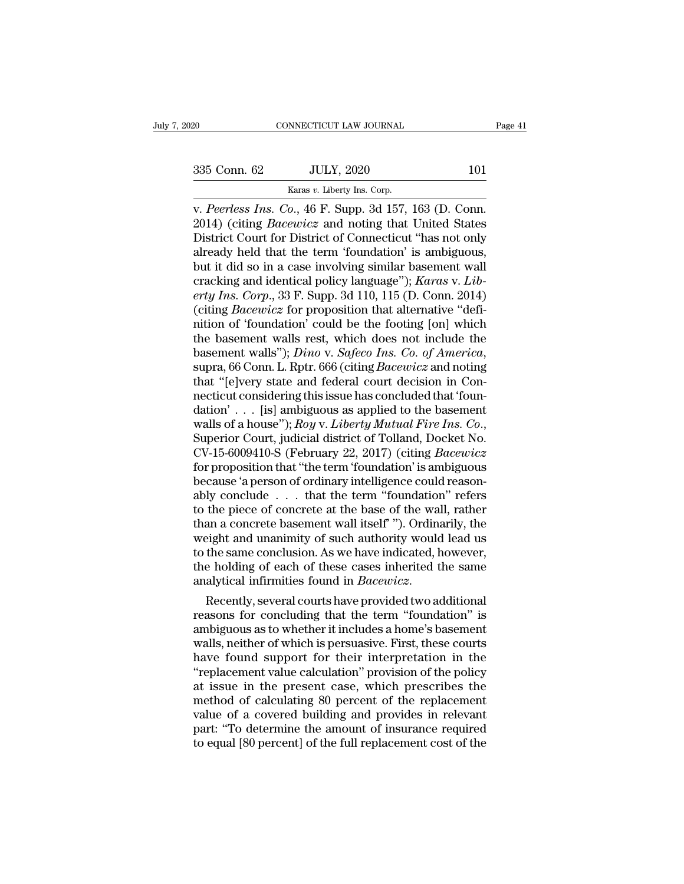CONNECTICUT LAW JOURNAL<br>
2020 101<br>
Karas *v.* Liberty Ins. Corp.<br>
V. Peerless Ins. Co., 46 F. Supp. 3d 157, 163 (D. Conn. v. *Page*<br>
20 CONNECTICUT LAW JOURNAL Page<br>
235 Conn. 62 JULY, 2020 101<br>
2014) (citing *Bacewicz* and noting that United States<br>
2014) (citing *Bacewicz* and noting that United States<br>
2014) (citing *Bacewicz* and noting t 2020 101<br>
2020 101<br>
2020 101<br>
2014) (citing *Bacewicz* and noting that United States<br>
District Court for District of Connecticut "has not only<br>
2014) (citing *Bacewicz* and noting that United States<br>
District Court for Dis 335 Conn. 62 JULY, 2020 101<br>
Karas v. Liberty Ins. Corp.<br>
V. Peerless Ins. Co., 46 F. Supp. 3d 157, 163 (D. Conn. 2014) (citing *Bacewicz* and noting that United States<br>
District Court for District of Connecticut "has not 335 Conn. 62 JULY, 2020 101<br>
Karas v. Liberty Ins. Corp.<br>
v. Peerless Ins. Co., 46 F. Supp. 3d 157, 163 (D. Conn.<br>
2014) (citing *Bacewicz* and noting that United States<br>
District Court for District of Connecticut "has no Example 1983 of the Karas v. Liberty Ins. Corp.<br>
v. Peerless Ins. Co., 46 F. Supp. 3d 157, 163 (D. Conn.<br>
2014) (citing *Bacewicz* and noting that United States<br>
District Court for District of Connecticut "has not only<br>
a karas *v*. *Liberty* lns. Corp.<br>v. *Peerless Ins. Co.*, 46 F. Supp. 3d 157, 163 (D. Conn.<br>2014) (citing *Bacewicz* and noting that United States<br>District Court for District of Connecticut "has not only<br>already held that th *v. Peerless Ins. Co.*, 46 F. Supp. 3d 157, 163 (D. Conn. 2014) (citing *Bacewicz* and noting that United States District Court for District of Connecticut "has not only already held that the term 'foundation' is ambiguous 2014) (citing *Bacewicz* and noting that United States<br>District Court for District of Connecticut "has not only<br>already held that the term 'foundation' is ambiguous,<br>but it did so in a case involving similar basement wall<br> District Court for District of Connecticut "has not only<br>already held that the term 'foundation' is ambiguous,<br>but it did so in a case involving similar basement wall<br>cracking and identical policy language"); *Karas v. Lib* already held that the term 'foundation' is ambiguous,<br>but it did so in a case involving similar basement wall<br>cracking and identical policy language"); *Karas v. Lib-*<br>*erty Ins. Corp.*, 33 F. Supp. 3d 110, 115 (D. Conn. 2 but it did so in a case involving similar basement wall<br>cracking and identical policy language"); *Karas v. Lib-*<br>erty Ins. Corp., 33 F. Supp. 3d 110, 115 (D. Conn. 2014)<br>(citing *Bacewicz* for proposition that alternative erty Ins. Corp., 33 F. Supp. 3d 110, 115 (D. Conn. 2014)<br>
(citing *Bacewicz* for proposition that alternative "defi-<br>
nition of 'foundation' could be the footing [on] which<br>
the basement walls rest, which does not include (citing *Bacewicz* for proposition that alternative "definition of 'foundation' could be the footing [on] which<br>the basement walls rest, which does not include the<br>basement walls"); *Dino* v. *Safeco Ins. Co. of America*, mition of 'foundation' could be the footing [on] which<br>the basement walls rest, which does not include the<br>basement walls''); *Dino* v. *Safeco Ins. Co. of America*,<br>supra, 66 Conn. L. Rptr. 666 (citing *Bacewicz* and not the basement walls rest, which does not include the<br>basement walls"); *Dino* v. *Safeco Ins. Co. of America*,<br>supra, 66 Conn. L. Rptr. 666 (citing *Bacewicz* and noting<br>that "[e]very state and federal court decision in Con supra, 66 Conn. L. Rptr. 666 (citing *Bacewicz* and noting<br>that "[e]very state and federal court decision in Con-<br>necticut considering this issue has concluded that 'foun-<br>dation' . . . [is] ambiguous as applied to the bas that "[e]very state and federal court decision in Connecticut considering this issue has concluded that 'foundation'  $\ldots$  [is] ambiguous as applied to the basement walls of a house"); *Roy v. Liberty Mutual Fire Ins. Co.* necticut considering this issue has concluded that 'foundation' . . . [is] ambiguous as applied to the basement<br>walls of a house"); *Roy v. Liberty Mutual Fire Ins. Co.*,<br>Superior Court, judicial district of Tolland, Docke dation' . . . [is] ambiguous as applied to the basement<br>walls of a house''); *Roy v. Liberty Mutual Fire Ins. Co.*,<br>Superior Court, judicial district of Tolland, Docket No.<br>CV-15-6009410-S (February 22, 2017) (citing *Bac* walls of a house"); *Roy v. Liberty Mutual Fire Ins. Co.*,<br>Superior Court, judicial district of Tolland, Docket No.<br>CV-15-6009410-S (February 22, 2017) (citing *Bacewicz*<br>for proposition that "the term "foundation" is amb Superior Court, judicial district of Tolland, Docket No.<br>CV-15-6009410-S (February 22, 2017) (citing *Bacewicz*<br>for proposition that "the term "foundation' is ambiguous<br>because 'a person of ordinary intelligence could reas CV-15-6009410-S (February 22, 2017) (citing *Bacewicz*<br>for proposition that "the term 'foundation' is ambiguous<br>because 'a person of ordinary intelligence could reason-<br>ably conclude  $\ldots$  that the term "foundation" refer for proposition that "the term 'foundation' is ambiguous<br>because 'a person of ordinary intelligence could reason-<br>ably conclude  $\ldots$  that the term "foundation" refers<br>to the piece of concrete at the base of the wall, rat because 'a person of ordinary intelligence could reasonably conclude  $\ldots$  that the term "foundation" refers to the piece of concrete at the base of the wall, rather than a concrete basement wall itself" "). Ordinarily, t ably conclude . . . that the term "foundation" refers<br>to the piece of concrete at the base of the wall, rather<br>than a concrete basement wall itself"). Ordinarily, the<br>weight and unanimity of such authority would lead us<br>to than a concrete basement wall itself  $^{\prime\prime}$ ). Ordinarily, the<br>weight and unanimity of such authority would lead us<br>to the same conclusion. As we have indicated, however,<br>the holding of each of these cases inherited the

weight and unanimity of such authority would lead us<br>to the same conclusion. As we have indicated, however,<br>the holding of each of these cases inherited the same<br>analytical infirmities found in *Bacewicz*.<br>Recently, severa to the same conclusion. As we have indicated, nowever,<br>the holding of each of these cases inherited the same<br>analytical infirmities found in *Bacewicz*.<br>Recently, several courts have provided two additional<br>reasons for co the nolding of each of these cases inherited the same<br>analytical infirmities found in *Bacewicz*.<br>Recently, several courts have provided two additional<br>reasons for concluding that the term "foundation" is<br>ambiguous as to w analytical infirmities found in *Bacewicz*.<br>
Recently, several courts have provided two additional<br>
reasons for concluding that the term "foundation" is<br>
ambiguous as to whether it includes a home's basement<br>
walls, neithe Recently, several courts have provided two additional<br>reasons for concluding that the term "foundation" is<br>ambiguous as to whether it includes a home's basement<br>walls, neither of which is persuasive. First, these courts<br>ha reasons for concluding that the term "foundation" is<br>ambiguous as to whether it includes a home's basement<br>walls, neither of which is persuasive. First, these courts<br>have found support for their interpretation in the<br>"repl ambiguous as to whether it includes a home's basement<br>walls, neither of which is persuasive. First, these courts<br>have found support for their interpretation in the<br>"replacement value calculation" provision of the policy<br>at walls, neither of which is persuasive. First, these courts<br>have found support for their interpretation in the<br>"replacement value calculation" provision of the policy<br>at issue in the present case, which prescribes the<br>metho have found support for their interpretation in the "replacement value calculation" provision of the policy at issue in the present case, which prescribes the method of calculating 80 percent of the replacement value of a c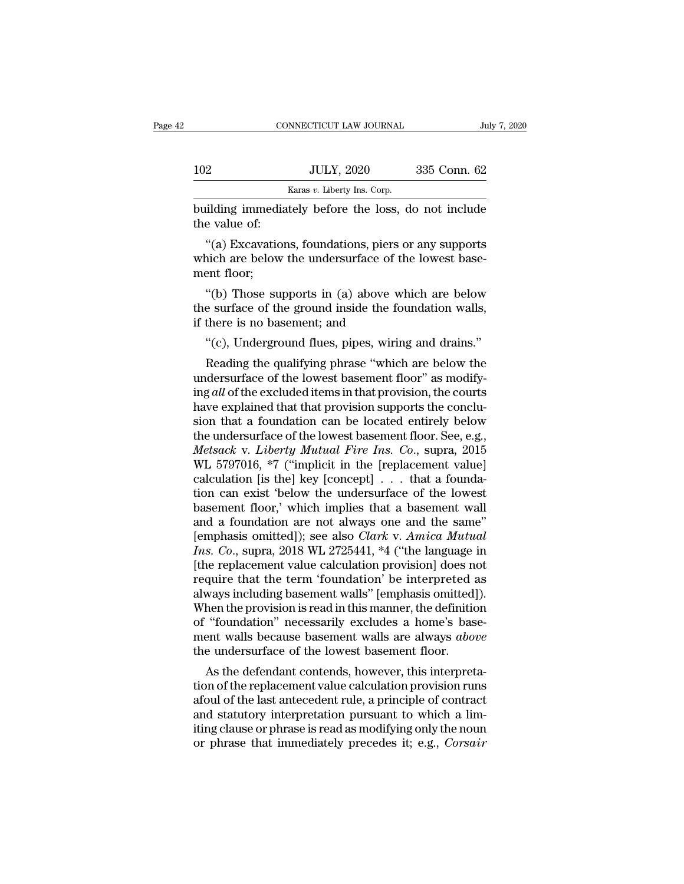|             |                                                                                                                                                                                                                  | July 7, 2020 |
|-------------|------------------------------------------------------------------------------------------------------------------------------------------------------------------------------------------------------------------|--------------|
|             |                                                                                                                                                                                                                  |              |
| 102         | <b>JULY, 2020</b>                                                                                                                                                                                                | 335 Conn. 62 |
|             | Karas v. Liberty Ins. Corp.                                                                                                                                                                                      |              |
|             |                                                                                                                                                                                                                  |              |
| mont floor: | CONNECTICUT LAW JOURNAL<br>building immediately before the loss, do not include<br>the value of:<br>"(a) Excavations, foundations, piers or any supports<br>which are below the undersurface of the lowest base- |              |

 $\frac{JULY, 2020}{\text{Karas } v. \text{ Library Ins. Corp.}}$ <br>
building immediately before the loss, do not include<br>
the value of:<br>
"(a) Excavations, foundations, piers or any supports<br>
which are below the undersurface of the lowest base-<br>
ment floor building immedi<br>the value of:<br>"(a) Excavatic<br>which are below<br>ment floor;<br>"(b) Those su ilding immediately before the loss, do not include<br>
e value of:<br>
"(a) Excavations, foundations, piers or any supports<br>
nich are below the undersurface of the lowest base-<br>
ent floor;<br>
"(b) Those supports in (a) above which the value of:<br>
"(a) Excavations, foundations, piers or any supports<br>
which are below the undersurface of the lowest base-<br>
ment floor;<br>
"(b) Those supports in (a) above which are below<br>
the surface of the ground inside the "(a) Excavations, foundations, piers c<br>which are below the undersurface of th<br>ment floor;<br>"(b) Those supports in (a) above wh<br>the surface of the ground inside the fourif there is no basement; and<br>"(c), Underground flues,

nich are below the undersurface of the lowest base-<br>ent floor;<br>"(b) Those supports in (a) above which are below<br>e surface of the ground inside the foundation walls,<br>there is no basement; and<br>"(c), Underground flues, pipes, e surface of the ground inside the foundation walls,<br>
"(b) Those supports in (a) above which are below<br>
e surface of the ground inside the foundation walls,<br>
there is no basement; and<br>
"(c), Underground flues, pipes, wirin

"(b) Those supports in (a) above which are below<br>the surface of the ground inside the foundation walls,<br>if there is no basement; and<br>"(c), Underground flues, pipes, wiring and drains."<br>Reading the qualifying phrase "which the surface of the ground inside the foundation walls,<br>if there is no basement; and<br>"(c), Underground flues, pipes, wiring and drains."<br>Reading the qualifying phrase "which are below the<br>undersurface of the lowest basement if there is no basement; and<br>
"(c), Underground flues, pipes, wiring and drains."<br>
Reading the qualifying phrase "which are below the<br>
undersurface of the lowest basement floor" as modify-<br>
ing all of the excluded items i "(c), Underground flues, pipes, wiring and drains."<br>Reading the qualifying phrase "which are below the<br>undersurface of the lowest basement floor" as modify-<br>ing *all* of the excluded items in that provision, the courts<br>ha (c), Underground mes, pipes, wiring and drams.<br>
Reading the qualifying phrase "which are below the<br>
undersurface of the lowest basement floor" as modify-<br>
ing all of the excluded items in that provision, the courts<br>
have Reading the qualifying phrase "which are below the<br>undersurface of the lowest basement floor" as modify-<br>ing *all* of the excluded items in that provision, the courts<br>have explained that that provision supports the concluundersurface of the lowest basement floor" as modifying *all* of the excluded items in that provision, the courts have explained that that provision supports the conclusion that a foundation can be located entirely below ing *all* of the excluded items in that provision, the courts<br>have explained that that provision supports the conclu-<br>sion that a foundation can be located entirely below<br>the undersurface of the lowest basement floor. See have explained that that provision supports the conclusion that a foundation can be located entirely below<br>the undersurface of the lowest basement floor. See, e.g.,<br>*Metsack v. Liberty Mutual Fire Ins. Co.*, supra, 2015<br>WL sion that a foundation can be located entirely below<br>the undersurface of the lowest basement floor. See, e.g.,<br>*Metsack v. Liberty Mutual Fire Ins. Co.*, supra, 2015<br>WL 5797016, \*7 ("implicit in the [replacement value]<br>ca the undersurface of the lowest basement floor. See, e.g.,<br> *Metsack v. Liberty Mutual Fire Ins. Co.*, supra, 2015<br>
WL 5797016, \*7 ("implicit in the [replacement value]<br>
calculation [is the] key [concept]  $\ldots$  that a foun Metsack v. *Liberty Mutual Fire Ins. Co.*, supra, 2015<br>WL 5797016, \*7 ("implicit in the [replacement value]<br>calculation [is the] key [concept] . . . that a founda-<br>tion can exist 'below the undersurface of the lowest<br>basem *Ins.* WL 5797016, \*7 ("implicit in the [replacement value]<br>calculation [is the] key [concept] . . . that a founda-<br>tion can exist 'below the undersurface of the lowest<br>basement floor,' which implies that a basement wall<br>a calculation [is the] key [concept]  $\ldots$  that a foundation can exist 'below the undersurface of the lowest<br>basement floor,' which implies that a basement wall<br>and a foundation are not always one and the same"<br>[emphasis om tion can exist 'below the undersurface of the lowest<br>basement floor,' which implies that a basement wall<br>and a foundation are not always one and the same"<br>[emphasis omitted]); see also *Clark* v. *Amica Mutual*<br> $Ins. Co.,$  sup basement floor,' which implies that a basement wall<br>and a foundation are not always one and the same"<br>[emphasis omitted]); see also *Clark v. Amica Mutual*<br>*Ins. Co.*, supra, 2018 WL 2725441, \*4 ("the language in<br>[the rep and a foundation are not always one and the same"<br>[emphasis omitted]); see also *Clark v. Amica Mutual*<br>*Ins. Co.*, supra, 2018 WL 2725441, \*4 ("the language in<br>[the replacement value calculation provision] does not<br>requi [emphasis omitted]); see also *Clark v. Amica Mutual Ins. Co.*, supra, 2018 WL 2725441,  $*4$  ("the language in [the replacement value calculation provision] does not require that the term 'foundation' be interpreted as al Ins. Co., supra, 2018 WL 2725441, \*4 ("the language in<br>[the replacement value calculation provision] does not<br>require that the term 'foundation' be interpreted as<br>always including basement walls" [emphasis omitted]).<br>When [the replacement value calculation provision] does neutre that the term 'foundation' be interpreted a<br>always including basement walls" [emphasis omitted]<br>When the provision is read in this manner, the definition<br>of "found quire that the term-roundation be interpreted as<br>ways including basement walls" [emphasis omitted]).<br>hen the provision is read in this manner, the definition<br>"foundation" necessarily excludes a home's base-<br>ent walls becau always including basement walls [emphasis omitted]).<br>When the provision is read in this manner, the definition<br>of "foundation" necessarily excludes a home's base-<br>ment walls because basement walls are always *above*<br>the un

when the provision is read in this manner, the definition<br>of "foundation" necessarily excludes a home's base-<br>ment walls because basement walls are always *above*<br>the undersurface of the lowest basement floor.<br>As the defen or foundation incressarily excludes a nome s basement walls because basement walls are always *above* the undersurface of the lowest basement floor.<br>As the defendant contends, however, this interpretation of the replacemen ment walls because basement walls are always *above*<br>the undersurface of the lowest basement floor.<br>As the defendant contends, however, this interpreta-<br>tion of the replacement value calculation provision runs<br>afoul of the the undersurace of the lowest basement hoor.<br>As the defendant contends, however, this interpreta-<br>tion of the replacement value calculation provision runs<br>afoul of the last antecedent rule, a principle of contract<br>and stat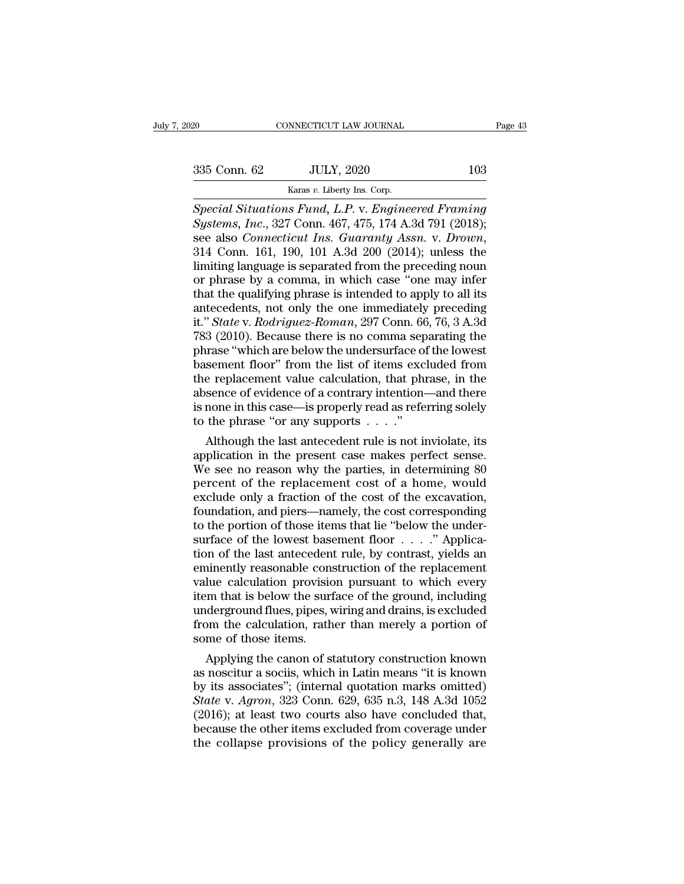Eq. (2008)<br>
CONNECTICUT LAW JOURNAL<br>
Special Situations Fund, L.P. v. Engineered Framing<br>
Special Situations Fund, L.P. v. Engineered Framing <sup>20</sup> CONNECTICUT LAW JOURNAL Page 43<br>
335 Conn. 62 JULY, 2020 103<br>
<sup>Karas v. Liberty Ins. Corp.<br> *Special Situations Fund, L.P. v. Engineered Framing*<br> *Systems, Inc.*, 327 Conn. 467, 475, 174 A.3d 791 (2018);<br>
see also Co</sup> *Samment 102*<br> *Systems, Inc., 327 Conn. 467, 475, 174 A.3d 791 (2018);*<br> *Systems, Inc., 327 Conn. 467, 475, 174 A.3d 791 (2018);*<br> *Systems, Inc., 327 Conn. 467, 475, 174 A.3d 791 (2018);*<br> *Sammenticut Ins. Guaranty Ass* Seconn. 62 JULY, 2020 103<br> *Karas v. Liberty Ins. Corp.*<br> *Special Situations Fund, L.P. v. Engineered Framing Systems, Inc., 327 Conn. 467, 475, 174 A.3d 791 (2018);*<br>
see also *Connecticut Ins. Guaranty Assn. v. Drown,* Example 1988 Column 109<br>
Special Situations Fund, L.P. v. Engineered Framing<br>
Systems, Inc., 327 Conn. 467, 475, 174 A.3d 791 (2018);<br>
see also Connecticut Ins. Guaranty Assn. v. Drown,<br>
314 Conn. 161, 190, 101 A.3d 200 ( Karas v. Liberty Ins. Corp.<br>
Special Situations Fund, L.P. v. Engineered Framing<br>
Systems, Inc., 327 Conn. 467, 475, 174 A.3d 791 (2018);<br>
see also Connecticut Ins. Guaranty Assn. v. Drown,<br>
314 Conn. 161, 190, 101 A.3d 2 Special Situations Fund, L.P. v. Engineered Framing<br>Systems, Inc., 327 Conn. 467, 475, 174 A.3d 791 (2018);<br>see also Connecticut Ins. Guaranty Assn. v. Drown,<br>314 Conn. 161, 190, 101 A.3d 200 (2014); unless the<br>limiting la Systems, Inc., 327 Conn. 467, 475, 174 A.3d 791 (2018);<br>see also *Connecticut Ins. Guaranty Assn. v. Drown*,<br>314 Conn. 161, 190, 101 A.3d 200 (2014); unless the<br>limiting language is separated from the preceding noun<br>or ph see also *Connecticut Ins. Guaranty Assn.* v. *Drown*,<br>314 Conn. 161, 190, 101 A.3d 200 (2014); unless the<br>limiting language is separated from the preceding noun<br>or phrase by a comma, in which case "one may infer<br>that the 314 Conn. 161, 190, 101 A.3d 200 (2014); unless the limiting language is separated from the preceding noun or phrase by a comma, in which case "one may infer that the qualifying phrase is intended to apply to all its ante limiting language is separated from the preceding noun<br>or phrase by a comma, in which case "one may infer<br>that the qualifying phrase is intended to apply to all its<br>antecedents, not only the one immediately preceding<br>it." or phrase by a comma, in which case "one may infer<br>that the qualifying phrase is intended to apply to all its<br>antecedents, not only the one immediately preceding<br>it." *State* v. *Rodriguez-Roman*, 297 Conn. 66, 76, 3 A.3d<br> that the qualifying phrase is intended to apply to all its<br>antecedents, not only the one immediately preceding<br>it." *State* v. *Rodriguez-Roman*, 297 Conn. 66, 76, 3 A.3d<br>783 (2010). Because there is no comma separating th antecedents, not only the one immediately preceding<br>it." *State* v. *Rodriguez-Roman*, 297 Conn. 66, 76, 3 A.3d<br>783 (2010). Because there is no comma separating the<br>phrase "which are below the undersurface of the lowest<br>ba it." *State* v. *Rodriguez-Roman*, 297 Conn. 66, 76, 3 A.3d<br>783 (2010). Because there is no comma separating the<br>phrase "which are below the undersurface of the lowest<br>basement floor" from the list of items excluded from<br>t 783 (2010). Because there is no comma sep<br>phrase "which are below the undersurface of<br>basement floor" from the list of items exc<br>the replacement value calculation, that phi<br>absence of evidence of a contrary intention-<br>is rase "which are below the undersurface of the lowest<br>sement floor" from the list of items excluded from<br>e replacement value calculation, that phrase, in the<br>sence of evidence of a contrary intention—and there<br>none in this basement floor" from the list of items excluded from<br>the replacement value calculation, that phrase, in the<br>absence of evidence of a contrary intention—and there<br>is none in this case—is properly read as referring solely<br>t

the replacement value calculation, that phrase, in the<br>absence of evidence of a contrary intention—and there<br>is none in this case—is properly read as referring solely<br>to the phrase "or any supports  $\dots$ ".<br>Although the las absence of evidence of a contrary intention—and there<br>is none in this case—is properly read as referring solely<br>to the phrase "or any supports  $\dots$ ."<br>Although the last antecedent rule is not inviolate, its<br>application in is none in this case—is properly read as reterring solely<br>to the phrase "or any supports  $\dots$ ."<br>Although the last antecedent rule is not inviolate, its<br>application in the present case makes perfect sense.<br>We see no reason for the phrase "or any supports  $\ldots$ "<br>Although the last antecedent rule is not inviolate, its<br>application in the present case makes perfect sense.<br>We see no reason why the parties, in determining 80<br>percent of the replac Although the last antecedent rule is not inviolate, its<br>application in the present case makes perfect sense.<br>We see no reason why the parties, in determining 80<br>percent of the replacement cost of a home, would<br>exclude onl application in the present case makes perfect sense.<br>We see no reason why the parties, in determining 80<br>percent of the replacement cost of a home, would<br>exclude only a fraction of the cost of the excavation,<br>foundation, a We see no reason why the parties, in determining 80<br>percent of the replacement cost of a home, would<br>exclude only a fraction of the cost of the excavation,<br>foundation, and piers—namely, the cost corresponding<br>to the porti percent of the replacement cost of a home, would<br>exclude only a fraction of the cost of the excavation,<br>foundation, and piers—namely, the cost corresponding<br>to the portion of those items that lie "below the under-<br>surface exclude only a fraction of the cost of the excavation,<br>foundation, and piers—namely, the cost corresponding<br>to the portion of those items that lie "below the under-<br>surface of the lowest basement floor  $\dots$ ." Applica-<br>tio foundation, and piers—namely, the cost corresponding<br>to the portion of those items that lie "below the under-<br>surface of the lowest basement floor  $\ldots$ ." Applica-<br>tion of the last antecedent rule, by contrast, yields an<br> to the portion of those items that lie "below the under-<br>surface of the lowest basement floor  $\dots$ ." Applica-<br>tion of the last antecedent rule, by contrast, yields an<br>eminently reasonable construction of the replacement<br>v surface of the lowest basement floor . . . ." Application of the last antecedent rule, by contrast, yields an eminently reasonable construction of the replacement value calculation provision pursuant to which every item th tion of the last anteceden<br>eminently reasonable cons<br>value calculation provisic<br>item that is below the surf<br>underground flues, pipes, v<br>from the calculation, rath<br>some of those items.<br>Applying the canon of st inently reasonable construction of the replacement<br>lue calculation provision pursuant to which every<br>m that is below the surface of the ground, including<br>derground flues, pipes, wiring and drains, is excluded<br>om the calcul value calculation provision pursuant to which every<br>item that is below the surface of the ground, including<br>underground flues, pipes, wiring and drains, is excluded<br>from the calculation, rather than merely a portion of<br>so

tiem that is below the surface of the ground, including<br>underground flues, pipes, wiring and drains, is excluded<br>from the calculation, rather than merely a portion of<br>some of those items.<br>Applying the canon of statutory co underground flues, pipes, wiring and drains, is excluded<br>from the calculation, rather than merely a portion of<br>some of those items.<br>Applying the canon of statutory construction known<br>as noscitur a sociis, which in Latin me from the calculation, rather than merely a portion of<br>some of those items.<br>Applying the canon of statutory construction known<br>as noscitur a sociis, which in Latin means "it is known<br>by its associates"; (internal quotation some of those items.<br>
Applying the canon of statutory construction known<br>
as noscitur a sociis, which in Latin means "it is known<br>
by its associates"; (internal quotation marks omitted)<br>
State v. Agron, 323 Conn. 629, 635 Applying the canon of statutory construction known<br>as noscitur a sociis, which in Latin means "it is known<br>by its associates"; (internal quotation marks omitted)<br>State v. Agron, 323 Conn. 629, 635 n.3, 148 A.3d 1052<br>(2016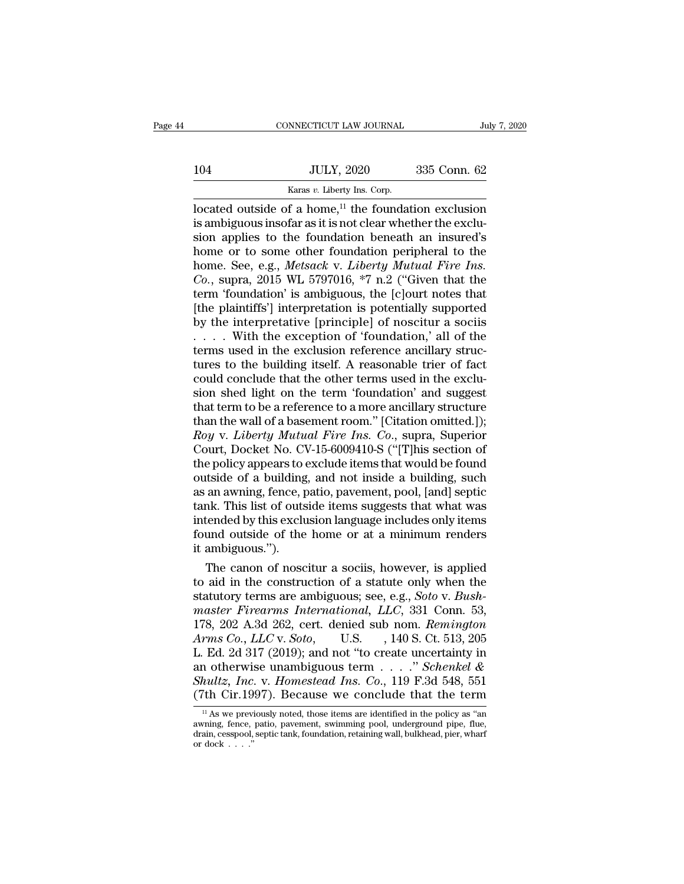|     | CONNECTICUT LAW JOURNAL                                  | July 7, 2020 |  |
|-----|----------------------------------------------------------|--------------|--|
| 104 | <b>JULY, 2020</b>                                        | 335 Conn. 62 |  |
|     | Karas v. Liberty Ins. Corp.                              |              |  |
|     | located outside of a home, $11$ the foundation exclusion |              |  |

 $\begin{tabular}{ll} \multicolumn{1}{l}{{\text{COMRECTICUT LAW JOURNAL}}} & \multicolumn{1}{l}{\text{July 7, 2020}}\\ \hline & {\text{LULY, 2020}} & \multicolumn{1}{l}{\text{335 Conn. 62}}\\ \hline & \multicolumn{1}{l}{\text{Karas }v}. & \multicolumn{1}{l}{\text{Liberty Ins. Corp.}}\\ \hline \text{located outside of a home, }^{\text{11}}$ & \text{the foundation exclusion} \\ \hline \text{is ambiguous insofar as it is not clear whether the exclusion} & \multicolumn{1}{l}{\text{insured's}}\\ \hline \end{tabular}$ 104 JULY, 2020 335 Conn. 62<br>  $\frac{\text{Karas } v. \text{ Library Ins. Corp.}}{\text{located outside of a home,}^{11} \text{ the foundation exclusion}}$ <br>
is ambiguous insofar as it is not clear whether the exclusion<br>
sion applies to the foundation beneath an insured's<br>
home or to some other foundation 104 JULY, 2020 335 Conn. 62<br>
Karas v. Liberty Ins. Corp.<br>
located outside of a home,<sup>11</sup> the foundation exclusion<br>
is ambiguous insofar as it is not clear whether the exclusion<br>
sion applies to the foundation beneath an i Home or to some other foundation peripheral to the some other foundation peripheral to the foundation peripheral to the foundation peripheral to the foundation peripheral to the forme. See, e.g., *Metsack v. Liberty Mutua* Karas *v.* Liberty Ins. Corp.<br>
Iocated outside of a home,<sup>11</sup> the foundation exclusion<br>
is ambiguous insofar as it is not clear whether the exclu-<br>
sion applies to the foundation beneath an insured's<br>
home or to some other *Karas v. Liberty Ins. Corp.*<br>
located outside of a home,<sup>11</sup> the foundation exclusion<br>
is ambiguous insofar as it is not clear whether the exclu-<br>
sion applies to the foundation beneath an insured's<br>
home or to some other located outside of a home,<sup>11</sup> the foundation exclusion<br>is ambiguous insofar as it is not clear whether the exclu-<br>sion applies to the foundation beneath an insured's<br>home or to some other foundation peripheral to the<br>hom is ambiguous insofar as it is not clear whether the exclusion applies to the foundation beneath an insured's<br>home or to some other foundation peripheral to the<br>home. See, e.g., *Metsack v. Liberty Mutual Fire Ins.*<br>Co., s sion applies to the foundation beneath an insured's<br>home or to some other foundation peripheral to the<br>home. See, e.g., *Metsack v. Liberty Mutual Fire Ins.*<br>Co., supra, 2015 WL 5797016, \*7 n.2 ("Given that the<br>term 'foun home or to some other foundation peripheral to the<br>home. See, e.g., *Metsack* v. *Liberty Mutual Fire Ins.*<br>Co., supra, 2015 WL 5797016, \*7 n.2 ("Given that the<br>term 'foundation' is ambiguous, the [c]ourt notes that<br>[the home. See, e.g., *Metsack* v. *Liberty Mutual Fire Ins.* Co., supra, 2015 WL 5797016, \*7 n.2 ("Given that the term 'foundation' is ambiguous, the [c]ourt notes that [the plaintiffs'] interpretation is potentially supporte Co., supra, 2015 WL 5797016, \*7 n.2 ("Given that the<br>term 'foundation' is ambiguous, the [c]ourt notes that<br>[the plaintiffs'] interpretation is potentially supported<br>by the interpretative [principle] of noscitur a sociis<br> term 'foundation' is ambiguous, the [c]ourt notes that [the plaintiffs'] interpretation is potentially supported by the interpretative [principle] of noscitur a sociis  $\ldots$ . With the exception of 'foundation,' all of the [the plaintiffs'] interpretation is potentially supported<br>by the interpretative [principle] of noscitur a sociis<br> $\ldots$ . With the exception of 'foundation,' all of the<br>terms used in the exclusion reference ancillary strucby the interpretative [principle] of noscitur a sociis . . . . . With the exception of 'foundation,' all of the terms used in the exclusion reference ancillary structures to the building itself. A reasonable trier of fact .... With the exception of 'foundation,' all of the<br>terms used in the exclusion reference ancillary struc-<br>tures to the building itself. A reasonable trier of fact<br>could conclude that the other terms used in the exclu-<br>si terms used in the exclusion reference ancillary structures to the building itself. A reasonable trier of fact could conclude that the other terms used in the exclusion shed light on the term 'foundation' and suggest that t tures to the building itself. A reasonable trier of fact<br>could conclude that the other terms used in the exclu-<br>sion shed light on the term 'foundation' and suggest<br>that term to be a reference to a more ancillary structure could conclude that the other terms used in the exclusion shed light on the term 'foundation' and suggest<br>that term to be a reference to a more ancillary structure<br>than the wall of a basement room." [Citation omitted.]);<br>R sion shed light on the term 'foundation' and suggest<br>that term to be a reference to a more ancillary structure<br>than the wall of a basement room." [Citation omitted.]);<br>Roy v. Liberty Mutual Fire Ins. Co., supra, Superior<br>C that term to be a reference to a more ancillary structure<br>than the wall of a basement room." [Citation omitted.]);<br>*Roy v. Liberty Mutual Fire Ins. Co.*, supra, Superior<br>Court, Docket No. CV-15-6009410-S ("[T]his section o than the wall of a basement room." [Citation omitted.]);<br> *Roy v. Liberty Mutual Fire Ins. Co.*, supra, Superior<br>
Court, Docket No. CV-15-6009410-S ("[T]his section of<br>
the policy appears to exclude items that would be fou Roy v. Liberty Mutual Fire Ins. Co., supra, Superior<br>Court, Docket No. CV-15-6009410-S ("[T]his section of<br>the policy appears to exclude items that would be found<br>outside of a building, and not inside a building, such<br>as a Court, Docket No. CV-15-6009410-S ("[T]his section of<br>the policy appears to exclude items that would be found<br>outside of a building, and not inside a building, such<br>as an awning, fence, patio, pavement, pool, [and] septic<br> the policy appears to coutside of a building<br>as an awning, fence, p<br>tank. This list of outs<br>intended by this exclu<br>found outside of the<br>it ambiguous.").<br>The canon of nosc tside of a building, and not inside a building, such<br>an awning, fence, patio, pavement, pool, [and] septic<br>nk. This list of outside items suggests that what was<br>tended by this exclusion language includes only items<br>und ou as an awning, fence, patio, pavement, pool, [and] septic<br>tank. This list of outside items suggests that what was<br>intended by this exclusion language includes only items<br>found outside of the home or at a minimum renders<br>it

tank. This list of outside items suggests that what was<br>intended by this exclusion language includes only items<br>found outside of the home or at a minimum renders<br>it ambiguous.").<br>The canon of noscitur a sociis, however, is intended by this exclusion language includes only items<br>found outside of the home or at a minimum renders<br>it ambiguous.").<br>The canon of noscitur a sociis, however, is applied<br>to aid in the construction of a statute only wh found outside of the home or at a minimum renders<br>it ambiguous.").<br>The canon of noscitur a sociis, however, is applied<br>to aid in the construction of a statute only when the<br>statutory terms are ambiguous; see, e.g., *Soto Arms Co., LLC* v. *Sotoring* is applied to aid in the construction of a statute only when the statutory terms are ambiguous; see, e.g., *Soto* v. *Bushmaster Firearms International, LLC*, 331 Conn. 53, 178, 202 A.3d 262, The canon of noscitur a sociis, however, is applied<br>to aid in the construction of a statute only when the<br>statutory terms are ambiguous; see, e.g., *Soto* v. *Bush-<br>master Firearms International*, *LLC*, 331 Conn. 53,<br>178 to aid in the construction of a statute only when the<br>statutory terms are ambiguous; see, e.g., *Soto* v. *Bush-<br>master Firearms International, LLC*, 331 Conn. 53,<br>178, 202 A.3d 262, cert. denied sub nom. *Remington*<br>Arms **Shultz, Inc. 3.** Shultz, Inc. 3.31 Conn. 53, 178, 202 A.3d 262, cert. denied sub nom. *Remington*<br>*Arms Co.*, *LLC* v. *Soto*, U.S. , 140 S. Ct. 513, 205<br>*L.* Ed. 2d 317 (2019); and not "to create uncertainty in<br>an otherw master Firearms International, LLC, 331 Conn. 53,<br>178, 202 A.3d 262, cert. denied sub nom. *Remington*<br>Arms Co., LLC v. Soto, U.S. , 140 S. Ct. 513, 205<br>L. Ed. 2d 317 (2019); and not "to create uncertainty in<br>an otherwise Ed. 2d 317 (2019); and not "to create uncertainty in<br>
11 otherwise unambiguous term . . . . " *Schenkel &*<br> *hultz*, *Inc.* v. *Homestead Ins. Co.*, 119 F.3d 548, 551<br>
<sup>11</sup> As we previously noted, those items are identifi an otherwise unambiguous term  $\ldots$  " Schenkel &<br>Shultz, Inc. v. Homestead Ins. Co., 119 F.3d 548, 551<br>(7th Cir.1997). Because we conclude that the term<br> $\frac{1}{10}$  As we previously noted, those items are identified in the

an otherwise unambiguous term  $\ldots$  Schemket  $\alpha$ <br>Shultz, Inc. v. Homestead Ins. Co., 119 F.3d 548, 551<br>(7th Cir.1997). Because we conclude that the term<br> $\frac{1}{10}$  As we previously noted, those items are identified in th (7th Cir.1997). Because we conclude that the term<br>  $\frac{1}{1}$  As we previously noted, those items are identified in the policy as "an<br>
awning, fence, patio, pavement, swimming pool, underground pipe, flue,<br>
drain, cesspool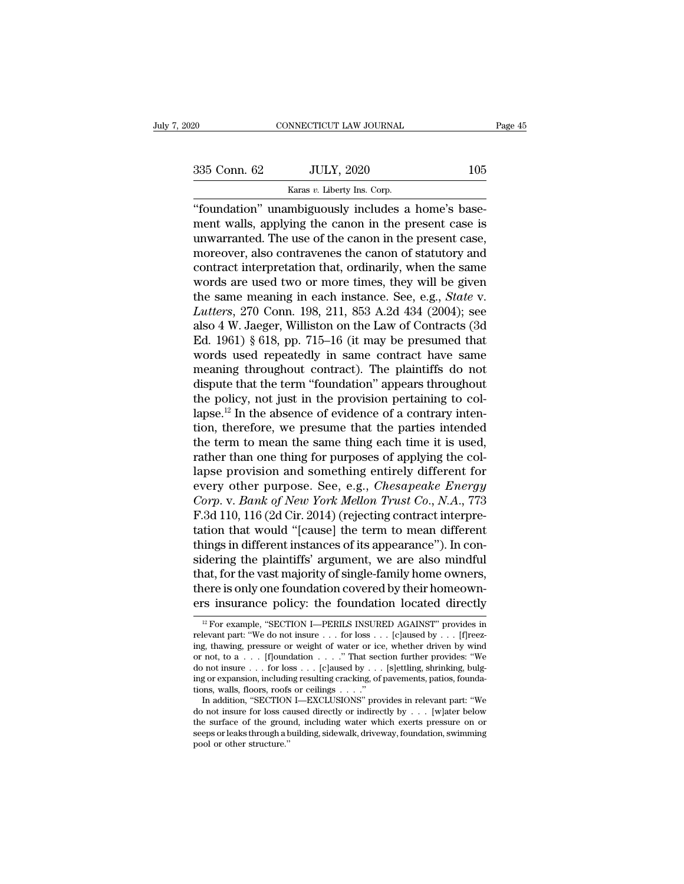EXECUTE 20 CONNECTICUT LAW JOURNAL<br>
Sammen Connection Connection Connection Connection Connection Connection Connection Connection Connection Connection Connection Connection Connection Connection Connection Connection Con CONNECTICUT LAW JOURNAL<br>
335 Conn. 62 JULY, 2020 105<br>
Xaras v. Liberty Ins. Corp.<br>
"foundation" unambiguously includes a home's base-<br>
ment walls, applying the canon in the present case is  $\frac{335 \text{ Conn. } 62}{\text{Karas } v. } \frac{JULY, 2020}{\text{In } v. } \frac{105}{\text{Hence}}$ <br>
"foundation" unambiguously includes a home's basement walls, applying the canon in the present case is<br>
unwarranted. The use of the canon in the present case,  $335$  Conn. 62 JULY, 2020 105<br>  $\frac{535}{2}$  Conn. 62 ULY, 2020 105<br>  $\frac{105}{2}$ <br>  $\frac{535}{2}$ <br>  $\frac{105}{2}$ <br>  $\frac{105}{2}$ <br>  $\frac{105}{2}$ <br>  $\frac{105}{2}$ <br>  $\frac{105}{2}$ <br>  $\frac{105}{2}$ <br>  $\frac{105}{2}$ <br>  $\frac{105}{2}$ <br>  $\frac{105}{2}$ <br>  $\frac{105}{2}$ 335 Conn. 62 JULY, 2020 105<br>
Karas v. Liberty Ins. Corp.<br>
"foundation" unambiguously includes a home's basement walls, applying the canon in the present case is<br>
unwarranted. The use of the canon in the present case,<br>
mor Example 1988 v. Liberty Ins. Corp.<br>
"foundation" unambiguously includes a home's base-<br>
ment walls, applying the canon in the present case is<br>
unwarranted. The use of the canon in the present case,<br>
moreover, also contrav **EXAMPLE 1989** We allow the present valls, applying the canon in the present case is<br>unwarranted. The use of the canon in the present case,<br>moreover, also contravenes the canon of statutory and<br>contract interpretation tha "foundation" unambiguously includes a home's base-<br>ment walls, applying the canon in the present case is<br>unwarranted. The use of the canon in the present case,<br>moreover, also contravenes the canon of statutory and<br>contract ment walls, applying the canon in the present case is<br>unwarranted. The use of the canon in the present case,<br>moreover, also contravenes the canon of statutory and<br>contract interpretation that, ordinarily, when the same<br>wor unwarranted. The use of the canon in the present case,<br>moreover, also contravenes the canon of statutory and<br>contract interpretation that, ordinarily, when the same<br>words are used two or more times, they will be given<br>the moreover, also contravenes the canon of statutory and<br>contract interpretation that, ordinarily, when the same<br>words are used two or more times, they will be given<br>the same meaning in each instance. See, e.g., *State* v.<br>*L* contract interpretation that, ordinarily, when the same<br>words are used two or more times, they will be given<br>the same meaning in each instance. See, e.g., *State* v.<br>*Lutters*, 270 Conn. 198, 211, 853 A.2d 434 (2004); see<br> words are used two or more times, they will be given<br>the same meaning in each instance. See, e.g., *State* v.<br>*Lutters*, 270 Conn. 198, 211, 853 A.2d 434 (2004); see<br>also 4 W. Jaeger, Williston on the Law of Contracts (3d<br> the same meaning in each instance. See, e.g., *State* v.<br> *Lutters*, 270 Conn. 198, 211, 853 A.2d 434 (2004); see<br>
also 4 W. Jaeger, Williston on the Law of Contracts (3d<br>
Ed. 1961) § 618, pp. 715–16 (it may be presumed t Lutters, 270 Conn. 198, 211, 853 A.2d 434 (2004); see<br>also 4 W. Jaeger, Williston on the Law of Contracts (3d<br>Ed. 1961) § 618, pp. 715–16 (it may be presumed that<br>words used repeatedly in same contract have same<br>meaning t also 4 W. Jaeger, Williston on the Law of Contracts (3d Ed. 1961) § 618, pp. 715–16 (it may be presumed that words used repeatedly in same contract have same meaning throughout contract). The plaintiffs do not dispute tha Ed. 1961) § 618, pp. 715–16 (it may be presumed that<br>words used repeatedly in same contract have same<br>meaning throughout contract). The plaintiffs do not<br>dispute that the term "foundation" appears throughout<br>the policy, n words used repeatedly in same contract have same<br>meaning throughout contract). The plaintiffs do not<br>dispute that the term "foundation" appears throughout<br>the policy, not just in the provision pertaining to col-<br>lapse.<sup>12</sup> meaning throughout contract). The plaintiffs do not<br>dispute that the term "foundation" appears throughout<br>the policy, not just in the provision pertaining to col-<br>lapse.<sup>12</sup> In the absence of evidence of a contrary intendispute that the term "foundation" appears throughout<br>the policy, not just in the provision pertaining to col-<br>lapse.<sup>12</sup> In the absence of evidence of a contrary inten-<br>tion, therefore, we presume that the parties intend the policy, not just in the provision pertaining to col-<br>lapse.<sup>12</sup> In the absence of evidence of a contrary inten-<br>tion, therefore, we presume that the parties intended<br>the term to mean the same thing each time it is used lapse.<sup>12</sup> In the absence of evidence of a contrary intention, therefore, we presume that the parties intended the term to mean the same thing each time it is used, rather than one thing for purposes of applying the collap tion, therefore, we presume that the parties intended<br>the term to mean the same thing each time it is used,<br>rather than one thing for purposes of applying the col-<br>lapse provision and something entirely different for<br>every the term to mean the same thing each time it is used,<br>rather than one thing for purposes of applying the col-<br>lapse provision and something entirely different for<br>every other purpose. See, e.g., *Chesapeake Energy<br>Corp.* v rather than one thing for purposes of applying the collapse provision and something entirely different for<br>every other purpose. See, e.g., *Chesapeake Energy*<br>*Corp.* v. *Bank of New York Mellon Trust Co., N.A., 773*<br>F.3d lapse provision and something entirely different for<br>every other purpose. See, e.g., *Chesapeake Energy<br>Corp.* v. *Bank of New York Mellon Trust Co.*, *N.A.*, 773<br>F.3d 110, 116 (2d Cir. 2014) (rejecting contract interpre-<br> every other purpose. See, e.g., *Chesapeake Energy*<br>Corp. v. *Bank of New York Mellon Trust Co.*, *N.A.*, 773<br>F.3d 110, 116 (2d Cir. 2014) (rejecting contract interpre-<br>tation that would "[cause] the term to mean different Corp. v. Bank of New York Mellon Trust Co., N.A., 773<br>F.3d 110, 116 (2d Cir. 2014) (rejecting contract interpre-<br>tation that would "[cause] the term to mean different<br>things in different instances of its appearance"). In c F.3d 110, 116 (2d Cir. 2014) (rejecting contract interpre-<br>tation that would "[cause] the term to mean different<br>things in different instances of its appearance"). In con-<br>sidering the plaintiffs' argument, we are also mi dering the plaintiffs' argument, we are also mindful<br>nat, for the vast majority of single-family home owners,<br>nere is only one foundation covered by their homeown-<br>rs insurance policy: the foundation located directly<br> $\frac{1$ that, for the vast majority of single-family home owners,<br>there is only one foundation covered by their homeown-<br>ers insurance policy: the foundation located directly<br> $\frac{12}{12}$  For example, "SECTION I—PERILS INSURED AGA

there is only one foundation covered by their homeown-<br>ers insurance policy: the foundation located directly<br> $\frac{12}{12}$  For example, "SECTION I—PERILS INSURED AGAINST" provides in<br>relevant part: "We do not insure . . . f The EX SORY OF FOUNDATION COVET BY THEIT HOMEOWITIONS THAT AND THE SURVED AGAINST" provides in relevant part: "We do not insure . . . for loss . . . [c]aused by . . . [f]reezing, thawing, pressure or weight of water or ic **ers insurance policy: the foundation located directly**<br>
<sup>12</sup> For example, "SECTION I—PERILS INSURED AGAINST" provides in relevant part: "We do not insure . . . for loss . . . [c]aused by . . . [f]reezing, thawing, pressu <sup>12</sup> For example, "SECTION I—PERILS INSURED AGAINST" provides in relevant part: "We do not insure . . . for loss . . . [c]aused by . . . [f]reezing, thawing, pressure or weight of water or ice, whether driven by wind or n " For example, "SECTION I—PERILS INSURI<br>relevant part: "We do not insure . . . for loss . .<br>ing, thawing, pressure or weight of water or ice<br>or not, to  $a \dots$  [f]oundation  $\dots$ . "That sect<br>do not insure  $\dots$  for loss  $\dots$  ing, thawing, pressure or weight of water or ice, whether driven by wind<br>or not, to a . . . . [f]oundation . . . . " That section further provides: "We<br>do not insure . . . for loss . . . [c]aused by . . . [s]ettling, shri ing, thawing, pressure or weight of water or ice, whether driven by wind<br>or not, to a ... [f]oundation ...." That section further provides: "We<br>do not insure ... for loss ... [c]aused by ... [s]ettling, shrinking, bulg-<br>i

or not, to a ... [f]oundation ... .." That section further provides: "We<br>do not insure ... for loss ... [c]aused by ... [s]ettling, shrinking, bulg-<br>ing or expansion, including resulting cracking, of pavements, patios, fou do not insure . . . for loss . . . [c]aused by . . . [s]ettling, shrinking, bulg-<br>ing or expansion, including resulting cracking, of pavements, patios, founda-<br>tions, walls, floors, roofs or ceilings . . . ."<br>In addition, ing or expansion, includitions, walls, floors, roofs<br>In addition, "SECTION<br>do not insure for loss ca<br>the surface of the groun<br>seeps or leaks through a b<br>pool or other structure."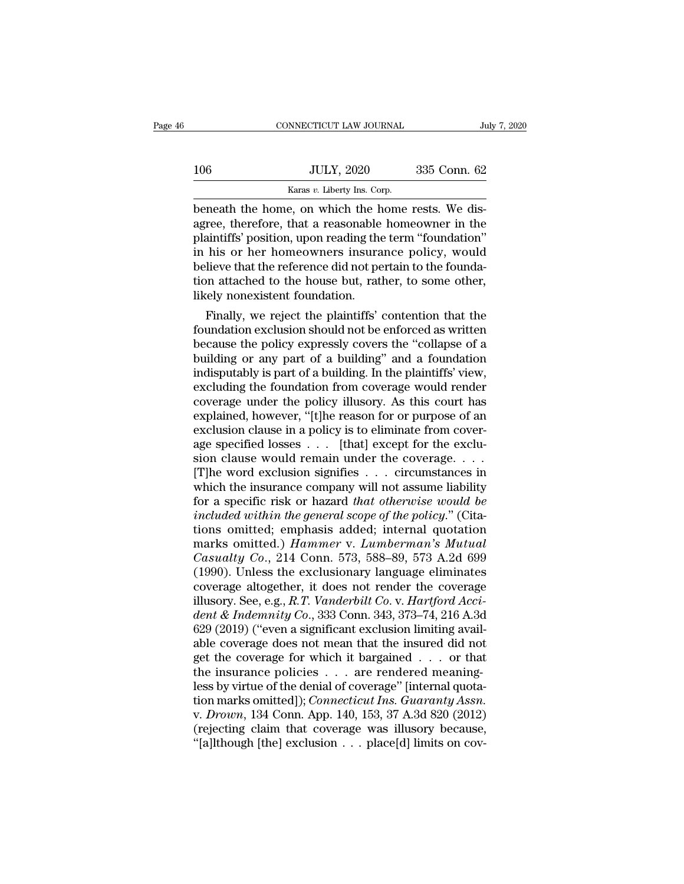|     | CONNECTICUT LAW JOURNAL                                                                                                                                               | July 7, 2020 |
|-----|-----------------------------------------------------------------------------------------------------------------------------------------------------------------------|--------------|
| 106 | <b>JULY, 2020</b>                                                                                                                                                     | 335 Conn. 62 |
|     | Karas v. Liberty Ins. Corp.                                                                                                                                           |              |
|     | beneath the home, on which the home rests. We dis-<br>agree, therefore, that a reasonable homeowner in the<br>plaintiffe' position upon roading the term "foundation" |              |

106 JULY, 2020 335 Conn. 62<br>
Karas v. Liberty Ins. Corp.<br>
beneath the home, on which the home rests. We dis-<br>
agree, therefore, that a reasonable homeowner in the<br>
plaintiffs' position, upon reading the term "foundation"<br>  $\frac{JULY, 2020}{\text{Karas } v. \text{ Library Ins. Corp.}}$ <br>
beneath the home, on which the home rests. We disagree, therefore, that a reasonable homeowner in the plaintiffs' position, upon reading the term "foundation"<br>
in his or her homeowners in  $\frac{JULY, 2020}{2}$  335 Conn. 62<br>  $\frac{Karas v. \text{ Library Ins. Corp.}}{100}$ <br>
beneath the home, on which the home rests. We disagree, therefore, that a reasonable homeowner in the plaintiffs' position, upon reading the term "foundation"<br>
in h Example 1983, 1993, 1993, 1993, 1993, 1993, 1993, 1993, 1993, 1993, 1993, 1993, 1993, 1993, 1993, 1993, 1993, 1993, 1993, 1993, 1993, 1993, 1993, 1993, 1993, 1993, 1993, 1993, 1993, 1993, 1993, 1993, 1993, 1993, 1993, 199 karas v. Liberty Ins. Corp.<br>beneath the home, on which the home rests. We dis-<br>agree, therefore, that a reasonable homeowner in the<br>plaintiffs' position, upon reading the term "foundation"<br>in his or her homeowners insuranc beneath the home, on which the home rests. We disagree, therefore, that a reasonable homeowner in the plaintiffs' position, upon reading the term "foundation" in his or her homeowners insurance policy, would believe that t ree, therefore, that a reasonable nomeowner in the aintiffs' position, upon reading the term "foundation"<br>his or her homeowners insurance policy, would<br>lieve that the reference did not pertain to the founda-<br>on attached to plaintins position, upon reading the term Toundation<br>in his or her homeowners insurance policy, would<br>believe that the reference did not pertain to the founda-<br>tion attached to the house but, rather, to some other,<br>likely

In his or her nomeowners insurance policy, would<br>believe that the reference did not pertain to the founda-<br>tion attached to the house but, rather, to some other,<br>likely nonexistent foundation.<br>Finally, we reject the plaint beneve that the reference did not pertain to the foundation attached to the house but, rather, to some other, likely nonexistent foundation.<br>Finally, we reject the plaintiffs' contention that the foundation exclusion shoul ilikely nonexistent foundation.<br>
Finally, we reject the plaintiffs' contention that the<br>
foundation exclusion should not be enforced as written<br>
because the policy expressly covers the "collapse of a<br>
building or any part Finally, we reject the plaintiffs' contention that the<br>foundation exclusion should not be enforced as written<br>because the policy expressly covers the "collapse of a<br>building or any part of a building" and a foundation<br>indi Finally, we reject the plaintiffs' contention that the<br>foundation exclusion should not be enforced as written<br>because the policy expressly covers the "collapse of a<br>building or any part of a building" and a foundation<br>indi foundation exclusion should not be enforced as written<br>because the policy expressly covers the "collapse of a<br>building or any part of a building" and a foundation<br>indisputably is part of a building. In the plaintiffs' view because the policy expressly covers the "collapse of a building or any part of a building" and a foundation indisputably is part of a building. In the plaintiffs' view, excluding the foundation from coverage would render building or any part of a building" and a foundation<br>indisputably is part of a building. In the plaintiffs' view,<br>excluding the foundation from coverage would render<br>coverage under the policy illusory. As this court has<br>ex indisputably is part of a building. In the plaintiffs' view,<br>excluding the foundation from coverage would render<br>coverage under the policy illusory. As this court has<br>explained, however, "[t]he reason for or purpose of an<br> excluding the foundation from coverage would render<br>coverage under the policy illusory. As this court has<br>explained, however, "[t]he reason for or purpose of an<br>exclusion clause in a policy is to eliminate from cover-<br>age coverage under the policy illusory. As this court has<br>explained, however, "[t]he reason for or purpose of an<br>exclusion clause in a policy is to eliminate from cover-<br>age specified losses . . . [that] except for the excluexplained, however, "[t]he reason for or purpose of an exclusion clause in a policy is to eliminate from cover-<br>age specified losses  $\dots$  [that] except for the exclusion clause would remain under the coverage.  $\dots$ <br>[T]he exclusion clause in a policy is to eliminate from coverage specified losses  $\dots$  [that] except for the exclusion clause would remain under the coverage.  $\dots$  [T]he word exclusion signifies  $\dots$  circumstances in which the age specified losses . . . [that] except for the exclusion clause would remain under the coverage. . . .<br>[T]he word exclusion signifies . . . circumstances in which the insurance company will not assume liability<br>for a sp marks omitted.) *Hammer* v. *Lumberman's Mutual* [T]he word exclusion signifies . . . circumstances in<br>which the insurance company will not assume liability<br>for a specific risk or hazard *that otherwise would be<br>included within the general scope of the policy.*" (Cita-<br>t which the insurance company will not assume liability<br>for a specific risk or hazard *that otherwise would be*<br>*included within the general scope of the policy.*" (Cita-<br>tions omitted; emphasis added; internal quotation<br>ma for a specific risk or hazard *that otherwise would be*<br>included within the general scope of the policy." (Cita-<br>tions omitted; emphasis added; internal quotation<br>marks omitted.) *Hammer* v. *Lumberman's Mutual*<br>Casualty included within the general scope of the policy." (Citations omitted; emphasis added; internal quotation marks omitted.) *Hammer* v. *Lumberman's Mutual* Casualty Co., 214 Conn. 573, 588–89, 573 A.2d 699 (1990). Unless the tions omitted; emphasis added; internal quotation<br>marks omitted.) *Hammer* v. *Lumberman's Mutual*<br>*Casualty Co.*, 214 Conn. 573, 588–89, 573 A.2d 699<br>(1990). Unless the exclusionary language eliminates<br>coverage altogether marks omitted.) Hammer v. Lumberman's Mutual<br>Casualty Co., 214 Conn. 573, 588–89, 573 A.2d 699<br>(1990). Unless the exclusionary language eliminates<br>coverage altogether, it does not render the coverage<br>illusory. See, e.g., R Casualty Co., 214 Conn. 573, 588–89, 573 A.2d 699 (1990). Unless the exclusionary language eliminates<br>coverage altogether, it does not render the coverage<br>illusory. See, e.g., R.T. Vanderbilt Co. v. Hartford Acci-<br>dent & (1990). Unless the exclusionary language eliminates<br>coverage altogether, it does not render the coverage<br>illusory. See, e.g., *R.T. Vanderbilt Co. v. Hartford Acci-<br>dent & Indemnity Co.*, 333 Conn. 343, 373–74, 216 A.3d<br>6 coverage altogether, it does not render the coverage<br>illusory. See, e.g., R.T. Vanderbilt Co. v. Hartford Acci<br>dent & Indemnity Co., 333 Conn. 343, 373–74, 216 A.36<br>629 (2019) ("even a significant exclusion limiting avail illusory. See, e.g., *R.T. Vanderbilt Co.* v. *Hartford Accident & Indemnity Co.*, 333 Conn. 343, 373–74, 216 A.3d 629 (2019) ("even a significant exclusion limiting available coverage does not mean that the insured did n dent & Indemnity Co., 333 Conn. 343, 373–74, 216 A.3d<br>629 (2019) ("even a significant exclusion limiting available coverage does not mean that the insured did not<br>get the coverage for which it bargained . . . or that<br>the i 629 (2019) ("even a significant exclusion limiting available coverage does not mean that the insured did not<br>get the coverage for which it bargained . . . or that<br>the insurance policies . . . are rendered meaning-<br>less by able coverage does not mean that the insured did not<br>get the coverage for which it bargained . . . or that<br>the insurance policies . . . are rendered meaning-<br>less by virtue of the denial of coverage" [internal quota-<br>tion get the coverage for which it bargained . . . or that<br>the insurance policies . . . are rendered meaning-<br>less by virtue of the denial of coverage" [internal quota-<br>tion marks omitted]); *Connecticut Ins. Guaranty Assn.*<br>v.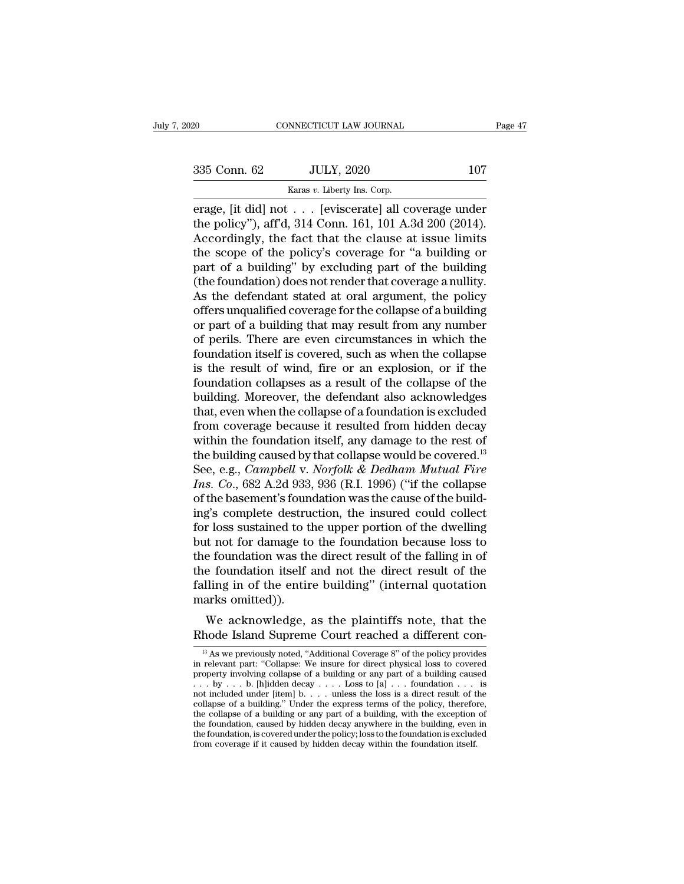EXECUTE 200 CONNECTICUT LAW JOURNAL<br>
Sammen Connection Connection Connection Connection Connection Connection Connection Connection Connection Connection Connection Connection Connection Connection Connection Connection Co ERECT 2020 ENDINE CONNECTICUT LAW JOURNAL Page 47<br>
Sammen Connect 2020 107<br>
ERECT 2020 107<br>
ERECT 2020 107<br>
ERECT 2020 107<br>
ERECT 2020<br>
ERECT 2020<br>
ERECT 2020<br>
The policy"), aff'd, 314 Conn. 161, 101 A.3d 200 (2014). 335 Conn. 62 JULY, 2020 107<br>
Karas v. Liberty Ins. Corp.<br>
erage, [it did] not . . . [eviscerate] all coverage under<br>
the policy''), aff'd, 314 Conn. 161, 101 A.3d 200 (2014).<br>
Accordingly, the fact that the clause at issu 335 Conn. 62 JULY, 2020 107<br>
Karas v. Liberty Ins. Corp.<br>
erage, [it did] not . . . [eviscerate] all coverage under<br>
the policy"), aff'd, 314 Conn. 161, 101 A.3d 200 (2014).<br>
Accordingly, the fact that the clause at issue 335 Conn. 62 JULY, 2020 107<br>
Karas v. Liberty Ins. Corp.<br>
erage, [it did] not . . . [eviscerate] all coverage under<br>
the policy''), aff'd, 314 Conn. 161, 101 A.3d 200 (2014).<br>
Accordingly, the fact that the clause at issu Example 1982, 1999<br>
Raras v. Liberty Ins. Corp.<br>
erage, [it did] not . . . [eviscerate] all coverage under<br>
the policy"), aff'd, 314 Conn. 161, 101 A.3d 200 (2014).<br>
Accordingly, the fact that the clause at issue limits<br> Example 18 and Section Based of the policy"), aff'd, 314 Conn. 161, 101 A.3d 200 (2014).<br>Accordingly, the fact that the clause at issue limits<br>the scope of the policy's coverage for "a building or<br>part of a building" by e erage, [it did] not  $\,\ldots\,$  [eviscerate] all coverage under<br>the policy"), aff'd, 314 Conn. 161, 101 A.3d 200 (2014).<br>Accordingly, the fact that the clause at issue limits<br>the scope of the policy's coverage for "a buildin the policy"), aff'd, 314 Conn. 161, 101 A.3d 200 (2014).<br>Accordingly, the fact that the clause at issue limits<br>the scope of the policy's coverage for "a building or<br>part of a building" by excluding part of the building<br>(th Accordingly, the fact that the clause at issue limits<br>the scope of the policy's coverage for "a building or<br>part of a building" by excluding part of the building<br>(the foundation) does not render that coverage a nullity.<br>As the scope of the policy's coverage for "a building or<br>part of a building" by excluding part of the building<br>(the foundation) does not render that coverage a nullity.<br>As the defendant stated at oral argument, the policy<br>off part of a building" by excluding part of the building<br>(the foundation) does not render that coverage a nullity.<br>As the defendant stated at oral argument, the policy<br>offers unqualified coverage for the collapse of a buildin (the foundation) does not render that coverage a nullity.<br>As the defendant stated at oral argument, the policy<br>offers unqualified coverage for the collapse of a building<br>or part of a building that may result from any numbe As the defendant stated at oral argument, the policy<br>offers unqualified coverage for the collapse of a building<br>or part of a building that may result from any number<br>of perils. There are even circumstances in which the<br>fou offers unqualified coverage for the collapse of a building<br>or part of a building that may result from any number<br>of perils. There are even circumstances in which the<br>foundation itself is covered, such as when the collapse<br> or part of a building that may result from any number<br>of perils. There are even circumstances in which the<br>foundation itself is covered, such as when the collapse<br>is the result of wind, fire or an explosion, or if the<br>foun of perils. There are even circumstances in which the<br>foundation itself is covered, such as when the collapse<br>is the result of wind, fire or an explosion, or if the<br>foundation collapses as a result of the collapse of the<br>bu foundation itself is covered, such as when the collapse<br>is the result of wind, fire or an explosion, or if the<br>foundation collapses as a result of the collapse of the<br>building. Moreover, the defendant also acknowledges<br>th is the result of wind, fire or an explosion, or if the foundation collapses as a result of the collapse of the building. Moreover, the defendant also acknowledges that, even when the collapse of a foundation is excluded f foundation collapses as a result of the collapse of the<br>building. Moreover, the defendant also acknowledges<br>that, even when the collapse of a foundation is excluded<br>from coverage because it resulted from hidden decay<br>withi building. Moreover, the defendant also acknowledges<br>that, even when the collapse of a foundation is excluded<br>from coverage because it resulted from hidden decay<br>within the foundation itself, any damage to the rest of<br>the b that, even when the collapse of a foundation is excluded<br>from coverage because it resulted from hidden decay<br>within the foundation itself, any damage to the rest of<br>the building caused by that collapse would be covered.<sup>1</sup> from coverage because it resulted from hidden decay<br>within the foundation itself, any damage to the rest of<br>the building caused by that collapse would be covered.<sup>13</sup><br>See, e.g., *Campbell v. Norfolk & Dedham Mutual Fire*<br> within the foundation itself, any damage to the rest of<br>the building caused by that collapse would be covered.<sup>13</sup><br>See, e.g., *Campbell* v. *Norfolk & Dedham Mutual Fire*<br>Ins. Co., 682 A.2d 933, 936 (R.I. 1996) ("if the co the building caused by that collapse would be covered.<sup>13</sup><br>See, e.g., *Campbell v. Norfolk & Dedham Mutual Fire*<br>*Ins. Co.*, 682 A.2d 933, 936 (R.I. 1996) ("if the collapse<br>of the basement's foundation was the cause of the See, e.g., *Campbell v. Norfolk & Dedham Mutual Fire*<br>*Ins. Co.*, 682 A.2d 933, 936 (R.I. 1996) ("if the collapse<br>of the basement's foundation was the cause of the build-<br>ing's complete destruction, the insured could colle Ins. Co., 682 A.2d 933, 936 (R.I. 1996) ("if the collapse<br>of the basement's foundation was the cause of the build-<br>ing's complete destruction, the insured could collect<br>for loss sustained to the upper portion of the dwell of the basement's foundation was the cause of the building's complete destruction, the insured could collect for loss sustained to the upper portion of the dwelling but not for damage to the foundation because loss to the ing's complete destru<br>for loss sustained to tl<br>but not for damage to<br>the foundation was th<br>the foundation itself<br>falling in of the entir<br>marks omitted)).<br>We acknowledge, r loss sustained to the upper portion of the dwenting<br>the not for damage to the foundation because loss to<br>e foundation was the direct result of the falling in of<br>e foundation itself and not the direct result of the<br>lling but not for dantage to the foundation because loss to<br>the foundation was the direct result of the falling in of<br>the foundation itself and not the direct result of the<br>falling in of the entire building" (internal quotation

The solution of the citric buriding (internal quotation<br>arks omitted)).<br>We acknowledge, as the plaintiffs note, that the<br>hode Island Supreme Court reached a different con-<br>relevant part "Collapse: We insure for direct phys

marks omitted)).<br>
We acknowledge, as the plaintiffs note, that the<br>
Rhode Island Supreme Court reached a different con-<br>
<sup>13</sup> As we previously noted, "Additional Coverage 8" of the policy provides<br>
in relevant part: "Coll We acknowledge, as the plaintiffs note, that the<br>
Rhode Island Supreme Court reached a different con-<br>
<sup>B</sup> As we previously noted, "Additional Coverage 8" of the policy provides<br>
in relevant part: "Collapse: We insure for We acknowledge, as the plaintiffs note, that the<br>
Rhode Island Supreme Court reached a different con-<br>
<sup>13</sup> As we previously noted, "Additional Coverage 8" of the policy provides<br>
in relevant part: "Collapse: We insure fo Rhode Island Supreme Court reached a different con-<br>
<sup>13</sup> As we previously noted, "Additional Coverage 8" of the policy provides<br>
in relevant part: "Collapse: We insure for direct physical loss to covered<br>
property involv <sup>13</sup> As we previously noted, "Additional Coverage 8" of the policy provides<br>in relevant part: "Collapse: We insure for direct physical loss to covered<br>property involving collapse of a building or any part of a building ca <sup>13</sup> As we previously noted, "Additional Coverage 8" of the policy provides in relevant part: "Collapse: We insure for direct physical loss to covered property involving collapse of a building or any part of a building ca in relevant part: "Collapse: We insure for direct physical loss to covered<br>property involving collapse of a building or any part of a building caused<br> $\ldots$  by  $\ldots$  b. [h]idden decay  $\ldots$  Loss to [a]  $\ldots$  foundation  $\ld$ the foundation, is covered under the policy; loss to the foundation  $\ldots$  is not included under [item] b.  $\ldots$  Loss to [a]  $\ldots$  foundation  $\ldots$  is not included under [item] b.  $\ldots$  unless the loss is a direct result o property involving collapse of a building or any part of a building caused  $\ldots$  by  $\ldots$  b. [h]idden decay  $\ldots$  Loss to [a]  $\ldots$  foundation  $\ldots$  is not included under [item] b.  $\ldots$  unless the loss is a direct result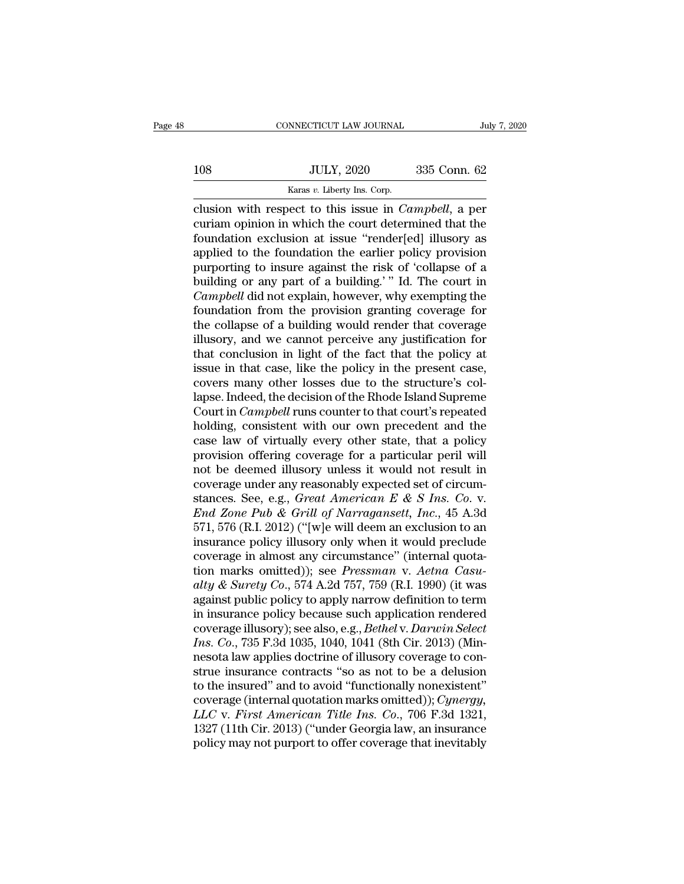|     | CONNECTICUT LAW JOURNAL                               | July 7, 2020     |
|-----|-------------------------------------------------------|------------------|
| 108 | <b>JULY, 2020</b>                                     | 335 Conn. 62     |
|     | Karas v. Liberty Ins. Corp.                           |                  |
|     | clusion with respect to this issue in <i>Camnhell</i> | 9 <sub>ner</sub> |

connectricut LAW JOURNAL July 7, 2020<br>
108 JULY, 2020 335 Conn. 62<br>
<sup>Karas v.</sup> Liberty Ins. Corp.<br>
clusion with respect to this issue in *Campbell*, a per<br>
curiam opinion in which the court determined that the<br>
foundation IOS JULY, 2020 335 Conn. 62<br>
Karas v. Liberty Ins. Corp.<br>
Clusion with respect to this issue in *Campbell*, a per<br>
curiam opinion in which the court determined that the<br>
foundation exclusion at issue "render[ed] illusory a Foundation exclusion with respect to this issue in Campbell, a per<br>clusion with respect to this issue in Campbell, a per<br>curiam opinion in which the court determined that the<br>foundation exclusion at issue "render[ed] illu 108 JULY, 2020 335 Conn. 62<br>
<br>
Raras v. Liberty Ins. Corp.<br>
<br>
clusion with respect to this issue in *Campbell*, a per<br>
curiam opinion in which the court determined that the<br>
foundation exclusion at issue "render[ed] illuso Example 1992. The collapse of a state of this issue in Campbell, a per curiam opinion in which the court determined that the foundation exclusion at issue "render[ed] illusory as applied to the foundation the earlier poli **Example 19** Karas v. Liberty ins. Corp.<br>
clusion with respect to this issue in *Campbell*, a per<br>
curiam opinion in which the court determined that the<br>
foundation exclusion at issue "render[ed] illusory as<br>
applied to t clusion with respect to this issue in *Campbell*, a per<br>curiam opinion in which the court determined that the<br>foundation exclusion at issue "render[ed] illusory as<br>applied to the foundation the earlier policy provision<br>pur curiam opinion in which the court determined that the<br>foundation exclusion at issue "render[ed] illusory as<br>applied to the foundation the earlier policy provision<br>purporting to insure against the risk of 'collapse of a<br>bui foundation exclusion at issue "render[ed] illusory as<br>applied to the foundation the earlier policy provision<br>purporting to insure against the risk of 'collapse of a<br>building or any part of a building.' " Id. The court in<br> applied to the foundation the earlier policy provision<br>purporting to insure against the risk of 'collapse of a<br>building or any part of a building.'" Id. The court in<br>*Campbell* did not explain, however, why exempting the<br>f purporting to insure against the risk of 'collapse of a<br>building or any part of a building.'" Id. The court in<br>Campbell did not explain, however, why exempting the<br>foundation from the provision granting coverage for<br>the co building or any part of a building.'" Id. The court in *Campbell* did not explain, however, why exempting the foundation from the provision granting coverage for the collapse of a building would render that coverage illuso Campbell did not explain, however, why exempting the<br>foundation from the provision granting coverage for<br>the collapse of a building would render that coverage<br>illusory, and we cannot perceive any justification for<br>that con foundation from the provision granting coverage for<br>the collapse of a building would render that coverage<br>illusory, and we cannot perceive any justification for<br>that conclusion in light of the fact that the policy at<br>issue the collapse of a building would render that coverage<br>illusory, and we cannot perceive any justification for<br>that conclusion in light of the fact that the policy at<br>issue in that case, like the policy in the present case,<br> illusory, and we cannot perceive any justification for<br>that conclusion in light of the fact that the policy at<br>issue in that case, like the policy in the present case,<br>covers many other losses due to the structure's col-<br>l that conclusion in light of the fact that the policy at<br>issue in that case, like the policy in the present case,<br>covers many other losses due to the structure's col-<br>lapse. Indeed, the decision of the Rhode Island Supreme<br> issue in that case, like the policy in the present case,<br>covers many other losses due to the structure's col-<br>lapse. Indeed, the decision of the Rhode Island Supreme<br>Court in *Campbell* runs counter to that court's repeate covers many other losses due to the structure's col-<br>lapse. Indeed, the decision of the Rhode Island Supreme<br>Court in *Campbell* runs counter to that court's repeated<br>holding, consistent with our own precedent and the<br>cas lapse. Indeed, the decision of the Rhode Island Supreme<br>Court in *Campbell* runs counter to that court's repeated<br>holding, consistent with our own precedent and the<br>case law of virtually every other state, that a policy<br>p Court in *Campbell* runs counter to that court's repeated<br>holding, consistent with our own precedent and the<br>case law of virtually every other state, that a policy<br>provision offering coverage for a particular peril will<br>no *End increase law of virtually every other state, that a policy provision offering coverage for a particular peril will not be deemed illusory unless it would not result in coverage under any reasonably expected set of cir* case law of virtually every other state, that a policy<br>provision offering coverage for a particular peril will<br>not be deemed illusory unless it would not result in<br>coverage under any reasonably expected set of circum-<br>sta provision offering coverage for a particular peril will<br>not be deemed illusory unless it would not result in<br>coverage under any reasonably expected set of circum-<br>stances. See, e.g., *Great American E & S Ins. Co. v.*<br>*En* not be deemed illusory unless it would not result in<br>coverage under any reasonably expected set of circum-<br>stances. See, e.g., *Great American E & S Ins. Co. v.*<br>*End Zone Pub & Grill of Narragansett, Inc.*, 45 A.3d<br>571, coverage under any reasonably expected set of circum-<br>stances. See, e.g., *Great American E & S Ins. Co. v.*<br>*End Zone Pub & Grill of Narragansett, Inc.*, 45 A.3d<br>571, 576 (R.I. 2012) ("[w]e will deem an exclusion to an<br>in stances. See, e.g., *Great American E & S Ins. Co. v.*<br>*End Zone Pub & Grill of Narragansett, Inc.*, 45 A.3d<br>571, 576 (R.I. 2012) ("[w]e will deem an exclusion to an<br>insurance policy illusory only when it would preclude<br>co End Zone Pub & Grill of Narragansett, Inc., 45 A.3d<br>571, 576 (R.I. 2012) ("[w]e will deem an exclusion to an<br>insurance policy illusory only when it would preclude<br>coverage in almost any circumstance" (internal quota-<br>tion 571, 576 (R.I. 2012) ("[w]e will deem an exclusion to an<br>insurance policy illusory only when it would preclude<br>coverage in almost any circumstance" (internal quota-<br>tion marks omitted)); see *Pressman* v. Aetna Casu-<br>alty insurance policy illusory only when it would preclude<br>coverage in almost any circumstance" (internal quota-<br>tion marks omitted)); see *Pressman v. Aetna Casu-<br>alty & Surety Co.*, 574 A.2d 757, 759 (R.I. 1990) (it was<br>again coverage in almost any circumstance" (internal quotation marks omitted)); see *Pressman v. Aetna Casu-<br>alty & Surety Co.*, 574 A.2d 757, 759 (R.I. 1990) (it was<br>against public policy to apply narrow definition to term<br>in i tion marks omitted)); see *Pressman v. Aetna Casualty & Surety Co.*, 574 A.2d 757, 759 (R.I. 1990) (it was against public policy to apply narrow definition to term in insurance policy because such application rendered cov alty & Surety Co., 574 A.2d 757, 759 (R.I. 1990) (it was<br>against public policy to apply narrow definition to term<br>in insurance policy because such application rendered<br>coverage illusory); see also, e.g., *Bethel* v. *Darwi* against public policy to apply narrow definition to term<br>in insurance policy because such application rendered<br>coverage illusory); see also, e.g., *Bethel* v. *Darwin Select*<br>Ins. Co., 735 F.3d 1035, 1040, 1041 (8th Cir. in insurance policy because such application rendered<br>coverage illusory); see also, e.g., *Bethel* v. *Darwin Select*<br>*Ins. Co.*, 735 F.3d 1035, 1040, 1041 (8th Cir. 2013) (Min-<br>nesota law applies doctrine of illusory cove *Co*, 735 F.3d 1035, 1040, 1041 (8th Cir. 2013) (Minnesota law applies doctrine of illusory coverage to construe insurance contracts "so as not to be a delusion to the insured" and to avoid "functionally nonexistent" cover Ins. Co., 735 F.3d 1035, 1040, 1041 (8th Cir. 2013) (Minnesota law applies doctrine of illusory coverage to construe insurance contracts "so as not to be a delusion to the insured" and to avoid "functionally nonexistent" c nesota law applies doctrine of illusory coverage to construe insurance contracts "so as not to be a delusion<br>to the insured" and to avoid "functionally nonexistent"<br>coverage (internal quotation marks omitted)); *Cynergy*,<br>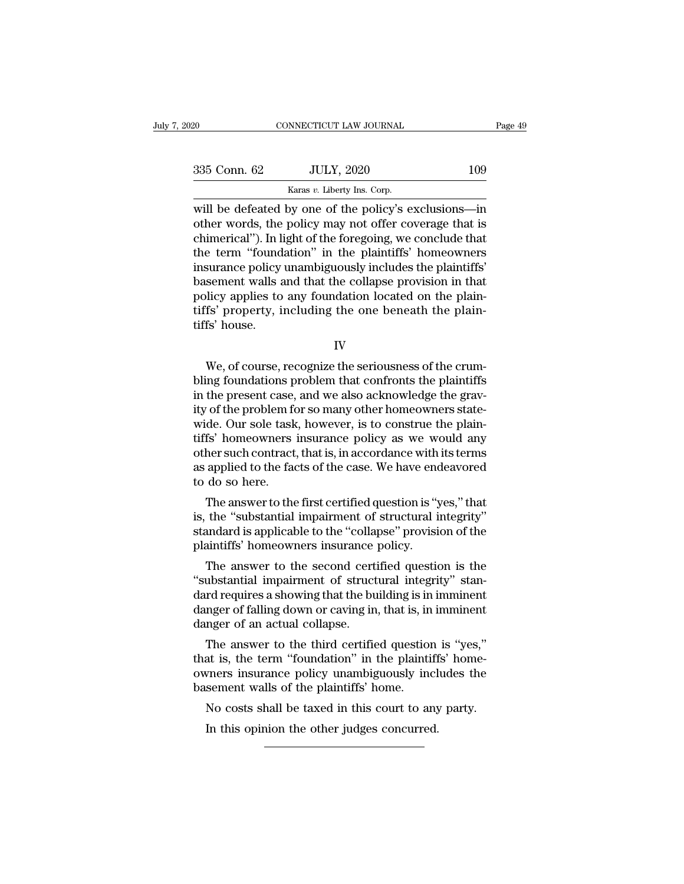| 020          | CONNECTICUT LAW JOURNAL                                                                                                                                                    | Page 49 |
|--------------|----------------------------------------------------------------------------------------------------------------------------------------------------------------------------|---------|
|              |                                                                                                                                                                            |         |
| 335 Conn. 62 | <b>JULY, 2020</b>                                                                                                                                                          | 109     |
|              | Karas v. Liberty Ins. Corp.                                                                                                                                                |         |
|              | will be defeated by one of the policy's exclusions—in<br>other words, the policy may not offer coverage that is<br>chimorical") In light of the foregoing we conclude that |         |

335 Conn. 62 JULY, 2020 109<br>
Karas v. Liberty Ins. Corp.<br>
Will be defeated by one of the policy's exclusions—in<br>
other words, the policy may not offer coverage that is<br>
chimerical''). In light of the foregoing, we conclud 335 Conn. 62 JULY, 2020 109<br>
Karas v. Liberty Ins. Corp.<br>
Will be defeated by one of the policy's exclusions—in<br>
other words, the policy may not offer coverage that is<br>
chimerical''). In light of the foregoing, we conclud 335 Conn. 62 JULY, 2020 109<br>
Karas v. Liberty Ins. Corp.<br>
Will be defeated by one of the policy's exclusions—in<br>
other words, the policy may not offer coverage that is<br>
chimerical''). In light of the foregoing, we conclud Examples 1982, 1982, 1982, 1983<br>
Will be defeated by one of the policy's exclusions—in<br>
other words, the policy may not offer coverage that is<br>
chimerical"). In light of the foregoing, we conclude that<br>
the term "foundati  $\frac{\text{Karas } v \text{.} \text{Lberty ins.} \text{ Corp.}}{\text{with the 1} \text{th}}$ <br>
will be defeated by one of the policy's exclusions—in<br>
other words, the policy may not offer coverage that is<br>
chimerical"). In light of the foregoing, we conclude that<br>
the t will be defeated by one of the policy's exclusions—in<br>other words, the policy may not offer coverage that is<br>chimerical"). In light of the foregoing, we conclude that<br>the term "foundation" in the plaintiffs' homeowners<br>ins other words, the policy may not offer coverage that is chimerical"). In light of the foregoing, we conclude that the term "foundation" in the plaintiffs' homeowners insurance policy unambiguously includes the plaintiffs' b chimerical"). In li<br>the term "found<br>insurance policy<br>basement walls a<br>policy applies to<br>tiffs' property, i<br>tiffs' house. Superiority walls and that the collapse provision in that<br>hicy applies to any foundation located on the plain-<br>fs' property, including the one beneath the plain-<br>fs' house.<br>IV<br>We, of course, recognize the seriousness of th

IV

policy applies to any foundation located on the plain-<br>tiffs' property, including the one beneath the plain-<br>tiffs' house.<br>IV<br>We, of course, recognize the seriousness of the crum-<br>bling foundations problem that confronts t tiffs' property, including the one beneath the plain-<br>tiffs' house.<br>IV<br>We, of course, recognize the seriousness of the crum-<br>bling foundations problem that confronts the plaintiffs<br>in the present case, and we also acknowle iffs' house.<br>
IV<br>
We, of course, recognize the seriousness of the crum-<br>
bling foundations problem that confronts the plaintiffs<br>
in the present case, and we also acknowledge the grav-<br>
ity of the problem for so many other IV<br>We, of course, recognize the seriousness of the crum-<br>bling foundations problem that confronts the plaintiffs<br>in the present case, and we also acknowledge the grav-<br>ity of the problem for so many other homeowners state-The US of Course, recognize the seriousness of the crum-<br>bling foundations problem that confronts the plaintiffs<br>in the present case, and we also acknowledge the grav-<br>ity of the problem for so many other homeowners state-We, of course, recognize the seriousness of the crum-<br>bling foundations problem that confronts the plaintiffs<br>in the present case, and we also acknowledge the grav-<br>ity of the problem for so many other homeowners state-<br>wi bling foundations problem that confronts the plaintiffs<br>in the present case, and we also acknowledge the grav-<br>ity of the problem for so many other homeowners state-<br>wide. Our sole task, however, is to construe the plain-<br> in the present case,<br>ity of the problem fo<br>wide. Our sole task<br>tiffs' homeowners<br>other such contract<br>as applied to the fac<br>to do so here.<br>The answer to the The answer to the first certified question is "yes," that<br>the "homeowners" insurance policy as we would any<br>her such contract, that is, in accordance with its terms<br>applied to the facts of the case. We have endeavored<br>do s wide. Our sole task, nowever, is to construe the plain-<br>tiffs' homeowners insurance policy as we would any<br>other such contract, that is, in accordance with its terms<br>as applied to the facts of the case. We have endeavored<br>

the 'standard is applied to the facts of the case. We have endeavored to do so here.<br>The answer to the first certified question is "yes," that<br>is, the "substantial impairment of structural integrity"<br>standard is applicable buter such contract, that is, in accordance with<br>as applied to the facts of the case. We have end<br>to do so here.<br>The answer to the first certified question is "y<br>is, the "substantial impairment of structural is<br>standard is do so here.<br>The answer to the first certified question is "yes," that<br>the "substantial impairment of structural integrity"<br>andard is applicable to the "collapse" provision of the<br>aintiffs' homeowners insurance policy.<br>The The answer to the first certified question is "yes," that<br>is, the "substantial impairment of structural integrity"<br>standard is applicable to the "collapse" provision of the<br>plaintiffs' homeowners insurance policy.<br>The answ

The answer to the first certified question is yes, that<br>is, the "substantial impairment of structural integrity"<br>standard is applicable to the "collapse" provision of the<br>plaintiffs' homeowners insurance policy.<br>The answer is, the substantial impairment of structural imegrity<br>standard is applicable to the "collapse" provision of the<br>plaintiffs' homeowners insurance policy.<br>The answer to the second certified question is the<br>"substantial impai standard is applicable to the collapse.<br>plaintiffs' homeowners insurance<br>The answer to the second cert.<br>"substantial impairment of struct<br>dard requires a showing that the bu<br>danger of falling down or caving in<br>danger of an The answer to the second certified question is the<br>ubstantial impairment of structural integrity" stan-<br>rd requires a showing that the building is in imminent<br>nger of falling down or caving in, that is, in imminent<br>nger of The answer to the second certified question is the<br>
"substantial impairment of structural integrity" stan-<br>
danger of falling down or caving in, that is, in imminent<br>
danger of an actual collapse.<br>
The answer to the third

substantial impairment of structural imegrity standard requires a showing that the building is in imminent danger of an actual collapse.<br>The answer to the third certified question is "yes," that is, the term "foundation" i danger of falling down or caving in, that is, in danger of falling down or caving in, that is, in danger of an actual collapse.<br>The answer to the third certified question that is, the term "foundation" in the plaintif owne mear of an actual collapse.<br>The answer to the third certified question is "yes,"<br>at is, the term "foundation" in the plaintiffs' home-<br>vners insurance policy unambiguously includes the<br>sement walls of the plaintiffs' home. The answer to the third certified question<br>at is, the term "foundation" in the plaintiff<br>where insurance policy unambiguously incl<br>sement walls of the plaintiffs' home.<br>No costs shall be taxed in this court to any<br>In this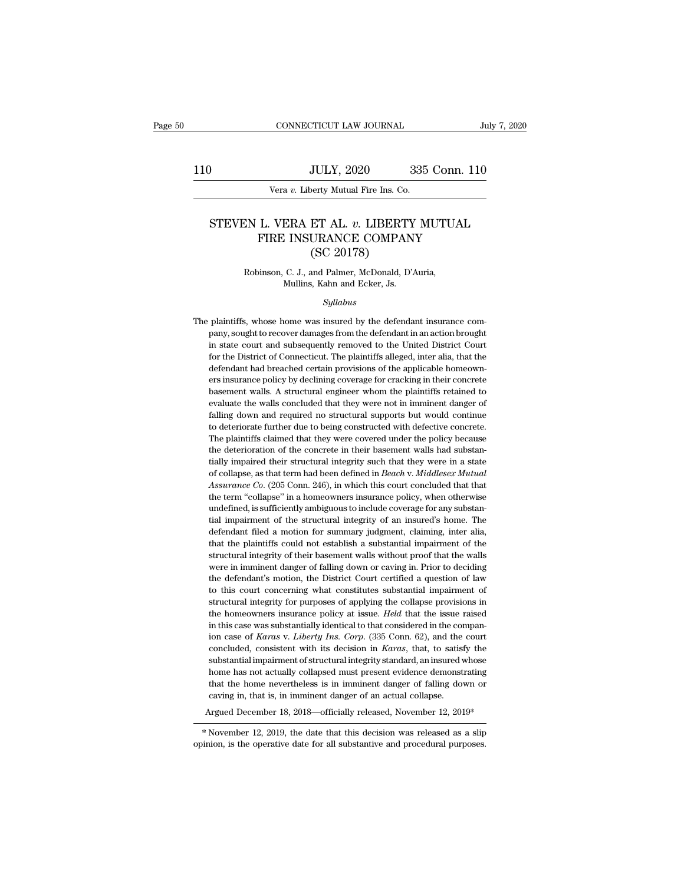# 110 CONNECTICUT LAW JOURNAL July 7, 2020<br>110 JULY, 2020 335 Conn. 110<br>110 Vera v. Liberty Mutual Fire Ins. Co.

CONNECTICUT LAW JOURNAL<br>JULY, 2020 335<br>Vera *v*. Liberty Mutual Fire Ins. Co.

# JULY, 2020 335 Conn. 110<br>Vera v. Liberty Mutual Fire Ins. Co.<br>STEVEN L. VERA ET AL. v. LIBERTY MUTUAL<br>FIRE INSURANCE COMPANY<br>CSC 20178) JULY, 2020 335 Conn. 110<br>
Vera v. Liberty Mutual Fire Ins. Co.<br>
L. VERA ET AL. v. LIBERTY MUTUAL<br>
FIRE INSURANCE COMPANY (SC 20178) JULY, 2020<br>
Serty Mutual Fire Ins. Co.<br>
ET AL. v. LIBERTY<br>
URANCE COMPAN<br>
(SC 20178)<br>
and Palmer, McDonald, D' STEVEN L. VERA ET AL.  $v$ . LIBERTY MUTUAL<br>FIRE INSURANCE COMPANY<br>(SC 20178)<br>Robinson, C. J., and Palmer, McDonald, D'Auria,<br>Mullins, Kahn and Ecker, Js. FIRE INSURANCE COMPANY

# *Syllabus*

Robinson, C. J., and Palmer, McDonald, D'Auria,<br>Mullins, Kahn and Ecker, Js.<br>Syllabus<br>The plaintiffs, whose home was insured by the defendant insurance com-<br>pany, sought to recover damages from the defendant in an action b Robinson, C. J., and Palmer, McDonald, D'Auria,<br>Mullins, Kahn and Ecker, Js.<br>Syllabus<br>plaintiffs, whose home was insured by the defendant insurance com-<br>pany, sought to recover damages from the defendant in an action broug Mullins, Kahn and Ecker, Js.<br>
Syllabus<br>
plaintiffs, whose home was insured by the defendant insurance com-<br>
pany, sought to recover damages from the defendant in an action brought<br>
in state court and subsequently removed t for the District of Connection<br>the District of Connection and Sylvin and Sylvin and Sylvin and Sylvin and Sylvin and Sylvin and Sylvin and Sylvin and Sylvin alleged, inter alia, that the<br>defendant had breached certain prov The plaintiffs, whose home was insured by the defendant insurance company, sought to recover damages from the defendant in an action brought in state court and subsequently removed to the United District Court for the Dist plaintiffs, whose home was insured by the defendant insurance company, sought to recover damages from the defendant in an action brought in state court and subsequently removed to the United District Court for the District pany, sought to recover damages from the defendant in an action brought<br>in state court and subsequently removed to the United District Court<br>for the District of Connecticut. The plaintiffs alleged, inter alia, that the<br>def functions and the walls concluded that they were not in state court and subsequently removed to the United District Court for the District of Connecticut. The plaintiffs alleged, inter alia, that the defendant had breached for the District of Connecticut. The plaintiffs alleged, inter alia, that the defendant had breached certain provisions of the applicable homeowners insurance policy by declining coverage for cracking in their concrete bas defendant had breached certain provisions of the applicable homeowners insurance policy by declining coverage for cracking in their concrete basement walls. A structural engineer whom the plaintiffs retained to evaluate th ers insurance policy by declining coverage for cracking in their concrete basement walls. A structural engineer whom the plaintiffs retained to evaluate the walls concluded that they were not in imminent danger of falling be benefited between twalls. A structural engineer whom the plaintiffs retained to evaluate the walls concluded that they were not in imminent danger of falling down and required no structural supports but would continue t evaluate the walls concluded that they were not in imminent danger of falling down and required no structural supports but would continue to deteriorate further due to being constructed with defective concrete. The plainti Falling down and required no structural supports but would continue to deteriorate further due to being constructed with defective concrete. The plaintiffs claimed that they were covered under the policy because the deteri *Assurance Co.* (205 Conn. 246), in which this court conducts when the plaintiffs claimed that they were covered under the policy because the deterioration of the concrete in their basement walls had substantially impaired The plaintiffs claimed that they were covered under the policy because<br>the deterioration of the concrete in their basement walls had substan-<br>tially impaired their structural integrity such that they were in a state<br>of col The plaintiffs claimed that they were covered under the policy because the deterioration of the concrete in their basement walls had substantially impaired their structural integrity such that they were in a state of coll tially impaired their structural integrity such that they were in a state<br>of collapse, as that term had been defined in *Beach v. Middlesex Mutual*<br>Assurance Co. (205 Conn. 246), in which this court concluded that that<br>the of collapse, as that term had been defined in *Beach v. Middlesex Mutual Assurance Co.* (205 Conn. 246), in which this court concluded that that the term "collapse" in a homeowners insurance policy, when otherwise undef Assurance Co. (205 Conn. 246), in which this court concluded that that the term "collapse" in a homeowners insurance policy, when otherwise undefined, is sufficiently ambiguous to include coverage for any substantial impai The term "collapse" in a homeowners insurance policy, when otherwise undefined, is sufficiently ambiguous to include coverage for any substantial impairment of the structural integrity of an insured's home. The defendant f undefined, is sufficiently ambiguous to include coverage for any substantial impairment of the structural integrity of an insured's home. The defendant filed a motion for summary judgment, claiming, inter alia, that the pl the defendant of the structural integrity of an insured's home. The defendant filed a motion for summary judgment, claiming, inter alia, that the plaintiffs could not establish a substantial impairment of the structural in that the plaintiffs could not establish a substantial impairment of the structural integrity of their basement walls without proof that the walls were in imminent danger of falling down or caving in. Prior to deciding the that the plaintiffs could not establish a substantial impairment of the structural integrity of their basement walls without proof that the walls were in imminent danger of falling down or caving in. Prior to deciding the structural integrity of their basement walls without proof that the walls<br>structural integrity of their basement walls without proof that the walls<br>were in imminent danger of falling down or caving in. Prior to deciding<br>th were in imminent danger of falling down or caving in. Prior to deciding<br>the defendant's motion, the District Court certified a question of law<br>to this court concerning what constitutes substantial impairment of<br>structural ince in *Karas* in *Karas* v. *Liberty* Ins. Court certified a question of law to this court concerning what constitutes substantial impairment of structural integrity for purposes of applying the collapse provisions in th to this court concerning what constitutes substantial impairment of structural integrity for purposes of applying the collapse provisions in the homeowners insurance policy at issue. *Held* that the issue raised in this ca structural integrity for purposes of applying the collapse provisions in<br>the homeowners insurance policy at issue. *Held* that the issue raised<br>in this case was substantially identical to that considered in the compan-<br>ion the homeowners insurance policy at issue. *Held* that the issue raised<br>in this case was substantially identical to that considered in the compan-<br>ion case of *Karas* v. *Liberty Ins. Corp.* (335 Conn. 62), and the court<br>co in this case was substantially identical to that considered in the companion case of *Karas v. Liberty Ins. Corp.* (335 Conn. 62), and the court concluded, consistent with its decision in *Karas*, that, to satisfy the subs in an exact *Karas v. Liberty Ins. Corp.* (335 Conn. 62), and the ion case of *Karas v. Liberty Ins. Corp.* (335 Conn. 62), and the concluded, consistent with its decision in *Karas*, that, to satisf substantial impairment concluded, consistent with its decision in *Karas*, that, to satisfy the substantial impairment of structural integrity standard, an insured whose home has not actually collapsed must present evidence demonstrating that t home has not actually collapsed must present evidence demonstrating<br>that the home nevertheless is in imminent danger of falling down or<br>caving in, that is, in imminent danger of an actual collapse.<br>Argued December 18, 201 that the home nevertheless is in imminent danger of falling down or caving in, that is, in imminent danger of an actual collapse.<br>Argued December 18, 2018—officially released, November 12, 2019\*<br>\*November 12, 2019, the dat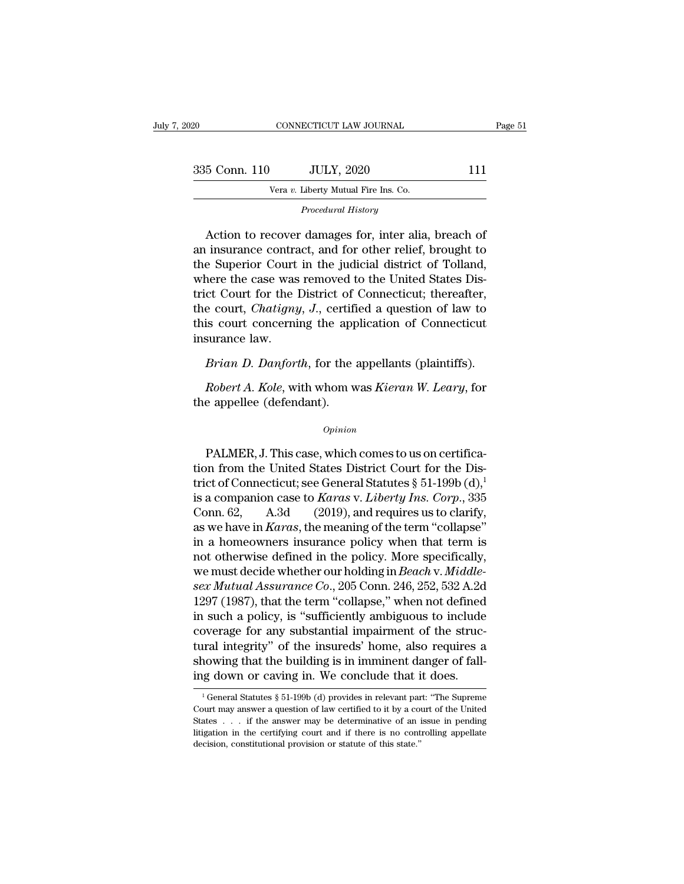| 2020          | CONNECTICUT LAW JOURNAL                                                                                                                                                   | Page 51 |
|---------------|---------------------------------------------------------------------------------------------------------------------------------------------------------------------------|---------|
|               |                                                                                                                                                                           |         |
| 335 Conn. 110 | <b>JULY, 2020</b>                                                                                                                                                         | 111     |
|               | Vera v. Liberty Mutual Fire Ins. Co.                                                                                                                                      |         |
|               | Procedural History                                                                                                                                                        |         |
|               | Action to recover damages for, inter alia, breach of<br>an insurance contract, and for other relief, brought to<br>the Superior Court in the judicial district of Tolland |         |

335 Conn. 110 JULY, 2020 111<br>
Vera v. Liberty Mutual Fire Ins. Co.<br>
Procedural History<br>
Action to recover damages for, inter alia, breach of<br>
an insurance contract, and for other relief, brought to<br>
the Superior Court in Vera v. Liberty Mutual Fire Ins. Co.<br>
Procedural History<br>
Action to recover damages for, inter alia, breach of<br>
an insurance contract, and for other relief, brought to<br>
the Superior Court in the judicial district of Tollan Vera v. Liberty Mutual Fire Ins. Co.<br>
Procedural History<br>
Action to recover damages for, inter alia, breach of<br>
an insurance contract, and for other relief, brought to<br>
the Superior Court in the judicial district of Tollan *Procedural History*<br>
Action to recover damages for, inter alia, breach of<br>
an insurance contract, and for other relief, brought to<br>
the Superior Court in the judicial district of Tolland,<br>
where the case was removed to th Action to recover damages for, inter alia, breach of<br>an insurance contract, and for other relief, brought to<br>the Superior Court in the judicial district of Tolland,<br>where the case was removed to the United States Dis-<br>tric Action to recover damages for, inter alia, breach of<br>an insurance contract, and for other relief, brought to<br>the Superior Court in the judicial district of Tolland,<br>where the case was removed to the United States Dis-<br>tric an insurance contra<br>the Superior Court<br>where the case was<br>trict Court for the l<br>the court, *Chatigny*<br>this court concerni<br>insurance law.<br>*Brian D. Danfort* France the case was removed to the United States Discount for the District of Connecticut; thereafter, a court, *Chatigny*, *J*., certified a question of law to is court concerning the application of Connecticut surance la *Referent, Chatigny, J.*, certified a question of law to is court, *Chatigny, J.*, certified a question of law to is court concerning the application of Connecticut surance law.<br>*Brian D. Danforth*, for the appellants (pla this court concerning the app<br>this court concerning the app<br>insurance law.<br>*Brian D. Danforth*, for the appellee (defendant).<br>the appellee (defendant).

*Opinion*

*Brian D. Danforth*, for the appellants (plaintiffs).<br> *Robert A. Kole*, with whom was *Kieran W. Leary*, for<br>
e appellee (defendant).<br> *Opinion*<br>
PALMER, J. This case, which comes to us on certifica-<br>
opinion<br>
r from the Robert A. Kole, with whom was Kieran W. Leary, for<br>the appellee (defendant).<br> $\frac{Opinion}{}$ <br>PALMER, J. This case, which comes to us on certifica-<br>tion from the United States District Court for the Dis-<br>trict of Connecticut; s the appellee (defendant).<br>  $\omega_{pinion}$ <br>
PALMER, J. This case, which comes to us on certifica-<br>
tion from the United States District Court for the Dis-<br>
trict of Connecticut; see General Statutes § 51-199b (d),<sup>1</sup><br>
is a compa opinion<br>
opinion<br>
PALMER, J. This case, which comes to us on certifica-<br>
tion from the United States District Court for the Dis-<br>
trict of Connecticut; see General Statutes § 51-199b (d),<sup>1</sup><br>
is a companion case to *Karas* Opinion<br>
PALMER, J. This case, which comes to us on certifica-<br>
tion from the United States District Court for the Dis-<br>
trict of Connecticut; see General Statutes § 51-199b (d),<sup>1</sup><br>
is a companion case to *Karas* v. *Lib* PALMER, J. This case, which comes to us on certifica-<br>tion from the United States District Court for the Dis-<br>trict of Connecticut; see General Statutes § 51-199b (d),<sup>1</sup><br>is a companion case to *Karas* v. *Liberty Ins. Cor* PALMER, J. This case, which comes to us on certifica-<br>tion from the United States District Court for the Dis-<br>trict of Connecticut; see General Statutes § 51-199b (d),<sup>1</sup><br>is a companion case to *Karas* v. *Liberty Ins. Co* tion from the United States District Court for the District of Connecticut; see General Statutes § 51-199b (d),<sup>1</sup> is a companion case to *Karas v. Liberty Ins. Corp.*, 335 Conn. 62, A.3d (2019), and requires us to clarif trict of Connecticut; see General Statutes § 51-199b (d),<sup>1</sup><br>is a companion case to *Karas* v. *Liberty Ins. Corp.*, 335<br>Conn. 62, A.3d (2019), and requires us to clarify,<br>as we have in *Karas*, the meaning of the term "co is a companion case to *Karas* v. *Liberty Ins. Corp.*, 335<br>
Conn. 62, A.3d (2019), and requires us to clarify,<br>
as we have in *Karas*, the meaning of the term "collapse"<br>
in a homeowners insurance policy when that term is Conn. 62, A.3d (2019), and requires us to clarify,<br>as we have in *Karas*, the meaning of the term "collapse"<br>in a homeowners insurance policy when that term is<br>not otherwise defined in the policy. More specifically,<br>we mus as we have in *Karas*, the meaning of the term "collapse"<br>in a homeowners insurance policy when that term is<br>not otherwise defined in the policy. More specifically,<br>we must decide whether our holding in *Beach* v. *Middle* in a homeowners insurance policy when that term is<br>not otherwise defined in the policy. More specifically,<br>we must decide whether our holding in *Beach* v. *Middle-*<br>sex *Mutual Assurance Co.*, 205 Conn. 246, 252, 532 A.2 not otherwise defined in the policy. More specifically,<br>we must decide whether our holding in *Beach* v. *Middle-*<br>sex *Mutual Assurance Co.*, 205 Conn. 246, 252, 532 A.2d<br>1297 (1987), that the term "collapse," when not d we must decide whether our holding in *Beach v. Middle-*<br>sex Mutual Assurance Co., 205 Conn. 246, 252, 532 A.2d<br>1297 (1987), that the term "collapse," when not defined<br>in such a policy, is "sufficiently ambiguous to includ sex Mutual Assurance Co., 205 Conn. 246, 252, 532 A.2d<br>1297 (1987), that the term "collapse," when not defined<br>in such a policy, is "sufficiently ambiguous to include<br>coverage for any substantial impairment of the struc-<br> coverage for any substantial impairment of the structural integrity" of the insureds' home, also requires a showing that the building is in imminent danger of falling down or caving in. We conclude that it does.<br>
<sup>1</sup> Gene tural integrity" of the insureds' home, also requires a<br>showing that the building is in imminent danger of fall-<br>ing down or caving in. We conclude that it does.<br> $\frac{1}{1}$  General Statutes § 51-199b (d) provides in releva

showing that the building is in imminent danger of fall-<br>ing down or caving in. We conclude that it does.<br> $\frac{1}{1}$  General Statutes § 51-199b (d) provides in relevant part: "The Supreme<br>Court may answer a question of law ing down or caving in. We conclude that it does.<br>
<sup>1</sup>General Statutes § 51-199b (d) provides in relevant part: "The Supreme<br>
Court may answer a question of law certified to it by a court of the United<br>
States . . . if the deneral Statutes § 51-199b (d) provides in relevant particle constants and court may answer a question of law certified to it by a constant of the answer may be determinative of an initigation in the certifying court and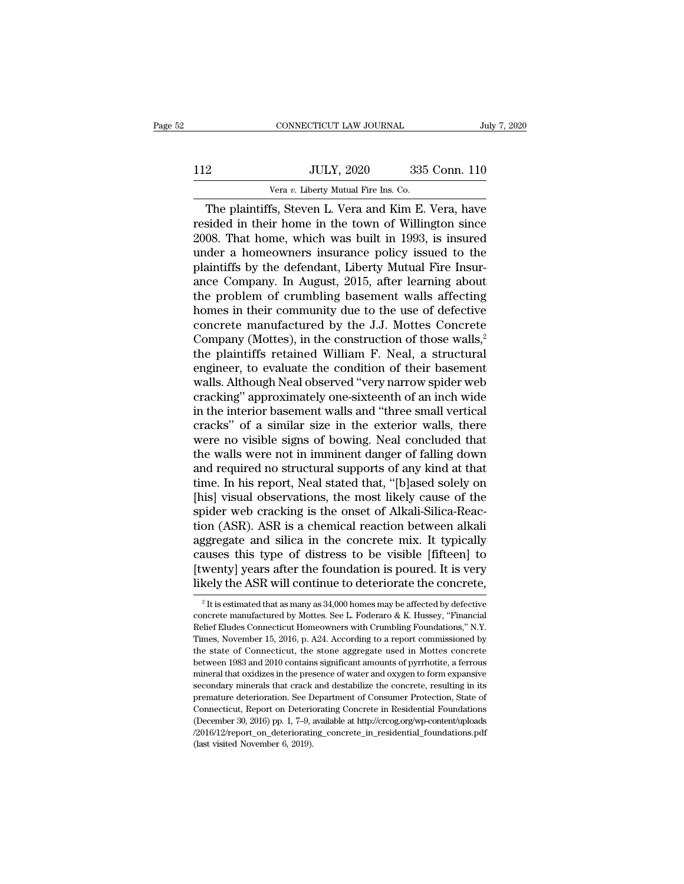|     | CONNECTICUT LAW JOURNAL                          |               | July 7, 2020 |
|-----|--------------------------------------------------|---------------|--------------|
| 112 | <b>JULY, 2020</b>                                | 335 Conn. 110 |              |
|     | Vera v. Liberty Mutual Fire Ins. Co.             |               |              |
|     | The plaintiffs Steven L Vera and Kim E Vera have |               |              |

CONNECTICUT LAW JOURNAL July 7, 2020<br>
2<br>
JULY, 2020 335 Conn. 110<br>
Vera v. Liberty Mutual Fire Ins. Co.<br>
The plaintiffs, Steven L. Vera and Kim E. Vera, have<br>
sided in their home in the town of Willington since<br>
08. That h II2 JULY, 2020 335 Conn. 110<br>Vera v. Liberty Mutual Fire Ins. Co.<br>The plaintiffs, Steven L. Vera and Kim E. Vera, have<br>resided in their home in the town of Willington since<br>2008. That home, which was built in 1993, is insu Vera v. Liberty Mutual Fire Ins. Co.<br>
The plaintiffs, Steven L. Vera and Kim E. Vera, have<br>
resided in their home in the town of Willington since<br>
2008. That home, which was built in 1993, is insured<br>
under a homeowners in ULLY, 2020 335 Conn. 110<br>
Vera v. Liberty Mutual Fire Ins. Co.<br>
The plaintiffs, Steven L. Vera and Kim E. Vera, have<br>
resided in their home in the town of Willington since<br>
2008. That home, which was built in 1993, is ins Vera v. Liberty Mutual Fire Ins. Co.<br>The plaintiffs, Steven L. Vera and Kim E. Vera, have<br>resided in their home in the town of Willington since<br>2008. That home, which was built in 1993, is insured<br>under a homeowners insur Vera v. Liberty Mutual Fire Ins. Co.<br>
The plaintiffs, Steven L. Vera and Kim E. Vera, have<br>
resided in their home in the town of Willington since<br>
2008. That home, which was built in 1993, is insured<br>
under a homeowners i The plaintiffs, Steven L. Vera and Kim E. Vera, have<br>resided in their home in the town of Willington since<br>2008. That home, which was built in 1993, is insured<br>under a homeowners insurance policy issued to the<br>plaintiffs b resided in their home in the town of Willington since<br>2008. That home, which was built in 1993, is insured<br>under a homeowners insurance policy issued to the<br>plaintiffs by the defendant, Liberty Mutual Fire Insur-<br>ance Comp 2008. That home, which was built in 1993, is insured<br>under a homeowners insurance policy issued to the<br>plaintiffs by the defendant, Liberty Mutual Fire Insur-<br>ance Company. In August, 2015, after learning about<br>the proble under a homeowners insurance policy issued to the<br>plaintiffs by the defendant, Liberty Mutual Fire Insur-<br>ance Company. In August, 2015, after learning about<br>the problem of crumbling basement walls affecting<br>homes in their plaintiffs by the defendant, Liberty Mutual Fire Insurance Company. In August, 2015, after learning about<br>the problem of crumbling basement walls affecting<br>homes in their community due to the use of defective<br>concrete manu ance Company. In August, 2015, after learning about<br>the problem of crumbling basement walls affecting<br>homes in their community due to the use of defective<br>concrete manufactured by the J.J. Mottes Concrete<br>Company (Mottes), the problem of crumbling basement walls affecting<br>homes in their community due to the use of defective<br>concrete manufactured by the J.J. Mottes Concrete<br>Company (Mottes), in the construction of those walls,<sup>2</sup><br>the plaintif homes in their community due to the use of defective<br>concrete manufactured by the J.J. Mottes Concrete<br>Company (Mottes), in the construction of those walls,<sup>2</sup><br>the plaintiffs retained William F. Neal, a structural<br>engineer concrete manufactured by the J.J. Mottes Concrete<br>Company (Mottes), in the construction of those walls,<sup>2</sup><br>the plaintiffs retained William F. Neal, a structural<br>engineer, to evaluate the condition of their basement<br>walls. Company (Mottes), in the construction of those walls,<sup>2</sup><br>the plaintiffs retained William F. Neal, a structural<br>engineer, to evaluate the condition of their basement<br>walls. Although Neal observed "very narrow spider web<br>cr the plaintiffs retained William F. Neal, a structural<br>engineer, to evaluate the condition of their basement<br>walls. Although Neal observed "very narrow spider web<br>cracking" approximately one-sixteenth of an inch wide<br>in the engineer, to evaluate the condition of their basement<br>walls. Although Neal observed "very narrow spider web<br>cracking" approximately one-sixteenth of an inch wide<br>in the interior basement walls and "three small vertical<br>cra walls. Although Neal observed "very narrow spider web<br>cracking" approximately one-sixteenth of an inch wide<br>in the interior basement walls and "three small vertical<br>cracks" of a similar size in the exterior walls, there<br>we cracking" approximately one-sixteenth of an inch wide<br>in the interior basement walls and "three small vertical<br>cracks" of a similar size in the exterior walls, there<br>were no visible signs of bowing. Neal concluded that<br>the in the interior basement walls and "three small vertical<br>cracks" of a similar size in the exterior walls, there<br>were no visible signs of bowing. Neal concluded that<br>the walls were not in imminent danger of falling down<br>and cracks" of a similar size in the exterior walls, there were no visible signs of bowing. Neal concluded that the walls were not in imminent danger of falling down and required no structural supports of any kind at that time were no visible signs of bowing. Neal concluded that<br>the walls were not in imminent danger of falling down<br>and required no structural supports of any kind at that<br>time. In his report, Neal stated that, "[b]ased solely on<br>[ the walls were not in imminent danger of falling down<br>and required no structural supports of any kind at that<br>time. In his report, Neal stated that, "[b]ased solely on<br>[his] visual observations, the most likely cause of th and required no structural supports of any kind at that<br>time. In his report, Neal stated that, "[b]ased solely on<br>[his] visual observations, the most likely cause of the<br>spider web cracking is the onset of Alkali-Silica-Re time. In his report, Neal stated that, "[b]ased solely on<br>[his] visual observations, the most likely cause of the<br>spider web cracking is the onset of Alkali-Silica-Reac-<br>tion (ASR). ASR is a chemical reaction between alkal [his] visual observations, the most likely cause of the spider web cracking is the onset of Alkali-Silica-Reaction (ASR). ASR is a chemical reaction between alkali aggregate and silica in the concrete mix. It typically ca ggregate and silica in the concrete mix. It typically<br>auses this type of distress to be visible [fifteen] to<br>wenty] years after the foundation is poured. It is very<br>kely the ASR will continue to deteriorate the concrete,<br> causes this type of distress to be visible [fifteen] to<br>[twenty] years after the foundation is poured. It is very<br>likely the ASR will continue to deteriorate the concrete,<br> $\frac{1}{2}$  It is estimated that as many as 34,000

<sup>[</sup>twenty] years after the foundation is poured. It is very<br>likely the ASR will continue to deteriorate the concrete,<br> $\frac{1}{2}$  It is estimated that as many as 34,000 homes may be affected by defective<br>concrete manufactured Iikely the ASR will continue to deteriorate the concrete,<br>
<sup>2</sup> It is estimated that as many as 34,000 homes may be affected by defective<br>
concrete manufactured by Mottes. See L. Foderaro & K. Hussey, "Financial The state of Connecticut, the stone aggregate used in Mottes concrete<br>emanufactured by Mottes. See L. Foderaro & K. Hussey, "Financial<br>Relief Eludes Connecticut Homeowners with Crumbling Foundations," N.Y.<br>Times, November <sup>2</sup> It is estimated that as many as 34,000 homes may be affected by defective concrete manufactured by Mottes. See L. Foderaro & K. Hussey, "Financial Relief Eludes Connecticut Homeowners with Crumbling Foundations," N.Y. concrete manufactured by Mottes. See L. Foderaro & K. Hussey, "Financial Relief Eludes Connecticut Homeowners with Crumbling Foundations," N.Y. Times, November 15, 2016, p. A24. According to a report commissioned by the st Relief Eludes Connecticut Homeowners with Crumbling Foundations," N.Y.<br>Times, November 15, 2016, p. A24. According to a report commissioned by<br>the state of Connecticut, the stone aggregate used in Mottes concrete<br>between 1 Times, November 15, 2016, p. A24. According to a report commissioned by the state of Connecticut, the stone aggregate used in Mottes concrete between 1983 and 2010 contains significant amounts of pyrrhotite, a ferrous min the state of Connecticut, the stone aggregate used in Mottes concrete between 1983 and 2010 contains significant amounts of pyrrhotite, a ferrous<br>mineral that oxidizes in the presence of water and oxygen to form expansive<br>secondary minerals that crack and destabilize the concrete, resulting /2016/12/report\_on\_deteriorating\_concrete\_in\_residential\_foundations.pdf premature deterioration. See Department of Consumer Protection, State of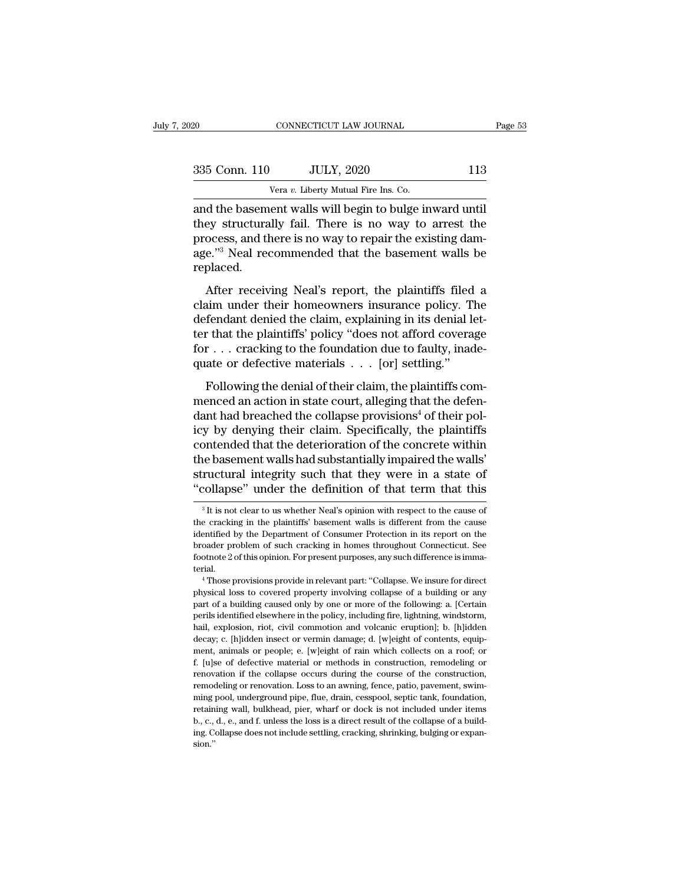| 020           | CONNECTICUT LAW JOURNAL                                                                                                                                                    | Page 53 |
|---------------|----------------------------------------------------------------------------------------------------------------------------------------------------------------------------|---------|
| 335 Conn. 110 | <b>JULY, 2020</b>                                                                                                                                                          | 113     |
|               | Vera v. Liberty Mutual Fire Ins. Co.                                                                                                                                       |         |
|               | and the basement walls will begin to bulge inward until<br>they structurally fail. There is no way to arrest the<br>process and there is no way to repair the evicting dam |         |

335 Conn. 110 JULY, 2020 113<br>
Vera v. Liberty Mutual Fire Ins. Co.<br>
and the basement walls will begin to bulge inward until<br>
they structurally fail. There is no way to arrest the<br>
process, and there is no way to repair th  $\frac{335 \text{ Conn. } 110}{\text{Year } v. } \frac{\text{JULY, } 2020}{\text{Water } v. } \frac{113}{\text{Year } v. } \frac{113}{\text{Water } v. } \frac{113}{\text{Water } v. } \frac{113}{\text{Water } v. } \frac{113}{\text{year } v. } \frac{113}{\text{year } v. } \frac{113}{\text{year } v. } \frac{113}{\text{year } v. } \frac{113}{\text{year } v. } \frac{113}{\text{year } v. } \frac{113}{\text{year } v. } \frac{113$ 335 Conn. 110 JULY, 2020 113<br>
Vera v. Liberty Mutual Fire Ins. Co.<br>
and the basement walls will begin to bulge inward until<br>
they structurally fail. There is no way to arrest the<br>
process, and there is no way to repair th replaced. d the basement walls will begin to bulge inward until<br>ey structurally fail. There is no way to arrest the<br>ocess, and there is no way to repair the existing dam-<br>e."<sup>3</sup> Neal recommended that the basement walls be<br>placed.<br>Af and are suscended wans win segar to stage inward and<br>they structurally fail. There is no way to arrest the<br>process, and there is no way to repair the existing dam-<br>age."<sup>3</sup> Neal recommended that the basement walls be<br>repla

defendant denied in the claim way to direct are<br>process, and there is no way to repair the existing dam-<br>age."<sup>3</sup> Neal recommended that the basement walls be<br>replaced.<br>After receiving Neal's report, the plaintiffs filed a<br> process, and after is no way to repair are existing dam<br>age."<sup>3</sup> Neal recommended that the basement walls be<br>replaced.<br>After receiving Neal's report, the plaintiffs filed a<br>claim under their homeowners insurance policy. Th for . . . cracking to the foundation due to faulty, inade-After receiving Neal's report, the plaintiffs filed<br>claim under their homeowners insurance policy. T<br>defendant denied the claim, explaining in its denial let<br>re that the plaintiffs' policy "does not afford covera<br>for  $\dots$ Following Treats Tepert, are planting incentration<br>fendant denied the claim, explaining in its denial let-<br>r that the plaintiffs' policy "does not afford coverage<br> $r \ldots$  cracking to the foundation due to faulty, inade-<br>at defendant denied the claim, explaining in its denial let-<br>ter that the plaintiffs' policy "does not afford coverage<br>for  $\dots$  cracking to the foundation due to faulty, inade-<br>quate or defective materials  $\dots$  [or] settling

determinate definities the collapse provisions of the collapse for  $\ldots$  cracking to the foundation due to faulty, inadequate or defective materials  $\ldots$  [or] settling."<br>Following the denial of their claim, the plaintiff for  $\dots$  cracking to the foundation due to faulty, inadequate or defective materials  $\dots$  [or] settling."<br>Following the denial of their claim, the plaintiffs com-<br>menced an action in state court, alleging that the defen-<br> For the detective materials  $\ldots$  [or] settling."<br>
Following the denial of their claim, the plaintiffs com-<br>
menced an action in state court, alleging that the defen-<br>
dant had breached the collapse provisions<sup>4</sup> of their Following the denial of their claim, the plaintiffs com-<br>menced an action in state court, alleging that the defen-<br>dant had breached the collapse provisions<sup>4</sup> of their pol-<br>icy by denying their claim. Specifically, the p Following the denial of their claim, the plaintiffs com-<br>menced an action in state court, alleging that the defen-<br>dant had breached the collapse provisions<sup>4</sup> of their pol-<br>icy by denying their claim. Specifically, the pl menced an action in state court, alleging that the defendant had breached the collapse provisions<sup>4</sup> of their policy by denying their claim. Specifically, the plaintiffs contended that the deterioration of the concrete wit ontended that the deterioration of the concrete within<br>the basement walls had substantially impaired the walls'<br>ructural integrity such that they were in a state of<br>collapse" under the definition of that term that this<br> ${}^{$ the basement walls had substantially impaired the walls'<br>structural integrity such that they were in a state of<br>"collapse" under the definition of that term that this<br><sup>3</sup>It is not clear to us whether Neal's opinion with re

structural integrity such that they were in a state of "collapse" under the definition of that term that this<br><sup>3</sup>It is not clear to us whether Neal's opinion with respect to the cause of<br>the cracking in the plaintiffs' bas Collapse" under the definition of that term that this<br>
<sup>3</sup> It is not clear to us whether Neal's opinion with respect to the cause of<br>
the cracking in the plaintiffs' basement walls is different from the cause<br>
identified <sup>3</sup> It is not clear to us whether Neal's opinion with respect to the cause of the cracking in the plaintiffs' basement walls is different from the cause identified by the Department of Consumer Protection in its report on terial. Free cracking in the plaintiffs' basement walls is different from the cause<br>entified by the Department of Consumer Protection in its report on the<br>coader problem of such cracking in homes throughout Connecticut. See<br>otnote identified by the Department of Consumer Protection in its report on the broader problem of such cracking in homes throughout Connecticut. See footnote 2 of this opinion. For present purposes, any such difference is immate

part of a building caused only by one or more of the following in an analysin of such the footnote 2 of this opinion. For present purposes, any such difference is immaterial.<br>
<sup>4</sup> Those provisions provide in relevant part: periodic 2 of this opinion. For present purposes, any such difference is imma-<br>terial.<br>
<sup>4</sup> Those provisions provide in relevant part: "Collapse. We insure for direct<br>physical loss to covered property involving collapse of hail, explosion, riot, civil commotion and volcanic eruption]; b. [h] independent of a building caused only by one or more of the following: a. [Certain perlis identified elsewhere in the policy, including fire, lightning, physical loss to covered property involving collapse of a building or any part of a building caused only by one or more of the following: a. [Certain perils identified elsewhere in the policy, including fire, lightning, wi physical loss to covered property involving collapse of a building or any<br>physical loss to covered property involving collapse of a building or any<br>part of a building caused only by one or more of the following: a. [Certai part of a building caused only by one or more of the following: a. [Certain perils identified elsewhere in the policy, including fire, lightning, windstorm, hail, explosion, riot, civil commotion and volcanic eruption]; b. perils identified elsewhere in the policy, including fire, lightning, windstorm, hail, explosion, riot, civil commotion and volcanic eruption]; b. [h]idden decay; c. [h]idden insect or vermin damage; d. [w]eight of content remodeling or renovation. The community means of the leads of the decay; c. [h]idden insect or vermin damage; d. [w]eight of contents, equipment, animals or people; e. [w]eight of rain which collects on a roof; or f. [u]se ment, animals or people; e. [w]eight of contents, equip-<br>decay; c. [h]idden insect or vermin damage; d. [w]eight of contents, equip-<br>ment, animals or people; e. [w]eight of rain which collects on a roof; or<br>f. [u]se of def retaining wall, bulkhead, pier, what of resolution, remodeling or renovation if the collapse occurs during the course of the construction, remodeling or renovation if the collapse occurs during the course of the constructi f. [u]se of defective material or methods in construction, remodeling or renovation if the collapse occurs during the course of the construction, remodeling or renovation. Loss to an awning, fence, patio, pavement, swimmin renovation if the collapse occurs during the course of the construction, remodeling or renovation. Loss to an awning, fence, patio, pavement, swimming pool, underground pipe, flue, drain, cesspool, septic tank, foundation, sion.''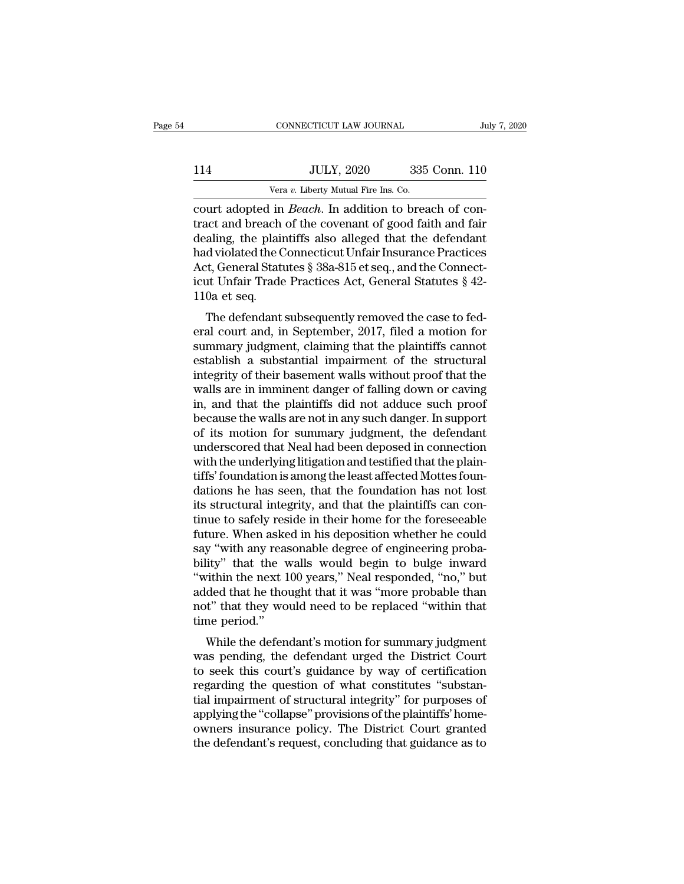|     | CONNECTICUT LAW JOURNAL                                       |               | July 7, 2020 |
|-----|---------------------------------------------------------------|---------------|--------------|
|     |                                                               |               |              |
| 114 | <b>JULY, 2020</b>                                             | 335 Conn. 110 |              |
|     | Vera v. Liberty Mutual Fire Ins. Co.                          |               |              |
|     | court adopted in <i>Reach</i> . In addition to breach of con- |               |              |

CONNECTICUT LAW JOURNAL<br>
114 JULY, 2020 335 Conn. 110<br>
<sup>Vera v.</sup> Liberty Mutual Fire Ins. Co.<br>
court adopted in *Beach*. In addition to breach of con-<br>
tract and breach of the covenant of good faith and fair<br>
docling the p THE TREACH OF THE TREACH OF THE CONFIDENTIAL Vera v. Liberty Mutual Fire Ins. Co.<br>
Court adopted in *Beach*. In addition to breach of contract and breach of the covenant of good faith and fair<br>
dealing, the plaintiffs also 114 JULY, 2020 335 Conn. 110<br>
Vera v. Liberty Mutual Fire Ins. Co.<br>
court adopted in *Beach*. In addition to breach of contract and breach of the covenant of good faith and fair<br>
dealing, the plaintiffs also alleged that 114 JULY, 2020 335 Conn. 110<br>
Vera v. Liberty Mutual Fire Ins. Co.<br>
court adopted in *Beach*. In addition to breach of con-<br>
tract and breach of the covenant of good faith and fair<br>
dealing, the plaintiffs also alleged th Vera v. Liberty Mutual Fire Ins. Co.<br>
court adopted in *Beach*. In addition to breach of contract and breach of the covenant of good faith and fair<br>
dealing, the plaintiffs also alleged that the defendant<br>
had violated the Vera v. Liberty Mutual Fire Ins. Co.<br>
court adopted in *Beach*. In addition to breach of contract and breach of the covenant of good faith and fair<br>
dealing, the plaintiffs also alleged that the defendant<br>
had violated th court adopted in<br>tract and breach<br>dealing, the plain<br>had violated the C<br>Act, General Statu<br>icut Unfair Trade<br>110a et seq.<br>The defendant and breach of the covenant of good rann and rain<br>aling, the plaintiffs also alleged that the defendant<br>d violated the Connecticut Unfair Insurance Practices<br>2.t, General Statutes § 38a-815 et seq., and the Connect-<br>tu Unfa dealing, the plaintins also aneged that the defendant<br>had violated the Connecticut Unfair Insurance Practices<br>Act, General Statutes § 38a-815 et seq., and the Connect-<br>icut Unfair Trade Practices Act, General Statutes § 42

Fractional Statutes  $\S$  38a-815 et seq., and the Connecticut Unfair Trade Practices Act, General Statutes  $\S$  42-<br>110a et seq.<br>The defendant subsequently removed the case to federal court and, in September, 2017, filed a Exact, General Statutes § 30a-013 et seq., and the Connecticut Unfair Trade Practices Act, General Statutes § 42-<br>110a et seq.<br>The defendant subsequently removed the case to federal court and, in September, 2017, filed a m Fractices Act, deneral statutes year-<br>110a et seq.<br>The defendant subsequently removed the case to fed-<br>eral court and, in September, 2017, filed a motion for<br>summary judgment, claiming that the plaintiffs cannot<br>establish The defendant subsequently removed the case to federal court and, in September, 2017, filed a motion for summary judgment, claiming that the plaintiffs cannot establish a substantial impairment of the structural integrity The defendant subsequently removed the case to federal court and, in September, 2017, filed a motion for summary judgment, claiming that the plaintiffs cannot establish a substantial impairment of the structural integrity eral court and, in September, 2017, filed a motion for<br>summary judgment, claiming that the plaintiffs cannot<br>establish a substantial impairment of the structural<br>integrity of their basement walls without proof that the<br>wal summary judgment, claiming that the plaintiffs cannot establish a substantial impairment of the structural integrity of their basement walls without proof that the walls are in imminent danger of falling down or caving in, establish a substantial impairment of the structural<br>integrity of their basement walls without proof that the<br>walls are in imminent danger of falling down or caving<br>in, and that the plaintiffs did not adduce such proof<br>bec integrity of their basement walls without proof that the walls are in imminent danger of falling down or caving<br>in, and that the plaintiffs did not adduce such proof<br>because the walls are not in any such danger. In support walls are in imminent danger of falling down or caving<br>in, and that the plaintiffs did not adduce such proof<br>because the walls are not in any such danger. In support<br>of its motion for summary judgment, the defendant<br>unders in, and that the plaintiffs did not adduce such proof<br>because the walls are not in any such danger. In support<br>of its motion for summary judgment, the defendant<br>underscored that Neal had been deposed in connection<br>with the because the walls are not in any such danger. In support<br>of its motion for summary judgment, the defendant<br>underscored that Neal had been deposed in connection<br>with the underlying litigation and testified that the plain-<br>t of its motion for summary judgment, the defendant<br>underscored that Neal had been deposed in connection<br>with the underlying litigation and testified that the plain-<br>tiffs' foundation is among the least affected Mottes foununderscored that Neal had been deposed in connection<br>with the underlying litigation and testified that the plain-<br>tiffs' foundation is among the least affected Mottes foun-<br>dations he has seen, that the foundation has not with the underlying litigation and testified that the plain-<br>tiffs' foundation is among the least affected Mottes foun-<br>dations he has seen, that the foundation has not lost<br>its structural integrity, and that the plaintiff tiffs' foundation is among the least affected Mottes foundations he has seen, that the foundation has not lost<br>its structural integrity, and that the plaintiffs can con-<br>tinue to safely reside in their home for the foresee dations he has seen, that the foundation has not lost<br>its structural integrity, and that the plaintiffs can con-<br>tinue to safely reside in their home for the foreseeable<br>future. When asked in his deposition whether he coul its structural integrity, and that the plaintiffs can continue to safely reside in their home for the foreseeable future. When asked in his deposition whether he could say "with any reasonable degree of engineering probabi tinue to safely reside in their home for the foreseeable<br>future. When asked in his deposition whether he could<br>say "with any reasonable degree of engineering proba-<br>bility" that the walls would begin to bulge inward<br>"withi future. When aske<br>say "with any reas<br>bility" that the v<br>"within the next 1<br>added that he tho<br>not" that they wo<br>time period."<br>While the defen While the walls would begin to bulge inward<br>ity" that the walls would begin to bulge inward<br>vithin the next 100 years," Neal responded, "no," but<br>ded that he thought that it was "more probable than<br>t" that they would need buty that the wans would begin to bulge inward<br>
"within the next 100 years," Neal responded, "no," but<br>
added that he thought that it was "more probable than<br>
not" that they would need to be replaced "within that<br>
time per

whill the hext foo years, "Near responded," ho, but<br>added that he thought that it was "more probable than<br>not" that they would need to be replaced "within that<br>time period."<br>While the defendant's motion for summary judgmen added that he thought that it was "hiote probable than<br>not" that they would need to be replaced "within that<br>time period."<br>While the defendant's motion for summary judgment<br>was pending, the defendant urged the District Cou from that they would heed to be replaced within that<br>time period."<br>While the defendant's motion for summary judgment<br>was pending, the defendant urged the District Court<br>to seek this court's guidance by way of certification While the defendant's motion for summary judgment<br>was pending, the defendant urged the District Court<br>to seek this court's guidance by way of certification<br>regarding the question of what constitutes "substan-<br>tial impairme While the defendant's motion for summary judgment<br>was pending, the defendant urged the District Court<br>to seek this court's guidance by way of certification<br>regarding the question of what constitutes "substan-<br>tial impairme was pending, the defendant urged the District Court<br>to seek this court's guidance by way of certification<br>regarding the question of what constitutes "substan-<br>tial impairment of structural integrity" for purposes of<br>applyi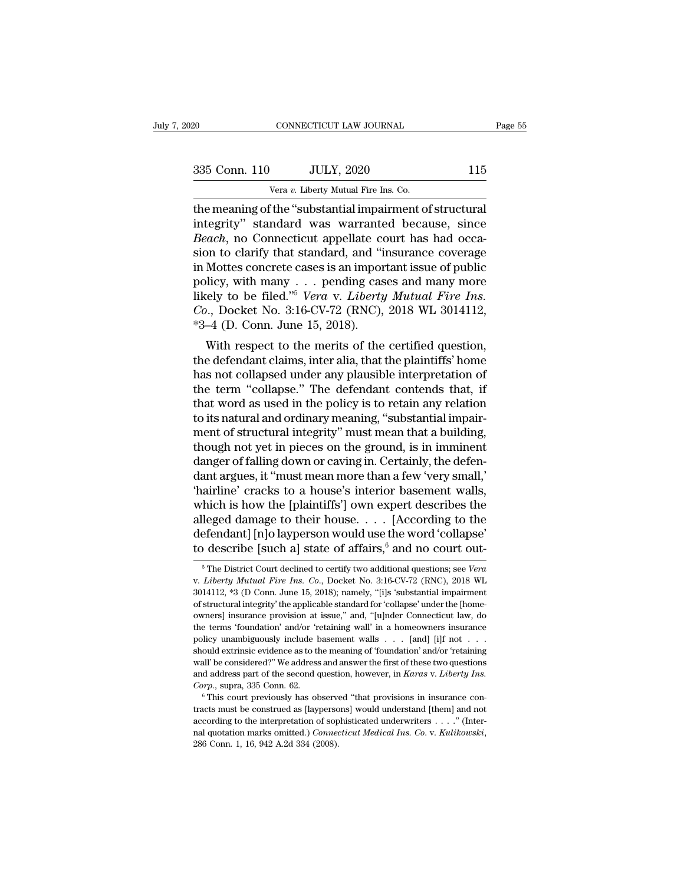| 20            | CONNECTICUT LAW JOURNAL                                                                                                                                           | Page 55 |
|---------------|-------------------------------------------------------------------------------------------------------------------------------------------------------------------|---------|
| 335 Conn. 110 | <b>JULY, 2020</b>                                                                                                                                                 | 115     |
|               | Vera v. Liberty Mutual Fire Ins. Co.                                                                                                                              |         |
|               | the meaning of the "substantial impairment of structural<br>integrity" standard was warranted because, since<br>Reach no Connecticut appellate court has had occa |         |

335 Conn. 110 JULY, 2020 115<br>
Vera v. Liberty Mutual Fire Ins. Co.<br>
the meaning of the "substantial impairment of structural<br>
integrity" standard was warranted because, since<br> *Beach*, no Connecticut appellate court has ha <sup>335</sup> Conn. 110 JULY, 2020 115<br>
<sup>Vera v.</sup> Liberty Mutual Fire Ins. Co.<br>
the meaning of the "substantial impairment of structural<br>
integrity" standard was warranted because, since<br> *Beach*, no Connecticut appellate court ha 335 Conn. 110 JULY, 2020 115<br>
Vera v. Liberty Mutual Fire Ins. Co.<br>
the meaning of the "substantial impairment of structural<br>
integrity" standard was warranted because, since<br> *Beach*, no Connecticut appellate court has h Vera v. Liberty Mutual Fire Ins. Co.<br>
the meaning of the "substantial impairment of structural<br>
integrity" standard was warranted because, since<br> *Beach*, no Connecticut appellate court has had occa-<br>
sion to clarify that Vera v. Liberty Mutual Fire Ins. Co.<br>
the meaning of the "substantial impairment of structural<br>
integrity" standard was warranted because, since<br> *Beach*, no Connecticut appellate court has had occa-<br>
sion to clarify that the meaning of the "substantial impairment of structural<br>integrity" standard was warranted because, since<br>*Beach*, no Connecticut appellate court has had occa-<br>sion to clarify that standard, and "insurance coverage<br>in Mott integrity" standard was warranted because, since<br>*Beach*, no Connecticut appellate court has had occasion to clarify that standard, and "insurance coverage<br>in Mottes concrete cases is an important issue of public<br>policy, w *Beach*, no Connecticut appellate cosion to clarify that standard, and "in Mottes concrete cases is an impor policy, with many  $\ldots$  pending cas likely to be filed."<sup>5</sup> *Vera v. Liberty*  $Co$ ., Docket No. 3:16-CV-72 (RNC), In to clarity that standard, and insurance coverage<br>Mottes concrete cases is an important issue of public<br>licy, with many . . . pending cases and many more<br>rely to be filed."<sup>5</sup> Vera v. Liberty Mutual Fire Ins.<br>0., Docket In mottes concrete cases is an important issue of public<br>policy, with many . . . pending cases and many more<br>likely to be filed."<sup>5</sup> Vera v. *Liberty Mutual Fire Ins.*<br>Co., Docket No. 3:16-CV-72 (RNC), 2018 WL 3014112,<br>\*3–

poncy, with many  $\cdot \cdot \cdot$  pending cases and many inter-<br>likely to be filed."<sup>5</sup> Vera v. Liberty Mutual Fire Ins.<br>Co., Docket No. 3:16-CV-72 (RNC), 2018 WL 3014112,<br>\*3–4 (D. Conn. June 15, 2018).<br>With respect to the merits the term ''collapse.'' The defendant contends with the defendant claims, inter alia, that the plaintiffs' home<br>has not collapsed under any plausible interpretation,<br>the defendant claims, inter alia, that the plaintiffs' h to., Docket No. 3.10-CV-72 (KNC), 2016 WE 3014112,<br>
\*3–4 (D. Conn. June 15, 2018).<br>
With respect to the merits of the certified question,<br>
the defendant claims, inter alia, that the plaintiffs' home<br>
has not collapsed und  $t_{0}$  is natural and ordinary meaning, the certified question,<br>the defendant claims, inter alia, that the plaintiffs' home<br>has not collapsed under any plausible interpretation of<br>the term "collapse." The defendant conten With respect to the merits of the certified question,<br>the defendant claims, inter alia, that the plaintiffs' home<br>has not collapsed under any plausible interpretation of<br>the term "collapse." The defendant contends that, if the defendant claims, inter alia, that the plaintiffs' home<br>has not collapsed under any plausible interpretation of<br>the term "collapse." The defendant contends that, if<br>that word as used in the policy is to retain any rela has not collapsed under any plausible interpretation of<br>the term "collapse." The defendant contends that, if<br>that word as used in the policy is to retain any relation<br>to its natural and ordinary meaning, "substantial impai the term "collapse." The defendant contends that, if<br>that word as used in the policy is to retain any relation<br>to its natural and ordinary meaning, "substantial impair-<br>ment of structural integrity" must mean that a buildi that word as used in the policy is to retain any relation<br>to its natural and ordinary meaning, "substantial impair-<br>ment of structural integrity" must mean that a building,<br>though not yet in pieces on the ground, is in imm to its natural and ordinary meaning, "substantial impair-<br>ment of structural integrity" must mean that a building,<br>though not yet in pieces on the ground, is in imminent<br>danger of falling down or caving in. Certainly, the ment of structural integrity" must mean that a building,<br>though not yet in pieces on the ground, is in imminent<br>danger of falling down or caving in. Certainly, the defen-<br>dant argues, it "must mean more than a few 'very sm though not yet in pieces on the ground, is in imminent<br>danger of falling down or caving in. Certainly, the defen-<br>dant argues, it "must mean more than a few 'very small,'<br>'hairline' cracks to a house's interior basement w danger of falling down or caving in. Certainly, the defendant argues, it "must mean more than a few 'very small,' thairline' cracks to a house's interior basement walls, which is how the [plaintiffs'] own expert describes hich is how the [plaintiffs'] own expert describes the<br>leged damage to their house. . . . [According to the<br>efendant] [n]o layperson would use the word 'collapse'<br>o describe [such a] state of affairs, <sup>6</sup> and no court outalleged damage to their house. . . . . [According to the<br>defendant] [n]o layperson would use the word 'collapse'<br>to describe [such a] state of affairs,<sup>6</sup> and no court out-<br><sup>5</sup>The District Court declined to certify two add

defendant] [n]o layperson would use the word 'collapse'<br>to describe [such a] state of affairs,<sup>6</sup> and no court out-<br><sup>5</sup>The District Court declined to certify two additional questions; see *Vera*<br>v. *Liberty Mutual Fire In* to describe [such a] state of affairs,  $^6$  and no court out-<br>  $^6$ The District Court declined to certify two additional questions; see *Vera* v. *Liberty Mutual Fire Ins. Co.*, Docket No. 3:16-CV-72 (RNC), 2018 WL 301411 to describe [Such a] state of arians," and no court out-<br>
<sup>5</sup> The District Court declined to certify two additional questions; see *Vera*<br>
v. *Liberty Mutual Fire Ins. Co.*, Docket No. 3:16-CV-72 (RNC), 2018 WL<br>
3014112, <sup>5</sup> The District Court declined to certify two additional questions; see *Vera* v. *Liberty Mutual Fire Ins. Co.*, Docket No. 3:16-CV-72 (RNC), 2018 WL 3014112, \*3 (D Conn. June 15, 2018); namely, "[i]s 'substantial impai *Policy Mutual Fire Ins. Co.*, Docket No. 3:16-CV-72 (RNC), 2018 WL<br>3014112, \*3 (D Conn. June 15, 2018); namely, "[i]s 'substantial impairment<br>3014112, \*3 (D Conn. June 15, 2018); namely, "[i]s 'substantial impairment<br>of  $3014112$ , \*3 (D Conn. June 15, 2018); namely, "[i]s 'substantial impairment of structural integrity' the applicable standard for 'collapse' under the [homeowners] insurance provision at issue," and, "[u]nder Connecticut of structural integrity' the applicable standard for 'collapse' under the [homeowners] insurance provision at issue," and, "[u]nder Connecticut law, do the terms 'foundation' and/or 'retaining wall' in a homeowners insura owners] insurance provision at issue," and, "[u]nder Connecticut law, do the terms 'foundation' and/or 'retaining wall' in a homeowners insurance policy unambiguously include basement walls . . . [and] [i]f not . . . shoul *Corp.*, suprae, 335 Conn. 62. <sup>1</sup> Connect that provisions in insurance policy unambiguously include basement walls . . . [and] [i]f not . . . should extrinsic evidence as to the meaning of 'foundation' and/or 'retaining w From a must be constructed as the meaning of 'foundation' and/or 'retaining wall' be considered?' We address and answer the first of these two questions and address part of the second question, however, in *Karas v. Liber* 

wall' be considered?" We address and answer the first of these two questions<br>and address part of the second question, however, in *Karas v. Liberty Ins.*<br>Corp., supra, 335 Conn. 62.<br><sup>6</sup> This court previously has observed marks of the second marks omitted.) *Corp.*, suppressions and address part of the second question, however, in *Karas v. Liberty Ins.* Corp., suppression as 2.<br>
<sup>6</sup> This court previously has observed "that provisions in in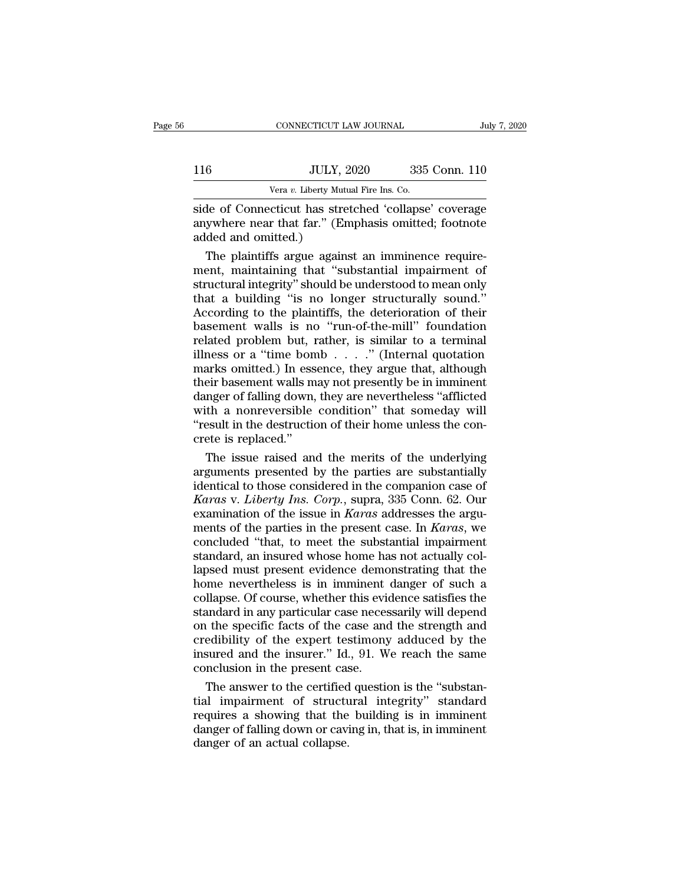|     | CONNECTICUT LAW JOURNAL                               |               | July 7, 2020 |
|-----|-------------------------------------------------------|---------------|--------------|
|     |                                                       |               |              |
| 116 | <b>JULY, 2020</b>                                     | 335 Conn. 110 |              |
|     | Vera v. Liberty Mutual Fire Ins. Co.                  |               |              |
|     | side of Connecticut has stretched 'collanse' coverage |               |              |

CONNECTICUT LAW JOURNAL July 7, 2020<br>
Side of Connecticut has stretched 'collapse' coverage<br>
side of Connecticut has stretched 'collapse' coverage<br>
anywhere near that far." (Emphasis omitted; footnote<br>
added and omitted) 116 JULY, 2020 335 Conn. 110<br>Vera v. Liberty Mutual Fire Ins. Co.<br>Side of Connecticut has stretched 'collapse' coverage<br>anywhere near that far.'' (Emphasis omitted; footnote<br>added and omitted.)  $\begin{tabular}{ll} \hline & & \multicolumn{3}{l}{\text{ULY},} \\ & & \multicolumn{3}{l}{\text{Vera }v} \text{. Liberty Mut} \\ \hline \text{side of Connecticut has stre} \\ \text{anywhere near that far." (E1) \\ \text{added and omitted.}) \\ \hline \end{tabular}$  $50 - \text{JULY}, 2020 - 335 \text{ Conn.}$  110<br>
Vera v. Liberty Mutual Fire Ins. Co.<br>
The plaintiffs argue against an imminence require-<br>
The plaintiffs argue against an imminence require-<br>
The plaintiffs argue against an imminence req

Vera v. Liberty Mutual Fire Ins. Co.<br>
Side of Connecticut has stretched 'collapse' coverage<br>
anywhere near that far." (Emphasis omitted; footnote<br>
added and omitted.)<br>
The plaintiffs argue against an imminence require-<br>
m side of Connecticut has stretched 'collapse' coverage<br>anywhere near that far." (Emphasis omitted; footnote<br>added and omitted.)<br>The plaintiffs argue against an imminence require-<br>ment, maintaining that "substantial impairme side of Connecticut has stretched 'collapse' coverage<br>anywhere near that far." (Emphasis omitted; footnote<br>added and omitted.)<br>The plaintiffs argue against an imminence require-<br>ment, maintaining that "substantial impairme anywhere near that far." (Emphasis omitted; footnote<br>added and omitted.)<br>The plaintiffs argue against an imminence require-<br>ment, maintaining that "substantial impairment of<br>structural integrity" should be understood to me added and omitted.)<br>
The plaintiffs argue against an imminence require-<br>
ment, maintaining that "substantial impairment of<br>
structural integrity" should be understood to mean only<br>
that a building "is no longer structurall The plaintiffs argue against an imminence requirement, maintaining that "substantial impairment of structural integrity" should be understood to mean only that a building "is no longer structurally sound." According to th ment, maintaining that "substantial impairment of<br>structural integrity" should be understood to mean only<br>that a building "is no longer structurally sound."<br>According to the plaintiffs, the deterioration of their<br>basement structural integrity" should be understood to mean only<br>that a building "is no longer structurally sound."<br>According to the plaintiffs, the deterioration of their<br>basement walls is no "run-of-the-mill" foundation<br>related p that a building "is no longer structurally sound."<br>According to the plaintiffs, the deterioration of their<br>basement walls is no "run-of-the-mill" foundation<br>related problem but, rather, is similar to a terminal<br>illness or According to the plaintiffs, the deterioration of their<br>basement walls is no "run-of-the-mill" foundation<br>related problem but, rather, is similar to a terminal<br>illness or a "time bomb  $\ldots$ " (Internal quotation<br>marks omit basement walls is no "run-of-the-mill" foundation<br>related problem but, rather, is similar to a terminal<br>illness or a "time bomb  $\ldots$ " (Internal quotation<br>marks omitted.) In essence, they argue that, although<br>their baseme related problem but, rather, is similar to a terminal<br>illness or a "time bomb  $\ldots$ " (Internal quotation<br>marks omitted.) In essence, they argue that, although<br>their basement walls may not presently be in imminent<br>danger o illness or a "time bon<br>marks omitted.) In ess<br>their basement walls m<br>danger of falling down,<br>with a nonreversible<br>"result in the destructic<br>crete is replaced."<br>The issue raised and arks omitted.) In essence, they argue that, although<br>eir basement walls may not presently be in imminent<br>nger of falling down, they are nevertheless "afflicted<br>th a nonreversible condition" that someday will<br>esult in the d their basement walls may not presently be in imminent<br>danger of falling down, they are nevertheless "afflicted<br>with a nonreversible condition" that someday will<br>"result in the destruction of their home unless the con-<br>cre

danger of falling down, they are nevertheless "afflicted<br>with a nonreversible condition" that someday will<br>"result in the destruction of their home unless the con-<br>crete is replaced."<br>The issue raised and the merits of th with a nonreversible condition" that someday will<br>
"result in the destruction of their home unless the concrete is replaced."<br>
The issue raised and the merits of the underlying<br>
arguments presented by the parties are subst "result in the destruction of their home unless the concrete is replaced."<br>The issue raised and the merits of the underlying<br>arguments presented by the parties are substantially<br>identical to those considered in the compani crete is replaced."<br>The issue raised and the merits of the underlying<br>arguments presented by the parties are substantially<br>identical to those considered in the companion case of<br>*Karas* v. *Liberty Ins. Corp.*, supra, 335 The issue raised and the merits of the underlying<br>arguments presented by the parties are substantially<br>identical to those considered in the companion case of<br>*Karas v. Liberty Ins. Corp.*, supra, 335 Conn. 62. Our<br>examinat arguments presented by the parties are substantially<br>identical to those considered in the companion case of<br>*Karas* v. *Liberty Ins. Corp.*, supra, 335 Conn. 62. Our<br>examination of the issue in *Karas* addresses the argu-<br> identical to those considered in the companion case of *Karas v. Liberty Ins. Corp.*, supra, 335 Conn. 62. Our examination of the issue in *Karas* addresses the arguments of the parties in the present case. In *Karas*, we Karas v. Liberty Ins. Corp., supra, 335 Conn. 62. Our<br>examination of the issue in Karas addresses the argu-<br>ments of the parties in the present case. In Karas, we<br>concluded "that, to meet the substantial impairment<br>standar examination of the issue in *Karas* addresses the arguments of the parties in the present case. In *Karas*, we concluded "that, to meet the substantial impairment standard, an insured whose home has not actually collapsed ments of the parties in the present case. In *Karas*, we concluded "that, to meet the substantial impairment standard, an insured whose home has not actually collapsed must present evidence demonstrating that the home neve concluded "that, to meet the substantial impairment<br>standard, an insured whose home has not actually col-<br>lapsed must present evidence demonstrating that the<br>home nevertheless is in imminent danger of such a<br>collapse. Of c standard, an insured whose home has not actually collapsed must present evidence demonstrating that the home nevertheless is in imminent danger of such a collapse. Of course, whether this evidence satisfies the standard in lapsed must present evidence demonstrating that the<br>home nevertheless is in imminent danger of such a<br>collapse. Of course, whether this evidence satisfies the<br>standard in any particular case necessarily will depend<br>on the home nevertheless is in imminent<br>collapse. Of course, whether this evies<br>standard in any particular case neces<br>on the specific facts of the case and<br>credibility of the expert testimony<br>insured and the insurer." Id., 91. W<br> Illapse. Of course, whether this evidence satisfies the<br>andard in any particular case necessarily will depend<br>the specific facts of the case and the strength and<br>edibility of the expert testimony adduced by the<br>sured and t standard in any particular case necessarily will depend<br>on the specific facts of the case and the strength and<br>credibility of the expert testimony adduced by the<br>insured and the insurer." Id., 91. We reach the same<br>conclus

on the specific facts of the case and the strength and<br>credibility of the expert testimony adduced by the<br>insured and the insurer." Id., 91. We reach the same<br>conclusion in the present case.<br>The answer to the certified que credibility of the expert testimony adduced by the<br>insured and the insurer." Id., 91. We reach the same<br>conclusion in the present case.<br>The answer to the certified question is the "substan-<br>tial impairment of structural in insured and the insurer." Id.<br>conclusion in the present case.<br>The answer to the certified<br>tial impairment of structure<br>requires a showing that the<br>danger of falling down or cavidanger of an actual collapse.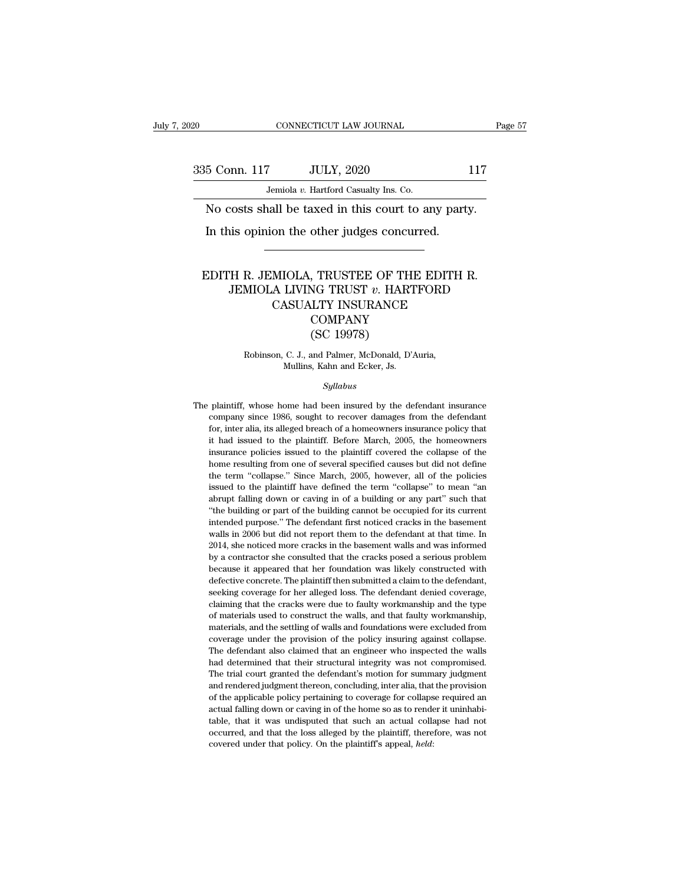EXECUTE CONNECTICUT LAW JOURNAL Page 57<br>335 Conn. 117 JULY, 2020 117<br>Jemiola v. Hartford Casualty Ins. Co.

CONNECTICUT LAW JOURNAL<br>
335 Conn. 117 JULY, 2020 11<br>
Jemiola *v.* Hartford Casualty Ins. Co.<br>
No costs shall be taxed in this court to any party. CONNECTICUT LAW JOURNAL Pa<br>
5 Conn. 117 JULY, 2020 117<br>
Jemiola v. Hartford Casualty Ins. Co.<br>
No costs shall be taxed in this court to any party.<br>
In this opinion the other judges concurred.  $\frac{5 \text{ Conn. } 117 \qquad \text{JULY, } 2020 \qquad \text{Jemiola } v. \text{ Hartford Casuality Ins. Co.}$ <br>No costs shall be taxed in this court to any part In this opinion the other judges concurred.

# Jemiola v. Hartford Casualty Ins. Co.<br>
No costs shall be taxed in this court to any party.<br>
In this opinion the other judges concurred.<br>
EDITH R. JEMIOLA, TRUSTEE OF THE EDITH R.<br>
JEMIOLA LIVING TRUST v. HARTFORD<br>
CASUALTY Frank School and Tarting and Tarting Context Company<br>
The R. JEMIOLA, TRUSTEE OF THE EDITH R.<br>
JEMIOLA LIVING TRUST *v*. HARTFORD<br>
CASUALITY INSURANCE MIOLA, TRUSTEE OF THE EDITH R.<br>A LIVING TRUST v. HARTFORD<br>CASUALTY INSURANCE<br>COMPANY<br>CASUALTY INSURANCE COMPANY TRUSTEE OF TH<br>
SG TRUST v. HART<br>
LTY INSURANCE<br>
COMPANY<br>
(SC 19978)<br>
and Palmer, McDonald, D' MIOLA LIVING TRUST *v*. HARTFORD<br>CASUALTY INSURANCE<br>COMPANY<br>(SC 19978)<br>Robinson, C. J., and Palmer, McDonald, D'Auria,<br>Mullins, Kahn and Ecker, Js. CASUALTY INSURANCE<br>
COMPANY<br>
(SC 19978)<br>
Robinson, C. J., and Palmer, McDonald, D'Auria,<br>
Mullins, Kahn and Ecker, Js.

# *Syllabus*

Robinson, C. J., and Palmer, McDonald, D'Auria,<br>Mullins, Kahn and Ecker, Js.<br>Syllabus<br>The plaintiff, whose home had been insured by the defendant insurance<br>company since 1986, sought to recover damages from the defendant Robinson, C. J., and Palmer, McDonald, D'Auria,<br>Mullins, Kahn and Ecker, Js.<br>Syllabus<br>plaintiff, whose home had been insured by the defendant insurance<br>company since 1986, sought to recover damages from the defendant<br>for, Mullins, Kahn and Ecker, Js.<br>
Syllabus<br>
plaintiff, whose home had been insured by the defendant insurance<br>
company since 1986, sought to recover damages from the defendant<br>
for, inter alia, its alleged breach of a homeowne *Syllabus*<br>
plaintiff, whose home had been insured by the defendant insurance<br>
company since 1986, sought to recover damages from the defendant<br>
for, inter alia, its alleged breach of a homeowners insurance policy that<br>
it *Syllabus*<br>plaintiff, whose home had been insured by the defendant insurance<br>company since 1986, sought to recover damages from the defendant<br>for, inter alia, its alleged breach of a homeowners insurance policy that<br>it had plaintiff, whose home had been insured by the defendant insurance company since 1986, sought to recover damages from the defendant for, inter alia, its alleged breach of a homeowners insurance policy that it had issued to Frammy since 1986, sought to recover damages from the defendant<br>company since 1986, sought to recover damages from the defendant<br>it for, inter alia, its alleged breach of a homeowners insurance policy that<br>it had issued to for, inter alia, its alleged breach of a homeomers insurance policy that it had issued to the plaintiff. Before March, 2005, the homeomers insurance policies issued to the plaintiff covered the collapse of the home resulti abrupt falling down or caving in of a building cannot be computed that building issued to the plaintiff. Before March, 2005, the homeowers insurance policies issued to the plaintiff covered the collapse of the home resulti In surance policies issued to the plaintiff covered the collapse of the home resulting from one of several specified causes but did not define the term "collapse." Since March, 2005, however, all of the policies issued to home resulting from one of several specified causes but did not define<br>the term "collapse." Since March, 2005, however, all of the policies<br>issued to the plaintiff have defined the term "collapse" to mean "an<br>abrupt fallin the term "collapse." Since March, 2005, however, all of the policies<br>issued to the plaintiff have defined the term "collapse" to mean "an<br>abrupt falling down or caving in of a building or any part" such that<br>"the building issued to the plaintiff have defined the term "collapse" to mean "an abrupt falling down or caving in of a building or any part" such that "the building or part of the building cannot be occupied for its current intended p abrupt falling down or caving in of a building or any part" such that "the building or part of the building cannot be occupied for its current intended purpose." The defendant first noticed cracks in the basement walls in "the building or part of the building cannot be occupied for its current intended purpose." The defendant first noticed cracks in the basement walls in 2006 but did not report them to the defendant at that time. In 2014, "the building or part of the building cannot be occupied for its current intended purpose." The defendant first noticed cracks in the basement walls in 2006 but did not report them to the defendant at that time. In 2014, walls in 2006 but did not report them to the defendant at that time. In 2014, she noticed more cracks in the basement walls and was informed by a contractor she consulted that the cracks posed a serious problem because it <sup>2014</sup>, she noticed more cracks in the basement walls and was informed<br>2014, she noticed more cracks in the basement walls and was informed<br>by a contractor she consulted that the cracks posed a serious problem<br>because it a by a contractor she consulted that the cracks posed a serious problem<br>because it appeared that her foundation was likely constructed with<br>defective concrete. The plaintiff then submitted a claim to the defendant,<br>seeking c by a cause it appeared that her foundation was likely constructed with defective concrete. The plaintiff then submitted a claim to the defendant, seeking coverage for her alleged loss. The defendant denied coverage, claimi defective concrete. The plaintiff then submitted a claim to the defendant, seeking coverage for her alleged loss. The defendant denied coverage, claiming that the cracks were due to faulty workmanship and the type of mater seeking coverage for her alleged loss. The defendant denied coverage, claiming that the cracks were due to faulty workmanship and the type of materials used to construct the walls, and that faulty workmanship, materials, a elaiming that the cracks were due to faulty workmanship and the type of materials used to construct the walls, and that faulty workmanship, materials, and the settling of walls and foundations were excluded from coverage u of materials used to construct the walls, and that faulty workmanship, materials used to construct the walls, and that faulty workmanship, materials, and the settling of walls and foundations were excluded from coverage un and rendered judgment thereon, concluding, inter alia, that the provision of the policy insuring against collapse. The defendant also claimed that an engineer who inspected the walls had determined that their structural in coverage under the provision of the policy insuring against collapse.<br>The defendant also claimed that an engineer who inspected the walls<br>had determined that their structural integrity was not compromised.<br>The trial court coverage under the provision of the policy insuring against collapse. The defendant also claimed that an engineer who inspected the walls had determined that their structural integrity was not compromised. The trial court had determined that their structural integrity was not compromised. The trial court granted the defendant's motion for summary judgment and rendered judgment thereon, concluding, inter alia, that the provision of the appl The trial court granted the defendant's motion for summary judgment and rendered judgment thereon, concluding, inter alia, that the provision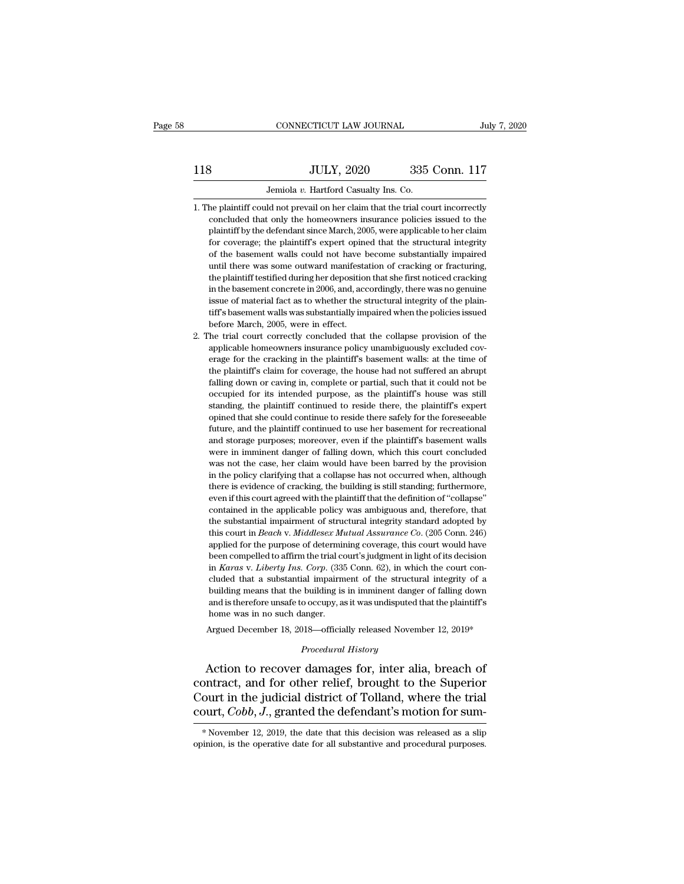# 118 CONNECTICUT LAW JOURNAL July 7, 2020<br>118 JULY, 2020 335 Conn. 117<br>Jemiola v. Hartford Casualty Ins. Co. Jemiola *v.* Hartford Casualty Ins. Co. 1. 18 JULY, 2020 335 Conn. 117<br>Jemiola v. Hartford Casualty Ins. Co.<br>1. The plaintiff could not prevail on her claim that the trial court incorrectly<br>concluded that only the homeowners insurance policies issued to the

- $335$  Conn. 117<br>Jemiola v. Hartford Casualty Ins. Co.<br>he plaintiff could not prevail on her claim that the trial court incorrectly<br>concluded that only the homeowners insurance policies issued to the<br>plaintiff by the defen Fig. 2020 335 Conn. 117<br>Jemiola v. Hartford Casualty Ins. Co.<br>the plaintiff could not prevail on her claim that the trial court incorrectly<br>concluded that only the homeowners insurance policies issued to the<br>plaintiff by t Jemiola  $v$ . Hartford Casualty Ins. Co.<br>
the plaintiff could not prevail on her claim that the trial court incorrectly<br>
concluded that only the homeowners insurance policies issued to the<br>
plaintiff by the defendant since Jemiola v. Hartford Casualty Ins. Co.<br>he plaintiff could not prevail on her claim that the trial court incorrectly<br>concluded that only the homeowners insurance policies issued to the<br>plaintiff by the defendant since March, he plaintiff could not prevail on her claim that the trial court incorrectly concluded that only the homeowners insurance policies issued to the plaintiff by the defendant since March, 2005, were applicable to her claim fo concluded that only the homeowners insurance policies issued to the plaintiff by the defendant since March, 2005, were applicable to her claim for coverage; the plaintiff's expert opined that the structural integrity of th plaintiff by the defendant since March, 2005, were applicable to her claim<br>for coverage; the plaintiff's expert opined that the structural integrity<br>of the basement walls could not have become substantially impaired<br>until parameters are plaintiff's expert opined that the structural integrity of the basement walls could not have become substantially impaired until there was some outward manifestation of cracking or fracturing, the plaintiff for the basement walls could not have become substantially impaired<br>until there was some outward manifestation of cracking or fracturing,<br>the plaintiff testified during her deposition that she first noticed cracking<br>in the or the mean was some outward manifest<br>the plaintiff testified during her deposition<br>in the basement concrete in 2006, and, acc<br>issue of material fact as to whether the s<br>tiff's basement walls was substantially im<br>before Ma the plaintiff testified during her deposition that she first noticed cracking<br>in the basement concrete in 2006, and, accordingly, there was no genuine<br>issue of material fact as to whether the structural integrity of the pl the plaintiff testified during her deposition that she first noticed cracking<br>in the basement concrete in 2006, and, accordingly, there was no genuine<br>issue of material fact as to whether the structural integrity of the pl
- issue of material fact as to whether the structural integrity of the plaintiff's basement walls was substantially impaired when the policies issued before March, 2005, were in effect.<br>The trial court correctly concluded th tiff's basement walls was substantially impaired when the policies issued<br>before March, 2005, were in effect.<br>The trial court correctly concluded that the collapse provision of the<br>applicable homeowners insurance policy u fact the trial court correctly concluded that the collapse provision of the trial court correctly concluded that the collapse provision of the applicable homeowners insurance policy unambiguously excluded coverage for the be trial court correctly concluded that the collapse provision of the applicable homeowners insurance policy unambiguously excluded coverage for the cracking in the plaintiff's basement walls: at the time of the plaintiff' standing, the plaintiff continued to reside there safely for the foreseed coverage for the cracking in the plaintiff's basement walls: at the time of the plaintiff's claim for coverage, the house had not suffered an abrupt depressive increasing in the plaintiff's basement walls: at the time of the plaintiff's claim for coverage, the house had not suffered an abrupt falling down or caving in, complete or partial, such that it could not be occ Future, and the plaintiff continued to use had not suffered an abrupt falling down or caving in, complete or partial, such that it could not be occupied for its intended purpose, as the plaintiff's house was still standing and stand in the coverage, the house had not started an abupted for its intended purpose, as the plaintiff's house was still standing, the plaintiff continued to reside there, the plaintiff's expert opined that she could c mang about of caving in, complete of planta, back and to be occupied for its intended purpose, as the plaintiff's house was still standing, the plaintiff continued to reside there, the plaintiff's expert opined that she co becaption of its intentional purpose, as the plaintin's house was sund<br>standing, the plaintiff continue to reside there, the plaintiff's expert<br>opined that she could continue to reside there safely for the foreseeable<br>futu banding, are plantial continued to reside there, the plantial is experi-<br>opined that she could continue to reside there safely for the foreseeable<br>future, and the plaintiff continued to use her basement for recreational<br>an future, and the plaintiff continued to use her basement for recreational<br>future, and the plaintiff continued to use her basement for recreational<br>and storage purposes; moreover, even if the plaintiff's basement walls<br>were rature, and are plaintiff contained to use her busedned to the recentation and storage purposes; moreover, even if the plaintiff's basement walls were in imminent danger of falling down, which this court concluded was not and seedage parpeses, increased, vectorial and seedage movies were in imminent danger of falling down, which this court concluded was not the case, her claim would have been barred by the provision in the policy clarifying were in miniment darger of namig down, which due obthe concluded was not the case, her claim would have been barred by the provision in the policy clarifying that a collapse has not occurred when, although there is eviden mas hot are case, her claim would have been barred by are provision<br>in the policy clarifying that a collapse has not occurred when, although<br>there is evidence of cracking, the building is still standing; furthermore,<br>even and the purpose of cracking, the building is still standing; furthermore, there is evidence of cracking, the building is still standing; furthermore, even if this court agreed with the plaintiff that the definition of "col been contained in the applicable policies and standing is star standing, rationally even if this court agreed with the plaintiff that the definition of "collapse" contained in the applicable policy was ambiguous and, there contained in the applicable policy was ambiguous and, therefore, that<br>the substantial impairment of structural integrity standard adopted by<br>this court in *Beach* v. *Middlesex Mutual Assurance Co.* (205 Conn. 246)<br>applied the substantial impairment of structural integrity standard adopted by this court in *Beach v. Middlesex Mutual Assurance Co.* (205 Conn. 246) applied for the purpose of determining coverage, this court would have been co this court in *Beach v. Middlesex Mutual Assurance Co.* (205 Conn. 246) applied for the purpose of determining coverage, this court would have been compelled to affirm the trial court's judgment in light of its decision in and court in *Deach* V. *Indiacesca matual Assarance* Co. (259 Cold). 210) applied for the purpose of determining coverage, this court would have been compelled to affirm the trial court's judgment in light of its decision been compelled to affirm the trial contains<br>then compelled to affirm the trial cost<br>in *Karas* v. *Liberty Ins. Corp.* (338<br>cluded that a substantial impairm<br>building means that the building is<br>and is therefore unsafe to o in *Karas v. Liberty Ins. Corp.* (335 Conn. 62), in which the court concluded that a substantial impairment of the structural integrity of a building means that the building is in imminent danger of falling down and is th *Procedural History*<br> *Procedural History*<br> *Procedural History*<br> *Procedural History*<br> **Procedural History**<br> **Procedural History**<br> **Procedural History** cluded that a substantial impairment of the structural integrity of a<br>building means that the building is in imminent danger of falling down<br>and is therefore unsafe to occupy, as it was undisputed that the plaintiff's<br>home

bullary means that the bullary is in imminent danger or falling down<br>and is therefore unsafe to occupy, as it was undisputed that the plaintiff's<br>home was in no such danger.<br>Argued December 18, 2018—officially released Nov The was in no such danger.<br>
Argued December 18, 2018—officially released November 12, 2019\*<br>
Procedural History<br>
Action to recover damages for, inter alia, breach of<br>
contract, and for other relief, brought to the Superior Argued December 18, 2018—officially released November 12, 2019\*<br> *Procedural History*<br> **Action to recover damages for, inter alia, breach of**<br> **Court in the judicial district of Tolland, where the trial**<br> **Court, Cobb, J.,** contract, and for other relief, brought to the Superior Court in the judicial district of Tolland, where the trial court,  $Cobb$ ,  $J$ , granted the defendant's motion for sum-<br>\*November 12, 2019, the date that this decision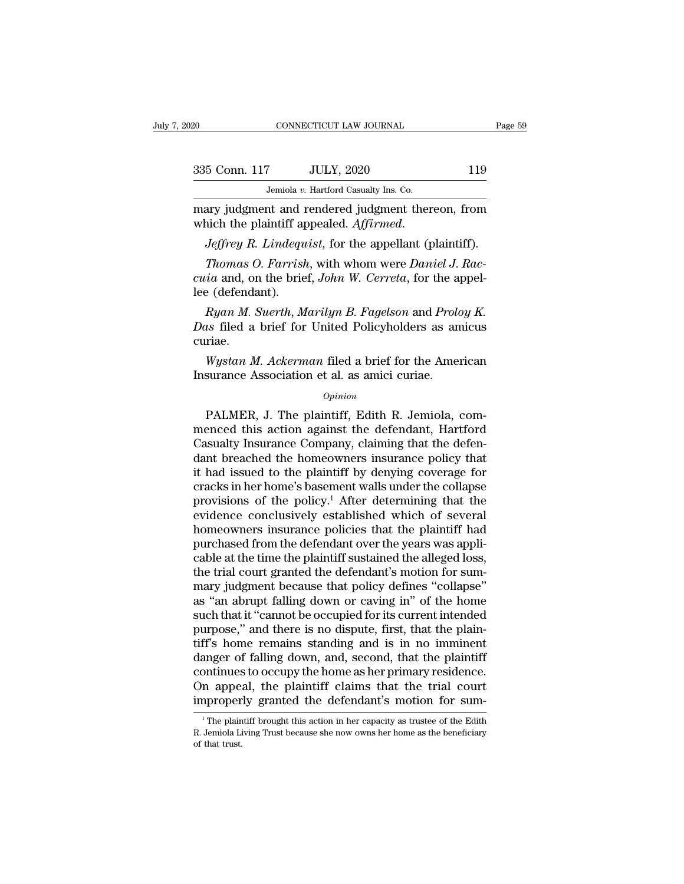| 20            | CONNECTICUT LAW JOURNAL                                                                      | Page 59 |  |
|---------------|----------------------------------------------------------------------------------------------|---------|--|
| 335 Conn. 117 | <b>JULY, 2020</b>                                                                            | 119     |  |
|               | Jemiola v. Hartford Casualty Ins. Co.                                                        |         |  |
|               | mary judgment and rendered judgment thereon, from<br>which the plaintiff appealed. Affirmed. |         |  |
|               | <i>Jeffrey R. Lindequist</i> , for the appellant (plaintiff).                                |         |  |
|               | <i>Thomas O. Farrish, with whom were Daniel J. Rac-</i>                                      |         |  |

*Thomas v. Hartford Casualty Ins. Co.*<br> *Thomas v. Hartford Casualty Ins. Co.*<br> *Thomas D. Farrish, with whom were Daniel J. Rac-*<br> *Rhomas O. Farrish, with whom were Daniel J. Rac-*<br> *Raca and, on the brief, John W. Cerre cuida v. Hartford Casualty Ins. Co.*<br> *co.*<br> *comary judgment and rendered judgment thereon, from*<br> *cuica Brieffrey R. Lindequist, for the appellant (plaintiff).*<br> *Thomas O. Farrish, with whom were Daniel J. Raccuia and* mary judgment and 1<br>which the plaintiff applariant and *Jeffrey R. Lindeque<br>Thomas O. Farrish*<br>*cuia* and, on the brie<br>lee (defendant).<br>*Ryan M. Suerth*, M *Ryan M. Lindequist, for the appellant (plaintiff).*<br> *Ryan M. Lindequist, for the appellant (plaintiff).*<br> *Thomas O. Farrish, with whom were Daniel J. Rac-*<br> *ia* and, on the brief, *John W. Cerreta*, for the appel-<br> *Ry* 

*Jeffrey R. Lindequist*, for the appellant (plaintiff).<br> *Thomas O. Farrish*, with whom were *Daniel J. Raccuia* and, on the brief, *John W. Cerreta*, for the appel-<br>
lee (defendant).<br> *Ryan M. Suerth, Marilyn B. Fagelson* curiae. *ia* and, on the brief, *John W. Cerreta*, for the appel-<br>
e (defendant).<br> *Ryan M. Suerth*, *Marilyn B. Fagelson* and *Proloy K.*<br> *ws* filed a brief for United Policyholders as amicus<br>
riae.<br> *Wystan M. Ackerman* filed a Insurance (defendant).<br>
Insurance Association et al. as an allowing the American et al. as an amic and Prole Mystan M. Ackerman filed a brief for the American et al. as amici curiae.<br>
Insurance Association et al. as amici

# *Opinion*

Expediance a brief for United Policyholders as amicus<br>
riae.<br>
Wystan M. Ackerman filed a brief for the American<br>
surance Association et al. as amici curiae.<br>
Opinion<br>
PALMER, J. The plaintiff, Edith R. Jemiola, com-<br>
enced curiae.<br>
Wystan M. Ackerman filed a brief for the American<br>
Insurance Association et al. as amici curiae.<br>
opinion<br>
PALMER, J. The plaintiff, Edith R. Jemiola, com-<br>
menced this action against the defendant, Hartford<br>
Casu Wystan M. Ackerman filed a brief for the American<br>Insurance Association et al. as amici curiae.<br>
Opinion<br>
PALMER, J. The plaintiff, Edith R. Jemiola, com-<br>
menced this action against the defendant, Hartford<br>
Casualty Insur Insurance Association et al. as amici curiae.<br>  $\frac{Opinion}{opinion}$ <br>
PALMER, J. The plaintiff, Edith R. Jemiola, commenced this action against the defendant, Hartford<br>
Casualty Insurance Company, claiming that the defendant brea *Opinion*<br>
PALMER, J. The plaintiff, Edith R. Jemiola, com-<br>
menced this action against the defendant, Hartford<br>
Casualty Insurance Company, claiming that the defen-<br>
dant breached the homeowners insurance policy that<br>
it  $\alpha$ <br>PALMER, J. The plaintiff, Edith R. Jemiola, com-<br>menced this action against the defendant, Hartford<br>Casualty Insurance Company, claiming that the defen-<br>dant breached the homeowners insurance policy that<br>it had issue PALMER, J. The plaintiff, Edith R. Jemiola, com-<br>menced this action against the defendant, Hartford<br>Casualty Insurance Company, claiming that the defen-<br>dant breached the homeowners insurance policy that<br>it had issued to t menced this action against the defendant, Hartford<br>Casualty Insurance Company, claiming that the defen-<br>dant breached the homeowners insurance policy that<br>it had issued to the plaintiff by denying coverage for<br>cracks in he Casualty Insurance Company, claiming that the defendant breached the homeowners insurance policy that<br>it had issued to the plaintiff by denying coverage for<br>cracks in her home's basement walls under the collapse<br>provision dant breached the homeowners insurance policy that<br>it had issued to the plaintiff by denying coverage for<br>cracks in her home's basement walls under the collapse<br>provisions of the policy.<sup>1</sup> After determining that the<br>evide it had issued to the plaintiff by denying coverage for<br>cracks in her home's basement walls under the collapse<br>provisions of the policy.<sup>1</sup> After determining that the<br>evidence conclusively established which of several<br>homeo cracks in her home's basement walls under the collapse<br>provisions of the policy.<sup>1</sup> After determining that the<br>evidence conclusively established which of several<br>homeowners insurance policies that the plaintiff had<br>purchas provisions of the policy.<sup>1</sup> After determining that the evidence conclusively established which of several homeowners insurance policies that the plaintiff had purchased from the defendant over the years was applicable at evidence conclusively established which of several<br>homeowners insurance policies that the plaintiff had<br>purchased from the defendant over the years was appli-<br>cable at the time the plaintiff sustained the alleged loss,<br>the homeowners insurance policies that the plaintiff had<br>purchased from the defendant over the years was appli-<br>cable at the time the plaintiff sustained the alleged loss,<br>the trial court granted the defendant's motion for sum purchased from the defendant over the years was applicable at the time the plaintiff sustained the alleged loss, the trial court granted the defendant's motion for summary judgment because that policy defines "collapse" as cable at the time the plaintiff sustained the alleged loss,<br>the trial court granted the defendant's motion for sum-<br>mary judgment because that policy defines "collapse"<br>as "an abrupt falling down or caving in" of the home<br> the trial court granted the defendant's motion for summary judgment because that policy defines "collapse"<br>as "an abrupt falling down or caving in" of the home<br>such that it "cannot be occupied for its current intended<br>purp mary judgment because that policy defines "collapse"<br>as "an abrupt falling down or caving in" of the home<br>such that it "cannot be occupied for its current intended<br>purpose," and there is no dispute, first, that the plain-<br> as "an abrupt falling down or caving in" of the home<br>such that it "cannot be occupied for its current intended<br>purpose," and there is no dispute, first, that the plain-<br>tiff's home remains standing and is in no imminent<br>da such that it "cannot be occupied for its current intended<br>purpose," and there is no dispute, first, that the plain-<br>tiff's home remains standing and is in no imminent<br>danger of falling down, and, second, that the plaintif anger of falling down, and, second, that the plaintiff<br>pontinues to occupy the home as her primary residence.<br>n appeal, the plaintiff claims that the trial court<br>aproperly granted the defendant's motion for sum-<br><sup>1</sup>The pla continues to occupy the home as her primary residence.<br>On appeal, the plaintiff claims that the trial court<br>improperly granted the defendant's motion for sum-<br><sup>1</sup>The plaintiff brought this action in her capacity as trustee On appea<br>improper<br>The plain<br>R. Jemiola Li<br>of that trust.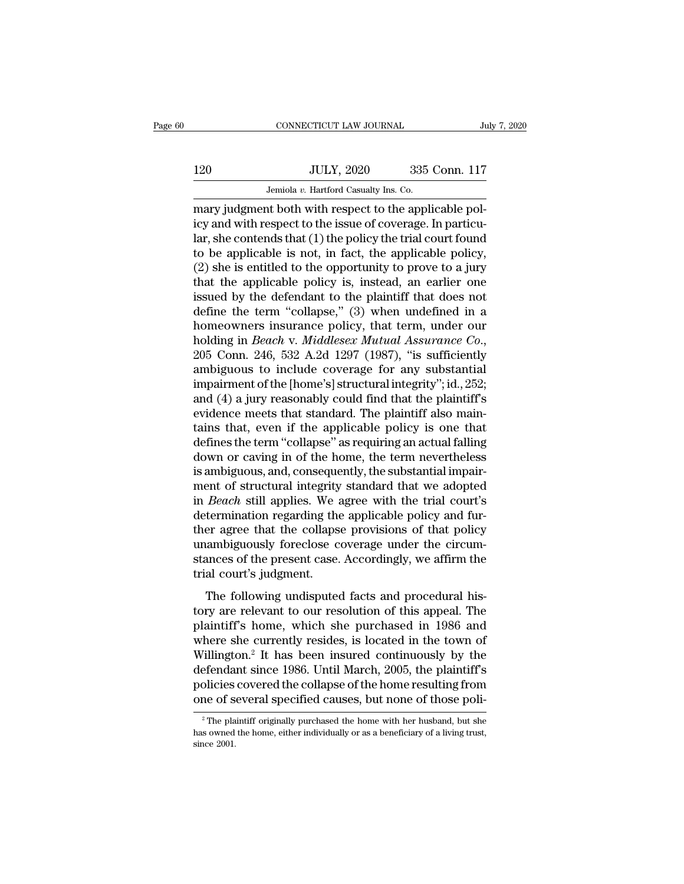# 120 CONNECTICUT LAW JOURNAL July 7, 2020<br>120 JULY, 2020 335 Conn. 117<br>Jemiola v. Hartford Casualty Ins. Co.

CONNECTICUT LAW JOURNAL JUNE JEMINAL JULY, 2020 335 Conn. 117<br>120 JULY, 2020 335 Conn. 117<br>17 Jemiola *v.* Hartford Casualty Ins. Co.<br>17 Mary judgment both with respect to the applicable pol-CONNECTICUT LAW JOURNAL<br>
120 JULY, 2020 335 Conn. 117<br>
13 Jemiola v. Hartford Casualty Ins. Co.<br>
14 Jemiola v. Hartford Casualty Ins. Co.<br>
14 Jemiola v. Hartford Casualty Ins. Co.<br>
14 Geography in the applicable pol-<br>
14 G  $\frac{120}{20}$  JULY, 2020 335 Conn. 117<br>Jemiola v. Hartford Casualty Ins. Co.<br>mary judgment both with respect to the applicable pol-<br>icy and with respect to the issue of coverage. In particu-<br>lar, she contends that (1) the 120 JULY, 2020 335 Conn. 117<br>Jemiola v. Hartford Casualty Ins. Co.<br>mary judgment both with respect to the applicable pol-<br>icy and with respect to the issue of coverage. In particu-<br>lar, she contends that (1) the policy th 120 JULY, 2020 335 Conn. 117<br>Jemiola v. Hartford Casualty Ins. Co.<br>mary judgment both with respect to the applicable policy and with respect to the issue of coverage. In particu-<br>lar, she contends that (1) the policy the Jemiola v. Hartford Casualty Ins. Co.<br>
mary judgment both with respect to the applicable pol-<br>
icy and with respect to the issue of coverage. In particu-<br>
lar, she contends that (1) the policy the trial court found<br>
to be Jemiola v. Hartford Casualty Ins. Co.<br>
mary judgment both with respect to the applicable pol-<br>
icy and with respect to the issue of coverage. In particu-<br>
lar, she contends that (1) the policy the trial court found<br>
to be mary judgment both with respect to the applicable pol-<br>icy and with respect to the issue of coverage. In particu-<br>lar, she contends that (1) the policy the trial court found<br>to be applicable is not, in fact, the applicable icy and with respect to the issue of coverage. In particu-<br>lar, she contends that (1) the policy the trial court found<br>to be applicable is not, in fact, the applicable policy,<br>(2) she is entitled to the opportunity to pro lar, she contends that (1) the policy the trial court found<br>to be applicable is not, in fact, the applicable policy,<br>(2) she is entitled to the opportunity to prove to a jury<br>that the applicable policy is, instead, an ear to be applicable is not, in fact, the applicable policy,<br>(2) she is entitled to the opportunity to prove to a jury<br>that the applicable policy is, instead, an earlier one<br>issued by the defendant to the plaintiff that does n that the applicable policy is, instead, an earlier one issued by the defendant to the plaintiff that does not define the term "collapse," (3) when undefined in a homeowners insurance policy, that term, under our holding i issued by the defendant to the plaintiff that does not<br>define the term "collapse," (3) when undefined in a<br>homeowners insurance policy, that term, under our<br>holding in *Beach v. Middlesex Mutual Assurance Co.*,<br> $205$  Conn define the term "collapse," (3) when undefined in a<br>homeowners insurance policy, that term, under our<br>holding in *Beach v. Middlesex Mutual Assurance Co.*,<br>205 Conn. 246, 532 A.2d 1297 (1987), "is sufficiently<br>ambiguous to homeowners insurance policy, that term, under our holding in *Beach v. Middlesex Mutual Assurance Co.*, 205 Conn. 246, 532 A.2d 1297 (1987), "is sufficiently ambiguous to include coverage for any substantial impairment of holding in *Beach v. Middlesex Mutual Assurance Co.*,<br>205 Conn. 246, 532 A.2d 1297 (1987), "is sufficiently<br>ambiguous to include coverage for any substantial<br>impairment of the [home's] structural integrity"; id., 252;<br>and 205 Conn. 246, 532 A.2d 1297 (1987), "is sufficiently<br>ambiguous to include coverage for any substantial<br>impairment of the [home's] structural integrity"; id., 252;<br>and (4) a jury reasonably could find that the plaintiff's<br> ambiguous to include coverage for any substantial<br>impairment of the [home's] structural integrity"; id., 252;<br>and (4) a jury reasonably could find that the plaintiff's<br>evidence meets that standard. The plaintiff also mainimpairment of the [home's] structural integrity"; id., 252;<br>and (4) a jury reasonably could find that the plaintiff's<br>evidence meets that standard. The plaintiff also main-<br>tains that, even if the applicable policy is one and (4) a jury reasonably could find that the plaintiff's<br>evidence meets that standard. The plaintiff also main-<br>tains that, even if the applicable policy is one that<br>defines the term "collapse" as requiring an actual fall evidence meets that standard. The plaintiff also maintains that, even if the applicable policy is one that defines the term "collapse" as requiring an actual falling down or caving in of the home, the term nevertheless is tains that, even if the applicable policy is one that<br>defines the term "collapse" as requiring an actual falling<br>down or caving in of the home, the term nevertheless<br>is ambiguous, and, consequently, the substantial impairdefines the term "collapse" as requiring an actual falling<br>down or caving in of the home, the term nevertheless<br>is ambiguous, and, consequently, the substantial impair-<br>ment of structural integrity standard that we adopted down or caving in of the home, the term nevertheless<br>is ambiguous, and, consequently, the substantial impair-<br>ment of structural integrity standard that we adopted<br>in *Beach* still applies. We agree with the trial court's<br> is ambiguous, and, consequently, the substantial impair-<br>ment of structural integrity standard that we adopted<br>in *Beach* still applies. We agree with the trial court's<br>determination regarding the applicable policy and fur ment of structural integrity<br>in *Beach* still applies. We a<br>determination regarding the<br>ther agree that the collaps<br>unambiguously foreclose c<br>stances of the present case.<br>trial court's judgment.<br>The following undisputee Deach sam applies. We agree what are analogues<br>termination regarding the applicable policy and fur-<br>er agree that the collapse provisions of that policy<br>ambiguously foreclose coverage under the circum-<br>ances of the present the agree that the collapse provisions of that policy<br>ther agree that the collapse provisions of that policy<br>unambiguously foreclose coverage under the circum-<br>stances of the present case. Accordingly, we affirm the<br>trial

mambiguously foreclose coverage under the circum-<br>stances of the present case. Accordingly, we affirm the<br>trial court's judgment.<br>The following undisputed facts and procedural his-<br>tory are relevant to our resolution of t stances of the present case. Accordingly, we affirm the<br>trial court's judgment.<br>The following undisputed facts and procedural his-<br>tory are relevant to our resolution of this appeal. The<br>plaintiff's home, which she purcha trial court's judgment.<br>The following undisputed facts and procedural his-<br>tory are relevant to our resolution of this appeal. The<br>plaintiff's home, which she purchased in 1986 and<br>where she currently resides, is located i The following undisputed facts and procedural his-<br>tory are relevant to our resolution of this appeal. The<br>plaintiff's home, which she purchased in 1986 and<br>where she currently resides, is located in the town of<br>Willington The following undisputed facts and procedural history are relevant to our resolution of this appeal. The plaintiff's home, which she purchased in 1986 and where she currently resides, is located in the town of Willington.<sup></sup> tory are relevant to our resolution of this appeal. The plaintiff's home, which she purchased in 1986 and where she currently resides, is located in the town of Willington.<sup>2</sup> It has been insured continuously by the defen The plaintiff originally purchased the home resulting from<br>
2 The plaintiff's<br>
2 Olicies covered the collapse of the home resulting from<br>
2 The plaintiff originally purchased the home with her husband, but she<br>
2 The plai defendant since 1986. Until March, 2005, the plaintiff's policies covered the collapse of the home resulting from one of several specified causes, but none of those poli-<br><sup>2</sup>The plaintiff originally purchased the home with policies<br>one of s<br><sup>2</sup>The pla<br>has owned<br>since 2001.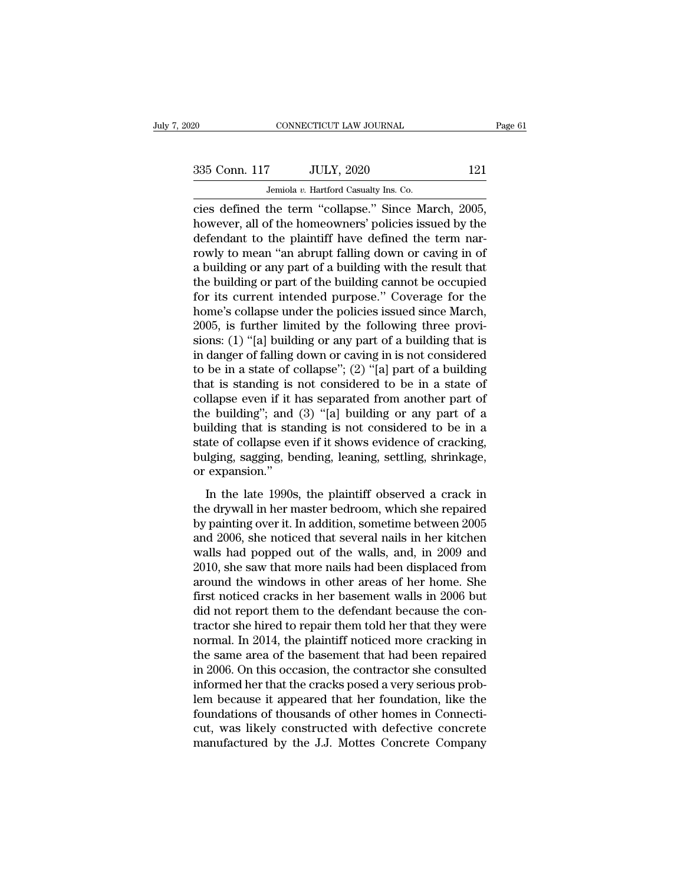| 20            | CONNECTICUT LAW JOURNAL                           |     | Page 61 |
|---------------|---------------------------------------------------|-----|---------|
| 335 Conn. 117 | <b>JULY, 2020</b>                                 | 121 |         |
|               | Jemiola v. Hartford Casualty Ins. Co.             |     |         |
|               | cies defined the term "collanse" Since March 2005 |     |         |

connect CONNECTICUT LAW JOURNAL Page<br>
335 Conn. 117 JULY, 2020 121<br>
Jemiola v. Hartford Casualty Ins. Co.<br>
2005, Thowever, all of the homeowners' policies issued by the<br>
defendent to the plaintiff have defined the term nar  $\frac{335 \text{ Conn. } 117}{324}$  JULY, 2020  $\frac{121}{324}$ <br>Jemiola v. Hartford Casualty Ins. Co.<br>Cies defined the term "collapse." Since March, 2005,<br>however, all of the homeowners' policies issued by the<br>defendant to the plaintiff  $\frac{335 \text{ Conn. } 117 \quad \text{JULY, } 2020 \quad \text{121}}{\text{Jemiola } v. \text{ Hartford Casuality Ins. Co.}}$ <br>
cies defined the term "collapse." Since March, 2005, however, all of the homeowners' policies issued by the defendant to the plaintiff have defined the term 335 Conn. 117 JULY, 2020 121<br>Jemiola v. Hartford Casualty Ins. Co.<br>Cies defined the term "collapse." Since March, 2005,<br>however, all of the homeowners' policies issued by the<br>defendant to the plaintiff have defined the te Jemiola v. Hartford Casualty Ins. Co.<br>
cies defined the term "collapse." Since March, 2005,<br>
however, all of the homeowners' policies issued by the<br>
defendant to the plaintiff have defined the term nar-<br>
rowly to mean "an Jemiola v. Hartford Casualty Ins. Co.<br>
cies defined the term "collapse." Since March, 2005,<br>
however, all of the homeowners' policies issued by the<br>
defendant to the plaintiff have defined the term nar-<br>
rowly to mean "an cies defined the term "collapse." Since March, 2005,<br>however, all of the homeowners' policies issued by the<br>defendant to the plaintiff have defined the term nar-<br>rowly to mean "an abrupt falling down or caving in of<br>a buil however, all of the homeowners' policies issued by the<br>defendant to the plaintiff have defined the term nar-<br>rowly to mean "an abrupt falling down or caving in of<br>a building or any part of a building with the result that<br>t defendant to the plaintiff have defined the term narrowly to mean "an abrupt falling down or caving in of a building or any part of a building with the result that the building or part of the building cannot be occupied fo rowly to mean "an abrupt falling down or caving in of<br>a building or any part of a building with the result that<br>the building or part of the building cannot be occupied<br>for its current intended purpose." Coverage for the<br>ho a building or any part of a building with the result that<br>the building or part of the building cannot be occupied<br>for its current intended purpose." Coverage for the<br>home's collapse under the policies issued since March,<br>2 the building or part of the building cannot be occupied<br>for its current intended purpose." Coverage for the<br>home's collapse under the policies issued since March,<br>2005, is further limited by the following three provi-<br>sion for its current intended purpose." Coverage for the<br>home's collapse under the policies issued since March,<br>2005, is further limited by the following three provi-<br>sions: (1) "[a] building or any part of a building that is<br> home's collapse under the policies issued since March, 2005, is further limited by the following three provisions: (1) "[a] building or any part of a building that is in danger of falling down or caving in is not consider 2005, is further limited by the following three provisions: (1) "[a] building or any part of a building that is<br>in danger of falling down or caving in is not considered<br>to be in a state of collapse"; (2) "[a] part of a bu sions: (1) "[a] building or any part of a building that is<br>in danger of falling down or caving in is not considered<br>to be in a state of collapse"; (2) "[a] part of a building<br>that is standing is not considered to be in a in danger of falling down or caving in is not considered<br>to be in a state of collapse"; (2) "[a] part of a building<br>that is standing is not considered to be in a state of<br>collapse even if it has separated from another part to be in a state of collapse"; (2) "[a] part of a building<br>that is standing is not considered to be in a state of<br>collapse even if it has separated from another part of<br>the building"; and (3) "[a] building or any part of that is standing is not considered to be in a state of collapse even if it has separated from another part of the building"; and (3) "[a] building or any part of a building that is standing is not considered to be in a sta Equality and (3) "[a] building or any part of a<br>ilding that is standing is not considered to be in a<br>atte of collapse even if it shows evidence of cracking,<br>lging, sagging, bending, leaning, settling, shrinkage,<br>expansion the building that is standing is not considered to be in a<br>building that is standing is not considered to be in a<br>state of collapse even if it shows evidence of cracking,<br>bulging, sagging, bending, leaning, settling, shri

butually state of collapse even if it shows evidence of cracking,<br>bulging, sagging, bending, leaning, settling, shrinkage,<br>or expansion."<br>In the late 1990s, the plaintiff observed a crack in<br>the drywall in her master bedr bulging, sagging, bending, leaning, settling, shrinkage,<br>or expansion."<br>In the late 1990s, the plaintiff observed a crack in<br>the drywall in her master bedroom, which she repaired<br>by painting over it. In addition, sometime bugary, sugging, bending, reading, section, sharing, straining, or expansion."<br>In the late 1990s, the plaintiff observed a crack in<br>the drywall in her master bedroom, which she repaired<br>by painting over it. In addition, so In the late 1990s, the plaintiff observed a crack in<br>the drywall in her master bedroom, which she repaired<br>by painting over it. In addition, sometime between 2005<br>and 2006, she noticed that several nails in her kitchen<br>wal In the late 1990s, the plaintiff observed a crack in<br>the drywall in her master bedroom, which she repaired<br>by painting over it. In addition, sometime between 2005<br>and 2006, she noticed that several nails in her kitchen<br>wal the drywall in her master bedroom, which she repaired<br>by painting over it. In addition, sometime between 2005<br>and 2006, she noticed that several nails in her kitchen<br>walls had popped out of the walls, and, in 2009 and<br>2010 by painting over it. In addition, sometime between 2005<br>and 2006, she noticed that several nails in her kitchen<br>walls had popped out of the walls, and, in 2009 and<br>2010, she saw that more nails had been displaced from<br>arou and 2006, she noticed that several nails in her kitchen<br>walls had popped out of the walls, and, in 2009 and<br>2010, she saw that more nails had been displaced from<br>around the windows in other areas of her home. She<br>first not walls had popped out of the walls, and, in 2009 and<br>2010, she saw that more nails had been displaced from<br>around the windows in other areas of her home. She<br>first noticed cracks in her basement walls in 2006 but<br>did not re 2010, she saw that more nails had been displaced from<br>around the windows in other areas of her home. She<br>first noticed cracks in her basement walls in 2006 but<br>did not report them to the defendant because the con-<br>tractor around the windows in other areas of her home. She<br>first noticed cracks in her basement walls in 2006 but<br>did not report them to the defendant because the con-<br>tractor she hired to repair them told her that they were<br>norma first noticed cracks in her basement walls in 2006 but<br>did not report them to the defendant because the con-<br>tractor she hired to repair them told her that they were<br>normal. In 2014, the plaintiff noticed more cracking in<br> did not report them to the defendant because the contractor she hired to repair them told her that they were<br>normal. In 2014, the plaintiff noticed more cracking in<br>the same area of the basement that had been repaired<br>in 2 tractor she hired to repair them told her that they were<br>normal. In 2014, the plaintiff noticed more cracking in<br>the same area of the basement that had been repaired<br>in 2006. On this occasion, the contractor she consulted<br> normal. In 2014, the plaintiff noticed more cracking in<br>the same area of the basement that had been repaired<br>in 2006. On this occasion, the contractor she consulted<br>informed her that the cracks posed a very serious prob-<br>l the same area of the basement that had been repaired<br>in 2006. On this occasion, the contractor she consulted<br>informed her that the cracks posed a very serious prob-<br>lem because it appeared that her foundation, like the<br>fou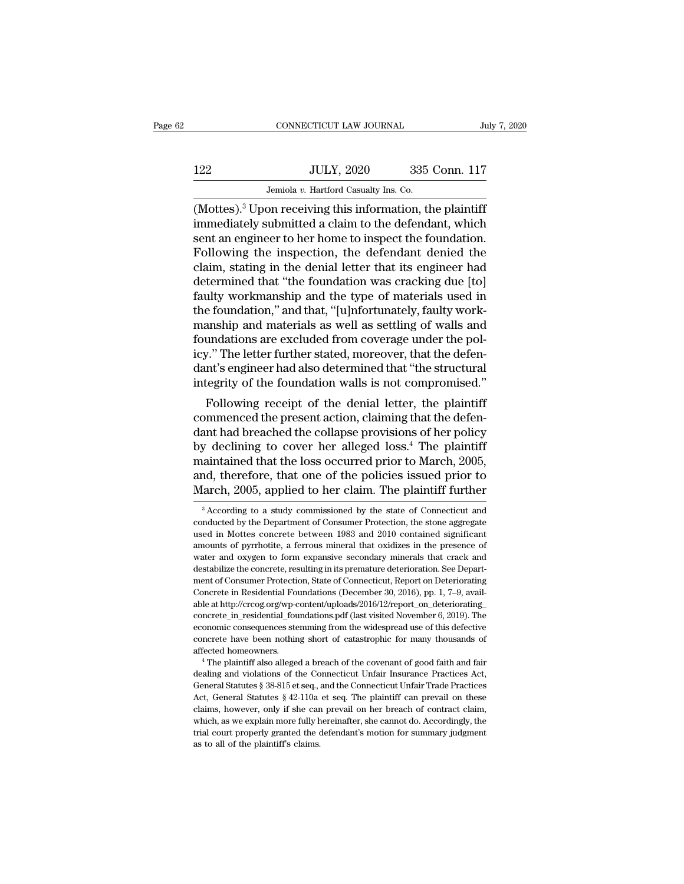# 122 CONNECTICUT LAW JOURNAL July 7, 2020<br>122 JULY, 2020 335 Conn. 117<br>Jemiola v. Hartford Casualty Ins. Co. CONNECTICUT LAW JOURNAL<br>JULY, 2020 335<br>Jemiola *v.* Hartford Casualty Ins. Co.<br>On receiving this information the

(Mottes).<sup>3</sup> Upon receiving this information, the plaintiff<br>
(Mottes).<sup>3</sup> Upon receiving this information, the plaintiff<br>
immediately submitted a claim to the defendant, which<br>
cont an ongineer to be hemote inspect the fou I22 JULY, 2020 335 Conn. 117<br>Jemiola v. Hartford Casualty Ins. Co.<br>(Mottes).<sup>3</sup> Upon receiving this information, the plaintiff<br>immediately submitted a claim to the defendant, which<br>sent an engineer to her home to inspect t  $\frac{335 \text{ Conn. } 117}{\frac{\text{Jul. } x \text{ Hartford Casuality Ins. Co.}}{\text{(Mottes).}^3 \text{ Upon receiving this information, the plaintiff immediately submitted a claim to the defendant, which sent an engineer to her home to inspect the foundation. Following the inspection, the defendant denied the claim, stating in the donial letter that its engineer had$ Following the inspection, the defendant denied  $\frac{117}{2}$ <br>Temiola v. Hartford Casualty Ins. Co.<br>(Mottes).<sup>3</sup> Upon receiving this information, the plaintiff<br>immediately submitted a claim to the defendant, which<br>sent an en Jemiola v. Hartford Casualty Ins. Co.<br>
(Mottes).<sup>3</sup> Upon receiving this information, the plaintiff<br>
immediately submitted a claim to the defendant, which<br>
sent an engineer to her home to inspect the foundation.<br>
Following Jenuola v. Hartford Casualty Ins. Co.<br>
(Mottes).<sup>3</sup> Upon receiving this information, the plaintiff<br>
immediately submitted a claim to the defendant, which<br>
sent an engineer to her home to inspect the foundation.<br>
Following (Mottes).<sup>3</sup> Upon receiving this information, the plaintiff<br>immediately submitted a claim to the defendant, which<br>sent an engineer to her home to inspect the foundation.<br>Following the inspection, the defendant denied the<br> immediately submitted a claim to the defendant, which<br>sent an engineer to her home to inspect the foundation.<br>Following the inspection, the defendant denied the<br>claim, stating in the denial letter that its engineer had<br>det sent an engineer to her home to inspect the foundation.<br>Following the inspection, the defendant denied the claim, stating in the denial letter that its engineer had<br>determined that "the foundation was cracking due [to]<br>fau Following the inspection, the defendant denied the claim, stating in the denial letter that its engineer had determined that "the foundation was cracking due [to] faulty workmanship and the type of materials used in the fo claim, stating in the denial letter that its engineer had<br>determined that "the foundation was cracking due [to]<br>faulty workmanship and the type of materials used in<br>the foundation," and that, "[u]nfortunately, faulty workdetermined that "the foundation was cracking due [to]<br>faulty workmanship and the type of materials used in<br>the foundation," and that, "[u]nfortunately, faulty work-<br>manship and materials as well as settling of walls and<br>fo faulty workmanship and the type of materials used in<br>the foundation," and that, "[u]nfortunately, faulty work-<br>manship and materials as well as settling of walls and<br>foundations are excluded from coverage under the pol-<br>ic Following receipt of the denial letter, the plaintiff<br>anship and materials as well as settling of walls and<br>undations are excluded from coverage under the pol-<br>z." The letter further stated, moreover, that the defen-<br>nt's manship and materials as well as setting of walls and<br>foundations are excluded from coverage under the pol-<br>icy." The letter further stated, moreover, that the defen-<br>dant's engineer had also determined that "the structur

roundations are excluded from coverage under the policy." The letter further stated, moreover, that the defendant's engineer had also determined that "the structural integrity of the foundation walls is not compromised."<br>F rey. The letter further stated, moreover, that the defendant's engineer had also determined that "the structural<br>integrity of the foundation walls is not compromised."<br>Following receipt of the denial letter, the plaintiff<br> maintained that the structural<br>integrity of the foundation walls is not compromised."<br>Following receipt of the denial letter, the plaintiff<br>commenced the present action, claiming that the defen-<br>dant had breached the colla Following receipt of the denial letter, the plaintiff<br>Following receipt of the denial letter, the plaintiff<br>commenced the present action, claiming that the defen-<br>dant had breached the collapse provisions of her policy<br>by Following receipt of the denial letter, the plaintiff<br>commenced the present action, claiming that the defen-<br>dant had breached the collapse provisions of her policy<br>by declining to cover her alleged loss.<sup>4</sup> The plaintiff y declining to cover her alleged loss.<sup>4</sup> The plaintiff<br>aaintained that the loss occurred prior to March, 2005,<br>nd, therefore, that one of the policies issued prior to<br>arch, 2005, applied to her claim. The plaintiff furthe maintained that the loss occurred prior to March, 2005, and, therefore, that one of the policies issued prior to March, 2005, applied to her claim. The plaintiff further  $\frac{3}{4}$  According to a study commissioned by the s

and, therefore, that one of the policies issued prior to March, 2005, applied to her claim. The plaintiff further  $\frac{3}{4}$  According to a study commissioned by the state of Connecticut and conducted by the Department of C March, 2005, applied to her claim. The plaintiff further<br>
<sup>3</sup> According to a study commissioned by the state of Connecticut and<br>
conducted by the Department of Consumer Protection, the stone aggregate<br>
used in Mottes concr water crack and specified to form expansion by the state of Connecticut and conducted by the Department of Consumer Protection, the stone aggregate used in Mottes concrete between 1983 and 2010 contained significant amoun <sup>3</sup> According to a study commissioned by the state of Connecticut and conducted by the Department of Consumer Protection, the stone aggregate used in Mottes concrete between 1983 and 2010 contained significant amounts of conducted by the Department of Consumer Protection, the stone aggregate used in Mottes concrete between 1983 and 2010 contained significant amounts of pyrrhotite, a ferrous mineral that oxidizes in the presence of water an used in Mottes concrete between 1983 and 2010 contained significant amounts of pyrrhotite, a ferrous mineral that oxidizes in the presence of water and oxygen to form expansive secondary minerals that crack and destabilize amounts of pyrrhotite, a ferrous mineral that oxidizes in the presence of water and oxygen to form expansive secondary minerals that crack and destabilize the concrete, resulting in its premature deterioration. See Departm water and oxygen to form expansive secondary minerals that crack and<br>destabilize the concrete, resulting in its premature deterioration. See Depart-<br>ment of Consumer Protection, State of Connecticut, Report on Deterioratin destabilize the concrete, resulting in its premature deterioration. See Department of Consumer Protection, State of Connecticut, Report on Deteriorating Concrete in Residential Foundations (December 30, 2016), pp. 1, 7–9, ment of Consumer Protection, State of Connecticut, Report on Deteriorating<br>Concrete in Residential Foundations (December 30, 2016), pp. 1, 7–9, available at http://crcog.org/wp-content/uploads/2016/12/report\_on\_deteriorati Concrete in Residential Foundations (December 30, 2016), pp. 1, 7–9, awailable at http://crcog.org/wp-content/uploads/2016/12/report\_on\_deteriorating\_concrete\_in\_residential\_foundations.pdf (last visited November 6, 2019) concrete\_in\_residential\_foundations.pdf (last visited November 6, 2019). The economic consequences stemming from the widespread use of this defective concrete have been nothing short of catastrophic for many thousands of a

Economic consequences stemming from the widespread use of this defective<br>conomic consequences stemming from the widespread use of this defective<br>concrete have been nothing short of catastrophic for many thousands of<br>affect concrete have been nothing short of catastrophic for many thousands of affected homeowners.<br>
<sup>4</sup> The plaintiff also alleged a breach of the covenant of good faith and fair dealing and violations of the Connecticut Unfair I affected homeowners.<br>
<sup>4</sup> The plaintiff also alleged a breach of the covenant of good faith and fair<br>
dealing and violations of the Connecticut Unfair Insurance Practices Act,<br>
General Statutes § 38-815 et seq., and the Co <sup>4</sup> The plaintiff also alleged a breach of the covenant of good faith and fair dealing and violations of the Connecticut Unfair Insurance Practices Act, General Statutes  $\S 38-815$  et seq., and the Connecticut Unfair Trad dealing and violations of the Connecticut Unfair Insurance Practices Act, General Statutes § 38-815 et seq., and the Connecticut Unfair Trade Practices Act, General Statutes § 42-110a et seq. The plaintiff can prevail on t General Statutes § 38-815 et seq., and the Connecticut Unfair Trade Practices Act, General Statutes § 42-110a et seq. The plaintiff can prevail on these claims, however, only if she can prevail on her breach of contract c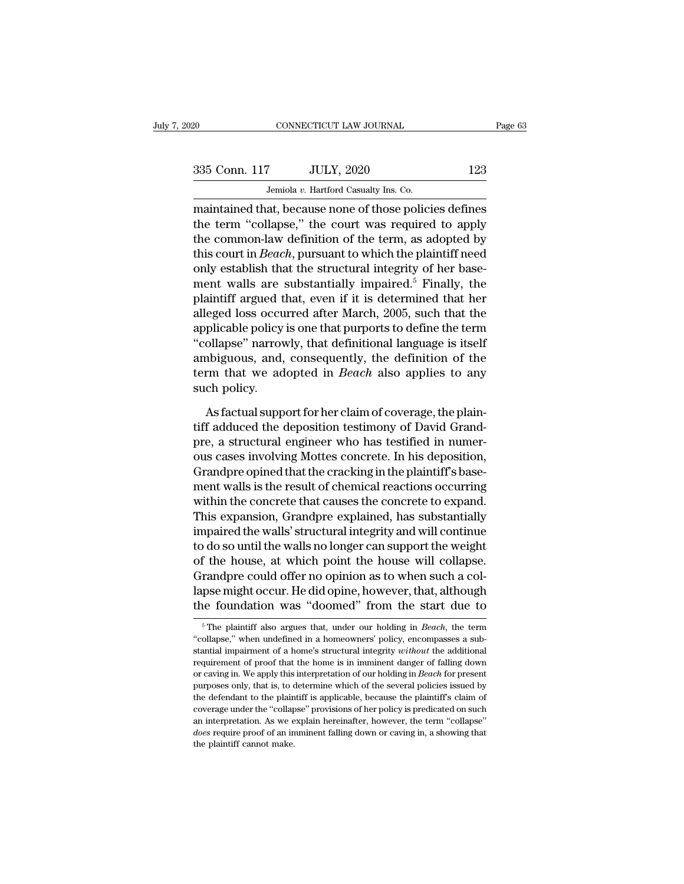| 335 Conn. 117 |  |
|---------------|--|
|               |  |

EXECUTE CONNECTICUT LAW JOURNAL Page 63<br>335 Conn. 117 JULY, 2020 123<br>Jemiola v. Hartford Casualty Ins. Co.

CONNECTICUT LAW JOURNAL<br>
335 Conn. 117 JULY, 2020 123<br>
Jemiola *v.* Hartford Casualty Ins. Co.<br>
maintained that, because none of those policies defines CONNECTICUT LAW JOURNAL Page 63<br>
335 Conn. 117 JULY, 2020 123<br>
Jemiola v. Hartford Casualty Ins. Co.<br>
maintained that, because none of those policies defines<br>
the term "collapse," the court was required to apply<br>
the commo 335 Conn. 117 JULY, 2020 123<br>
Jemiola v. Hartford Casualty Ins. Co.<br>
maintained that, because none of those policies defines<br>
the term "collapse," the court was required to apply<br>
the common-law definition of the term, as 335 Conn. 117 JULY, 2020 123<br>
Jemiola v. Hartford Casualty Ins. Co.<br>
maintained that, because none of those policies defines<br>
the term "collapse," the court was required to apply<br>
the common-law definition of the term, as 335 Conn. 117 JULY, 2020 123<br>
Jemiola v. Hartford Casualty Ins. Co.<br>
maintained that, because none of those policies defines<br>
the term "collapse," the court was required to apply<br>
the common-law definition of the term, as Jemiola v. Hartford Casualty Ins. Co.<br>
maintained that, because none of those policies defines<br>
the term "collapse," the court was required to apply<br>
the common-law definition of the term, as adopted by<br>
this court in *Be* **EXECUTE:**<br>
maintained that, because none of those policies defines<br>
the term "collapse," the court was required to apply<br>
the common-law definition of the term, as adopted by<br>
this court in *Beach*, pursuant to which the maintained that, because none of those policies defines<br>the term "collapse," the court was required to apply<br>the common-law definition of the term, as adopted by<br>this court in *Beach*, pursuant to which the plaintiff need<br> the term "collapse," the court was required to apply<br>the common-law definition of the term, as adopted by<br>this court in *Beach*, pursuant to which the plaintiff need<br>only establish that the structural integrity of her base the common-law definition of the term, as adopted by<br>this court in *Beach*, pursuant to which the plaintiff need<br>only establish that the structural integrity of her base-<br>ment walls are substantially impaired.<sup>5</sup> Finally, this court in *Beach*, pursuant to which the plaintiff need<br>
only establish that the structural integrity of her base-<br>
ment walls are substantially impaired.<sup>5</sup> Finally, the<br>
plaintiff argued that, even if it is determine only establish that the structural integrity of her base-<br>ment walls are substantially impaired.<sup>5</sup> Finally, the<br>plaintiff argued that, even if it is determined that her<br>alleged loss occurred after March, 2005, such that t ment walls are substantially impaired.<sup>5</sup> Finally, the plaintiff argued that, even if it is determined that her alleged loss occurred after March, 2005, such that the applicable policy is one that purports to define the te plaintiff argued that, even if it is determined that her<br>alleged loss occurred after March, 2005, such that the<br>applicable policy is one that purports to define the term<br>"collapse" narrowly, that definitional language is i The definitional language is itself ambiguous, and, consequently, the definition of the term that we adopted in *Beach* also applies to any such policy.<br>As factual support for her claim of coverage, the plaintiff adduced t

ambiguous, and, consequently, the definition of the<br>term that we adopted in *Beach* also applies to any<br>such policy.<br>As factual support for her claim of coverage, the plain-<br>tiff adduced the deposition testimony of David G term that we adopted in *Beach* also applies to any<br>such policy.<br>As factual support for her claim of coverage, the plain-<br>tiff adduced the deposition testimony of David Grand-<br>pre, a structural engineer who has testified i such policy.<br>As factual support for her claim of coverage, the plaintiff<br>adduced the deposition testimony of David Grand-<br>pre, a structural engineer who has testified in numer-<br>ous cases involving Mottes concrete. In his d As factual support for her claim of coverage, the plain-<br>tiff adduced the deposition testimony of David Grand-<br>pre, a structural engineer who has testified in numer-<br>ous cases involving Mottes concrete. In his deposition,<br> As factual support for her claim of coverage, the plain-<br>tiff adduced the deposition testimony of David Grand-<br>pre, a structural engineer who has testified in numer-<br>ous cases involving Mottes concrete. In his deposition,<br> tiff adduced the deposition testimony of David Grand-<br>pre, a structural engineer who has testified in numer-<br>ous cases involving Mottes concrete. In his deposition,<br>Grandpre opined that the cracking in the plaintiff's base pre, a structural engineer who has testified in numer-<br>ous cases involving Mottes concrete. In his deposition,<br>Grandpre opined that the cracking in the plaintiff's base-<br>ment walls is the result of chemical reactions occur ous cases involving Mottes concrete. In his deposition,<br>Grandpre opined that the cracking in the plaintiff's base-<br>ment walls is the result of chemical reactions occurring<br>within the concrete that causes the concrete to ex Grandpre opined that the cracking in the plaintiff's basement walls is the result of chemical reactions occurring<br>within the concrete that causes the concrete to expand.<br>This expansion, Grandpre explained, has substantiall ment walls is the result of chemical reactions occurring<br>within the concrete that causes the concrete to expand.<br>This expansion, Grandpre explained, has substantially<br>impaired the walls' structural integrity and will conti within the concrete that causes the concrete to expand.<br>This expansion, Grandpre explained, has substantially<br>impaired the walls' structural integrity and will continue<br>to do so until the walls no longer can support the we This expansion, Grandpre explained, has substantially<br>impaired the walls' structural integrity and will continue<br>to do so until the walls no longer can support the weight<br>of the house, at which point the house will collap of the house, at which point the house will collapse.<br>Grandpre could offer no opinion as to when such a collapse might occur. He did opine, however, that, although<br>the foundation was "doomed" from the start due to<br><sup>5</sup>The p Grandpre could offer no opinion as to when such a collapse might occur. He did opine, however, that, although<br>the foundation was "doomed" from the start due to<br><sup>5</sup>The plaintiff also argues that, under our holding in *Beach* 

lapse might occur. He did opine, however, that, although<br>the foundation was "doomed" from the start due to<br><sup>5</sup>The plaintiff also argues that, under our holding in *Beach*, the term<br>"collapse," when undefined in a homeowner The foundation was "doomed" from the start due to<br>
<sup>5</sup> The plaintiff also argues that, under our holding in *Beach*, the term<br>
"collapse," when undefined in a homeowners' policy, encompasses a substantial impairment of a h "collapse," when undefined in a homeowners' policy, encompasses a substantial impairment of a home's structural integrity *without* the additional requirement of proof that the home is in imminent danger of falling down or <sup>5</sup> The plaintiff also argues that, under our holding in *Beach*, the term "collapse," when undefined in a homeowners' policy, encompasses a substantial impairment of a home's structural integrity *without* the additional "collapse," when undefined in a homeowners' policy, encompasses a substantial impairment of a home's structural integrity *without* the additional requirement of proof that the home is in imminent danger of falling down o extending implainment of a home's structural integrity *without* the additional requirement of proof that the home is in imminent danger of falling down or caving in. We apply this interpretation of our holding in *Beach* between the front of proof that the home is in imminent danger of falling down or caving in. We apply this interpretation of our holding in *Beach* for present purposes only, that is, to determine which of the several pol For caving in. We apply this interpretation of our holding in *Beach* for present purposes only, that is, to determine which of the several policies issued by the defendant to the plaintiff is applicable, because the plain or carries only, that is, to compresses only, that is, to the defendant to the plain coverage under the "collap an interpretation. As we expose require proof of an in the plaintiff cannot make.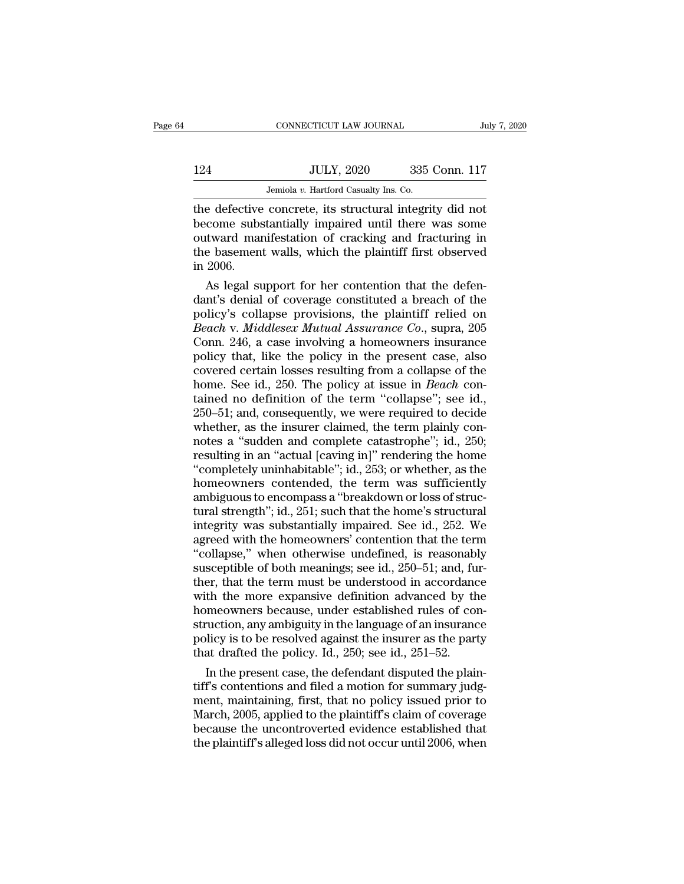|     | CONNECTICUT LAW JOURNAL                                  | July 7, 2020  |
|-----|----------------------------------------------------------|---------------|
|     |                                                          |               |
| 124 | <b>JULY, 2020</b>                                        | 335 Conn. 117 |
|     | Jemiola v. Hartford Casualty Ins. Co.                    |               |
|     | the defective concrete, its structural integrity did not |               |

CONNECTICUT LAW JOURNAL July 7, 2020<br>
124 JULY, 2020 335 Conn. 117<br>
Jemiola v. Hartford Casualty Ins. Co.<br>
the defective concrete, its structural integrity did not<br>
become substantially impaired until there was some<br>
outwa 124 JULY, 2020 335 Conn. 117<br>Jemiola v. Hartford Casualty Ins. Co.<br>the defective concrete, its structural integrity did not<br>become substantially impaired until there was some<br>outward manifestation of cracking and fracturin 124 JULY, 2020 335 Conn. 117<br>Jemiola v. Hartford Casualty Ins. Co.<br>the defective concrete, its structural integrity did not<br>become substantially impaired until there was some<br>outward manifestation of cracking and fracturi 124 JULY, 2020 335 Conn. 117<br>Jemiola v. Hartford Casualty Ins. Co.<br>the defective concrete, its structural integrity did not<br>become substantially impaired until there was some<br>outward manifestation of cracking and fracturin The defective<br>the defective<br>become subs<br>outward mai<br>the basemen<br>in 2006.<br>As legal su As legal support for her contention that the defen-<br>as some substantially impaired until there was some<br>tward manifestation of cracking and fracturing in<br>e basement walls, which the plaintiff first observed<br>2006.<br>As legal the defective concrete, its structural integrity did not<br>become substantially impaired until there was some<br>outward manifestation of cracking and fracturing in<br>the basement walls, which the plaintiff first observed<br>in 2006

become substantially impaired until there was some<br>outward manifestation of cracking and fracturing in<br>the basement walls, which the plaintiff first observed<br>in 2006.<br>As legal support for her contention that the defen-<br>dan outward manifestation of cracking and fracturing in<br>the basement walls, which the plaintiff first observed<br>in 2006.<br>As legal support for her contention that the defen-<br>dant's denial of coverage constituted a breach of the<br> the basement walls, which the plaintiff first observed<br>in 2006.<br>As legal support for her contention that the defen-<br>dant's denial of coverage constituted a breach of the<br>policy's collapse provisions, the plaintiff relied o in 2006.<br>
As legal support for her contention that the defen-<br>
dant's denial of coverage constituted a breach of the<br>
policy's collapse provisions, the plaintiff relied on<br> *Beach* v. *Middlesex Mutual Assurance Co.*, sup As legal support for her contention that the defen-<br>dant's denial of coverage constituted a breach of the<br>policy's collapse provisions, the plaintiff relied on<br>*Beach* v. *Middlesex Mutual Assurance Co.*, supra, 205<br>Conn. dant's denial of coverage constituted a breach of the<br>policy's collapse provisions, the plaintiff relied on<br>*Beach* v. *Middlesex Mutual Assurance Co.*, supra, 205<br>Conn. 246, a case involving a homeowners insurance<br>policy policy's collapse provisions, the plaintiff relied on *Beach* v. *Middlesex Mutual Assurance Co.*, supra, 205 Conn. 246, a case involving a homeowners insurance policy that, like the policy in the present case, also covere Beach v. Middlesex Mutual Assurance Co., supra, 205<br>Conn. 246, a case involving a homeowners insurance<br>policy that, like the policy in the present case, also<br>covered certain losses resulting from a collapse of the<br>home. Se Conn. 246, a case involving a homeowners insurance<br>policy that, like the policy in the present case, also<br>covered certain losses resulting from a collapse of the<br>home. See id., 250. The policy at issue in *Beach* con-<br>tai policy that, like the policy in the present case, also<br>covered certain losses resulting from a collapse of the<br>home. See id., 250. The policy at issue in *Beach* con-<br>tained no definition of the term "collapse"; see id.,<br>2 covered certain losses resulting from a collapse of the<br>home. See id., 250. The policy at issue in *Beach* con-<br>tained no definition of the term "collapse"; see id.,<br>250–51; and, consequently, we were required to decide<br>wh home. See id., 250. The policy at issue in *Beach* contained no definition of the term "collapse"; see id., 250–51; and, consequently, we were required to decide whether, as the insurer claimed, the term plainly connotes a tained no definition of the term "collapse"; see id.,<br>250–51; and, consequently, we were required to decide<br>whether, as the insurer claimed, the term plainly con-<br>notes a "sudden and complete catastrophe"; id., 250;<br>result 250–51; and, consequently, we were required to decide<br>whether, as the insurer claimed, the term plainly con-<br>notes a "sudden and complete catastrophe"; id., 250;<br>resulting in an "actual [caving in]" rendering the home<br>"co whether, as the insurer claimed, the term plainly connotes a "sudden and complete catastrophe"; id., 250; resulting in an "actual [caving in]" rendering the home "completely uninhabitable"; id., 253; or whether, as the hom notes a "sudden and complete catastrophe"; id., 250;<br>resulting in an "actual [caving in]" rendering the home<br>"completely uninhabitable"; id., 253; or whether, as the<br>homeowners contended, the term was sufficiently<br>ambiguou resulting in an "actual [caving in]" rendering the home<br>"completely uninhabitable"; id., 253; or whether, as the<br>homeowners' contended, the term was sufficiently<br>ambiguous to encompass a "breakdown or loss of structural<br>tu "completely uninhabitable"; id., 253; or whether, as the<br>homeowners contended, the term was sufficiently<br>ambiguous to encompass a "breakdown or loss of struc-<br>tural strength"; id., 251; such that the home's structural<br>inte homeowners contended, the term was sufficiently<br>ambiguous to encompass a "breakdown or loss of structural<br>strength"; id., 251; such that the home's structural<br>integrity was substantially impaired. See id., 252. We<br>agreed w ambiguous to encompass a "breakdown or loss of structural strength"; id., 251; such that the home's structural<br>integrity was substantially impaired. See id., 252. We<br>agreed with the homeowners' contention that the term<br>"co tural strength"; id., 251; such that the home's structural<br>integrity was substantially impaired. See id., 252. We<br>agreed with the homeowners' contention that the term<br>"collapse," when otherwise undefined, is reasonably<br>sus integrity was substantially impaired. See id., 252. We<br>agreed with the homeowners' contention that the term<br>"collapse," when otherwise undefined, is reasonably<br>susceptible of both meanings; see id., 250–51; and, fur-<br>ther, agreed with the homeowners' contention that the term<br>"collapse," when otherwise undefined, is reasonably<br>susceptible of both meanings; see id., 250–51; and, fur-<br>ther, that the term must be understood in accordance<br>with t "collapse," when otherwise undefined, is reasonably<br>susceptible of both meanings; see id., 250–51; and, fur-<br>ther, that the term must be understood in accordance<br>with the more expansive definition advanced by the<br>homeowner susceptible of both meanings; see id., 250–51; and, fu<br>ther, that the term must be understood in accordance<br>with the more expansive definition advanced by th<br>homeowners because, under established rules of con<br>struction, an er, that the term must be understood in accordance<br>th the more expansive definition advanced by the<br>meowners because, under established rules of con-<br>uction, any ambiguity in the language of an insurance<br>licy is to be reso with the more expansive definition advanced by the<br>homeowners because, under established rules of con-<br>struction, any ambiguity in the language of an insurance<br>policy is to be resolved against the insurer as the party<br>that

homeowners because, under established rules of construction, any ambiguity in the language of an insurance<br>policy is to be resolved against the insurer as the party<br>that drafted the policy. Id., 250; see id., 251–52.<br>In th struction, any ambiguity in the language of an insurance<br>policy is to be resolved against the insurer as the party<br>that drafted the policy. Id., 250; see id., 251–52.<br>In the present case, the defendant disputed the plain-<br> policy is to be resolved against the insurer as the party<br>that drafted the policy. Id., 250; see id., 251–52.<br>In the present case, the defendant disputed the plain-<br>tiff's contentions and filed a motion for summary judg-<br>m that drafted the policy. Id., 250; see id., 251–52.<br>In the present case, the defendant disputed the plaintiff's contentions and filed a motion for summary judgment, maintaining, first, that no policy issued prior to<br>March,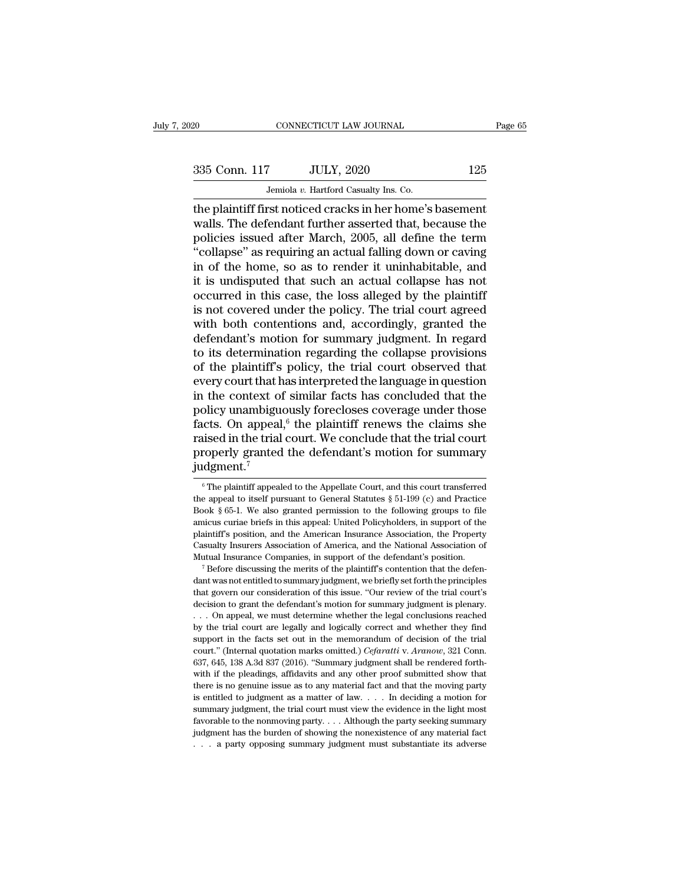EXECUTE CONNECTICUT LAW JOURNAL Page 65<br>335 Conn. 117 JULY, 2020 125<br>Jemiola v. Hartford Casualty Ins. Co.

CONNECTICUT LAW JOURNAL<br>
335 Conn. 117 JULY, 2020 125<br>
Jemiola *v.* Hartford Casualty Ins. Co.<br>
the plaintiff first noticed cracks in her home's basement the plaintiff first noticed cracks in her home's basement<br>
analysis. The plaintiff first noticed cracks in her home's basement<br>
walls. The defendant further asserted that, because the<br>
policies issued after March 2005, all  $335$  Conn. 117 JULY, 2020 125<br>Jemiola v. Hartford Casualty Ins. Co.<br>the plaintiff first noticed cracks in her home's basement<br>walls. The defendant further asserted that, because the<br>policies issued after March, 2005, all 335 Conn. 117 JULY, 2020 125<br>
Jemiola v. Hartford Casualty Ins. Co.<br>
the plaintiff first noticed cracks in her home's basement<br>
walls. The defendant further asserted that, because the<br>
policies issued after March, 2005, a 335 Conn. 117 JULY, 2020 125<br>
Jemiola v. Hartford Casualty Ins. Co.<br>
the plaintiff first noticed cracks in her home's basement<br>
walls. The defendant further asserted that, because the<br>
policies issued after March, 2005, a Jeniola v. Hartford Casualty Ins. Co.<br>
the plaintiff first noticed cracks in her home's basement<br>
walls. The defendant further asserted that, because the<br>
policies issued after March, 2005, all define the term<br>
"collapse" Jemiola v. Hartford Casualty Ins. Co.<br>
the plaintiff first noticed cracks in her home's basement<br>
walls. The defendant further asserted that, because the<br>
policies issued after March, 2005, all define the term<br>
"collapse" the plaintiff first noticed cracks in her home's basement<br>walls. The defendant further asserted that, because the<br>policies issued after March, 2005, all define the term<br>"collapse" as requiring an actual falling down or cav walls. The defendant further asserted that, because the policies issued after March, 2005, all define the term "collapse" as requiring an actual falling down or caving in of the home, so as to render it uninhabitable, and policies issued after March, 2005, all define the term<br>"collapse" as requiring an actual falling down or caving<br>in of the home, so as to render it uninhabitable, and<br>it is undisputed that such an actual collapse has not<br>oc "collapse" as requiring an actual falling down or caving<br>in of the home, so as to render it uninhabitable, and<br>it is undisputed that such an actual collapse has not<br>occurred in this case, the loss alleged by the plaintiff<br> in of the home, so as to render it uninhabitable, and<br>it is undisputed that such an actual collapse has not<br>occurred in this case, the loss alleged by the plaintiff<br>is not covered under the policy. The trial court agreed<br>w it is undisputed that such an actual collapse has not occurred in this case, the loss alleged by the plaintiff<br>is not covered under the policy. The trial court agreed<br>with both contentions and, accordingly, granted the<br>def occurred in this case, the loss alleged by the plaintiff<br>is not covered under the policy. The trial court agreed<br>with both contentions and, accordingly, granted the<br>defendant's motion for summary judgment. In regard<br>to its is not covered under the policy. The trial court agreed<br>with both contentions and, accordingly, granted the<br>defendant's motion for summary judgment. In regard<br>to its determination regarding the collapse provisions<br>of the p with both contentions and, accordingly, granted the<br>defendant's motion for summary judgment. In regard<br>to its determination regarding the collapse provisions<br>of the plaintiff's policy, the trial court observed that<br>every c defendant's motion for summary judgment. In regard<br>to its determination regarding the collapse provisions<br>of the plaintiff's policy, the trial court observed that<br>every court that has interpreted the language in question<br>i to its determination regarding the collapse provisions<br>of the plaintiff's policy, the trial court observed that<br>every court that has interpreted the language in question<br>in the context of similar facts has concluded that of the plaintiff's policy, the trial court observed that<br>every court that has interpreted the language in question<br>in the context of similar facts has concluded that the<br>policy unambiguously forecloses coverage under those judgment.<sup>7</sup> conducts. On appeal,<sup>6</sup> the plaintiff renews the claims she<br>uised in the trial court. We conclude that the trial court<br>roperly granted the defendant's motion for summary<br>dgment.<sup>7</sup><br><sup>6</sup>The plaintiff appealed to the Appella raised in the trial court. We conclude that the trial court<br>properly granted the defendant's motion for summary<br>judgment.<sup>7</sup><br> $\circ$ The plaintiff appealed to the Appellate Court, and this court transferred<br>the appeal to itse

properly granted the defendant's motion for summary<br>judgment.<sup>7</sup><br> $\frac{1}{100}$  The plaintiff appealed to the Appellate Court, and this court transferred<br>the appeal to itself pursuant to General Statutes § 51-199 (c) and Pra judgment.<sup>7</sup><br>
<sup>6</sup> The plaintiff appealed to the Appellate Court, and this court transferred<br>
the appeal to itself pursuant to General Statutes  $\S 51-199$  (c) and Practice<br>
Book  $\S 65-1$ . We also granted permission to the plantiff's appealed to the Appellate Court, and this court transferred<br>the appeal to itself pursuant to General Statutes  $\S 51-199$  (c) and Practice<br>Book  $\S 65-1$ . We also granted permission to the following groups to fil <sup>6</sup> The plaintiff appealed to the Appellate Court, and this court transferred the appeal to itself pursuant to General Statutes  $\S 51-199$  (c) and Practice Book  $\S 65-1$ . We also granted permission to the following groups the appeal to itself pursuant to General Statutes  $\S$  51-199 (c) and Practice Book  $\S$  65-1. We also granted permission to the following groups to file amicus curiae briefs in this appeal: United Policyholders, in support amicus curiae briefs in this appeal: United Policyholders, in support of the plaintiff's position, and the American Insurance Association, the Property Casualty Insurers Association of America, and the National Association

plaintiff's position, and the American Insurance Association, the Property Casualty Insurers Association of America, and the National Association of Mutual Insurance Companies, in support of the defendant's position.<br>
<sup>7</sup> Casualty Insurers Association of America, and the National Association of Mutual Insurance Companies, in support of the defendant's position.<br>
<sup>7</sup> Before discussing the merits of the plaintiff's contention that the defenda Mutual Insurance Companies, in support of the defendant's position.<br>
<sup>7</sup> Before discussing the merits of the plaintiff's contention that the defendant was not entitled to summary judgment, we briefly set forth the principl The formulation is the plaintiff's contention that the defendant was not entitled to summary judgment, we briefly set forth the principles that govern our consideration of this issue. "Our review of the trial court's deci dant was not entitled to summary judgment, we briefly set forth the principles<br>that govern our consideration of this issue. "Our review of the trial court's<br>decision to grant the defendant's motion for summary judgment is that govern our consideration of this issue. "Our review of the trial court's decision to grant the defendant's motion for summary judgment is plenary.<br>
. . . On appeal, we must determine whether the legal conclusions reac decision to grant the defendant's motion for summary judgment is plenary.<br>  $\ldots$  On appeal, we must determine whether the legal conclusions reached<br>
by the trial court are legally and logically correct and whether they fi where the pleadings, we must determine whether the legal conclusions reached<br>by the trial court are legally and logically correct and whether they find<br>support in the facts set out in the memorandum of decision of the tri the trial court are legally and logically correct and whether they find support in the facts set out in the memorandum of decision of the trial court." (Internal quotation marks omitted.) *Cefaratti* v. Aranow, 321 Conn. support in the facts set out in the memorandum of decision of the trial court." (Internal quotation marks omitted.) *Cefaratti* v. Aranow, 321 Conn. 637, 645, 138 A.3d 837 (2016). "Summary judgment shall be rendered forth court." (Internal quotation marks omitted.) *Cefaratti* v. Aranow, 321 Conn. 637, 645, 138 A.3d 837 (2016). "Summary judgment shall be rendered forthwith if the pleadings, affidavits and any other proof submitted show tha 637, 645, 138 A.3d 837 (2016). "Summary judgment shall be rendered forthwith if the pleadings, affidavits and any other proof submitted show that there is no genuine issue as to any material fact and that the moving party with if the pleadings, affidavits and any other proof submitted show that there is no genuine issue as to any material fact and that the moving party is entitled to judgment as a matter of law. . . . In deciding a motion there is no genuine issue as to any material fact and that the moving party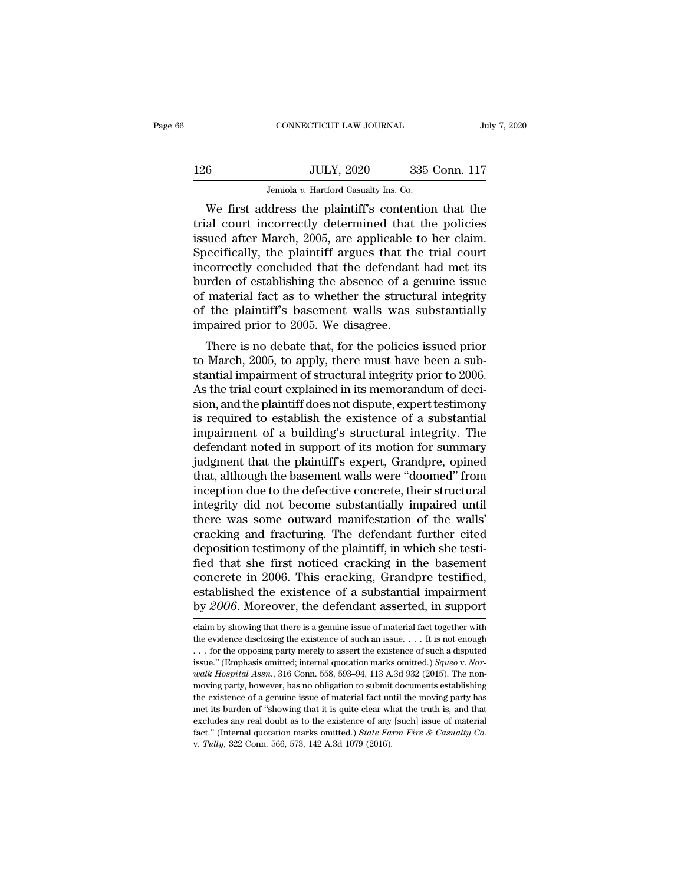|     | CONNECTICUT LAW JOURNAL                              |               | July 7, 2020 |
|-----|------------------------------------------------------|---------------|--------------|
|     |                                                      |               |              |
| 126 | <b>JULY, 2020</b>                                    | 335 Conn. 117 |              |
|     | Jemiola v. Hartford Casualty Ins. Co.                |               |              |
|     | We first address the plaintiff's contention that the |               |              |

CONNECTICUT LAW JOURNAL July 7, 2020<br>
6 JULY, 2020 335 Conn. 117<br>
Jemiola v. Hartford Casualty Ins. Co.<br>
We first address the plaintiff's contention that the<br>
al court incorrectly determined that the policies<br>
wed after Ma 126 JULY, 2020 335 Conn. 117<br>Jemiola v. Hartford Casualty Ins. Co.<br>We first address the plaintiff's contention that the<br>trial court incorrectly determined that the policies<br>issued after March, 2005, are applicable to her c 126 JULY, 2020 335 Conn. 117<br>Jemiola v. Hartford Casualty Ins. Co.<br>We first address the plaintiff's contention that the<br>trial court incorrectly determined that the policies<br>issued after March, 2005, are applicable to her  $\frac{JULY, 2020}{Jembla v. Hartford Casuality Ins. Co.}$ <br>We first address the plaintiff's contention that the trial court incorrectly determined that the policies issued after March, 2005, are applicable to her claim.<br>Specifically, the plaintiff ar Jemiola v. Hartford Casualty Ins. Co.<br>
We first address the plaintiff's contention that the<br>
trial court incorrectly determined that the policies<br>
issued after March, 2005, are applicable to her claim.<br>
Specifically, the Jemiola v. Hartford Casualty Ins. Co.<br>
We first address the plaintiff's contention that the<br>
trial court incorrectly determined that the policies<br>
issued after March, 2005, are applicable to her claim.<br>
Specifically, the We first address the plaintiff's contention that the trial court incorrectly determined that the policies issued after March, 2005, are applicable to her claim.<br>Specifically, the plaintiff argues that the trial court incor trial court incorrectly determined that the policies<br>issued after March, 2005, are applicable to her claim.<br>Specifically, the plaintiff argues that the trial court<br>incorrectly concluded that the defendant had met its<br>burde issued after March, 2005, are applicable to Specifically, the plaintiff argues that the incorrectly concluded that the defendant burden of establishing the absence of a g of material fact as to whether the structure of the Free incarry, the plaintin argues that the trial court<br>correctly concluded that the defendant had met its<br>independent of establishing the absence of a genuine issue<br>material fact as to whether the structural integrity<br>the Incorrectly concluded that the defendant had thet its<br>burden of establishing the absence of a genuine issue<br>of material fact as to whether the structural integrity<br>of the plaintiff's basement walls was substantially<br>impair

butuen of establishing the absence of a genuine issue<br>of material fact as to whether the structural integrity<br>of the plaintiff's basement walls was substantially<br>impaired prior to 2005. We disagree.<br>There is no debate that of the plaintiff's basement walls was substantially<br>impaired prior to 2005. We disagree.<br>There is no debate that, for the policies issued prior<br>to March, 2005, to apply, there must have been a sub-<br>stantial impairment of s of the plaintiff s basement wans was substantially<br>impaired prior to 2005. We disagree.<br>There is no debate that, for the policies issued prior<br>to March, 2005, to apply, there must have been a sub-<br>stantial impairment of st impaired prior to 2005. we usagree.<br>There is no debate that, for the policies issued prior<br>to March, 2005, to apply, there must have been a sub-<br>stantial impairment of structural integrity prior to 2006.<br>As the trial court There is no debate that, for the policies issued prior<br>to March, 2005, to apply, there must have been a sub-<br>stantial impairment of structural integrity prior to 2006.<br>As the trial court explained in its memorandum of deci to March, 2005, to apply, there must have been a substantial impairment of structural integrity prior to 2006.<br>As the trial court explained in its memorandum of decision, and the plaintiff does not dispute, expert testimon stantial impairment of structural integrity prior to 2006.<br>As the trial court explained in its memorandum of decision, and the plaintiff does not dispute, expert testimony<br>is required to establish the existence of a substa As the trial court explained in its memorandum of decision, and the plaintiff does not dispute, expert testimony<br>is required to establish the existence of a substantial<br>impairment of a building's structural integrity. The<br> sion, and the plaintiff does not dispute, expert testimony<br>is required to establish the existence of a substantial<br>impairment of a building's structural integrity. The<br>defendant noted in support of its motion for summary<br>j is required to establish the existence of a substantial<br>impairment of a building's structural integrity. The<br>defendant noted in support of its motion for summary<br>judgment that the plaintiff's expert, Grandpre, opined<br>that, impairment of a building's structural integrity. The<br>defendant noted in support of its motion for summary<br>judgment that the plaintiff's expert, Grandpre, opined<br>that, although the basement walls were "doomed" from<br>inceptio defendant noted in support of its motion for summary<br>judgment that the plaintiff's expert, Grandpre, opined<br>that, although the basement walls were "doomed" from<br>inception due to the defective concrete, their structural<br>int judgment that the plaintiff's expert, Grandpre, opined<br>that, although the basement walls were "doomed" from<br>inception due to the defective concrete, their structural<br>integrity did not become substantially impaired until<br>th that, although the basement walls were "doomed" from<br>inception due to the defective concrete, their structural<br>integrity did not become substantially impaired until<br>there was some outward manifestation of the walls'<br>cracki inception due to the defective concrete, their structural<br>integrity did not become substantially impaired until<br>there was some outward manifestation of the walls'<br>cracking and fracturing. The defendant further cited<br>deposi integrity did not become substantially impaired until<br>there was some outward manifestation of the walls'<br>cracking and fracturing. The defendant further cited<br>deposition testimony of the plaintiff, in which she testi-<br>fied there was some outward manifestation of the walls'<br>cracking and fracturing. The defendant further cited<br>deposition testimony of the plaintiff, in which she testi-<br>fied that she first noticed cracking in the basement<br>concre fied that she first noticed cracking in the basement<br>concrete in 2006. This cracking, Grandpre testified,<br>established the existence of a substantial impairment<br>by 2006. Moreover, the defendant asserted, in support<br>claim by concrete in 2006. This cracking, Grandpre testified, established the existence of a substantial impairment by 2006. Moreover, the defendant asserted, in support claim by showing that there is a genuine issue of material f

established the existence of a substantial impairment<br>by 2006. Moreover, the defendant asserted, in support<br>claim by showing that there is a genuine issue of material fact together with<br>the evidence disclosing the existen established the existence of a substantial impairment<br>by 2006. Moreover, the defendant asserted, in support<br>claim by showing that there is a genuine issue of material fact together with<br>the evidence disclosing the existenc *walk Hospital Assn.*, 316 Conn. 558, 593–94, 113 A.3d 932 (2015). The non-moving party, however, has no obligation to submit documents establishing the existence of a genuine issue of material fact until the moving party claim by showing that there is a genuine issue of material fact together with the evidence disclosing the existence of such an issue. . . . It is not enough . . . for the opposing party merely to assert the existence of s the evidence disclosing the existence of such an issue.  $\ldots$  It is not enough  $\ldots$  for the opposing party merely to assert the existence of such a disputed issue." (Emphasis omitted, internal quotation marks omitted.) ... for the opposing party merely to assert the existence of such a disputed issue." (Emphasis omitted; internal quotation marks omitted.) *Squeo* v. *Norwalk Hospital Assn.*, 316 Conn. 558, 593–94, 113 A.3d 932 (2015). T issue." (Emphasis omitted; internal quotation marks omitted.)  $Square$  v. Norwalk Hospital Assn., 316 Conn. 558, 593–94, 113 A.3d 932 (2015). The non-moving party, however, has no obligation to submit documents establishing th fact.'' (Imprinciples of the United.) *State Farm II* and 30 and 322 (2015). The non-<br>moving party, however, has no obligation to submit documents establishing<br>the existence of a genuine issue of material fact until the mo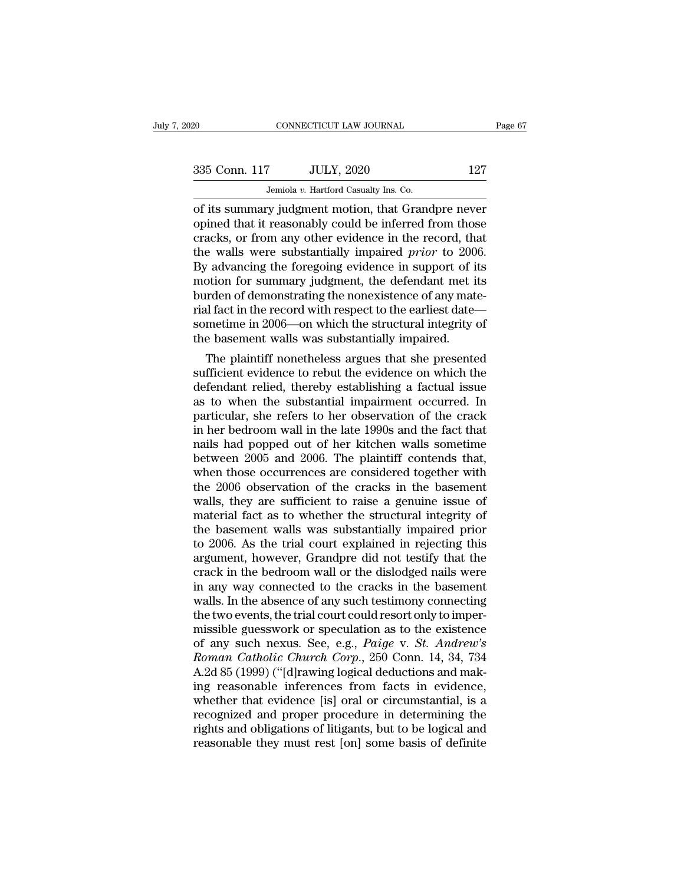| )20           | CONNECTICUT LAW JOURNAL                            | Page 67 |
|---------------|----------------------------------------------------|---------|
| 335 Conn. 117 | <b>JULY, 2020</b>                                  | 127     |
|               | Jemiola v. Hartford Casualty Ins. Co.              |         |
|               | of its summary judgment motion that Grandpre never |         |

connecticut LAW JOURNAL Page 67<br>
335 Conn. 117 JULY, 2020 127<br>
Jemiola v. Hartford Casualty Ins. Co.<br>
127<br>
Jemiola v. Hartford Casualty Ins. Co.<br>
127<br>
opined that it reasonably could be inferred from those<br>
cracks or from 335 Conn. 117 JULY, 2020 127<br>Jemiola v. Hartford Casualty Ins. Co.<br>of its summary judgment motion, that Grandpre never<br>opined that it reasonably could be inferred from those<br>cracks, or from any other evidence in the record 335 Conn. 117 JULY, 2020 127<br>
Jemiola v. Hartford Casualty Ins. Co.<br>
of its summary judgment motion, that Grandpre never<br>
opined that it reasonably could be inferred from those<br>
cracks, or from any other evidence in the r the walls were substantially impaired *prior* to 2006. Jeniola v. Hartford Casualty Ins. Co.<br>
of its summary judgment motion, that Grandpre never<br>
opined that it reasonably could be inferred from those<br>
cracks, or from any other evidence in the record, that<br>
the walls were su Jemiola v. Hartford Casualty Ins. Co.<br>
of its summary judgment motion, that Grandpre never<br>
opined that it reasonably could be inferred from those<br>
cracks, or from any other evidence in the record, that<br>
the walls were su of its summary judgment motion, that Grandpre never<br>opined that it reasonably could be inferred from those<br>cracks, or from any other evidence in the record, that<br>the walls were substantially impaired *prior* to 2006.<br>By a opined that it reasonably could be inferred from those cracks, or from any other evidence in the record, that the walls were substantially impaired *prior* to 2006.<br>By advancing the foregoing evidence in support of its mot cracks, or from any other evidence in the record, that<br>the walls were substantially impaired *prior* to 2006.<br>By advancing the foregoing evidence in support of its<br>motion for summary judgment, the defendant met its<br>burden the walls were substantially impaired *prior* to 200 By advancing the foregoing evidence in support of i motion for summary judgment, the defendant met i burden of demonstrating the nonexistence of any mat rial fact in th Tradision for summary judgment, the defendant met its<br>orden of demonstrating the nonexistence of any mate-<br>al fact in the record with respect to the earliest date—<br>metime in 2006—on which the structural integrity of<br>e base motion for summary judgment, the defendant met its<br>burden of demonstrating the nonexistence of any mate-<br>rial fact in the record with respect to the earliest date—<br>sometime in 2006—on which the structural integrity of<br>the

burden of demonstrating the nonexistence of any mate-<br>rial fact in the record with respect to the earliest date—<br>sometime in 2006—on which the structural integrity of<br>the basement walls was substantially impaired.<br>The plai rial ract in the record with respect to the earliest date—<br>sometime in 2006—on which the structural integrity of<br>the basement walls was substantially impaired.<br>The plaintiff nonetheless argues that she presented<br>sufficient sometime in 2006—on which the structural integrity of<br>the basement walls was substantially impaired.<br>The plaintiff nonetheless argues that she presented<br>sufficient evidence to rebut the evidence on which the<br>defendant reli the basement walls was substantially impaired.<br>
The plaintiff nonetheless argues that she presented<br>
sufficient evidence to rebut the evidence on which the<br>
defendant relied, thereby establishing a factual issue<br>
as to whe The plaintiff nonetheless argues that she presented<br>sufficient evidence to rebut the evidence on which the<br>defendant relied, thereby establishing a factual issue<br>as to when the substantial impairment occurred. In<br>particula sufficient evidence to rebut the evidence on which the<br>defendant relied, thereby establishing a factual issue<br>as to when the substantial impairment occurred. In<br>particular, she refers to her observation of the crack<br>in her defendant relied, thereby establishing a factual issue<br>as to when the substantial impairment occurred. In<br>particular, she refers to her observation of the crack<br>in her bedroom wall in the late 1990s and the fact that<br>nails as to when the substantial impairment occurred. In<br>particular, she refers to her observation of the crack<br>in her bedroom wall in the late 1990s and the fact that<br>nails had popped out of her kitchen walls sometime<br>between 2 particular, she refers to her observation of the crack<br>in her bedroom wall in the late 1990s and the fact that<br>nails had popped out of her kitchen walls sometime<br>between 2005 and 2006. The plaintiff contends that,<br>when tho in her bedroom wall in the late 1990s and the fact that<br>nails had popped out of her kitchen walls sometime<br>between 2005 and 2006. The plaintiff contends that,<br>when those occurrences are considered together with<br>the 2006 ob nails had popped out of her kitchen walls sometime<br>between 2005 and 2006. The plaintiff contends that,<br>when those occurrences are considered together with<br>the 2006 observation of the cracks in the basement<br>walls, they are between 2005 and 2006. The plaintiff contends that,<br>when those occurrences are considered together with<br>the 2006 observation of the cracks in the basement<br>walls, they are sufficient to raise a genuine issue of<br>material fac when those occurrences are considered together with<br>the 2006 observation of the cracks in the basement<br>walls, they are sufficient to raise a genuine issue of<br>material fact as to whether the structural integrity of<br>the base the 2006 observation of the cracks in the basement<br>walls, they are sufficient to raise a genuine issue of<br>material fact as to whether the structural integrity of<br>the basement walls was substantially impaired prior<br>to 2006. walls, they are sufficient to raise a genuine issue of<br>material fact as to whether the structural integrity of<br>the basement walls was substantially impaired prior<br>to 2006. As the trial court explained in rejecting this<br>arg material fact as to whether the structural integrity of<br>the basement walls was substantially impaired prior<br>to 2006. As the trial court explained in rejecting this<br>argument, however, Grandpre did not testify that the<br>crack the basement walls was substantially impaired prior<br>to 2006. As the trial court explained in rejecting this<br>argument, however, Grandpre did not testify that the<br>crack in the bedroom wall or the dislodged nails were<br>in any to 2006. As the trial court explained in rejecting this<br>argument, however, Grandpre did not testify that the<br>crack in the bedroom wall or the dislodged nails were<br>in any way connected to the cracks in the basement<br>walls. argument, however, Grandpre did not testify that the<br>crack in the bedroom wall or the dislodged nails were<br>in any way connected to the cracks in the basement<br>walls. In the absence of any such testimony connecting<br>the two e crack in the bedroom wall or the dislodged nails were<br>in any way connected to the cracks in the basement<br>walls. In the absence of any such testimony connecting<br>the two events, the trial court could resort only to imper-<br>mi in any way connected to the cracks in the basement<br>walls. In the absence of any such testimony connecting<br>the two events, the trial court could resort only to imper-<br>missible guesswork or speculation as to the existence<br>of walls. In the absence of any such testimony connecting<br>the two events, the trial court could resort only to imper-<br>missible guesswork or speculation as to the existence<br>of any such nexus. See, e.g., *Paige* v. *St. Andrew'* the two events, the trial court could resort only to imper-<br>missible guesswork or speculation as to the existence<br>of any such nexus. See, e.g., *Paige v. St. Andrew's*<br>*Roman Catholic Church Corp.*, 250 Conn. 14, 34, 734<br>A missible guesswork or speculation as to the existence<br>of any such nexus. See, e.g., *Paige* v. *St. Andrew's*<br>*Roman Catholic Church Corp.*, 250 Conn. 14, 34, 734<br>A.2d 85 (1999) ("[d]rawing logical deductions and mak-<br>ing of any such nexus. See, e.g., *Paige* v. *St. Andrew's*<br>*Roman Catholic Church Corp.*, 250 Conn. 14, 34, 734<br>A.2d 85 (1999) ("[d]rawing logical deductions and mak-<br>ing reasonable inferences from facts in evidence,<br>whether Roman Catholic Church Corp., 250 Conn. 14, 34, 734<br>A.2d 85 (1999) ("[d]rawing logical deductions and mak-<br>ing reasonable inferences from facts in evidence,<br>whether that evidence [is] oral or circumstantial, is a<br>recognized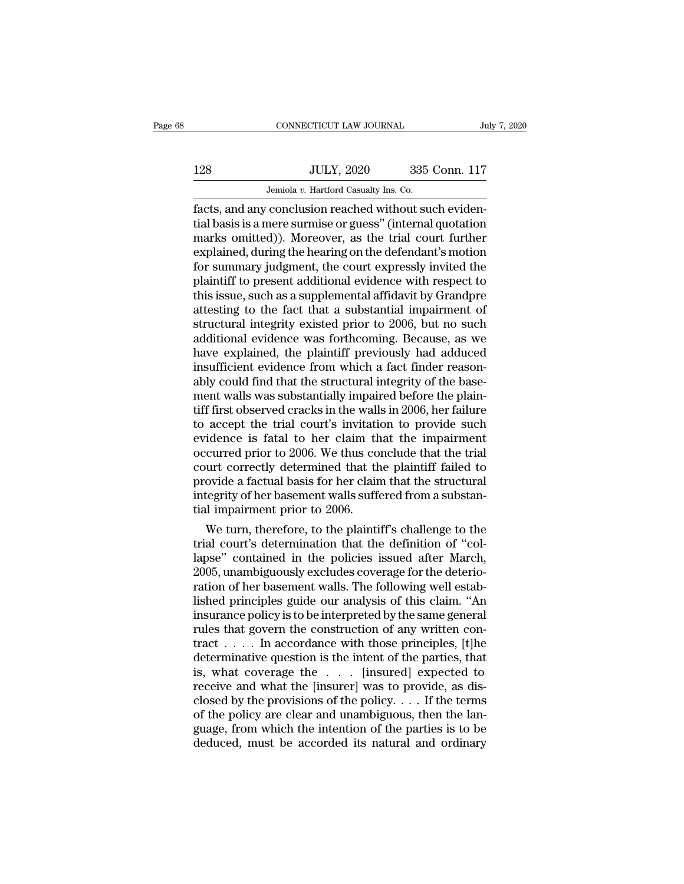# $\begin{tabular}{c} \multicolumn{1}{c|}{\text{CONNECTICUT LAW JOURNAL}} & July 7, 2020 \\ \cline{2-2} \multicolumn{1}{c|}{\text{July 7, 2020}} & 335 \text{ Conn. } 117 \\ \cline{2-2} \multicolumn{1}{c|}{\text{Julty 7, 2020}} & 335 \text{ Conn. } 117 \\ \cline{2-2} \multicolumn{1}{c|}{\text{Jemiola $v$. Hartford Casuality Ins. Co.}} \end{tabular}$ CONNECTICUT LAW JOURNAL JUNE JEMENT AND SERVICE TO JULY, 2020 335 Conn. 117<br>Jemiola *v.* Hartford Casualty Ins. Co.<br>Facts, and any conclusion reached without such eviden-

Facts, and any conclusion reached without such evidential basis is a mere surmise or guess'' (internal quotation marks emitted)). Moreover, as the trial court furtherned 128 JULY, 2020 335 Conn. 117<br>Jemiola v. Hartford Casualty Ins. Co.<br>facts, and any conclusion reached without such evidential basis is a mere surmise or guess'' (internal quotation<br>marks omitted)). Moreover, as the trial co 128 JULY, 2020 335 Conn. 117<br>Jemiola v. Hartford Casualty Ins. Co.<br>facts, and any conclusion reached without such evidential basis is a mere surmise or guess" (internal quotation<br>marks omitted)). Moreover, as the trial co 128 JULY, 2020 335 Conn. 117<br>Jemiola v. Hartford Casualty Ins. Co.<br>facts, and any conclusion reached without such evidential basis is a mere surmise or guess" (internal quotation<br>marks omitted)). Moreover, as the trial co Jemiola v. Hartford Casualty Ins. Co.<br>
facts, and any conclusion reached without such evidential basis is a mere surmise or guess" (internal quotation<br>
marks omitted)). Moreover, as the trial court further<br>
explained, dur Jemiola v. Hartford Casualty Ins. Co.<br>
facts, and any conclusion reached without such evidential basis is a mere surmise or guess" (internal quotation<br>
marks omitted)). Moreover, as the trial court further<br>
explained, dur facts, and any conclusion reached without such evidential basis is a mere surmise or guess" (internal quotation<br>marks omitted)). Moreover, as the trial court further<br>explained, during the hearing on the defendant's motion<br> tial basis is a mere surmise or guess" (internal quotation<br>marks omitted)). Moreover, as the trial court further<br>explained, during the hearing on the defendant's motion<br>for summary judgment, the court expressly invited the marks omitted)). Moreover, as the trial court further<br>explained, during the hearing on the defendant's motion<br>for summary judgment, the court expressly invited the<br>plaintiff to present additional evidence with respect to<br>t explained, during the hearing on the defendant's motion<br>for summary judgment, the court expressly invited the<br>plaintiff to present additional evidence with respect to<br>this issue, such as a supplemental affidavit by Grandpr for summary judgment, the court expressly invited the plaintiff to present additional evidence with respect to this issue, such as a supplemental affidavit by Grandpre attesting to the fact that a substantial impairment of plaintiff to present additional evidence with respect to<br>this issue, such as a supplemental affidavit by Grandpre<br>attesting to the fact that a substantial impairment of<br>structural integrity existed prior to 2006, but no su this issue, such as a supplemental affidavit by Grandpre<br>attesting to the fact that a substantial impairment of<br>structural integrity existed prior to 2006, but no such<br>additional evidence was forthcoming. Because, as we<br>ha attesting to the fact that a substantial impairment of<br>structural integrity existed prior to 2006, but no such<br>additional evidence was forthcoming. Because, as we<br>have explained, the plaintiff previously had adduced<br>insuff structural integrity existed prior to 2006, but no such<br>additional evidence was forthcoming. Because, as we<br>have explained, the plaintiff previously had adduced<br>insufficient evidence from which a fact finder reason-<br>ably c additional evidence was forthcoming. Because, as we<br>have explained, the plaintiff previously had adduced<br>insufficient evidence from which a fact finder reason-<br>ably could find that the structural integrity of the base-<br>men have explained, the plaintiff previously had adduced<br>insufficient evidence from which a fact finder reason-<br>ably could find that the structural integrity of the base-<br>ment walls was substantially impaired before the plaininsufficient evidence from which a fact finder reasonably could find that the structural integrity of the basement walls was substantially impaired before the plaintiff first observed cracks in the walls in 2006, her failu ably could find that the structural integrity of the basement walls was substantially impaired before the plaintiff first observed cracks in the walls in 2006, her failure to accept the trial court's invitation to provide ment walls was substantially impaired before the plain-<br>tiff first observed cracks in the walls in 2006, her failure<br>to accept the trial court's invitation to provide such<br>evidence is fatal to her claim that the impairment tiff first observed cracks in the walls in 2006, her failure<br>to accept the trial court's invitation to provide such<br>evidence is fatal to her claim that the impairment<br>occurred prior to 2006. We thus conclude that the trial to accept the trial court's invitatient<br>evidence is fatal to her claim the<br>occurred prior to 2006. We thus co<br>court correctly determined that the<br>provide a factual basis for her clain<br>integrity of her basement walls suffer reformal to the magnetic transformal curred prior to 2006. We thus conclude that the trial<br>urt correctly determined that the plaintiff failed to<br>ovide a factual basis for her claim that the structural<br>tegrity of her baseme occurred prior to 2006. We thus conclude that the trial court correctly determined that the plaintiff failed to<br>provide a factual basis for her claim that the structural<br>integrity of her basement walls suffered from a subs

court correctly determined that the plaintiff failed to<br>provide a factual basis for her claim that the structural<br>integrity of her basement walls suffered from a substan-<br>tial impairment prior to 2006.<br>We turn, therefore, provide a ractual basis for her claim that the structural<br>integrity of her basement walls suffered from a substan-<br>tial impairment prior to 2006.<br>We turn, therefore, to the plaintiff's challenge to the<br>trial court's determ integrity of her basement walls suffered from a substantial impairment prior to 2006.<br>We turn, therefore, to the plaintiff's challenge to the trial court's determination that the definition of "collapse" contained in the p tial impairment prior to 2006.<br>We turn, therefore, to the plaintiff's challenge to the<br>trial court's determination that the definition of "col-<br>lapse" contained in the policies issued after March,<br>2005, unambiguously exclu We turn, therefore, to the plaintiff's challenge to the<br>trial court's determination that the definition of "col-<br>lapse" contained in the policies issued after March,<br>2005, unambiguously excludes coverage for the deterio-<br>r trial court's determination that the definition of "collapse" contained in the policies issued after March, 2005, unambiguously excludes coverage for the deterioration of her basement walls. The following well established lapse" contained in the policies issued after March,<br>2005, unambiguously excludes coverage for the deterio-<br>ration of her basement walls. The following well estab-<br>lished principles guide our analysis of this claim. "An<br>in 2005, unambiguously excludes coverage for the deterioration of her basement walls. The following well established principles guide our analysis of this claim. "An insurance policy is to be interpreted by the same general ration of her basement walls. The following well established principles guide our analysis of this claim. "An<br>insurance policy is to be interpreted by the same general<br>rules that govern the construction of any written con lished principles guide our analysis of this claim. "An<br>insurance policy is to be interpreted by the same general<br>rules that govern the construction of any written con-<br>tract . . . . In accordance with those principles, [ insurance policy is to be interpreted by the same general<br>rules that govern the construction of any written con-<br>tract . . . . In accordance with those principles, [t]he<br>determinative question is the intent of the parties rules that govern the construction of any written contract . . . . In accordance with those principles, [t]he determinative question is the intent of the parties, that is, what coverage the . . . [insured] expected to rec tract . . . . In accordance with those principles, [t]he determinative question is the intent of the parties, that is, what coverage the . . . [insured] expected to receive and what the [insurer] was to provide, as disclo determinative question is the intent of the parties, that<br>is, what coverage the . . . [insured] expected to<br>receive and what the [insurer] was to provide, as dis-<br>closed by the provisions of the policy. . . . If the terms<br>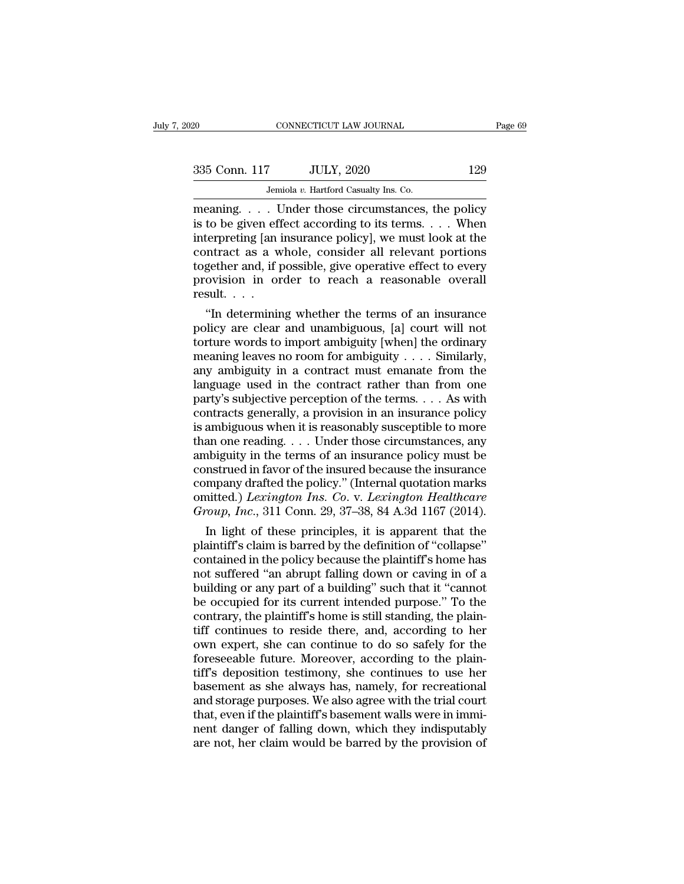| 20            | CONNECTICUT LAW JOURNAL                |     | Page 69 |
|---------------|----------------------------------------|-----|---------|
| 335 Conn. 117 | <b>JULY, 2020</b>                      | 129 |         |
|               | Jemiola v. Hartford Casualty Ins. Co.  |     |         |
| meaning       | I Inder those circumstances the nolicy |     |         |

CONNECTICUT LAW JOURNAL Page 69<br>
335 Conn. 117 JULY, 2020 129<br>
Jemiola v. Hartford Casualty Ins. Co.<br>
meaning. . . . Under those circumstances, the policy<br>
is to be given effect according to its terms. . . . When<br>
interpre 335 Conn. 117 JULY, 2020 129<br>
Jemiola v. Hartford Casualty Ins. Co.<br>
meaning. . . . Under those circumstances, the policy<br>
is to be given effect according to its terms. . . . When<br>
interpreting [an insurance policy], we mu 335 Conn. 117 JULY, 2020 129<br>
Jemiola v. Hartford Casualty Ins. Co.<br>
meaning.... Under those circumstances, the policy<br>
is to be given effect according to its terms.... When<br>
interpreting [an insurance policy], we must lo 335 Conn. 117 JULY, 2020 129<br>
Jemiola v. Hartford Casualty Ins. Co.<br>
meaning.... Under those circumstances, the policy<br>
is to be given effect according to its terms.... When<br>
interpreting [an insurance policy], we must lo Jemiola v. Hartford Casualty Ins. Co.<br>
meaning.... Under those circumstances, the policy<br>
is to be given effect according to its terms.... When<br>
interpreting [an insurance policy], we must look at the<br>
contract as a whole Jemiola v. Hartford Casualty Ins. Co.<br>
meaning. . . . Under those circumstances, the policy<br>
is to be given effect according to its terms. . . . When<br>
interpreting [an insurance policy], we must look at the<br>
contract as a meaning. . . . lis to be given eff<br>interpreting [an i<br>contract as a w<br>together and, if p<br>provision in or<br>result. . . .<br>"In determinin to be given effect according to its terms. . . . When<br>
terpreting [an insurance policy], we must look at the<br>
ntract as a whole, consider all relevant portions<br>
gether and, if possible, give operative effect to every<br>
ovis metry preting [an insurance policy], we must look at the<br>contract as a whole, consider all relevant portions<br>together and, if possible, give operative effect to every<br>provision in order to reach a reasonable overall<br>result

contract as a whole, consider all relevant portions<br>together and, if possible, give operative effect to every<br>provision in order to reach a reasonable overall<br>result....<br>"In determining whether the terms of an insurance<br>p together and, if possible, give operative effect to every<br>provision in order to reach a reasonable overall<br>result. . . .<br>"In determining whether the terms of an insurance<br>policy are clear and unambiguous, [a] court will n provision in order to reach a reasonable overall<br>result....<br>"In determining whether the terms of an insurance<br>policy are clear and unambiguous, [a] court will not<br>torture words to import ambiguity [when] the ordinary<br>mean result. . . .<br>
"In determining whether the terms of an insurance policy are clear and unambiguous, [a] court will not torture words to import ambiguity [when] the ordinary meaning leaves no room for ambiguity . . . . Simi "In determining whether the terms of an insurance<br>policy are clear and unambiguous, [a] court will not<br>torture words to import ambiguity [when] the ordinary<br>meaning leaves no room for ambiguity . . . . Similarly,<br>any ambi policy are clear and unambiguous, [a] court will not<br>torture words to import ambiguity [when] the ordinary<br>meaning leaves no room for ambiguity . . . . Similarly,<br>any ambiguity in a contract must emanate from the<br>language for turns words to import ambiguity [when] the ordinary<br>meaning leaves no room for ambiguity . . . . Similarly,<br>any ambiguity in a contract must emanate from the<br>language used in the contract rather than from one<br>party's meaning leaves no room for ambiguity . . . . Similarly,<br>any ambiguity in a contract must emanate from the<br>language used in the contract rather than from one<br>party's subjective perception of the terms. . . . As with<br>contra any ambiguity in a contract must emanate from the language used in the contract rather than from one party's subjective perception of the terms.  $\dots$  As with contracts generally, a provision in an insurance policy is ambi language used in the contract rather than from one<br>party's subjective perception of the terms. . . . As with<br>contracts generally, a provision in an insurance policy<br>is ambiguous when it is reasonably susceptible to more<br>t party's subjective perception of the terms.... As with<br>contracts generally, a provision in an insurance policy<br>is ambiguous when it is reasonably susceptible to more<br>than one reading.... Under those circumstances, any<br>amb contracts generally, a provision in an insurance policy<br>is ambiguous when it is reasonably susceptible to more<br>than one reading. . . . Under those circumstances, any<br>ambiguity in the terms of an insurance policy must be<br>co is ambiguous when it is reasonably susceptible to more<br>than one reading. . . . Under those circumstances, any<br>ambiguity in the terms of an insurance policy must be<br>construed in favor of the insural because the insurance<br>co an one reading. . . . Under those circumstances, any<br>hbiguity in the terms of an insurance policy must be<br>nstrued in favor of the insured because the insurance<br>mpany drafted the policy." (Internal quotation marks<br>nitted.) ambiguity in the terms of an insurance policy must be<br>construed in favor of the insured because the insurance<br>company drafted the policy." (Internal quotation marks<br>omitted.) Lexington Ins. Co. v. Lexington Healthcare<br>Grou

construed in favor of the insured because the insurance<br>company drafted the policy." (Internal quotation marks<br>omitted.) Lexington Ins. Co. v. Lexington Healthcare<br>Group, Inc., 311 Conn. 29, 37–38, 84 A.3d 1167 (2014).<br>In company drafted the policy." (Internal quotation marks<br>
omitted.) Lexington Ins. Co. v. Lexington Healthcare<br>
Group, Inc., 311 Conn. 29, 37–38, 84 A.3d 1167 (2014).<br>
In light of these principles, it is apparent that the<br> omitted.) Lexington Ins. Co. v. Lexington Healthcare<br>Group, Inc., 311 Conn. 29, 37–38, 84 A.3d 1167 (2014).<br>In light of these principles, it is apparent that the<br>plaintiff's claim is barred by the definition of "collapse"<br> Group, Inc., 311 Conn. 29, 37–38, 84 A.3d 1167 (2014).<br>
In light of these principles, it is apparent that the<br>
plaintiff's claim is barred by the definition of "collapse"<br>
contained in the policy because the plaintiff's h In light of these principles, it is apparent that the plaintiff's claim is barred by the definition of "collapse" contained in the policy because the plaintiff's home has not suffered "an abrupt falling down or caving in o plaintiff's claim is barred by the definition of "collapse"<br>contained in the policy because the plaintiff's home has<br>not suffered "an abrupt falling down or caving in of a<br>building or any part of a building" such that it " contained in the policy because the plaintiff's home has<br>not suffered "an abrupt falling down or caving in of a<br>building or any part of a building" such that it "cannot<br>be occupied for its current intended purpose." To the not suffered "an abrupt falling down or caving in of a<br>building or any part of a building" such that it "cannot<br>be occupied for its current intended purpose." To the<br>contrary, the plaintiff's home is still standing, the pl building or any part of a building" such that it "cannot<br>be occupied for its current intended purpose." To the<br>contrary, the plaintiff's home is still standing, the plain-<br>tiff continues to reside there, and, according to be occupied for its current intended purpose." To the contrary, the plaintiff's home is still standing, the plaintiff continues to reside there, and, according to her own expert, she can continue to do so safely for the fo contrary, the plaintiff's home is still standing, the plaintiff continues to reside there, and, according to her own expert, she can continue to do so safely for the foreseeable future. Moreover, according to the plaintiff tiff continues to reside there, and, according to her<br>own expert, she can continue to do so safely for the<br>foreseeable future. Moreover, according to the plain-<br>tiff's deposition testimony, she continues to use her<br>basemen own expert, she can continue to do so safely for the<br>foreseeable future. Moreover, according to the plain-<br>tiff's deposition testimony, she continues to use her<br>basement as she always has, namely, for recreational<br>and stor foreseeable future. Moreover, according to the plaintiff's deposition testimony, she continues to use her basement as she always has, namely, for recreational and storage purposes. We also agree with the trial court that,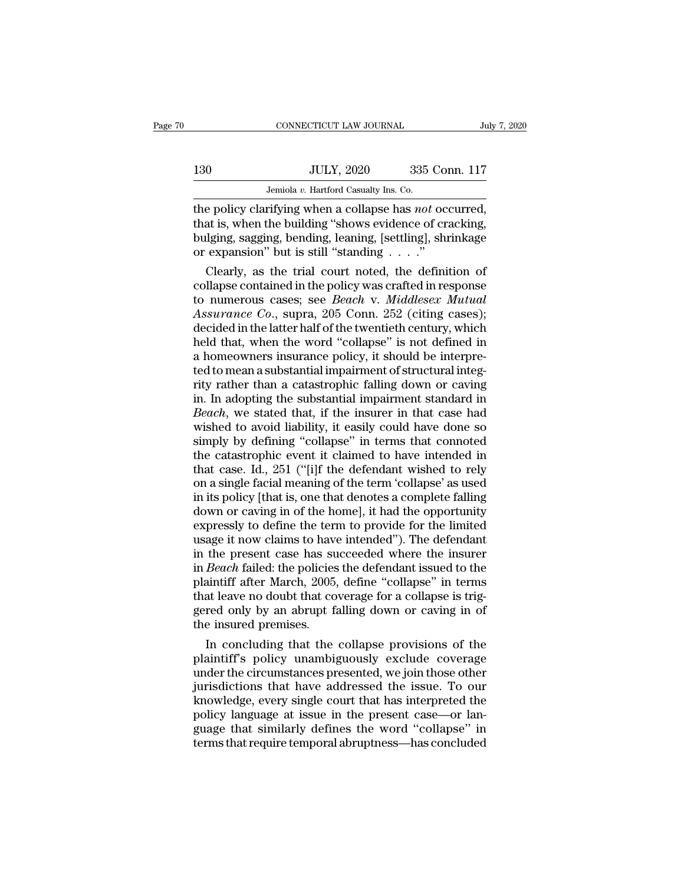# $\begin{tabular}{c} \multicolumn{1}{c|}{\text{CONNECTICUT LAW JOURNAL}} & July 7, 2020 \\ \hline 130 & JULY, 2020 & 335 & Conn. 117 \\ \hline Jemiola $v$. Hartford Casuality Ins. Co. \end{tabular}$

CONNECTICUT LAW JOURNAL JUNE TO JULY, 2020 335 Conn. 117<br>Jemiola *v.* Hartford Casualty Ins. Co.<br>The policy clarifying when a collapse has *not* occurred, THE CONNECTICUT LAW JOURNAL<br>
THE POLICY, 2020<br>
THE POLICY CLARIFORD WHEN THE POLICY CLARIFYing when a collapse has *not* occurred,<br>
that is, when the building "shows evidence of cracking,<br>
bulging sagging banding leaping [ 130 JULY, 2020 335 Conn. 117<br>Jemiola v. Hartford Casualty Ins. Co.<br>the policy clarifying when a collapse has *not* occurred,<br>that is, when the building "shows evidence of cracking,<br>bulging, sagging, bending, leaning, [sett 130 JULY, 2020 335 Conn. 117<br>Jemiola v. Hartford Casualty Ins. Co.<br>the policy clarifying when a collapse has *not* occurred,<br>that is, when the building "shows evidence of cracking,<br>bulging, sagging, bending, leaning, [set 130 JULY, 2020 335 Con<br>
Jemiola v. Hartford Casualty Ins. Co.<br>
the policy clarifying when a collapse has *not* occ<br>
that is, when the building "shows evidence of cra<br>
bulging, sagging, bending, leaning, [settling], show<br> Jemiola v. Hartford Casualty Ins. Co.<br>
e policy clarifying when a collapse has *not* occurred,<br>
at is, when the building "shows evidence of cracking,<br>
lging, sagging, bending, leaning, [settling], shrinkage<br>
expansion" bu the policy clarifying when a collapse has *not* occurred,<br>that is, when the building "shows evidence of cracking,<br>bulging, sagging, bending, leaning, [settling], shrinkage<br>or expansion" but is still "standing  $\ldots$ ."<br>Clea

the policy clarifying when a collapse has *not* occurred,<br>that is, when the building "shows evidence of cracking,<br>bulging, sagging, bending, leaning, [settling], shrinkage<br>or expansion" but is still "standing . . . ."<br>Clea that is, when the building "shows evidence of cracking,<br>bulging, sagging, bending, leaning, [settling], shrinkage<br>or expansion" but is still "standing . . . ."<br>Clearly, as the trial court noted, the definition of<br>collapse bulging, sagging, bending, leaning, [settling], shrinkage<br>or expansion" but is still "standing  $\ldots$ ."<br>Clearly, as the trial court noted, the definition of<br>collapse contained in the policy was crafted in response<br>to numer or expansion" but is still "standing . . . ."<br>
Clearly, as the trial court noted, the definition of<br>
collapse contained in the policy was crafted in response<br>
to numerous cases; see *Beach v. Middlesex Mutual*<br> *Assurance* Clearly, as the trial court noted, the definition of<br>collapse contained in the policy was crafted in response<br>to numerous cases; see *Beach v. Middlesex Mutual*<br>Assurance Co., supra, 205 Conn. 252 (citing cases);<br>decided i collapse contained in the policy was crafted in response<br>to numerous cases; see *Beach v. Middlesex Mutual*<br>Assurance Co., supra, 205 Conn. 252 (citing cases);<br>decided in the latter half of the twentieth century, which<br>hel to numerous cases; see *Beach v. Middlesex Mutual*<br>Assurance Co., supra, 205 Conn. 252 (citing cases);<br>decided in the latter half of the twentieth century, which<br>held that, when the word "collapse" is not defined in<br>a home Assurance Co., supra, 205 Conn. 252 (citing cases);<br>decided in the latter half of the twentieth century, which<br>held that, when the word "collapse" is not defined in<br>a homeowners insurance policy, it should be interpre-<br>ted decided in the latter half of the twentieth century, which<br>held that, when the word "collapse" is not defined in<br>a homeowners insurance policy, it should be interpre-<br>ted to mean a substantial impairment of structural inte held that, when the word "collapse" is not defined in<br>a homeowners insurance policy, it should be interpre-<br>ted to mean a substantial impairment of structural integ-<br>rity rather than a catastrophic falling down or caving<br>i a homeowners insurance policy, it should be interpre-<br>ted to mean a substantial impairment of structural integ-<br>rity rather than a catastrophic falling down or caving<br>in. In adopting the substantial impairment standard in ted to mean a substantial impairment of structural integrity rather than a catastrophic falling down or caving<br>in. In adopting the substantial impairment standard in<br>Beach, we stated that, if the insurer in that case had<br>w rity rather than a catastrophic falling down or caving<br>in. In adopting the substantial impairment standard in<br>Beach, we stated that, if the insurer in that case had<br>wished to avoid liability, it easily could have done so<br>s in. In adopting the substantial impairment standard in  $Beach$ , we stated that, if the insurer in that case had wished to avoid liability, it easily could have done so simply by defining "collapse" in terms that connoted the *Beach*, we stated that, if the insurer in that case had<br>wished to avoid liability, it easily could have done so<br>simply by defining "collapse" in terms that connoted<br>the catastrophic event it claimed to have intended in<br>th wished to avoid liability, it easily could have done so<br>simply by defining "collapse" in terms that connoted<br>the catastrophic event it claimed to have intended in<br>that case. Id., 251 ("[i]f the defendant wished to rely<br>on simply by defining "collapse" in terms that connoted<br>the catastrophic event it claimed to have intended in<br>that case. Id., 251 ("[i]f the defendant wished to rely<br>on a single facial meaning of the term 'collapse' as used<br>i the catastrophic event it claimed to have intended in<br>that case. Id., 251 ("[i]f the defendant wished to rely<br>on a single facial meaning of the term 'collapse' as used<br>in its policy [that is, one that denotes a complete fa that case. Id., 251 ("[i]f the defendant wished to rely<br>on a single facial meaning of the term 'collapse' as used<br>in its policy [that is, one that denotes a complete falling<br>down or caving in of the home], it had the oppor on a single facial meaning of the term 'collapse' as used<br>in its policy [that is, one that denotes a complete falling<br>down or caving in of the home], it had the opportunity<br>expressly to define the term to provide for the l in its policy [that is, one that denotes a complete falling<br>down or caving in of the home], it had the opportunity<br>expressly to define the term to provide for the limited<br>usage it now claims to have intended''). The defend down or caving in of the home], it had the opportunity<br>expressly to define the term to provide for the limited<br>usage it now claims to have intended"). The defendant<br>in the present case has succeeded where the insurer<br>in *B* expressly to define the term to provide for the limited<br>usage it now claims to have intended"). The defendant<br>in the present case has succeeded where the insurer<br>in *Beach* failed: the policies the defendant issued to the<br> usage it now claims to have<br>in the present case has su<br>in *Beach* failed: the policies<br>plaintiff after March, 2005,<br>that leave no doubt that co<br>gered only by an abrupt fa<br>the insured premises.<br>In concluding that the the present case has succeeded where the insurer<br> *Beach* failed: the policies the defendant issued to the<br>
aintiff after March, 2005, define "collapse" in terms<br>
at leave no doubt that coverage for a collapse is trig-<br>
re in *Beach* failed: the policies the defendant issued to the<br>plaintiff after March, 2005, define "collapse" in terms<br>that leave no doubt that coverage for a collapse is trig-<br>gered only by an abrupt falling down or caving i

plaintiff after March, 2005, define "collapse" in terms<br>that leave no doubt that coverage for a collapse is trig-<br>gered only by an abrupt falling down or caving in of<br>the insured premises.<br>In concluding that the collapse p that leave no doubt that coverage for a collapse is triggered only by an abrupt falling down or caving in of<br>the insured premises.<br>In concluding that the collapse provisions of the<br>plaintiff's policy unambiguously exclude gered only by an abrupt falling down or caving in of<br>the insured premises.<br>In concluding that the collapse provisions of the<br>plaintiff's policy unambiguously exclude coverage<br>under the circumstances presented, we join thos the insured premises.<br>In concluding that the collapse provisions of the<br>plaintiff's policy unambiguously exclude coverage<br>under the circumstances presented, we join those other<br>jurisdictions that have addressed the issue. In concluding that the collapse provisions of the<br>plaintiff's policy unambiguously exclude coverage<br>under the circumstances presented, we join those other<br>jurisdictions that have addressed the issue. To our<br>knowledge, ever plaintiff's policy unambiguously exclude coverage<br>under the circumstances presented, we join those other<br>jurisdictions that have addressed the issue. To our<br>knowledge, every single court that has interpreted the<br>policy lan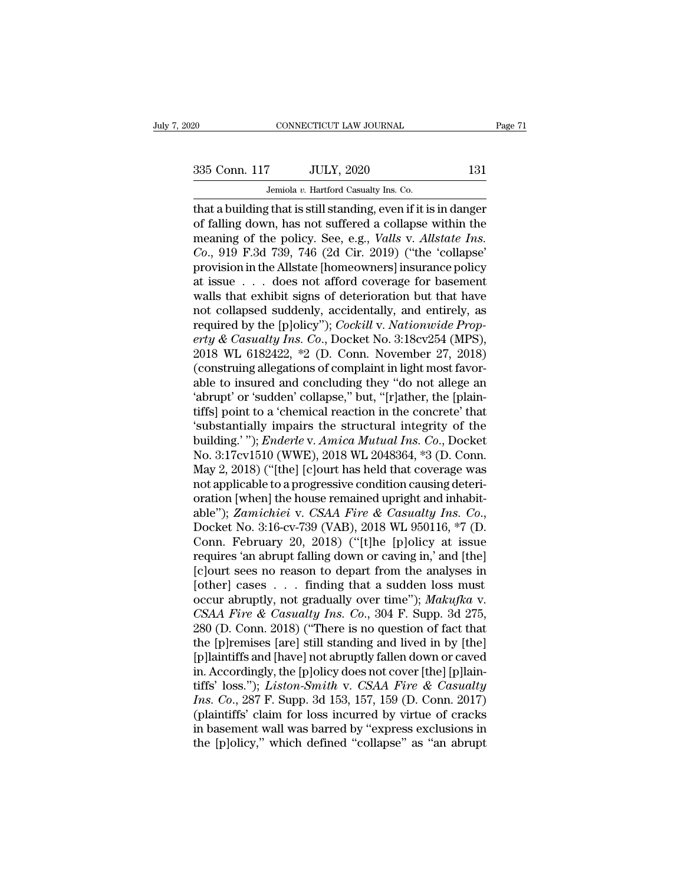EXECUTE CONNECTICUT LAW JOURNAL Page 71<br>335 Conn. 117 JULY, 2020 131<br>Jemiola v. Hartford Casualty Ins. Co.

CONNECTICUT LAW JOURNAL<br>
335 Conn. 117 JULY, 2020 131<br>
Jemiola *v.* Hartford Casualty Ins. Co.<br>
that a building that is still standing, even if it is in danger that a building that is still standing, even if it is in danger<br>of falling down, has not suffered a collapse within the<br>meaning of the policy. See a  $\sigma$  Malle v Alletate Incorporation 335 Conn. 117 JULY, 2020 131<br>Jemiola v. Hartford Casualty Ins. Co.<br>that a building that is still standing, even if it is in danger<br>of falling down, has not suffered a collapse within the<br>meaning of the policy. See, e.g., 335 Conn. 117 JULY, 2020 131<br>
Jemiola v. Hartford Casualty Ins. Co.<br>
that a building that is still standing, even if it is in danger<br>
of falling down, has not suffered a collapse within the<br>
meaning of the policy. See, e.g <sup>235</sup> Conn. 117 JULY, 2020<br>
<sup>Jemiola v. Hartford Casualty Ins. Co.<br> **Co.** that a building that is still standing, even if it is in danger<br>
of falling down, has not suffered a collapse within the<br>
meaning of the policy. See</sup> Jemiola v. Hartford Casualty Ins. Co.<br>
that a building that is still standing, even if it is in danger<br>
of falling down, has not suffered a collapse within the<br>
meaning of the policy. See, e.g., *Valls v. Allstate Ins.*<br> Jemiola v. Hartford Casualty Ins. Co.<br>
that a building that is still standing, even if it is in danger<br>
of falling down, has not suffered a collapse within the<br>
meaning of the policy. See, e.g., *Valls v. Allstate Ins.*<br> that a building that is still standing, even if it is in danger<br>of falling down, has not suffered a collapse within the<br>meaning of the policy. See, e.g., *Valls v. Allstate Ins.*<br> $Co$ , 919 F.3d 739, 746 (2d Cir. 2019) ("th of falling down, has not suffered a collapse within the<br>meaning of the policy. See, e.g., *Valls v. Allstate Ins.*<br> $Co$ ., 919 F.3d 739, 746 (2d Cir. 2019) ("the 'collapse'<br>provision in the Allstate [homeowners] insurance p reaning of the policy. See, e.g., *Valls v. Allstate Ins.*<br>Co., 919 F.3d 739, 746 (2d Cir. 2019) ("the 'collapse'<br>provision in the Allstate [homeowners] insurance policy<br>at issue . . . does not afford coverage for basement *Co.*, 919 F.3d 739, 746 (2d Cir. 2019) ("the 'collapse'<br>provision in the Allstate [homeowners] insurance policy<br>at issue . . . does not afford coverage for basement<br>walls that exhibit signs of deterioration but that have<br> provision in the Allstate [homeowners] insurance policy<br>at issue . . . does not afford coverage for basement<br>walls that exhibit signs of deterioration but that have<br>not collapsed suddenly, accidentally, and entirely, as<br>r at issue  $\ldots$  does not afford coverage for basement<br>walls that exhibit signs of deterioration but that have<br>not collapsed suddenly, accidentally, and entirely, as<br>required by the [p]olicy"); *Cockill* v. *Nationwide Prop* walls that exhibit signs of deterioration but that have<br>not collapsed suddenly, accidentally, and entirely, as<br>required by the [p]olicy"); *Cockill* v. *Nationwide Prop-*<br>erty & Casualty Ins. Co., Docket No. 3:18cv254 (MPS not collapsed suddenly, accidentally, and entirely, as<br>required by the [p]olicy"); *Cockill v. Nationwide Prop-*<br>*erty & Casualty Ins. Co.*, Docket No. 3:18cv254 (MPS),<br>2018 WL 6182422, \*2 (D. Conn. November 27, 2018)<br>(con required by the [p]olicy"); *Cockill v. Nationwide Prop-*<br>erty & Casualty Ins. Co., Docket No. 3:18cv254 (MPS),<br>2018 WL 6182422,  $*2$  (D. Conn. November 27, 2018)<br>(construing allegations of complaint in light most favor-<br> erty & Casualty Ins. Co., Docket No. 3:18cv254 (MPS),<br>2018 WL 6182422, \*2 (D. Conn. November 27, 2018)<br>(construing allegations of complaint in light most favor-<br>able to insured and concluding they "do not allege an<br>'abrup 2018 WL 6182422, \*2 (D. Conn. November 27, 2018)<br>(construing allegations of complaint in light most favor-<br>able to insured and concluding they "do not allege an<br>'abrupt' or 'sudden' collapse," but, "[r]ather, the [plain-<br>t (construing allegations of complaint in light most favorable to insured and concluding they "do not allege an 'abrupt' or 'sudden' collapse," but, "[r]ather, the [plaintiffs] point to a 'chemical reaction in the concrete' able to insured and concluding they "do not allege an<br>
"abrupt' or 'sudden' collapse," but, "[r]ather, the [plain-<br>
tiffs] point to a 'chemical reaction in the concrete' that<br>
"substantially impairs the structural integrit 'abrupt' or 'sudden' collapse," but, "[r]ather, the [plaintiffs] point to a 'chemical reaction in the concrete' that 'substantially impairs the structural integrity of the building.'"); *Enderle* v. *Amica Mutual Ins. Co.* tiffs] point to a 'chemical reaction in the concrete' that<br>
'substantially impairs the structural integrity of the<br>
building.' "); *Enderle* v. *Amica Mutual Ins. Co.*, Docket<br>
No. 3:17cv1510 (WWE), 2018 WL 2048364, \*3 (D 'substantially impairs the structural integrity of the<br>building.' "); *Enderle* v. *Amica Mutual Ins. Co.*, Docket<br>No. 3:17cv1510 (WWE), 2018 WL 2048364, \*3 (D. Conn.<br>May 2, 2018) ("[the] [c]ourt has held that coverage was No. 3:17cv1510 (WWE), 2018 WL 2048364, \*3 (D. Conn.<br>May 2, 2018) ("[the] [c]ourt has held that coverage was<br>not applicable to a progressive condition causing deteri-<br>oration [when] the house remained upright and inhabit-<br>a May 2, 2018) ("[the] [c]ourt has held that coverage was<br>not applicable to a progressive condition causing deteri-<br>oration [when] the house remained upright and inhabit-<br>able"); *Zamichiei* v. *CSAA Fire & Casualty Ins. Co* not applicable to a progressive condition causing deterioration [when] the house remained upright and inhabitable"); *Zamichiei* v. *CSAA Fire & Casualty Ins. Co.*, Docket No. 3:16-cv-739 (VAB), 2018 WL 950116, \*7 (D. Con oration [when] the house remained upright and inhabit-<br>able"); *Zamichiei* v. *CSAA Fire & Casualty Ins. Co.*,<br>Docket No. 3:16-cv-739 (VAB), 2018 WL 950116, \*7 (D.<br>Conn. February 20, 2018) ("[t]he [p]olicy at issue<br>requir able"); *Zamichiei* v. *CSAA Fire* & *Casualty Ins. Co.*,<br>Docket No. 3:16-cv-739 (VAB), 2018 WL 950116, \*7 (D.<br>Conn. February 20, 2018) ("[t]he [p]olicy at issue<br>requires 'an abrupt falling down or caving in,' and [the]<br>[c *Conn. February 20, 2018)* ("[t]he [p]olicy at issue requires 'an abrupt falling down or caving in,' and [the] [c]ourt sees no reason to depart from the analyses in [other] cases . . . finding that a sudden loss must occur Conn. February 20, 2018) ("[t]he [p]olicy at issue<br>requires 'an abrupt falling down or caving in,' and [the]<br>[c]ourt sees no reason to depart from the analyses in<br>[other] cases . . . finding that a sudden loss must<br>occur requires 'an abrupt falling down or caving in,' and [the]<br>[c]ourt sees no reason to depart from the analyses in<br>[other] cases . . . finding that a sudden loss must<br>occur abruptly, not gradually over time''); *Makufka* v.<br> [c]ourt sees no reason to depart from the analyses in<br>[other] cases . . . finding that a sudden loss must<br>occur abruptly, not gradually over time"); *Makufka* v.<br>*CSAA Fire & Casualty Ins. Co.*, 304 F. Supp. 3d 275,<br>280 ( [other] cases . . . finding that a sudden loss must<br>occur abruptly, not gradually over time"); *Makufka* v.<br>*CSAA Fire & Casualty Ins. Co.*, 304 F. Supp. 3d 275,<br>280 (D. Conn. 2018) ("There is no question of fact that<br>the occur abruptly, not gradually over time"); *Makufka* v.<br> *CSAA Fire & Casualty Ins. Co.*, 304 F. Supp. 3d 275,<br>
280 (D. Conn. 2018) ("There is no question of fact that<br>
the [p]remises [are] still standing and lived in by [ *CSAA Fire & Casualty Ins. Co.*, 304 F. Supp. 3d 275, 280 (D. Conn. 2018) ("There is no question of fact that the [p]remises [are] still standing and lived in by [the] [p]laintiffs and [have] not abruptly fallen down or ca 280 (D. Conn. 2018) ("There is no question of fact that<br>the [p]remises [are] still standing and lived in by [the]<br>[p]laintiffs and [have] not abruptly fallen down or caved<br>in. Accordingly, the [p]olicy does not cover [the the [p]remises [are] still standing and lived in by [the]<br>[p]laintiffs and [have] not abruptly fallen down or caved<br>in. Accordingly, the [p]olicy does not cover [the] [p]lain-<br>tiffs' loss."); *Liston-Smith* v. *CSAA Fire &* [p]laintiffs and [have] not abruptly fallen down or caved<br>in. Accordingly, the [p]olicy does not cover [the] [p]lain-<br>tiffs' loss."); *Liston-Smith v. CSAA Fire & Casualty*<br>Ins. Co., 287 F. Supp. 3d 153, 157, 159 (D. Conn.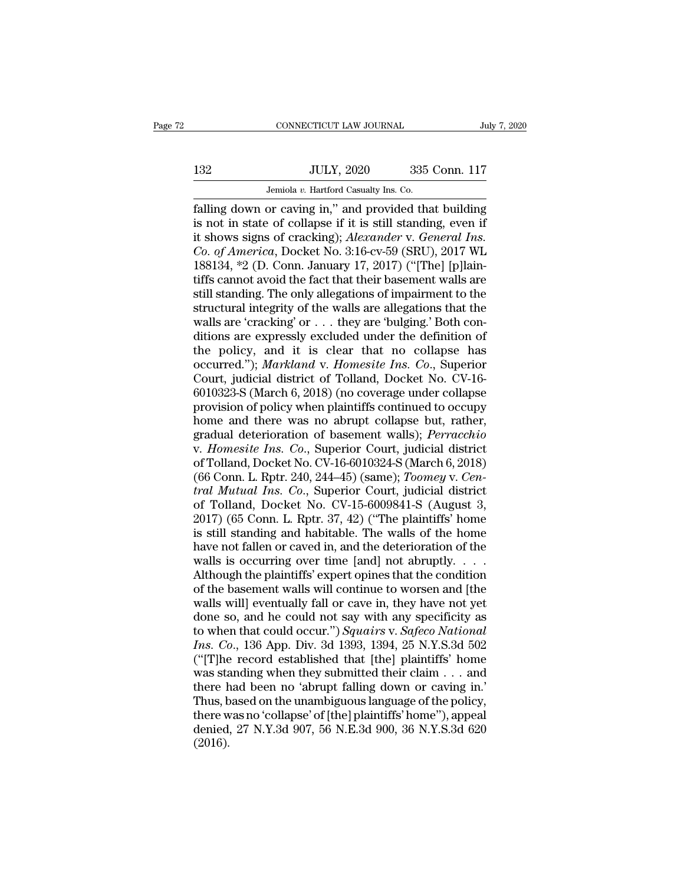# $\begin{tabular}{c} \multicolumn{1}{c|}{\text{CONNECTICUT LAW JOURNAL}} & July 7, 2020 \\ \cline{2-2} \multicolumn{1}{c|}{\text{July 7, 2020}} & 335 \text{ Conn. } 117 \\ \cline{2-2} \multicolumn{1}{c|}{\text{Julty 7, 2020}} & 335 \text{ Conn. } 117 \\ \cline{2-2} \multicolumn{1}{c|}{\text{Jemiola $v$. Hartford Casuality Ins. Co.}} \end{tabular}$

CONNECTICUT LAW JOURNAL JUNE JEMINAL JULY, 2020 335 Conn. 117<br>Jemiola *v.* Hartford Casualty Ins. Co.<br>Falling down or caving in," and provided that building Falling down or caving in," and provided that building<br>
is not in state of collapse if it is still standing, even if<br>
it shows signs of cracking): Alexander v. General Ins ISP JULY, 2020 335 Conn. 117<br>
Jemiola v. Hartford Casualty Ins. Co.<br> **Stalling down or caving in,"** and provided that building<br>
is not in state of collapse if it is still standing, even if<br>
it shows signs of cracking); *Al* it shows signs of cracking); *Alexander* v. *General Ins. Co. degenerate Burnong in,"* and provided that building is not in state of collapse if it is still standing, even if it shows signs of cracking); *Alexander v. General Ins.*<br>*Co. of America*, Docket No. 3:16-cv-59 (SRU), Jemiola v. Hartford Casualty Ins. Co.<br> **1881** Temiola v. Hartford Casualty Ins. Co.<br> **1881** Temiolary 188134, \*2 (D. Conn. January 17, 2017) ("[The] [p]lain-<br>
188134, \*2 (D. Conn. January 17, 2017) ("[The] [p]lain-<br>
tiffs Jemiola v. Hartford Casualty Ins. Co.<br>
falling down or caving in," and provided that building<br>
is not in state of collapse if it is still standing, even if<br>
it shows signs of cracking); *Alexander* v. *General Ins.*<br> *Co.* falling down or caving in," and provided that building<br>is not in state of collapse if it is still standing, even if<br>it shows signs of cracking); *Alexander* v. *General Ins.*<br>*Co. of America*, Docket No. 3:16-cv-59 (SRU), is not in state of collapse if it is still standing, even if<br>it shows signs of cracking); *Alexander* v. *General Ins.*<br>Co. of *America*, Docket No. 3:16-cv-59 (SRU), 2017 WL<br>188134, \*2 (D. Conn. January 17, 2017) ("[The] it shows signs of cracking); *Alexander* v. *General Ins.*<br>Co. of America, Docket No. 3:16-cv-59 (SRU), 2017 WL<br>188134, \*2 (D. Conn. January 17, 2017) ("[The] [p]lain-<br>tiffs cannot avoid the fact that their basement walls Co. of America, Docket No. 3:16-cv-59 (SRU), 2017 WL<br>188134, \*2 (D. Conn. January 17, 2017) ("[The] [p]laintiffs cannot avoid the fact that their basement walls are<br>still standing. The only allegations of impairment to th 188134, \*2 (D. Conn. January 17, 2017) ("[The] [p]laintiffs cannot avoid the fact that their basement walls are still standing. The only allegations of impairment to the structural integrity of the walls are allegations t tiffs cannot avoid the fact that their basement walls are<br>still standing. The only allegations of impairment to the<br>structural integrity of the walls are allegations that the<br>walls are 'cracking' or . . . they are 'bulging still standing. The only allegations of impairment to the structural integrity of the walls are allegations that the walls are 'cracking' or  $\ldots$  they are 'bulging.' Both conditions are expressly excluded under the defin structural integrity of the walls are allegations that the<br>walls are 'cracking' or  $\ldots$  they are 'bulging.' Both con-<br>ditions are expressly excluded under the definition of<br>the policy, and it is clear that no collapse ha walls are 'cracking' or . . . they are 'bulging.' Both conditions are expressly excluded under the definition of the policy, and it is clear that no collapse has occurred."); *Markland* v. *Homesite Ins. Co.*, Superior Co ditions are expressly excluded under the definition of<br>the policy, and it is clear that no collapse has<br>occurred."); *Markland* v. Homesite Ins. Co., Superior<br>Court, judicial district of Tolland, Docket No. CV-16-<br>6010323the policy, and it is clear that no collapse has<br>occurred."); *Markland* v. *Homesite Ins. Co.*, Superior<br>Court, judicial district of Tolland, Docket No. CV-16-<br>6010323-S (March 6, 2018) (no coverage under collapse<br>provisi occurred."); *Markland* v. *Homesite Ins. Co.*, Superior Court, judicial district of Tolland, Docket No. CV-16-6010323-S (March 6, 2018) (no coverage under collapse provision of policy when plaintiffs continued to occupy h Court, judicial district of Tolland, Docket No. CV-16-6010323-S (March 6, 2018) (no coverage under collapse<br>provision of policy when plaintiffs continued to occupy<br>home and there was no abrupt collapse but, rather,<br>gradual 6010323-S (March 6, 2018) (no coverage under collapse<br>provision of policy when plaintiffs continued to occupy<br>home and there was no abrupt collapse but, rather,<br>gradual deterioration of basement walls); *Perracchio*<br>v. *Ho* provision of policy when plaintiffs continued to occupy<br>
home and there was no abrupt collapse but, rather,<br>
gradual deterioration of basement walls); *Perracchio*<br>
v. *Homesite Ins. Co.*, Superior Court, judicial district home and there was no abrupt collapse but, rather,<br>gradual deterioration of basement walls); *Perracchio*<br>v. Homesite Ins. Co., Superior Court, judicial district<br>of Tolland, Docket No. CV-16-6010324-S (March 6, 2018)<br>(66 C gradual deterioration of basement walls); *Perracchio*<br>v. *Homesite Ins. Co.*, Superior Court, judicial district<br>of Tolland, Docket No. CV-16-6010324-S (March 6, 2018)<br>(66 Conn. L. Rptr. 240, 244–45) (same); *Toomey* v. *C* v. Homesite Ins. Co., Superior Court, judicial district<br>of Tolland, Docket No. CV-16-6010324-S (March 6, 2018)<br>(66 Conn. L. Rptr. 240, 244–45) (same); *Toomey* v. *Cen-*<br>tral Mutual Ins. Co., Superior Court, judicial distr of Tolland, Docket No. CV-16-6010324-S (March 6, 2018)<br>(66 Conn. L. Rptr. 240, 244–45) (same); *Toomey v. Central Mutual Ins. Co.*, Superior Court, judicial district<br>of Tolland, Docket No. CV-15-6009841-S (August 3,<br>2017) (66 Conn. L. Rptr. 240, 244–45) (same);  $Toomey$  v. Central Mutual Ins. Co., Superior Court, judicial district of Tolland, Docket No. CV-15-6009841-S (August 3, 2017) (65 Conn. L. Rptr. 37, 42) ("The plaintiffs' home is stil fral Mutual Ins. Co., Superior Court, judicial district<br>of Tolland, Docket No. CV-15-6009841-S (August 3,<br>2017) (65 Conn. L. Rptr. 37, 42) ("The plaintiffs' home<br>is still standing and habitable. The walls of the home<br>have of Tolland, Docket No. CV-15-6009841-S (August 3, 2017) (65 Conn. L. Rptr. 37, 42) ("The plaintiffs' home<br>is still standing and habitable. The walls of the home<br>have not fallen or caved in, and the deterioration of the<br>wa 2017) (65 Conn. L. Rptr. 37, 42) ("The plaintiffs' home<br>is still standing and habitable. The walls of the home<br>have not fallen or caved in, and the deterioration of the<br>walls is occurring over time [and] not abruptly. . . is still standing and habitable. The walls of the home<br>have not fallen or caved in, and the deterioration of the<br>walls is occurring over time [and] not abruptly. . . .<br>Although the plaintiffs' expert opines that the condi have not fallen or caved in, and the deterioration of the<br>walls is occurring over time [and] not abruptly. . . .<br>Although the plaintiffs' expert opines that the condition<br>of the basement walls will continue to worsen and [ walls is occurring over time [and] not abruptly. . . . . Although the plaintiffs' expert opines that the condition<br>of the basement walls will continue to worsen and [the<br>walls will] eventually fall or cave in, they have no Although the plaintiffs' expert opines that the condition<br>of the basement walls will continue to worsen and [the<br>walls will] eventually fall or cave in, they have not yet<br>done so, and he could not say with any specificity of the basement walls will continue to worsen and [the walls will] eventually fall or cave in, they have not yet done so, and he could not say with any specificity as to when that could occur.") Squairs v. Safeco National of the basement walls will continue to worsen and [the walls will] eventually fall or cave in, they have not yet done so, and he could not say with any specificity as to when that could occur.") Squairs v. Safeco National done so, and he could not say with any specificity as<br>to when that could occur.") Squairs v. Safeco National<br>Ins. Co., 136 App. Div. 3d 1393, 1394, 25 N.Y.S.3d 502<br>("[T]he record established that [the] plaintiffs' home<br>wa to when that could occur.") *Squairs* v. *Safeco National*<br>*Ins. Co.*, 136 App. Div. 3d 1393, 1394, 25 N.Y.S.3d 502<br>("[T]he record established that [the] plaintiffs' home<br>was standing when they submitted their claim . . . *Ins. Co.*, 136 App. Div. 3d 1393, 1394, 25 N.Y.S.3d 502 ("[T]he record established that [the] plaintiffs' home was standing when they submitted their claim  $\ldots$  and there had been no 'abrupt falling down or caving in.' (2016).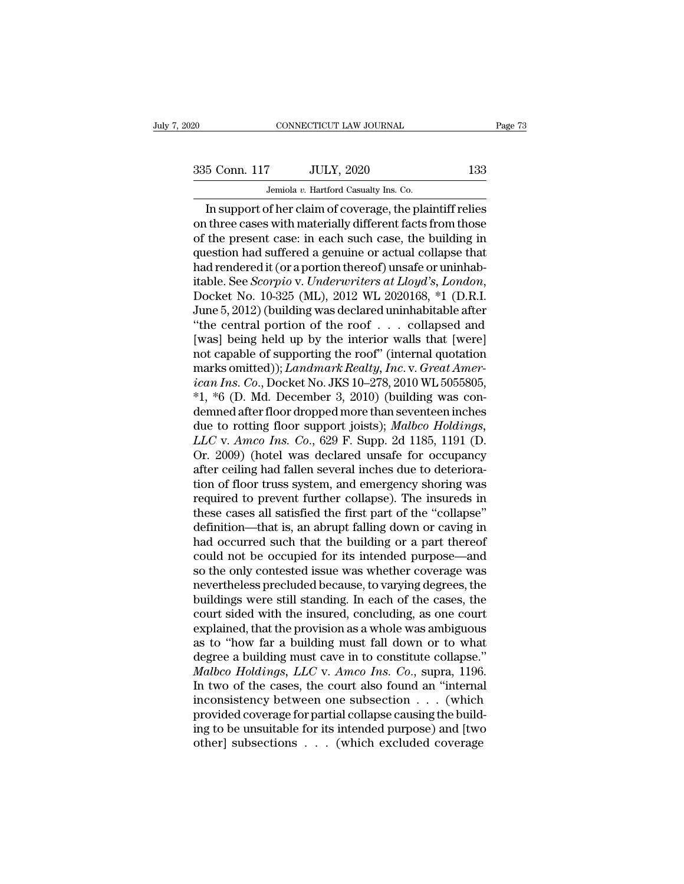EXECUTE CONNECTICUT LAW JOURNAL Page 73<br>335 Conn. 117 JULY, 2020 133<br>Jemiola v. Hartford Casualty Ins. Co.

CONNECTICUT LAW JOURNAL<br>
335 Conn. 117 JULY, 2020 133<br>
Jemiola *v.* Hartford Casualty Ins. Co.<br>
In support of her claim of coverage, the plaintiff relies CONNECTICUT LAW JOURNAL Page 73<br>
5 Conn. 117 JULY, 2020 133<br>
Jemiola v. Hartford Casualty Ins. Co.<br>
In support of her claim of coverage, the plaintiff relies<br>
three cases with materially different facts from those<br>
the pre 335 Conn. 117 JULY, 2020 133<br>
Jemiola v. Hartford Casualty Ins. Co.<br>
In support of her claim of coverage, the plaintiff relies<br>
on three cases with materially different facts from those<br>
of the present case: in each such c 335 Conn. 117 JULY, 2020 133<br>
Jemiola v. Hartford Casualty Ins. Co.<br>
In support of her claim of coverage, the plaintiff relies<br>
on three cases with materially different facts from those<br>
of the present case: in each such 335 Conn. 117 JULY, 2020 133<br>
Jemiola v. Hartford Casualty Ins. Co.<br>
In support of her claim of coverage, the plaintiff relies<br>
on three cases with materially different facts from those<br>
of the present case: in each such Jemiola *v.* Hartford Casualty Ins. Co.<br>
In support of her claim of coverage, the plaintiff relies<br>
on three cases with materially different facts from those<br>
of the present case: in each such case, the building in<br>
quest Jemiola v. Hartford Casualty Ins. Co.<br>In support of her claim of coverage, the plaintiff relies<br>on three cases with materially different facts from those<br>of the present case: in each such case, the building in<br>question had on three cases with materially different facts from those<br>of the present case: in each such case, the building in<br>question had suffered a genuine or actual collapse that<br>had rendered it (or a portion thereof) unsafe or un of the present case: in each such case, the building in<br>question had suffered a genuine or actual collapse that<br>had rendered it (or a portion thereof) unsafe or uninhab-<br>itable. See *Scorpio* v. *Underwriters at Lloyd's*, question had suffered a genuine or actual collapse that<br>had rendered it (or a portion thereof) unsafe or uninhab-<br>itable. See *Scorpio* v. *Underwriters at Lloyd's*, *London*,<br>Docket No. 10-325 (ML), 2012 WL 2020168, \*1 (D had rendered it (or a portion thereof) unsafe or uninhabitable. See *Scorpio* v. *Underwriters at Lloyd's, London,*<br>Docket No. 10-325 (ML), 2012 WL 2020168, \*1 (D.R.I.<br>June 5, 2012) (building was declared uninhabitable aft itable. See *Scorpio* v. *Underwriters at Lloyd's, London,*<br>Docket No. 10-325 (ML), 2012 WL 2020168, \*1 (D.R.I.<br>June 5, 2012) (building was declared uninhabitable after<br>"the central portion of the roof . . . collapsed and<br> Docket No. 10-325 (ML), 2012 WL 2020168, \*1 (D.R.I.<br>June 5, 2012) (building was declared uninhabitable after<br>"the central portion of the roof . . . collapsed and<br>[was] being held up by the interior walls that [were]<br>not ca June 5, 2012) (building was declared uninhabitable after<br>"the central portion of the roof  $\ldots$  collapsed and<br>[was] being held up by the interior walls that [were]<br>not capable of supporting the roof" (internal quotation<br>m "the central portion of the roof . . . collapsed and<br>[was] being held up by the interior walls that [were]<br>not capable of supporting the roof" (internal quotation<br>marks omitted)); *Landmark Realty, Inc.* v. *Great Amer-<br>i* [was] being held up by the interior walls that [were]<br>not capable of supporting the roof" (internal quotation<br>marks omitted)); *Landmark Realty, Inc.* v. *Great Amer-<br>ican Ins. Co.*, Docket No. JKS 10–278, 2010 WL 5055805, not capable of supporting the roof" (internal quotation<br>marks omitted)); *Landmark Realty, Inc.* v. *Great Amer-<br>ican Ins. Co.*, Docket No. JKS 10–278, 2010 WL 5055805,<br>\*1, \*6 (D. Md. December 3, 2010) (building was con-<br>d marks omitted)); *Landmark Realty, Inc.* v. *Great American Ins. Co.*, Docket No. JKS 10–278, 2010 WL 5055805,<br>\*1, \*6 (D. Md. December 3, 2010) (building was condemned after floor dropped more than seventeen inches<br>due to ican Ins. Co., Docket No. JKS 10–278, 2010 WL 5055805,<br>\*1, \*6 (D. Md. December 3, 2010) (building was con-<br>demned after floor dropped more than seventeen inches<br>due to rotting floor support joists); *Malbco Holdings*,<br>*LLC* \*1, \*6 (D. Md. December 3, 2010) (building was con-<br>demned after floor dropped more than seventeen inches<br>due to rotting floor support joists); *Malbco Holdings*,<br>*LLC* v. *Amco Ins. Co.*, 629 F. Supp. 2d 1185, 1191 (D.<br>O demned after floor dropped more than seventeen inches<br>due to rotting floor support joists); *Malbco Holdings*,<br>*LLC* v. *Amco Ins. Co.*, 629 F. Supp. 2d 1185, 1191 (D.<br>Or. 2009) (hotel was declared unsafe for occupancy<br>aft due to rotting floor support joists); *Malbco Holdings*,<br>*LLC* v. *Amco Ins. Co.*, 629 F. Supp. 2d 1185, 1191 (D.<br>Or. 2009) (hotel was declared unsafe for occupancy<br>after ceiling had fallen several inches due to deteriora-LLC v. Amco Ins. Co., 629 F. Supp. 2d 1185, 1191 (D.<br>Or. 2009) (hotel was declared unsafe for occupancy<br>after ceiling had fallen several inches due to deteriora-<br>tion of floor truss system, and emergency shoring was<br>requir Or. 2009) (hotel was declared unsafe for occupancy<br>after ceiling had fallen several inches due to deteriora-<br>tion of floor truss system, and emergency shoring was<br>required to prevent further collapse). The insureds in<br>thes after ceiling had fallen several inches due to deterioration of floor truss system, and emergency shoring was<br>required to prevent further collapse). The insureds in<br>these cases all satisfied the first part of the "collapse tion of floor truss system, and emergency shoring was<br>required to prevent further collapse). The insureds in<br>these cases all satisfied the first part of the "collapse"<br>definition—that is, an abrupt falling down or caving i required to prevent further collapse). The insureds in these cases all satisfied the first part of the "collapse" definition—that is, an abrupt falling down or caving in had occurred such that the building or a part thereo these cases all satisfied the first part of the "collapse"<br>definition—that is, an abrupt falling down or caving in<br>had occurred such that the building or a part thereof<br>could not be occupied for its intended purpose—and<br>so definition—that is, an abrupt falling down or caving in<br>had occurred such that the building or a part thereof<br>could not be occupied for its intended purpose—and<br>so the only contested issue was whether coverage was<br>neverthe had occurred such that the building or a part thereof<br>could not be occupied for its intended purpose—and<br>so the only contested issue was whether coverage was<br>nevertheless precluded because, to varying degrees, the<br>building could not be occupied for its intended purpose—and<br>so the only contested issue was whether coverage was<br>nevertheless precluded because, to varying degrees, the<br>buildings were still standing. In each of the cases, the<br>cour so the only contested issue was whether coverage was<br>nevertheless precluded because, to varying degrees, the<br>buildings were still standing. In each of the cases, the<br>court sided with the insured, concluding, as one court<br>e nevertheless precluded because, to varying degrees, the<br>buildings were still standing. In each of the cases, the<br>court sided with the insured, concluding, as one court<br>explained, that the provision as a whole was ambiguous buildings were still standing. In each of the cases, the court sided with the insured, concluding, as one court explained, that the provision as a whole was ambiguous as to "how far a building must fall down or to what deg court sided with the insured, concluding, as one court<br>explained, that the provision as a whole was ambiguous<br>as to "how far a building must fall down or to what<br>degree a building must cave in to constitute collapse."<br>*Ma* explained, that the provision as a whole was ambiguous<br>as to "how far a building must fall down or to what<br>degree a building must cave in to constitute collapse."<br>*Malbeo Holdings, LLC* v. *Amco Ins. Co.*, supra, 1196.<br>In as to "how far a building must fall down or to what<br>degree a building must cave in to constitute collapse."<br>*Malbco Holdings*, *LLC* v. *Amco Ins. Co.*, supra, 1196.<br>In two of the cases, the court also found an "internal<br> degree a building must cave in to constitute collapse.'<br>Malbco Holdings, LLC v. Amco Ins. Co., supra, 1196<br>In two of the cases, the court also found an "interna<br>inconsistency between one subsection . . . (which<br>provided co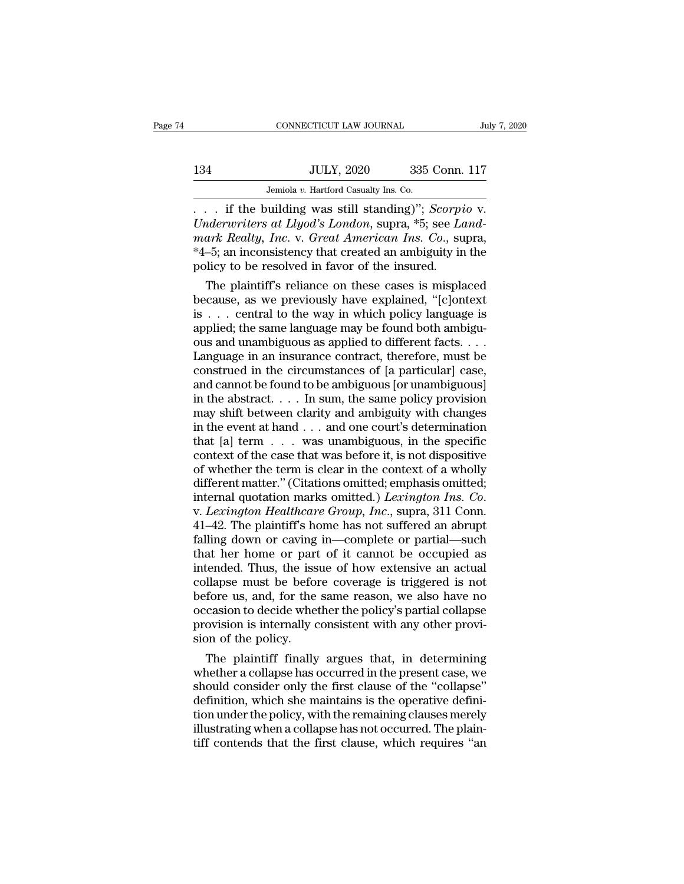## 134 CONNECTICUT LAW JOURNAL July 7, 2020<br>134 JULY, 2020 335 Conn. 117<br>Jemiola v. Hartford Casualty Ins. Co.

CONNECTICUT LAW JOURNAL JUNE JEMENT JULY, 2020 335 Conn. 117<br>Jemiola *v.* Hartford Casualty Ins. Co.<br>. . . . if the building was still standing)''; *Scorpio* v. . . . if the building was still standing)''; *Scorpio* v. *ULY, 2020* 335 Conn. 117<br>*Jemiola v. Hartford Casualty Ins. Co.*<br>*Londerwriters at Llyod's London, supra, \*5; see <i>Land-*<br>*Maerwriters at Llyod's London, supra, \*5; see <i>Land-*<br>*Maerwriters at Llyod's London, supra, \*5; s mark Realty, Inc. v. Great American Ins. Co.*<br>*Pemiola v. Hartford Casualty Ins. Co.*<br>*Co. Co. Lyderwriters at Llyod's London, supra,* \*5; see *Land-mark Realty, Inc. v. Great American Ins. Co., supra,* \*4-5; an incon 134 JULY, 2020 335 Conn. 117<br>Jemiola v. Hartford Casualty Ins. Co.<br>
... if the building was still standing)"; *Scorpio* v.<br>
Underwriters at Llyod's London, supra, \*5; see Land-<br>
mark Realty, Inc. v. Great American Ins. Co. *Solary, 2020 Commission*<br>*Jemiola v. Hartford Casualty Ins. Co.*<br>*Co.* . . . . if the building was still standing)"; *Scorpi*<br>*Underwriters at Llyod's London*, supra, \*5; see *Lamark Realty, Inc. v. Great American Ins.* The building was still standing)"; *Scorpio* v.<br> *iderwriters at Llyod's London*, supra, \*5; see *Landark Realty, Inc.* v. *Great American Ins. Co.*, supra,<br>  $-5$ ; an inconsistency that created an ambiguity in the<br>
licy t because, as we previously have explained,  $\mu$  and  $Llyod's$  London, supra,  $*5$ ; see Land-<br>mark Realty, Inc. v. Great American Ins. Co., supra,<br> $*4-5$ ; an inconsistency that created an ambiguity in the<br>policy to be resolved

Underwriters at Llyod's London, supra, \*5; see Land-<br>mark Realty, Inc. v. Great American Ins. Co., supra,<br>\*4–5; an inconsistency that created an ambiguity in the<br>policy to be resolved in favor of the insured.<br>The plaintif mark Realty, Inc. v. Great American Ins. Co., supra,  $*4-5$ ; an inconsistency that created an ambiguity in the policy to be resolved in favor of the insured.<br>The plaintiff's reliance on these cases is misplaced because, a  $^{*}4-5$ ; an inconsistency that created an ambiguity in the policy to be resolved in favor of the insured.<br>The plaintiff's reliance on these cases is misplaced because, as we previously have explained, "[c]ontext is . . . policy to be resolved in favor of the insured.<br>
The plaintiff's reliance on these cases is misplaced<br>
because, as we previously have explained, "[c]ontext<br>
is . . . central to the way in which policy language is<br>
applied; The plaintiff's reliance on these cases is misplaced<br>because, as we previously have explained, "[c]ontext<br>is . . . central to the way in which policy language is<br>applied; the same language may be found both ambigu-<br>ous an because, as we previously have explained, "[c]ontext<br>is . . . central to the way in which policy language is<br>applied; the same language may be found both ambiguous<br>and unambiguous as applied to different facts. . . .<br>Lang is . . . central to the way in which policy language is<br>applied; the same language may be found both ambiguous<br>and unambiguous as applied to different facts. . . .<br>Language in an insurance contract, therefore, must be<br>con applied; the same language may be found both ambiguous and unambiguous as applied to different facts. . . .<br>Language in an insurance contract, therefore, must be construed in the circumstances of [a particular] case, and ous and unambiguous as applied to different facts....<br>Language in an insurance contract, therefore, must be<br>construed in the circumstances of [a particular] case,<br>and cannot be found to be ambiguous [or unambiguous]<br>in th Language in an insurance contract, therefore, must be construed in the circumstances of [a particular] case, and cannot be found to be ambiguous [or unambiguous] in the abstract. . . . In sum, the same policy provision ma construed in the circumstances of [a particular] case,<br>and cannot be found to be ambiguous [or unambiguous]<br>in the abstract. . . . In sum, the same policy provision<br>may shift between clarity and ambiguity with changes<br>in and cannot be found to be ambiguous [or unambiguous]<br>in the abstract. . . . In sum, the same policy provision<br>may shift between clarity and ambiguity with changes<br>in the event at hand . . . and one court's determination<br>t in the abstract. . . . In sum, the same policy provision<br>may shift between clarity and ambiguity with changes<br>in the event at hand . . . and one court's determination<br>that [a] term  $\ldots$  was unambiguous, in the specific<br>c may shift between clarity and ambiguity with changes<br>in the event at hand . . . and one court's determination<br>that [a] term . . . was unambiguous, in the specific<br>context of the case that was before it, is not dispositive<br> that [a] term . . . was unambiguous, in the specific<br>context of the case that was before it, is not dispositive<br>of whether the term is clear in the context of a wholly<br>different matter." (Citations omitted; emphasis omitte context of the case that was before it, is not dispositive<br>of whether the term is clear in the context of a wholly<br>different matter." (Citations omitted; emphasis omitted;<br>internal quotation marks omitted.) *Lexington Ins.* of whether the term is clear in the context of a wholly<br>different matter." (Citations omitted; emphasis omitted;<br>internal quotation marks omitted.) *Lexington Ins. Co.*<br>v. *Lexington Healthcare Group, Inc.*, supra, 311 Con different matter." (Citations omitted, emphasis omitted,<br>internal quotation marks omitted.) *Lexington Ins. Co.*<br>v. *Lexington Healthcare Group, Inc.*, supra, 311 Conn.<br>41–42. The plaintiff's home has not suffered an abrup internal quotation marks omitted.) *Lexington Ins. Co.*<br>v. *Lexington Healthcare Group, Inc.*, supra, 311 Conn.<br>41–42. The plaintiff's home has not suffered an abrupt<br>falling down or caving in—complete or partial—such<br>that v. *Lexington Healthcare Group, Inc.*, supra, 311 Conn.<br>41–42. The plaintiff's home has not suffered an abrupt<br>falling down or caving in—complete or partial—such<br>that her home or part of it cannot be occupied as<br>intended. 41–42. The plaintiff's home has not suffered an abrupt falling down or caving in—complete or partial—such that her home or part of it cannot be occupied as intended. Thus, the issue of how extensive an actual collapse must falling down or caving in—complete or partial—such<br>that her home or part of it cannot be occupied as<br>intended. Thus, the issue of how extensive an actual<br>collapse must be before coverage is triggered is not<br>before us, and, that her home or part<br>intended. Thus, the iss<br>collapse must be befor<br>before us, and, for the<br>occasion to decide whet<br>provision is internally c<br>sion of the policy.<br>The plaintiff finally tended. Thus, the issue of how extensive an actual<br>llapse must be before coverage is triggered is not<br>fore us, and, for the same reason, we also have no<br>casion to decide whether the policy's partial collapse<br>ovision is int collapse must be before coverage is triggered is not<br>before us, and, for the same reason, we also have no<br>occasion to decide whether the policy's partial collapse<br>provision is internally consistent with any other provi-<br>si

before us, and, for the same reason, we also have no<br>occasion to decide whether the policy's partial collapse<br>provision is internally consistent with any other provi-<br>sion of the policy.<br>The plaintiff finally argues that, occasion to decide whether the policy's partial collapse<br>provision is internally consistent with any other provi-<br>sion of the policy.<br>The plaintiff finally argues that, in determining<br>whether a collapse has occurred in the provision is internally consistent with any other provision of the policy.<br>
The plaintiff finally argues that, in determining<br>
whether a collapse has occurred in the present case, we<br>
should consider only the first clause sion of the policy.<br>The plaintiff finally argues that, in determining<br>whether a collapse has occurred in the present case, we<br>should consider only the first clause of the "collapse"<br>definition, which she maintains is the o The plaintiff finally argues that, in determining<br>whether a collapse has occurred in the present case, we<br>should consider only the first clause of the "collapse"<br>definition, which she maintains is the operative defini-<br>tio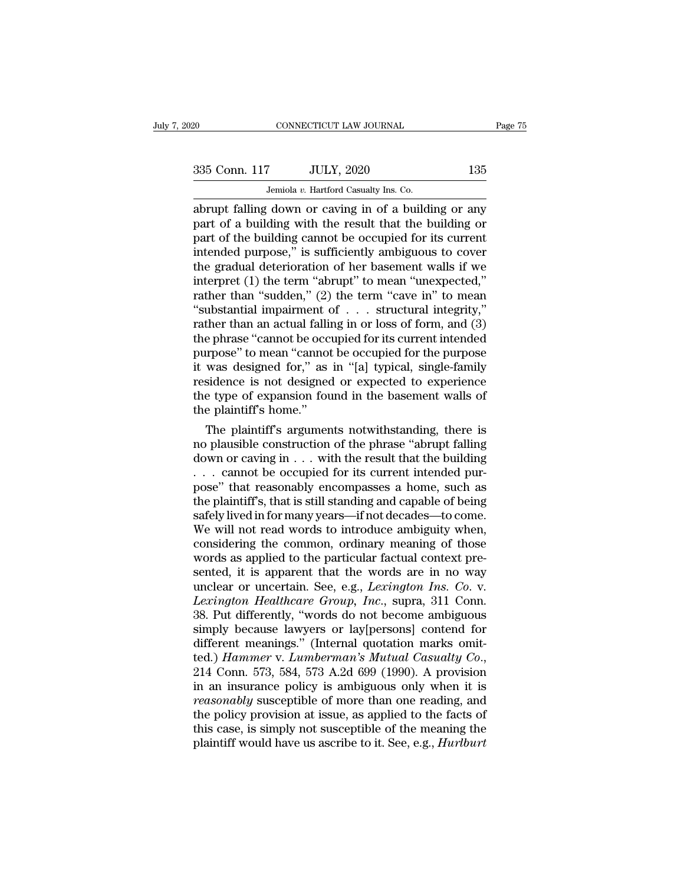## EXECUTE CONNECTICUT LAW JOURNAL Page 75<br>335 Conn. 117 JULY, 2020 135<br>Jemiola v. Hartford Casualty Ins. Co.

CONNECTICUT LAW JOURNAL<br>
335 Conn. 117 JULY, 2020 135<br>
Jemiola *v.* Hartford Casualty Ins. Co.<br>
abrupt falling down or caving in of a building or any connecticut LAW JOURNAL Page 75<br>
335 Conn. 117 JULY, 2020 135<br>
Jemiola v. Hartford Casualty Ins. Co.<br>
abrupt falling down or caving in of a building or any<br>
part of a building with the result that the building or<br>
part of 335 Conn. 117 JULY, 2020 135<br>Jemiola v. Hartford Casualty Ins. Co.<br>abrupt falling down or caving in of a building or any<br>part of a building with the result that the building or<br>part of the building cannot be occupied for i 335 Conn. 117 JULY, 2020 135<br>
Jemiola v. Hartford Casualty Ins. Co.<br>
abrupt falling down or caving in of a building or any<br>
part of a building with the result that the building or<br>
part of the building cannot be occupied 335 Conn. 117 JULY, 2020 135<br>
Jemiola v. Hartford Casualty Ins. Co.<br>
abrupt falling down or caving in of a building or any<br>
part of a building with the result that the building or<br>
part of the building cannot be occupied Jemiola v. Hartford Casualty Ins. Co.<br>
abrupt falling down or caving in of a building or any<br>
part of a building with the result that the building or<br>
part of the building cannot be occupied for its current<br>
intended purp Jemiola v. Hartford Casualty Ins. Co.<br>
abrupt falling down or caving in of a building or any<br>
part of a building with the result that the building or<br>
part of the building cannot be occupied for its current<br>
intended purp abrupt falling down or caving in of a building or any<br>part of a building with the result that the building or<br>part of the building cannot be occupied for its current<br>intended purpose," is sufficiently ambiguous to cover<br>t part of a building with the result that the building or<br>part of the building cannot be occupied for its current<br>intended purpose," is sufficiently ambiguous to cover<br>the gradual deterioration of her basement walls if we<br>in part of the building cannot be occupied for its current<br>intended purpose," is sufficiently ambiguous to cover<br>the gradual deterioration of her basement walls if we<br>interpret (1) the term "abrupt" to mean "unexpected,"<br>rath intended purpose," is sufficiently ambiguous to cover<br>the gradual deterioration of her basement walls if we<br>interpret (1) the term "abrupt" to mean "unexpected,"<br>rather than "sudden," (2) the term "cave in" to mean<br>"subst the gradual deterioration of her basement walls if we<br>interpret (1) the term "abrupt" to mean "unexpected,"<br>rather than "sudden," (2) the term "cave in" to mean<br>"substantial impairment of . . . structural integrity,"<br>rathe interpret (1) the term "abrupt" to mean "unexpected,"<br>rather than "sudden," (2) the term "cave in" to mean<br>"substantial impairment of . . . structural integrity,"<br>rather than an actual falling in or loss of form, and (3)<br>t rather than "sudden," (2) the term "cave in" to mean<br>"substantial impairment of  $\ldots$  structural integrity,"<br>rather than an actual falling in or loss of form, and (3)<br>the phrase "cannot be occupied for its current intende "substantial impairment of  $\ldots$  structural integrity,"<br>rather than an actual falling in or loss of form, and (3)<br>the phrase "cannot be occupied for its current intended<br>purpose" to mean "cannot be occupied for the purpos rather than an actual fallis<br>the phrase "cannot be occ<br>purpose" to mean "cannot<br>it was designed for," as<br>residence is not designed<br>the type of expansion fou<br>the plaintiff's home."<br>The plaintiff's argumer e phrase "cannot be occupied for its current intended<br>urpose" to mean "cannot be occupied for the purpose<br>was designed for," as in "[a] typical, single-family<br>sidence is not designed or expected to experience<br>e type of exp purpose 'to mean ''cannot be occupied for the purpose<br>it was designed for," as in "[a] typical, single-family<br>residence is not designed or expected to experience<br>the type of expansion found in the basement walls of<br>the pla

It was designed for," as in "[a] typical, single-family<br>residence is not designed or expected to experience<br>the type of expansion found in the basement walls of<br>the plaintiff's home."<br>The plaintiff's arguments notwithstand residence is not designed or expected to experience<br>the type of expansion found in the basement walls of<br>the plaintiff's home."<br>The plaintiff's arguments notwithstanding, there is<br>no plausible construction of the phrase "a the type of expansion found in the basement walls of<br>the plaintiff's home."<br>The plaintiff's arguments notwithstanding, there is<br>no plausible construction of the phrase "abrupt falling<br>down or caving in  $\dots$  with the resul the plaintiff's arguments notwithstanding, there is<br>no plausible construction of the phrase "abrupt falling<br>down or caving in  $\dots$  with the result that the building<br> $\dots$  cannot be occupied for its current intended pur-<br>po The plaintiff's arguments notwithstanding, there is<br>no plausible construction of the phrase "abrupt falling<br>down or caving in  $\dots$  with the result that the building<br> $\dots$  cannot be occupied for its current intended pur-<br>po no plausible construction of the phrase "abrupt falling<br>down or caving in  $\dots$  with the result that the building<br> $\dots$  cannot be occupied for its current intended pur-<br>pose" that reasonably encompasses a home, such as<br>the down or caving in . . . with the result that the building<br>
. . . cannot be occupied for its current intended pur-<br>
pose" that reasonably encompasses a home, such as<br>
the plaintiff's, that is still standing and capable of b words. The set of the eccupied for its current intended pur-<br>pose" that reasonably encompasses a home, such as<br>the plaintiff's, that is still standing and capable of being<br>safely lived in for many years—if not decades—to pose" that reasonably encompasses a home, such as<br>the plaintiff's, that is still standing and capable of being<br>safely lived in for many years—if not decades—to come.<br>We will not read words to introduce ambiguity when,<br>cons the plaintiff's, that is still standing and capable of being<br>safely lived in for many years—if not decades—to come.<br>We will not read words to introduce ambiguity when,<br>considering the common, ordinary meaning of those<br>word safely lived in for many years—if not decades—to come.<br>We will not read words to introduce ambiguity when,<br>considering the common, ordinary meaning of those<br>words as applied to the particular factual context pre-<br>sented, i We will not read words to introduce ambiguity when,<br>considering the common, ordinary meaning of those<br>words as applied to the particular factual context pre-<br>sented, it is apparent that the words are in no way<br>unclear or u considering the common, ordinary meaning of those<br>words as applied to the particular factual context pre-<br>sented, it is apparent that the words are in no way<br>unclear or uncertain. See, e.g., *Lexington Ins. Co.* v.<br>*Lexing* words as applied to the particular factual context presented, it is apparent that the words are in no way unclear or uncertain. See, e.g., *Lexington Ins. Co. v. Lexington Healthcare Group, Inc.*, supra, 311 Conn. 38. P sented, it is apparent that the words are in no way<br>unclear or uncertain. See, e.g., *Lexington Ins. Co. v.*<br>*Lexington Healthcare Group, Inc.*, supra, 311 Conn.<br>38. Put differently, "words do not become ambiguous<br>simply b Lexington Healthcare Group, Inc., supra, 311 Conn.<br>38. Put differently, "words do not become ambiguous<br>simply because lawyers or lay[persons] contend for<br>different meanings." (Internal quotation marks omit-<br>ted.) Hammer v. 38. Put differently, "words do not become ambiguous<br>simply because lawyers or lay[persons] contend for<br>different meanings." (Internal quotation marks omit-<br>ted.) *Hammer* v. *Lumberman's Mutual Casualty Co.*,<br>214 Conn. 573 simply because lawyers or lay[persons] contend for<br>different meanings." (Internal quotation marks omit-<br>ted.) *Hammer* v. *Lumberman's Mutual Casualty Co.*,<br>214 Conn. 573, 584, 573 A.2d 699 (1990). A provision<br>in an insura different meanings." (Internal quotation marks omit-<br>ted.) Hammer v. Lumberman's Mutual Casualty Co.,<br>214 Conn. 573, 584, 573 A.2d 699 (1990). A provision<br>in an insurance policy is ambiguous only when it is<br>reasonably susc ted.) *Hammer* v. *Lumberman's Mutual Casualty Co.*, 214 Conn. 573, 584, 573 A.2d 699 (1990). A provision in an insurance policy is ambiguous only when it is *reasonably* susceptible of more than one reading, and the polic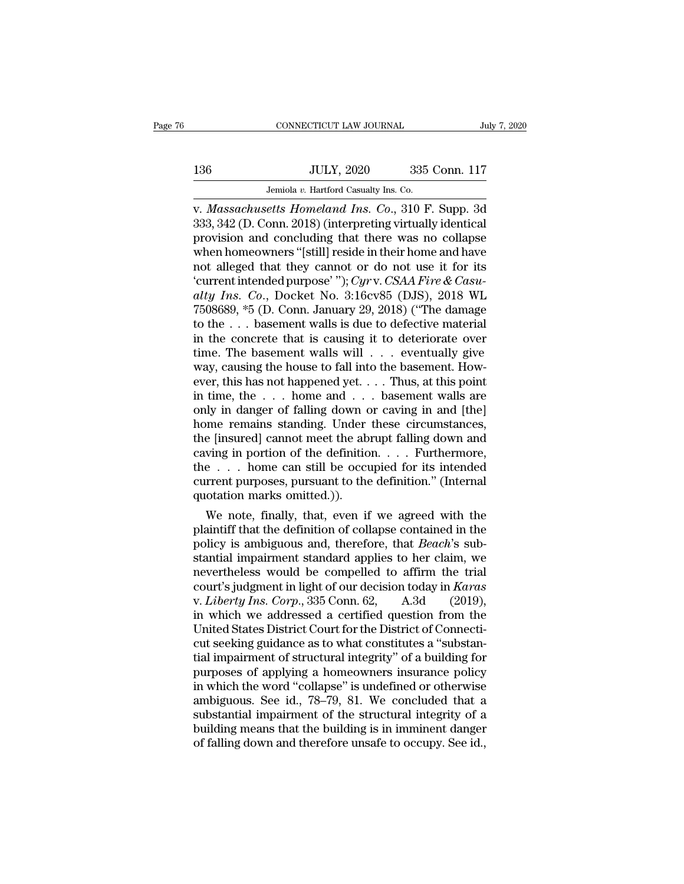## $\begin{tabular}{c} \multicolumn{1}{c|}{\text{CONNECTICUT LAW JOURNAL}} & July 7, 2020 \\ \cline{2-2} \multicolumn{1}{c|}{\text{July 7, 2020}} & 335 \text{ Conn. } 117 \\ \cline{2-2} \multicolumn{1}{c|}{\text{Julty 7, 2020}} & 335 \text{ Conn. } 117 \\ \cline{2-2} \multicolumn{1}{c|}{\text{Jemiola $v$. Hartford Casuality Ins. Co.}} \end{tabular}$ CONNECTICUT LAW JOURNAL JUNE JEMINAL JULY, 2020 335 Conn. 117<br>Jemiola *v.* Hartford Casualty Ins. Co.<br>V. Massachusetts Homeland Ins. Co., 310 F. Supp. 3d

v. *July 7, 2020*<br>
V. *Massachusetts Homeland Ins. Co.*<br>
V. *Massachusetts Homeland Ins. Co.*, 310 F. Supp. 3d<br>
V. *Massachusetts Homeland Ins. Co.*, 310 F. Supp. 3d<br>
333, 342 (D. Conn. 2018) (interpreting virtually identi 136 JULY, 2020 335 Conn. 117<br>Jemiola v. Hartford Casualty Ins. Co.<br>V. Massachusetts Homeland Ins. Co., 310 F. Supp. 3d<br>333, 342 (D. Conn. 2018) (interpreting virtually identical<br>provision and concluding that there was no c 136 JULY, 2020 335 Conn. 117<br>Jemiola v. Hartford Casualty Ins. Co.<br>v. *Massachusetts Homeland Ins. Co.*, 310 F. Supp. 3d<br>333, 342 (D. Conn. 2018) (interpreting virtually identical<br>provision and concluding that there was n 136 JULY, 2020 335 Conn. 117<br>Jemiola v. Hartford Casualty Ins. Co.<br>v. *Massachusetts Homeland Ins. Co.*, 310 F. Supp. 3d<br>333, 342 (D. Conn. 2018) (interpreting virtually identical<br>provision and concluding that there was n Jemiola v. Hartford Casualty Ins. Co.<br>
v. Massachusetts Homeland Ins. Co., 310 F. Supp. 3d<br>
333, 342 (D. Conn. 2018) (interpreting virtually identical<br>
provision and concluding that there was no collapse<br>
when homeowners Jemiola *v.* Hartford Casualty Ins. Co.<br>
v. *Massachusetts Homeland Ins. Co.*, 310 F. Supp. 3d<br>
333, 342 (D. Conn. 2018) (interpreting virtually identical<br>
provision and concluding that there was no collapse<br>
when homeowne *x. Massachusetts Homeland Ins. Co.*, 310 F. Supp. 3d<br>333, 342 (D. Conn. 2018) (interpreting virtually identical<br>provision and concluding that there was no collapse<br>when homeowners "[still] reside in their home and have<br>no 333, 342 (D. Conn. 2018) (interpreting virtually identical<br>provision and concluding that there was no collapse<br>when homeowners "[still] reside in their home and have<br>not alleged that they cannot or do not use it for its<br>' provision and concluding that there was no collapse<br>when homeowners "[still] reside in their home and have<br>not alleged that they cannot or do not use it for its<br>"current intended purpose"");  $Cyrv$ .  $CSAA$  Fire &  $Casu$ -<br> $alty$  when homeowners "[still] reside in their home and have<br>not alleged that they cannot or do not use it for its<br>'current intended purpose' "); Cyrv. CSAA Fire & Casu-<br>alty Ins. Co., Docket No. 3:16cv85 (DJS), 2018 WL<br>7508689 not alleged that they cannot or do not use it for its<br>
"current intended purpose""); Cyrv. CSAA Fire & Casu-<br>
alty Ins. Co., Docket No. 3:16cv85 (DJS), 2018 WL<br>
7508689, \*5 (D. Conn. January 29, 2018) ("The damage<br>
to the 'current intended purpose' ''); Cyrv. CSAA Fire & Casu-<br>alty Ins. Co., Docket No. 3:16cv85 (DJS), 2018 WL<br>7508689, \*5 (D. Conn. January 29, 2018) ("The damage<br>to the . . . basement walls is due to defective material<br>in th alty Ins. Co., Docket No. 3:16cv85 (DJS), 2018 WL<br>7508689, \*5 (D. Conn. January 29, 2018) ("The damage<br>to the . . . basement walls is due to defective material<br>in the concrete that is causing it to deteriorate over<br>time. 7508689, \*5 (D. Conn. January 29, 2018) ("The damage<br>to the . . . basement walls is due to defective material<br>in the concrete that is causing it to deteriorate over<br>time. The basement walls will . . . eventually give<br>way, to the . . . basement walls is due to defective material<br>in the concrete that is causing it to deteriorate over<br>time. The basement walls will . . . eventually give<br>way, causing the house to fall into the basement. How-<br>ev in the concrete that is causing it to deteriorate over<br>time. The basement walls will  $\ldots$  eventually give<br>way, causing the house to fall into the basement. How-<br>ever, this has not happened yet.  $\ldots$  Thus, at this point<br> time. The basement walls will  $\ldots$  eventually give<br>way, causing the house to fall into the basement. How-<br>ever, this has not happened yet.  $\ldots$  Thus, at this point<br>in time, the  $\ldots$  home and  $\ldots$  basement walls are<br>on way, causing the house to fall into the basement. However, this has not happened yet. . . . Thus, at this point<br>in time, the . . . home and . . . basement walls are<br>only in danger of falling down or caving in and [the]<br>ho ever, this has not happened yet. . . . Thus, at this point<br>in time, the . . . home and . . . basement walls are<br>only in danger of falling down or caving in and [the]<br>home remains standing. Under these circumstances,<br>the [ in time, the  $\ldots$  home and  $\ldots$  basement walls are only in danger of falling down or caving in and [the] home remains standing. Under these circumstances, the [insured] cannot meet the abrupt falling down and caving in only in danger of falling down chome remains standing. Under<br>the [insured] cannot meet the ab<br>caving in portion of the definitio<br>the . . . home can still be occu<br>current purposes, pursuant to the<br>quotation marks omitted.)) me remains standing. Under these circumstances,<br>e [insured] cannot meet the abrupt falling down and<br>ving in portion of the definition. . . . Furthermore,<br>e . . . home can still be occupied for its intended<br>rrent purposes, the [insured] cannot meet the abrupt falling down and<br>caving in portion of the definition. . . . Furthermore,<br>the . . . home can still be occupied for its intended<br>current purposes, pursuant to the definition." (Internal<br>

caving in portion of the definition.  $\ldots$  Furthermore,<br>the  $\ldots$  home can still be occupied for its intended<br>current purposes, pursuant to the definition." (Internal<br>quotation marks omitted.)).<br>We note, finally, that, ev the  $\ldots$  home can still be occupied for its intended<br>current purposes, pursuant to the definition." (Internal<br>quotation marks omitted.)).<br>We note, finally, that, even if we agreed with the<br>plaintiff that the definition o current purposes, pursuant to the definition." (Internal<br>quotation marks omitted.)).<br>We note, finally, that, even if we agreed with the<br>plaintiff that the definition of collapse contained in the<br>policy is ambiguous and, t quotation marks omitted.)).<br>We note, finally, that, even if we agreed with the<br>plaintiff that the definition of collapse contained in the<br>policy is ambiguous and, therefore, that *Beach*'s sub-<br>stantial impairment standard We note, finally, that, even if we agreed with the plaintiff that the definition of collapse contained in the policy is ambiguous and, therefore, that *Beach's* substantial impairment standard applies to her claim, we neve plaintiff that the definition of collapse contained in the<br>policy is ambiguous and, therefore, that *Beach's* sub-<br>stantial impairment standard applies to her claim, we<br>nevertheless would be compelled to affirm the trial<br>c policy is ambiguous and, therefore, that *Beach's* substantial impairment standard applies to her claim, we<br>nevertheless would be compelled to affirm the trial<br>court's judgment in light of our decision today in *Karas*<br>v. stantial impairment standard applies to her claim, we<br>nevertheless would be compelled to affirm the trial<br>court's judgment in light of our decision today in *Karas*<br>v. *Liberty Ins. Corp.*, 335 Conn. 62, A.3d (2019),<br>in wh nevertheless would be compelled to affirm the trial<br>court's judgment in light of our decision today in *Karas*<br>v. *Liberty Ins. Corp.*, 335 Conn. 62, A.3d (2019),<br>in which we addressed a certified question from the<br>United court's judgment in light of our decision today in *Karas*<br>v. *Liberty Ins. Corp.*, 335 Conn. 62, A.3d (2019),<br>in which we addressed a certified question from the<br>United States District Court for the District of Connectiv. *Liberty Ins. Corp.*, 335 Conn. 62, A.3d (2019),<br>in which we addressed a certified question from the<br>United States District Court for the District of Connecti-<br>cut seeking guidance as to what constitutes a "substan-<br>tia in which we addressed a certified question from the<br>United States District Court for the District of Connecti-<br>cut seeking guidance as to what constitutes a "substan-<br>tial impairment of structural integrity" of a building United States District Court for the District of Connecticut seeking guidance as to what constitutes a "substantial impairment of structural integrity" of a building for purposes of applying a homeowners insurance policy i cut seeking guidance as to what constitutes a "substantial impairment of structural integrity" of a building for<br>purposes of applying a homeowners insurance policy<br>in which the word "collapse" is undefined or otherwise<br>amb tial impairment of structural integrity" of a building for<br>purposes of applying a homeowners insurance policy<br>in which the word "collapse" is undefined or otherwise<br>ambiguous. See id., 78–79, 81. We concluded that a<br>substa